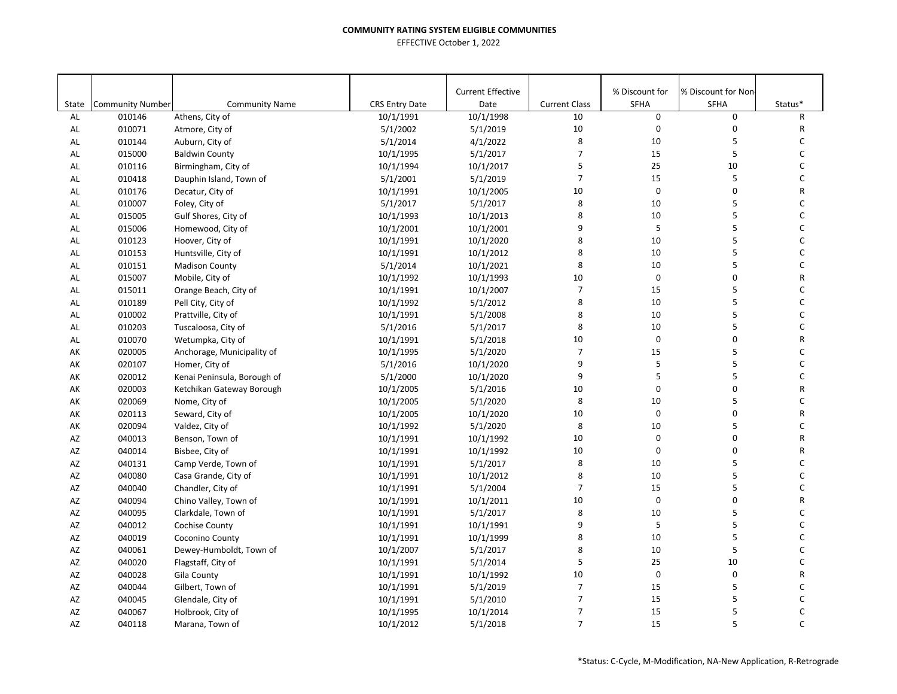|       |                         |                             |                       | <b>Current Effective</b> |                      | % Discount for | % Discount for Non- |              |
|-------|-------------------------|-----------------------------|-----------------------|--------------------------|----------------------|----------------|---------------------|--------------|
| State | <b>Community Number</b> | <b>Community Name</b>       | <b>CRS Entry Date</b> | Date                     | <b>Current Class</b> | <b>SFHA</b>    | <b>SFHA</b>         | Status*      |
| AL    | 010146                  | Athens, City of             | 10/1/1991             | 10/1/1998                | 10                   | $\mathbf 0$    | 0                   | $\mathsf{R}$ |
| AL    | 010071                  | Atmore, City of             | 5/1/2002              | 5/1/2019                 | $10\,$               | $\mathbf 0$    | $\mathbf 0$         | $\mathsf{R}$ |
| AL    | 010144                  | Auburn, City of             | 5/1/2014              | 4/1/2022                 | 8                    | 10             | 5                   | C            |
| AL    | 015000                  | <b>Baldwin County</b>       | 10/1/1995             | 5/1/2017                 | $\overline{7}$       | 15             | 5                   | С            |
| AL    | 010116                  | Birmingham, City of         | 10/1/1994             | 10/1/2017                | 5                    | 25             | 10                  | С            |
| AL    | 010418                  | Dauphin Island, Town of     | 5/1/2001              | 5/1/2019                 | $\overline{7}$       | 15             | 5                   | С            |
| AL    | 010176                  | Decatur, City of            | 10/1/1991             | 10/1/2005                | 10                   | $\mathbf 0$    | 0                   | R            |
| AL    | 010007                  | Foley, City of              | 5/1/2017              | 5/1/2017                 | 8                    | 10             | 5                   | С            |
| AL    | 015005                  | Gulf Shores, City of        | 10/1/1993             | 10/1/2013                | 8                    | 10             | 5                   | С            |
| AL    | 015006                  | Homewood, City of           | 10/1/2001             | 10/1/2001                | 9                    | 5              | 5                   | С            |
| AL    | 010123                  | Hoover, City of             | 10/1/1991             | 10/1/2020                | 8                    | 10             | 5                   | C            |
| AL    | 010153                  | Huntsville, City of         | 10/1/1991             | 10/1/2012                | 8                    | 10             | 5                   | C            |
| AL    | 010151                  | <b>Madison County</b>       | 5/1/2014              | 10/1/2021                | 8                    | 10             | 5                   | C            |
| AL    | 015007                  | Mobile, City of             | 10/1/1992             | 10/1/1993                | 10                   | $\mathbf 0$    | 0                   | R            |
| AL    | 015011                  | Orange Beach, City of       | 10/1/1991             | 10/1/2007                | $\overline{7}$       | 15             | 5                   | С            |
| AL    | 010189                  | Pell City, City of          | 10/1/1992             | 5/1/2012                 | 8                    | 10             | 5                   | С            |
| AL    | 010002                  | Prattville, City of         | 10/1/1991             | 5/1/2008                 | 8                    | 10             | 5                   | C            |
| AL    | 010203                  | Tuscaloosa, City of         | 5/1/2016              | 5/1/2017                 | 8                    | 10             | 5                   | C            |
| AL    | 010070                  | Wetumpka, City of           | 10/1/1991             | 5/1/2018                 | 10                   | $\mathbf 0$    | 0                   | R            |
| AK    | 020005                  | Anchorage, Municipality of  | 10/1/1995             | 5/1/2020                 | $\overline{7}$       | 15             | 5                   | C            |
| AK    | 020107                  | Homer, City of              | 5/1/2016              | 10/1/2020                | 9                    | $\sf 5$        | 5                   | C            |
| AK    | 020012                  | Kenai Peninsula, Borough of | 5/1/2000              | 10/1/2020                | 9                    | 5              | 5                   | C            |
| AK    | 020003                  | Ketchikan Gateway Borough   | 10/1/2005             | 5/1/2016                 | 10                   | $\pmb{0}$      | 0                   | R            |
| AK    | 020069                  | Nome, City of               | 10/1/2005             | 5/1/2020                 | 8                    | 10             | 5                   | С            |
| AK    | 020113                  | Seward, City of             | 10/1/2005             | 10/1/2020                | 10                   | $\mathbf 0$    | 0                   | R            |
| AK    | 020094                  | Valdez, City of             | 10/1/1992             | 5/1/2020                 | 8                    | 10             | 5                   | C            |
| AZ    | 040013                  | Benson, Town of             | 10/1/1991             | 10/1/1992                | 10                   | 0              | $\pmb{0}$           | R            |
| AZ    | 040014                  | Bisbee, City of             | 10/1/1991             | 10/1/1992                | 10                   | $\mathbf 0$    | 0                   | R            |
| AZ    | 040131                  | Camp Verde, Town of         | 10/1/1991             | 5/1/2017                 | 8                    | 10             | 5                   | C            |
| AZ    | 040080                  | Casa Grande, City of        | 10/1/1991             | 10/1/2012                | 8                    | 10             | 5                   | C            |
| AZ    | 040040                  | Chandler, City of           | 10/1/1991             | 5/1/2004                 | $\overline{7}$       | 15             | 5                   | С            |
| AZ    | 040094                  | Chino Valley, Town of       | 10/1/1991             | 10/1/2011                | 10                   | $\mathbf 0$    | 0                   | R            |
| AZ    | 040095                  | Clarkdale, Town of          | 10/1/1991             | 5/1/2017                 | 8                    | 10             | 5                   | C            |
| AZ    | 040012                  | Cochise County              | 10/1/1991             | 10/1/1991                | 9                    | 5              | 5                   | С            |
| AZ    | 040019                  | Coconino County             | 10/1/1991             | 10/1/1999                | 8                    | 10             | 5                   | C            |
| AZ    | 040061                  | Dewey-Humboldt, Town of     | 10/1/2007             | 5/1/2017                 | 8                    | 10             | 5                   | С            |
| AZ    | 040020                  | Flagstaff, City of          | 10/1/1991             | 5/1/2014                 | 5                    | 25             | 10                  | C            |
| AZ    | 040028                  | Gila County                 | 10/1/1991             | 10/1/1992                | 10                   | $\mathbf 0$    | $\mathbf 0$         | R            |
| AZ    | 040044                  | Gilbert, Town of            | 10/1/1991             | 5/1/2019                 | $\overline{7}$       | 15             | 5                   | С            |
| AZ    | 040045                  | Glendale, City of           | 10/1/1991             | 5/1/2010                 | $\overline{7}$       | 15             | 5                   | C            |
| AZ    | 040067                  | Holbrook, City of           | 10/1/1995             | 10/1/2014                | $\overline{7}$       | 15             | 5                   | C            |
| AZ    | 040118                  | Marana, Town of             | 10/1/2012             | 5/1/2018                 | $\overline{7}$       | 15             | 5                   | C            |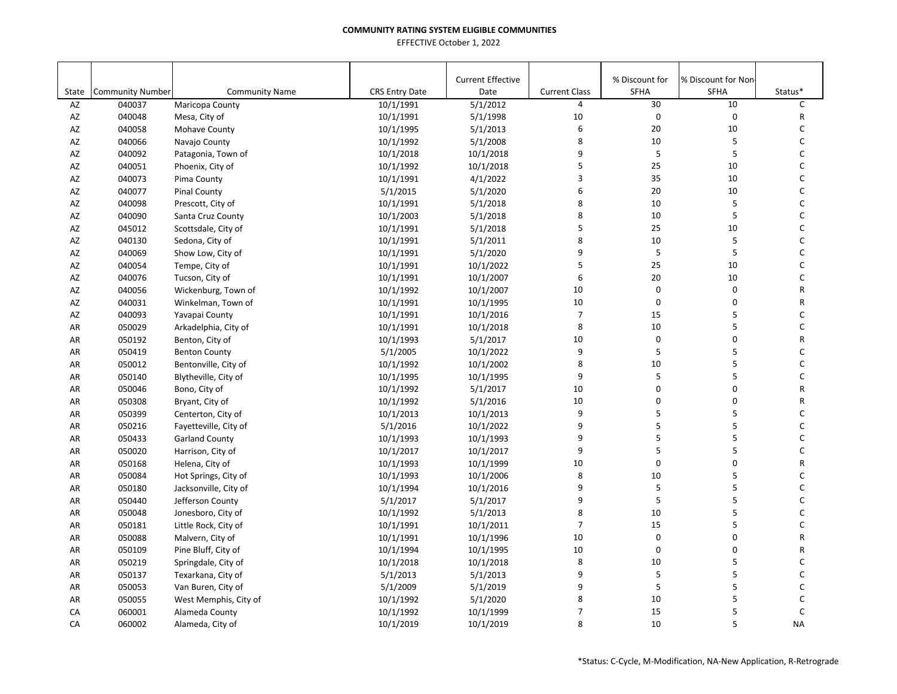|                    |                                   |                                     |                                    | <b>Current Effective</b> |                           | % Discount for             | % Discount for Non- |              |
|--------------------|-----------------------------------|-------------------------------------|------------------------------------|--------------------------|---------------------------|----------------------------|---------------------|--------------|
| State<br><b>AZ</b> | <b>Community Number</b><br>040037 | <b>Community Name</b>               | <b>CRS Entry Date</b><br>10/1/1991 | Date<br>5/1/2012         | <b>Current Class</b><br>4 | <b>SFHA</b><br>30          | <b>SFHA</b><br>10   | Status*<br>C |
|                    |                                   | Maricopa County                     |                                    | 5/1/1998                 | 10                        | $\pmb{0}$                  | 0                   | R            |
| AZ                 | 040048                            | Mesa, City of                       | 10/1/1991                          |                          | $\boldsymbol{6}$          | 20                         | 10                  | С            |
| AZ<br>AZ           | 040058                            | Mohave County                       | 10/1/1995                          | 5/1/2013<br>5/1/2008     | 8                         | 10                         | 5                   | C            |
| AZ                 | 040066<br>040092                  | Navajo County<br>Patagonia, Town of | 10/1/1992<br>10/1/2018             | 10/1/2018                | 9                         | 5                          | 5                   | C            |
| AZ                 | 040051                            | Phoenix, City of                    | 10/1/1992                          | 10/1/2018                | 5                         | 25                         | 10                  | C            |
| AZ                 | 040073                            | Pima County                         | 10/1/1991                          | 4/1/2022                 | 3                         | 35                         | 10                  | С            |
| AZ                 | 040077                            | <b>Pinal County</b>                 | 5/1/2015                           | 5/1/2020                 | 6                         | 20                         | 10                  | C            |
| AZ                 | 040098                            | Prescott, City of                   | 10/1/1991                          | 5/1/2018                 | 8                         | 10                         | 5                   | C            |
| AZ                 | 040090                            | Santa Cruz County                   | 10/1/2003                          | 5/1/2018                 | 8                         | 10                         | 5                   | C            |
| AZ                 | 045012                            |                                     |                                    | 5/1/2018                 | 5                         | 25                         | 10                  | C            |
| AZ                 | 040130                            | Scottsdale, City of                 | 10/1/1991                          | 5/1/2011                 | 8                         | 10                         | 5                   | C            |
| AZ                 |                                   | Sedona, City of                     | 10/1/1991                          |                          | 9                         | 5                          | 5                   | C            |
|                    | 040069                            | Show Low, City of                   | 10/1/1991                          | 5/1/2020                 | 5                         | 25                         | 10                  | C            |
| AZ                 | 040054<br>040076                  | Tempe, City of                      | 10/1/1991                          | 10/1/2022                | 6                         | 20                         | 10                  | C            |
| AZ                 |                                   | Tucson, City of                     | 10/1/1991                          | 10/1/2007                |                           |                            |                     |              |
| AZ                 | 040056                            | Wickenburg, Town of                 | 10/1/1992                          | 10/1/2007                | 10                        | $\mathbf 0$<br>$\mathbf 0$ | $\mathbf 0$         | R            |
| AZ                 | 040031                            | Winkelman, Town of                  | 10/1/1991                          | 10/1/1995                | 10                        |                            | 0                   | R            |
| AZ                 | 040093                            | Yavapai County                      | 10/1/1991                          | 10/1/2016                | $\overline{7}$            | 15                         | 5                   | C            |
| AR                 | 050029                            | Arkadelphia, City of                | 10/1/1991                          | 10/1/2018                | 8                         | $10\,$                     | 5                   | С            |
| AR                 | 050192                            | Benton, City of                     | 10/1/1993                          | 5/1/2017                 | 10                        | $\pmb{0}$                  | 0                   | R            |
| AR                 | 050419                            | <b>Benton County</b>                | 5/1/2005                           | 10/1/2022                | 9                         | 5                          | 5                   | C            |
| AR                 | 050012                            | Bentonville, City of                | 10/1/1992                          | 10/1/2002                | 8                         | 10                         | 5                   | C            |
| AR                 | 050140                            | Blytheville, City of                | 10/1/1995                          | 10/1/1995                | 9                         | 5                          | 5                   | C            |
| AR                 | 050046                            | Bono, City of                       | 10/1/1992                          | 5/1/2017                 | 10                        | 0                          | $\mathbf 0$         | R            |
| AR                 | 050308                            | Bryant, City of                     | 10/1/1992                          | 5/1/2016                 | 10                        | 0                          | 0                   | R            |
| AR                 | 050399                            | Centerton, City of                  | 10/1/2013                          | 10/1/2013                | 9                         | 5                          | 5                   | C            |
| AR                 | 050216                            | Fayetteville, City of               | 5/1/2016                           | 10/1/2022                | 9                         | 5                          | 5                   | C            |
| AR                 | 050433                            | <b>Garland County</b>               | 10/1/1993                          | 10/1/1993                | 9                         | 5                          | 5                   | C            |
| AR                 | 050020                            | Harrison, City of                   | 10/1/2017                          | 10/1/2017                | 9                         | 5                          | 5                   | C            |
| AR                 | 050168                            | Helena, City of                     | 10/1/1993                          | 10/1/1999                | 10                        | $\mathbf 0$                | $\mathbf 0$         | $\mathsf R$  |
| AR                 | 050084                            | Hot Springs, City of                | 10/1/1993                          | 10/1/2006                | 8                         | 10                         | 5                   | C            |
| AR                 | 050180                            | Jacksonville, City of               | 10/1/1994                          | 10/1/2016                | 9                         | 5                          | 5                   | C            |
| AR                 | 050440                            | Jefferson County                    | 5/1/2017                           | 5/1/2017                 | 9                         | 5                          | 5                   | C            |
| AR                 | 050048                            | Jonesboro, City of                  | 10/1/1992                          | 5/1/2013                 | 8                         | 10                         | 5                   | С            |
| AR                 | 050181                            | Little Rock, City of                | 10/1/1991                          | 10/1/2011                | $\overline{7}$            | 15                         | 5                   | C            |
| AR                 | 050088                            | Malvern, City of                    | 10/1/1991                          | 10/1/1996                | 10                        | $\pmb{0}$                  | 0                   | R            |
| AR                 | 050109                            | Pine Bluff, City of                 | 10/1/1994                          | 10/1/1995                | 10                        | 0                          | 0                   | R            |
| AR                 | 050219                            | Springdale, City of                 | 10/1/2018                          | 10/1/2018                | 8                         | 10                         | 5                   | C            |
| AR                 | 050137                            | Texarkana, City of                  | 5/1/2013                           | 5/1/2013                 | 9                         | 5                          | 5                   | C            |
| AR                 | 050053                            | Van Buren, City of                  | 5/1/2009                           | 5/1/2019                 | 9                         | 5                          | 5                   | C            |
| AR                 | 050055                            | West Memphis, City of               | 10/1/1992                          | 5/1/2020                 | 8                         | 10                         | 5                   | C            |
| CA                 | 060001                            | Alameda County                      | 10/1/1992                          | 10/1/1999                | $\overline{7}$            | 15                         | 5                   | C            |
| CA                 | 060002                            | Alameda, City of                    | 10/1/2019                          | 10/1/2019                | 8                         | 10                         | 5                   | <b>NA</b>    |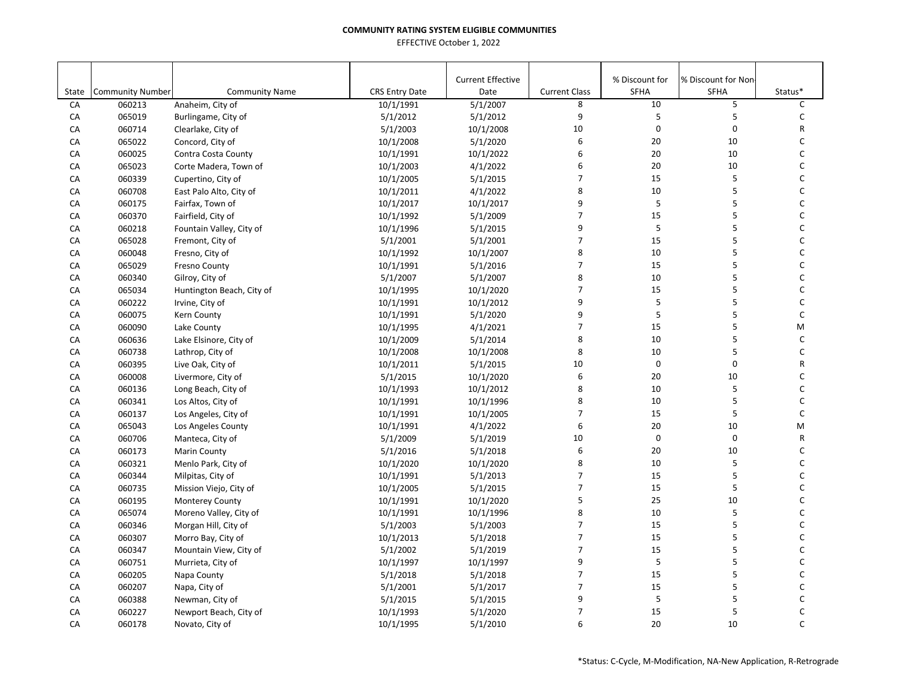|       |                         |                           |                       | <b>Current Effective</b> |                      | % Discount for | % Discount for Non- |         |
|-------|-------------------------|---------------------------|-----------------------|--------------------------|----------------------|----------------|---------------------|---------|
| State | <b>Community Number</b> | <b>Community Name</b>     | <b>CRS Entry Date</b> | Date                     | <b>Current Class</b> | <b>SFHA</b>    | SFHA                | Status* |
| CA    | 060213                  | Anaheim, City of          | 10/1/1991             | 5/1/2007                 | 8                    | 10             | 5                   | C       |
| CA    | 065019                  | Burlingame, City of       | 5/1/2012              | 5/1/2012                 | 9                    | 5              | 5                   | C       |
| CA    | 060714                  | Clearlake, City of        | 5/1/2003              | 10/1/2008                | 10                   | $\pmb{0}$      | 0                   | R       |
| CA    | 065022                  | Concord, City of          | 10/1/2008             | 5/1/2020                 | 6                    | 20             | 10                  | C       |
| CA    | 060025                  | Contra Costa County       | 10/1/1991             | 10/1/2022                | 6                    | 20             | 10                  | C       |
| CA    | 065023                  | Corte Madera, Town of     | 10/1/2003             | 4/1/2022                 | 6                    | 20             | 10                  | C       |
| CA    | 060339                  | Cupertino, City of        | 10/1/2005             | 5/1/2015                 | $\overline{7}$       | 15             | 5                   | C       |
| CA    | 060708                  | East Palo Alto, City of   | 10/1/2011             | 4/1/2022                 | 8                    | 10             | 5                   | C       |
| CA    | 060175                  | Fairfax, Town of          | 10/1/2017             | 10/1/2017                | 9                    | 5              | 5                   | C       |
| CA    | 060370                  | Fairfield, City of        | 10/1/1992             | 5/1/2009                 | $\overline{7}$       | 15             | 5                   | C       |
| CA    | 060218                  | Fountain Valley, City of  | 10/1/1996             | 5/1/2015                 | 9                    | 5              | 5                   | С       |
| CA    | 065028                  | Fremont, City of          | 5/1/2001              | 5/1/2001                 | $\overline{7}$       | 15             | 5                   | C       |
| CA    | 060048                  | Fresno, City of           | 10/1/1992             | 10/1/2007                | 8                    | 10             | 5                   | C       |
| CA    | 065029                  | <b>Fresno County</b>      | 10/1/1991             | 5/1/2016                 | $\overline{7}$       | 15             | 5                   | C       |
| CA    | 060340                  | Gilroy, City of           | 5/1/2007              | 5/1/2007                 | 8                    | 10             | 5                   | C       |
| CA    | 065034                  | Huntington Beach, City of | 10/1/1995             | 10/1/2020                | $\overline{7}$       | 15             | 5                   | C       |
| CA    | 060222                  | Irvine, City of           | 10/1/1991             | 10/1/2012                | 9                    | 5              | 5                   | C       |
| CA    | 060075                  | Kern County               | 10/1/1991             | 5/1/2020                 | 9                    | 5              | 5                   | C       |
| CA    | 060090                  | Lake County               | 10/1/1995             | 4/1/2021                 | $\overline{7}$       | 15             | 5                   | M       |
| CA    | 060636                  | Lake Elsinore, City of    | 10/1/2009             | 5/1/2014                 | 8                    | 10             | 5                   | С       |
| CA    | 060738                  | Lathrop, City of          | 10/1/2008             | 10/1/2008                | 8                    | 10             | 5                   | C       |
| CA    | 060395                  | Live Oak, City of         | 10/1/2011             | 5/1/2015                 | 10                   | $\pmb{0}$      | 0                   | R       |
| CA    | 060008                  | Livermore, City of        | 5/1/2015              | 10/1/2020                | 6                    | 20             | 10                  | C       |
| CA    | 060136                  | Long Beach, City of       | 10/1/1993             | 10/1/2012                | 8                    | 10             | 5                   | C       |
| CA    | 060341                  | Los Altos, City of        | 10/1/1991             | 10/1/1996                | 8                    | 10             | 5                   | C       |
| CA    | 060137                  | Los Angeles, City of      | 10/1/1991             | 10/1/2005                | $\overline{7}$       | 15             | 5                   | C       |
| CA    | 065043                  | Los Angeles County        | 10/1/1991             | 4/1/2022                 | 6                    | 20             | 10                  | M       |
| CA    | 060706                  | Manteca, City of          | 5/1/2009              | 5/1/2019                 | 10                   | $\mathbf 0$    | $\mathbf 0$         | R       |
| CA    | 060173                  | <b>Marin County</b>       | 5/1/2016              | 5/1/2018                 | 6                    | 20             | 10                  | C       |
| CA    | 060321                  | Menlo Park, City of       | 10/1/2020             | 10/1/2020                | 8                    | 10             | 5                   | C       |
| CA    | 060344                  | Milpitas, City of         | 10/1/1991             | 5/1/2013                 | 7                    | 15             | 5                   | C       |
| CA    | 060735                  | Mission Viejo, City of    | 10/1/2005             | 5/1/2015                 | $\overline{7}$       | 15             | 5                   | C       |
| CA    | 060195                  | <b>Monterey County</b>    | 10/1/1991             | 10/1/2020                | 5                    | 25             | 10                  | C       |
| CA    | 065074                  | Moreno Valley, City of    | 10/1/1991             | 10/1/1996                | 8                    | 10             | 5                   | C       |
| CA    | 060346                  | Morgan Hill, City of      | 5/1/2003              | 5/1/2003                 | $\overline{7}$       | 15             | 5                   | C       |
| CA    | 060307                  | Morro Bay, City of        | 10/1/2013             | 5/1/2018                 | $\overline{7}$       | 15             | 5                   | C       |
| CA    | 060347                  | Mountain View, City of    | 5/1/2002              | 5/1/2019                 | $\overline{7}$       | 15             | 5                   | C       |
| CA    | 060751                  | Murrieta, City of         | 10/1/1997             | 10/1/1997                | 9                    | 5              | 5                   | C       |
| CA    | 060205                  | Napa County               | 5/1/2018              | 5/1/2018                 | $\overline{7}$       | 15             | 5                   | C       |
| CA    | 060207                  | Napa, City of             | 5/1/2001              | 5/1/2017                 | $\overline{7}$       | 15             | 5                   | C       |
| CA    | 060388                  | Newman, City of           | 5/1/2015              | 5/1/2015                 | 9                    | 5              | 5                   | C       |
| CA    | 060227                  | Newport Beach, City of    | 10/1/1993             | 5/1/2020                 | $\overline{7}$       | 15             | 5                   | C       |
| CA    |                         |                           | 10/1/1995             | 5/1/2010                 | 6                    | 20             | 10                  | C       |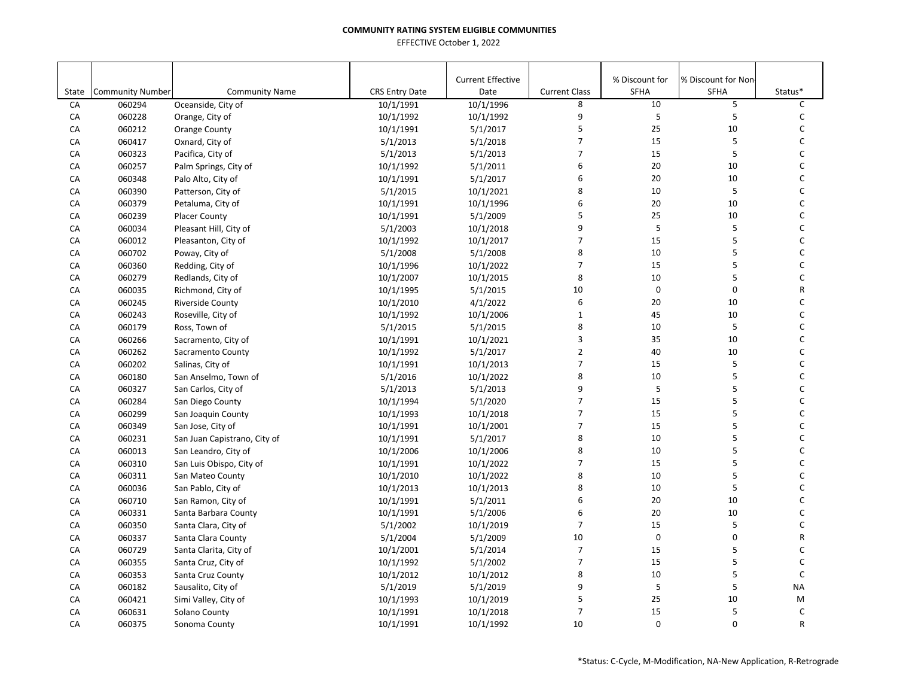|       |                         |                              |                       | <b>Current Effective</b> |                      | % Discount for | % Discount for Non- |           |
|-------|-------------------------|------------------------------|-----------------------|--------------------------|----------------------|----------------|---------------------|-----------|
| State | <b>Community Number</b> | <b>Community Name</b>        | <b>CRS Entry Date</b> | Date                     | <b>Current Class</b> | <b>SFHA</b>    | <b>SFHA</b>         | Status*   |
| CA    | 060294                  | Oceanside, City of           | 10/1/1991             | 10/1/1996                | 8                    | 10             | 5                   | C         |
| CA    | 060228                  | Orange, City of              | 10/1/1992             | 10/1/1992                | 9                    | 5              | 5                   | C         |
| CA    | 060212                  | <b>Orange County</b>         | 10/1/1991             | 5/1/2017                 | 5                    | 25             | 10                  | С         |
| CA    | 060417                  | Oxnard, City of              | 5/1/2013              | 5/1/2018                 | $\overline{7}$       | 15             | 5                   | C         |
| CA    | 060323                  | Pacifica, City of            | 5/1/2013              | 5/1/2013                 | $\overline{7}$       | 15             | 5                   | C         |
| CA    | 060257                  | Palm Springs, City of        | 10/1/1992             | 5/1/2011                 | 6                    | 20             | 10                  | C         |
| CA    | 060348                  | Palo Alto, City of           | 10/1/1991             | 5/1/2017                 | 6                    | 20             | 10                  | C         |
| CA    | 060390                  | Patterson, City of           | 5/1/2015              | 10/1/2021                | 8                    | 10             | 5                   | C         |
| CA    | 060379                  | Petaluma, City of            | 10/1/1991             | 10/1/1996                | 6                    | 20             | 10                  | C         |
| CA    | 060239                  | <b>Placer County</b>         | 10/1/1991             | 5/1/2009                 | 5                    | 25             | 10                  | C         |
| CA    | 060034                  | Pleasant Hill, City of       | 5/1/2003              | 10/1/2018                | 9                    | 5              | 5                   | C         |
| CA    | 060012                  | Pleasanton, City of          | 10/1/1992             | 10/1/2017                | $\overline{7}$       | 15             | 5                   | C         |
| CA    | 060702                  | Poway, City of               | 5/1/2008              | 5/1/2008                 | 8                    | 10             | 5                   | C         |
| CA    | 060360                  | Redding, City of             | 10/1/1996             | 10/1/2022                | $\overline{7}$       | 15             | 5                   | C         |
| CA    | 060279                  | Redlands, City of            | 10/1/2007             | 10/1/2015                | 8                    | 10             | 5                   | C         |
| CA    | 060035                  | Richmond, City of            | 10/1/1995             | 5/1/2015                 | 10                   | $\mathbf 0$    | $\mathbf 0$         | R         |
| CA    | 060245                  | Riverside County             | 10/1/2010             | 4/1/2022                 | 6                    | 20             | 10                  | C         |
| CA    | 060243                  | Roseville, City of           | 10/1/1992             | 10/1/2006                | $\mathbf{1}$         | 45             | 10                  | C         |
| CA    | 060179                  | Ross, Town of                | 5/1/2015              | 5/1/2015                 | 8                    | 10             | 5                   | С         |
| CA    | 060266                  | Sacramento, City of          | 10/1/1991             | 10/1/2021                | 3                    | 35             | 10                  | С         |
| CA    | 060262                  | Sacramento County            | 10/1/1992             | 5/1/2017                 | $\overline{2}$       | 40             | 10                  | C         |
| CA    | 060202                  | Salinas, City of             | 10/1/1991             | 10/1/2013                | $\overline{7}$       | 15             | 5                   | C         |
| CA    | 060180                  | San Anselmo, Town of         | 5/1/2016              | 10/1/2022                | 8                    | 10             | 5                   | C         |
| CA    | 060327                  | San Carlos, City of          | 5/1/2013              | 5/1/2013                 | 9                    | 5              | 5                   | C         |
| CA    | 060284                  | San Diego County             | 10/1/1994             | 5/1/2020                 | $\overline{7}$       | 15             | 5                   | C         |
| CA    | 060299                  | San Joaquin County           | 10/1/1993             | 10/1/2018                | $\overline{7}$       | 15             | 5                   | C         |
| CA    | 060349                  | San Jose, City of            | 10/1/1991             | 10/1/2001                | $\overline{7}$       | 15             | 5                   | C         |
| CA    | 060231                  | San Juan Capistrano, City of | 10/1/1991             | 5/1/2017                 | 8                    | 10             | 5                   | C         |
| CA    | 060013                  | San Leandro, City of         | 10/1/2006             | 10/1/2006                | 8                    | 10             | 5                   | C         |
| CA    | 060310                  | San Luis Obispo, City of     | 10/1/1991             | 10/1/2022                | $\overline{7}$       | 15             | 5                   | C         |
| CA    | 060311                  | San Mateo County             | 10/1/2010             | 10/1/2022                | 8                    | 10             | 5                   | C         |
| CA    | 060036                  | San Pablo, City of           | 10/1/2013             | 10/1/2013                | 8                    | 10             | 5                   | C         |
| CA    | 060710                  | San Ramon, City of           | 10/1/1991             | 5/1/2011                 | 6                    | 20             | 10                  | C         |
| CA    | 060331                  | Santa Barbara County         | 10/1/1991             | 5/1/2006                 | 6                    | 20             | 10                  | С         |
| CA    | 060350                  | Santa Clara, City of         | 5/1/2002              | 10/1/2019                | $\overline{7}$       | 15             | 5                   | C         |
| CA    | 060337                  | Santa Clara County           | 5/1/2004              | 5/1/2009                 | 10                   | $\pmb{0}$      | 0                   | R         |
| CA    | 060729                  | Santa Clarita, City of       | 10/1/2001             | 5/1/2014                 | $\overline{7}$       | 15             | 5                   | C         |
| CA    | 060355                  | Santa Cruz, City of          | 10/1/1992             | 5/1/2002                 | $\overline{7}$       | 15             | 5                   | C         |
| CA    | 060353                  | Santa Cruz County            | 10/1/2012             | 10/1/2012                | 8                    | 10             | 5                   | C         |
| CA    | 060182                  | Sausalito, City of           | 5/1/2019              | 5/1/2019                 | 9                    | 5              | 5                   | <b>NA</b> |
| CA    | 060421                  | Simi Valley, City of         | 10/1/1993             | 10/1/2019                | 5                    | 25             | 10                  | M         |
| CA    | 060631                  | Solano County                | 10/1/1991             | 10/1/2018                | $\overline{7}$       | 15             | 5                   | C         |
| CA    | 060375                  | Sonoma County                | 10/1/1991             | 10/1/1992                | 10                   | $\mathbf 0$    | $\Omega$            | R         |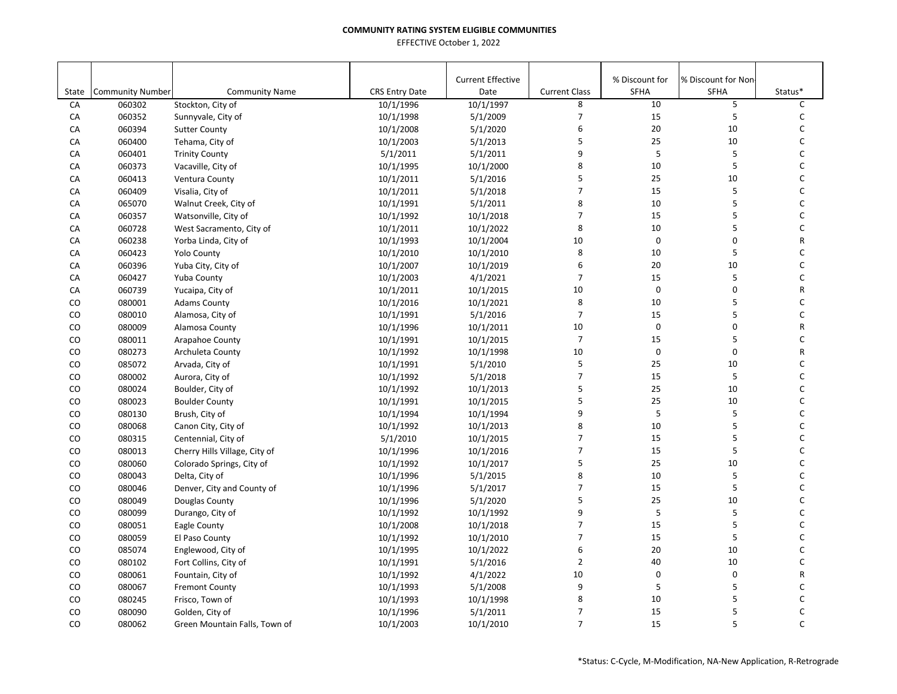|       |                         |                               |                       | <b>Current Effective</b> |                      | % Discount for | % Discount for Non |              |
|-------|-------------------------|-------------------------------|-----------------------|--------------------------|----------------------|----------------|--------------------|--------------|
| State | <b>Community Number</b> | <b>Community Name</b>         | <b>CRS Entry Date</b> | Date                     | <b>Current Class</b> | SFHA           | <b>SFHA</b>        | Status*      |
| CA    | 060302                  | Stockton, City of             | 10/1/1996             | 10/1/1997                | 8                    | 10             | 5                  | C            |
| CA    | 060352                  | Sunnyvale, City of            | 10/1/1998             | 5/1/2009                 | 7                    | 15             | 5                  | C            |
| CA    | 060394                  | <b>Sutter County</b>          | 10/1/2008             | 5/1/2020                 | 6                    | 20             | 10                 | C            |
| CA    | 060400                  | Tehama, City of               | 10/1/2003             | 5/1/2013                 | 5                    | 25             | 10                 | C            |
| CA    | 060401                  | <b>Trinity County</b>         | 5/1/2011              | 5/1/2011                 | 9                    | $\mathsf S$    | 5                  | C            |
| CA    | 060373                  | Vacaville, City of            | 10/1/1995             | 10/1/2000                | 8                    | 10             | 5                  | C            |
| CA    | 060413                  | Ventura County                | 10/1/2011             | 5/1/2016                 | 5                    | 25             | 10                 | C            |
| CA    | 060409                  | Visalia, City of              | 10/1/2011             | 5/1/2018                 | $\overline{7}$       | 15             | 5                  | C            |
| CA    | 065070                  | Walnut Creek, City of         | 10/1/1991             | 5/1/2011                 | 8                    | 10             | 5                  | C            |
| CA    | 060357                  | Watsonville, City of          | 10/1/1992             | 10/1/2018                | 7                    | 15             | 5                  | C            |
| CA    | 060728                  | West Sacramento, City of      | 10/1/2011             | 10/1/2022                | 8                    | 10             | 5                  | C            |
| CA    | 060238                  | Yorba Linda, City of          | 10/1/1993             | 10/1/2004                | 10                   | $\mathbf 0$    | 0                  | R            |
| CA    | 060423                  | <b>Yolo County</b>            | 10/1/2010             | 10/1/2010                | 8                    | 10             | 5                  | C            |
| CA    | 060396                  | Yuba City, City of            | 10/1/2007             | 10/1/2019                | 6                    | 20             | 10                 | $\mathsf C$  |
| CA    | 060427                  | Yuba County                   | 10/1/2003             | 4/1/2021                 | $\overline{7}$       | 15             | 5                  | C            |
| CA    | 060739                  | Yucaipa, City of              | 10/1/2011             | 10/1/2015                | 10                   | $\mathbf 0$    | 0                  | R            |
| CO    | 080001                  | <b>Adams County</b>           | 10/1/2016             | 10/1/2021                | 8                    | 10             | 5                  | C            |
| CO    | 080010                  | Alamosa, City of              | 10/1/1991             | 5/1/2016                 | $\overline{7}$       | 15             | 5                  | $\mathsf{C}$ |
| CO    | 080009                  | Alamosa County                | 10/1/1996             | 10/1/2011                | 10                   | $\pmb{0}$      | 0                  | R            |
| CO    | 080011                  | Arapahoe County               | 10/1/1991             | 10/1/2015                | $\boldsymbol{7}$     | 15             | 5                  | C            |
| CO    | 080273                  | Archuleta County              | 10/1/1992             | 10/1/1998                | 10                   | $\pmb{0}$      | 0                  | R            |
| CO    | 085072                  | Arvada, City of               | 10/1/1991             | 5/1/2010                 | 5                    | 25             | 10                 | C            |
| CO    | 080002                  | Aurora, City of               | 10/1/1992             | 5/1/2018                 | $\overline{7}$       | 15             | 5                  | C            |
| CO    | 080024                  | Boulder, City of              | 10/1/1992             | 10/1/2013                | 5                    | 25             | 10                 | C            |
| CO    | 080023                  | <b>Boulder County</b>         | 10/1/1991             | 10/1/2015                | 5                    | 25             | 10                 | C            |
| CO    | 080130                  | Brush, City of                | 10/1/1994             | 10/1/1994                | 9                    | 5              | 5                  | C            |
| CO    | 080068                  | Canon City, City of           | 10/1/1992             | 10/1/2013                | 8                    | 10             | 5                  | C            |
| CO    | 080315                  | Centennial, City of           | 5/1/2010              | 10/1/2015                | $\overline{7}$       | 15             | 5                  | $\mathsf{C}$ |
| CO    | 080013                  | Cherry Hills Village, City of | 10/1/1996             | 10/1/2016                | $\overline{7}$       | 15             | 5                  | $\mathsf{C}$ |
| CO    | 080060                  | Colorado Springs, City of     | 10/1/1992             | 10/1/2017                | 5                    | 25             | 10                 | $\mathsf C$  |
| CO    | 080043                  | Delta, City of                | 10/1/1996             | 5/1/2015                 | 8                    | 10             | 5                  | C            |
| CO    | 080046                  | Denver, City and County of    | 10/1/1996             | 5/1/2017                 | $\overline{7}$       | 15             | 5                  | C            |
| CO    | 080049                  | Douglas County                | 10/1/1996             | 5/1/2020                 | 5                    | 25             | 10                 | $\mathsf C$  |
| CO    | 080099                  | Durango, City of              | 10/1/1992             | 10/1/1992                | 9                    | 5              | 5                  | C            |
| CO    | 080051                  | Eagle County                  | 10/1/2008             | 10/1/2018                | $\overline{7}$       | 15             | 5                  | C            |
| CO    | 080059                  | El Paso County                | 10/1/1992             | 10/1/2010                | $\overline{7}$       | 15             | 5                  | C            |
| CO    | 085074                  | Englewood, City of            | 10/1/1995             | 10/1/2022                | 6                    | 20             | 10                 | C            |
| CO    | 080102                  | Fort Collins, City of         | 10/1/1991             | 5/1/2016                 | $\overline{2}$       | 40             | 10                 | $\mathsf C$  |
| CO    | 080061                  | Fountain, City of             | 10/1/1992             | 4/1/2022                 | 10                   | $\pmb{0}$      | $\pmb{0}$          | R            |
| CO    | 080067                  | <b>Fremont County</b>         | 10/1/1993             | 5/1/2008                 | 9                    | $\sf 5$        | 5                  | C            |
| CO    | 080245                  | Frisco, Town of               | 10/1/1993             | 10/1/1998                | 8                    | 10             | 5                  | C            |
| CO    | 080090                  | Golden, City of               | 10/1/1996             | 5/1/2011                 | $\overline{7}$       | 15             | 5                  | C            |
| CO    | 080062                  | Green Mountain Falls, Town of | 10/1/2003             | 10/1/2010                | $\overline{7}$       | 15             | 5                  | $\mathsf{C}$ |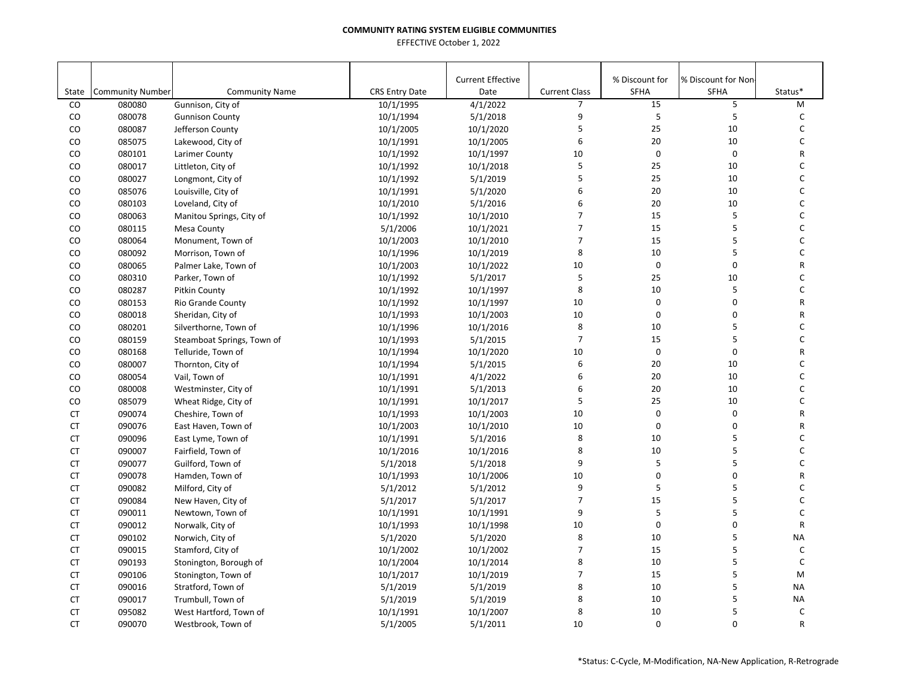|           |                         |                            |                       | <b>Current Effective</b> |                      | % Discount for | % Discount for Non |              |
|-----------|-------------------------|----------------------------|-----------------------|--------------------------|----------------------|----------------|--------------------|--------------|
| State     | <b>Community Number</b> | <b>Community Name</b>      | <b>CRS Entry Date</b> | Date                     | <b>Current Class</b> | SFHA           | <b>SFHA</b>        | Status*      |
| CO        | 080080                  | Gunnison, City of          | 10/1/1995             | 4/1/2022                 | $\overline{7}$       | 15             | 5                  | M            |
| CO        | 080078                  | <b>Gunnison County</b>     | 10/1/1994             | 5/1/2018                 | 9                    | 5              | 5                  | C            |
| CO        | 080087                  | Jefferson County           | 10/1/2005             | 10/1/2020                | 5                    | 25             | 10                 | C            |
| CO        | 085075                  | Lakewood, City of          | 10/1/1991             | 10/1/2005                | 6                    | 20             | 10                 | C            |
| CO        | 080101                  | Larimer County             | 10/1/1992             | 10/1/1997                | 10                   | $\mathbf 0$    | 0                  | R            |
| CO        | 080017                  | Littleton, City of         | 10/1/1992             | 10/1/2018                | 5                    | 25             | 10                 | C            |
| CO        | 080027                  | Longmont, City of          | 10/1/1992             | 5/1/2019                 | 5                    | 25             | 10                 | C            |
| CO        | 085076                  | Louisville, City of        | 10/1/1991             | 5/1/2020                 | 6                    | 20             | 10                 | $\mathsf{C}$ |
| CO        | 080103                  | Loveland, City of          | 10/1/2010             | 5/1/2016                 | 6                    | 20             | 10                 | $\mathsf{C}$ |
| CO        | 080063                  | Manitou Springs, City of   | 10/1/1992             | 10/1/2010                | $\overline{7}$       | 15             | 5                  | $\mathsf{C}$ |
| CO        | 080115                  | <b>Mesa County</b>         | 5/1/2006              | 10/1/2021                | $\overline{7}$       | 15             | 5                  | C            |
| CO        | 080064                  | Monument, Town of          | 10/1/2003             | 10/1/2010                | $\overline{7}$       | 15             | 5                  | C            |
| CO        | 080092                  | Morrison, Town of          | 10/1/1996             | 10/1/2019                | 8                    | 10             | 5                  | C            |
| CO        | 080065                  | Palmer Lake, Town of       | 10/1/2003             | 10/1/2022                | 10                   | $\pmb{0}$      | 0                  | R            |
| CO        | 080310                  | Parker, Town of            | 10/1/1992             | 5/1/2017                 | 5                    | 25             | 10                 | C            |
| CO        | 080287                  | Pitkin County              | 10/1/1992             | 10/1/1997                | 8                    | 10             | 5                  | C            |
| CO        | 080153                  | Rio Grande County          | 10/1/1992             | 10/1/1997                | 10                   | $\mathbf 0$    | 0                  | ${\sf R}$    |
| CO        | 080018                  | Sheridan, City of          | 10/1/1993             | 10/1/2003                | 10                   | $\mathbf 0$    | $\Omega$           | R            |
| CO        | 080201                  | Silverthorne, Town of      | 10/1/1996             | 10/1/2016                | 8                    | 10             | 5                  | C            |
| CO        | 080159                  | Steamboat Springs, Town of | 10/1/1993             | 5/1/2015                 | $\overline{7}$       | 15             | 5                  | $\mathsf C$  |
| CO        | 080168                  | Telluride, Town of         | 10/1/1994             | 10/1/2020                | 10                   | $\mathbf 0$    | 0                  | $\mathsf{R}$ |
| CO        | 080007                  | Thornton, City of          | 10/1/1994             | 5/1/2015                 | 6                    | 20             | 10                 | $\mathsf C$  |
| CO        | 080054                  | Vail, Town of              | 10/1/1991             | 4/1/2022                 | 6                    | 20             | 10                 | C            |
| CO        | 080008                  | Westminster, City of       | 10/1/1991             | 5/1/2013                 | 6                    | 20             | 10                 | C            |
| CO        | 085079                  | Wheat Ridge, City of       | 10/1/1991             | 10/1/2017                | 5                    | 25             | 10                 | C            |
| <b>CT</b> | 090074                  | Cheshire, Town of          | 10/1/1993             | 10/1/2003                | 10                   | $\mathbf 0$    | 0                  | R            |
| <b>CT</b> | 090076                  | East Haven, Town of        | 10/1/2003             | 10/1/2010                | 10                   | $\mathbf 0$    | 0                  | R            |
| <b>CT</b> | 090096                  | East Lyme, Town of         | 10/1/1991             | 5/1/2016                 | 8                    | 10             | 5                  | C            |
| <b>CT</b> | 090007                  | Fairfield, Town of         | 10/1/2016             | 10/1/2016                | 8                    | 10             | 5                  | C            |
| <b>CT</b> | 090077                  | Guilford, Town of          | 5/1/2018              | 5/1/2018                 | 9                    | $\sf 5$        | 5                  | $\mathsf C$  |
| <b>CT</b> | 090078                  | Hamden, Town of            | 10/1/1993             | 10/1/2006                | 10                   | 0              | 0                  | R            |
| <b>CT</b> | 090082                  | Milford, City of           | 5/1/2012              | 5/1/2012                 | 9                    | 5              | 5                  | C            |
| <b>CT</b> | 090084                  | New Haven, City of         | 5/1/2017              | 5/1/2017                 | $\overline{7}$       | 15             | 5                  | $\mathsf C$  |
| <b>CT</b> | 090011                  | Newtown, Town of           | 10/1/1991             | 10/1/1991                | 9                    | 5              | 5                  | C            |
| <b>CT</b> | 090012                  | Norwalk, City of           | 10/1/1993             | 10/1/1998                | 10                   | $\mathbf 0$    | 0                  | R            |
| CT        | 090102                  | Norwich, City of           | 5/1/2020              | 5/1/2020                 | 8                    | 10             | 5                  | <b>NA</b>    |
| <b>CT</b> | 090015                  | Stamford, City of          | 10/1/2002             | 10/1/2002                | $\overline{7}$       | 15             | 5                  | C            |
| <b>CT</b> | 090193                  | Stonington, Borough of     | 10/1/2004             | 10/1/2014                | 8                    | 10             | 5                  | $\mathsf C$  |
| <b>CT</b> | 090106                  | Stonington, Town of        | 10/1/2017             | 10/1/2019                | $\overline{7}$       | 15             | 5                  | M            |
| CT        | 090016                  | Stratford, Town of         | 5/1/2019              | 5/1/2019                 | 8                    | 10             | 5                  | <b>NA</b>    |
| <b>CT</b> | 090017                  | Trumbull, Town of          | 5/1/2019              | 5/1/2019                 | 8                    | 10             | 5                  | <b>NA</b>    |
| <b>CT</b> | 095082                  | West Hartford, Town of     | 10/1/1991             | 10/1/2007                | 8                    | 10             | 5                  | $\mathsf{C}$ |
| <b>CT</b> | 090070                  | Westbrook, Town of         | 5/1/2005              | 5/1/2011                 | 10                   | $\mathbf 0$    | 0                  | $\mathsf{R}$ |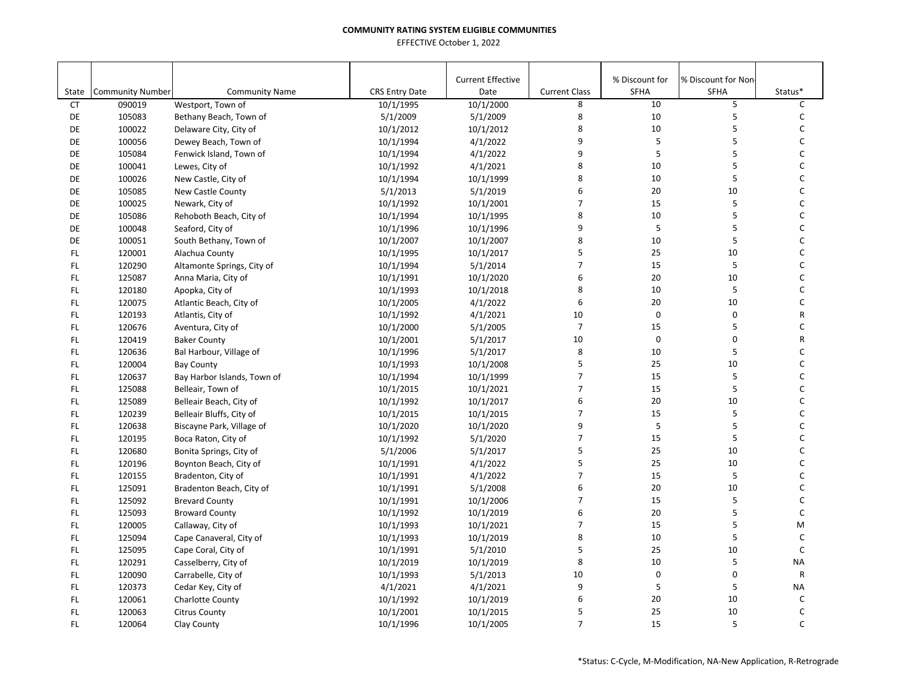|               |                         |                             |                       | <b>Current Effective</b> |                      | % Discount for | % Discount for Non |              |
|---------------|-------------------------|-----------------------------|-----------------------|--------------------------|----------------------|----------------|--------------------|--------------|
| State         | <b>Community Number</b> | <b>Community Name</b>       | <b>CRS Entry Date</b> | Date                     | <b>Current Class</b> | SFHA           | SFHA               | Status*      |
| <b>CT</b>     | 090019                  | Westport, Town of           | 10/1/1995             | 10/1/2000                | 8                    | 10             | 5                  | $\mathsf C$  |
| DE            | 105083                  | Bethany Beach, Town of      | 5/1/2009              | 5/1/2009                 | 8                    | 10             | 5                  | $\mathsf{C}$ |
| DE            | 100022                  | Delaware City, City of      | 10/1/2012             | 10/1/2012                | 8                    | 10             | 5                  | $\mathsf{C}$ |
| DE            | 100056                  | Dewey Beach, Town of        | 10/1/1994             | 4/1/2022                 | 9                    | 5              | 5                  | $\mathsf{C}$ |
| DE            | 105084                  | Fenwick Island, Town of     | 10/1/1994             | 4/1/2022                 | 9                    | 5              | 5                  | $\mathsf{C}$ |
| DE            | 100041                  | Lewes, City of              | 10/1/1992             | 4/1/2021                 | 8                    | 10             | 5                  | $\mathsf{C}$ |
| DE            | 100026                  | New Castle, City of         | 10/1/1994             | 10/1/1999                | 8                    | 10             | 5                  | C            |
| DE            | 105085                  | New Castle County           | 5/1/2013              | 5/1/2019                 | 6                    | 20             | 10                 | $\mathsf{C}$ |
| DE            | 100025                  | Newark, City of             | 10/1/1992             | 10/1/2001                | $\overline{7}$       | 15             | 5                  | $\mathsf{C}$ |
| DE            | 105086                  | Rehoboth Beach, City of     | 10/1/1994             | 10/1/1995                | 8                    | 10             | 5                  | $\mathsf{C}$ |
| DE            | 100048                  | Seaford, City of            | 10/1/1996             | 10/1/1996                | 9                    | 5              | 5                  | $\mathsf{C}$ |
| DE            | 100051                  | South Bethany, Town of      | 10/1/2007             | 10/1/2007                | 8                    | 10             | 5                  | $\mathsf{C}$ |
| FL.           | 120001                  | Alachua County              | 10/1/1995             | 10/1/2017                | 5                    | 25             | 10                 | $\mathsf{C}$ |
| FL.           | 120290                  | Altamonte Springs, City of  | 10/1/1994             | 5/1/2014                 | $\overline{7}$       | 15             | 5                  | $\mathsf{C}$ |
| FL.           | 125087                  | Anna Maria, City of         | 10/1/1991             | 10/1/2020                | 6                    | 20             | 10                 | C            |
| FL.           | 120180                  | Apopka, City of             | 10/1/1993             | 10/1/2018                | 8                    | 10             | 5                  | $\mathsf{C}$ |
| FL.           | 120075                  | Atlantic Beach, City of     | 10/1/2005             | 4/1/2022                 | 6                    | 20             | 10                 | $\mathsf C$  |
| FL.           | 120193                  | Atlantis, City of           | 10/1/1992             | 4/1/2021                 | 10                   | $\mathbf 0$    | $\mathbf 0$        | R            |
| FL.           | 120676                  | Aventura, City of           | 10/1/2000             | 5/1/2005                 | $\overline{7}$       | 15             | 5                  | $\mathsf{C}$ |
| FL.           | 120419                  | <b>Baker County</b>         | 10/1/2001             | 5/1/2017                 | 10                   | $\mathbf 0$    | $\mathbf 0$        | ${\sf R}$    |
| FL.           | 120636                  | Bal Harbour, Village of     | 10/1/1996             | 5/1/2017                 | 8                    | 10             | 5                  | C            |
| FL.           | 120004                  | <b>Bay County</b>           | 10/1/1993             | 10/1/2008                | 5                    | 25             | 10                 | $\mathsf{C}$ |
| FL.           | 120637                  | Bay Harbor Islands, Town of | 10/1/1994             | 10/1/1999                | $\overline{7}$       | 15             | 5                  | $\mathsf{C}$ |
| FL.           | 125088                  | Belleair, Town of           | 10/1/2015             | 10/1/2021                | 7                    | 15             | $\sf 5$            | $\mathsf{C}$ |
| FL.           | 125089                  | Belleair Beach, City of     | 10/1/1992             | 10/1/2017                | 6                    | 20             | 10                 | $\mathsf{C}$ |
| FL.           | 120239                  | Belleair Bluffs, City of    | 10/1/2015             | 10/1/2015                | $\overline{7}$       | 15             | 5                  | $\mathsf{C}$ |
| FL.           | 120638                  | Biscayne Park, Village of   | 10/1/2020             | 10/1/2020                | 9                    | 5              | 5                  | $\mathsf{C}$ |
| FL.           | 120195                  | Boca Raton, City of         | 10/1/1992             | 5/1/2020                 | $\overline{7}$       | 15             | 5                  | $\mathsf{C}$ |
| FL.           | 120680                  | Bonita Springs, City of     | 5/1/2006              | 5/1/2017                 | 5                    | 25             | 10                 | $\mathsf{C}$ |
| FL.           | 120196                  | Boynton Beach, City of      | 10/1/1991             | 4/1/2022                 | 5                    | 25             | 10                 | $\mathsf{C}$ |
| FL.           | 120155                  | Bradenton, City of          | 10/1/1991             | 4/1/2022                 | $\overline{7}$       | 15             | 5                  | $\mathsf{C}$ |
| FL.           | 125091                  | Bradenton Beach, City of    | 10/1/1991             | 5/1/2008                 | 6                    | 20             | 10                 | $\mathsf{C}$ |
| FL            | 125092                  | <b>Brevard County</b>       | 10/1/1991             | 10/1/2006                | $\overline{7}$       | 15             | 5                  | $\mathsf{C}$ |
| FL.           | 125093                  | <b>Broward County</b>       | 10/1/1992             | 10/1/2019                | 6                    | 20             | 5                  | $\mathsf{C}$ |
| FL.           | 120005                  | Callaway, City of           | 10/1/1993             | 10/1/2021                | 7                    | 15             | 5                  | M            |
| FL.           | 125094                  | Cape Canaveral, City of     | 10/1/1993             | 10/1/2019                | 8                    | 10             | 5                  | $\mathsf C$  |
| FL.           | 125095                  | Cape Coral, City of         | 10/1/1991             | 5/1/2010                 | 5                    | 25             | 10                 | $\mathsf{C}$ |
| FL.           | 120291                  | Casselberry, City of        | 10/1/2019             | 10/1/2019                | 8                    | 10             | 5                  | <b>NA</b>    |
| FL.           | 120090                  | Carrabelle, City of         | 10/1/1993             | 5/1/2013                 | 10                   | $\mathbf 0$    | $\mathbf 0$        | $\mathsf{R}$ |
| $\mathsf{FL}$ | 120373                  | Cedar Key, City of          | 4/1/2021              | 4/1/2021                 | 9                    | 5              | 5                  | <b>NA</b>    |
| FL            | 120061                  | Charlotte County            | 10/1/1992             | 10/1/2019                | 6                    | 20             | 10                 | C            |
| FL.           | 120063                  | <b>Citrus County</b>        | 10/1/2001             | 10/1/2015                | 5                    | 25             | 10                 | C            |
| FL.           | 120064                  | Clay County                 | 10/1/1996             | 10/1/2005                | $\overline{7}$       | 15             | 5                  | $\mathsf{C}$ |
|               |                         |                             |                       |                          |                      |                |                    |              |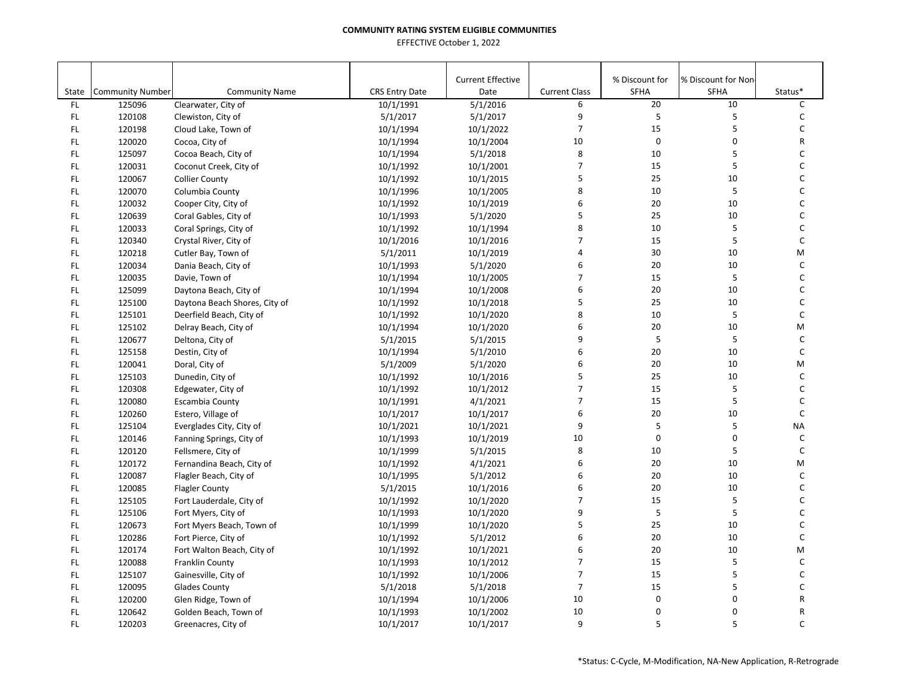| State | <b>Community Number</b> | <b>Community Name</b>         | <b>CRS Entry Date</b> | <b>Current Effective</b><br>Date | <b>Current Class</b> | % Discount for<br><b>SFHA</b> | % Discount for Non-<br><b>SFHA</b> | Status*      |
|-------|-------------------------|-------------------------------|-----------------------|----------------------------------|----------------------|-------------------------------|------------------------------------|--------------|
| FL.   | 125096                  | Clearwater, City of           | 10/1/1991             | 5/1/2016                         | 6                    | 20                            | 10                                 | $\mathsf C$  |
| FL.   | 120108                  | Clewiston, City of            | 5/1/2017              | 5/1/2017                         | 9                    | 5                             | 5                                  | $\mathsf{C}$ |
| FL    | 120198                  | Cloud Lake, Town of           | 10/1/1994             | 10/1/2022                        | $\overline{7}$       | 15                            | 5                                  | $\mathsf{C}$ |
| FL.   | 120020                  | Cocoa, City of                | 10/1/1994             | 10/1/2004                        | 10                   | $\mathsf 0$                   | $\mathbf 0$                        | ${\sf R}$    |
| FL.   | 125097                  | Cocoa Beach, City of          | 10/1/1994             | 5/1/2018                         | 8                    | 10                            | 5                                  | $\mathsf{C}$ |
| FL.   | 120031                  | Coconut Creek, City of        | 10/1/1992             | 10/1/2001                        | $\overline{7}$       | 15                            | 5                                  | $\mathsf{C}$ |
| FL    | 120067                  | <b>Collier County</b>         | 10/1/1992             | 10/1/2015                        | 5                    | 25                            | 10                                 | C            |
| FL    | 120070                  | Columbia County               | 10/1/1996             | 10/1/2005                        | 8                    | 10                            | 5                                  | $\mathsf{C}$ |
| FL.   | 120032                  | Cooper City, City of          | 10/1/1992             | 10/1/2019                        | 6                    | 20                            | 10                                 | $\mathsf C$  |
| FL.   | 120639                  | Coral Gables, City of         | 10/1/1993             | 5/1/2020                         | 5                    | 25                            | 10                                 | $\mathsf{C}$ |
| FL    | 120033                  | Coral Springs, City of        | 10/1/1992             | 10/1/1994                        | 8                    | 10                            | 5                                  | $\mathsf{C}$ |
| FL.   | 120340                  | Crystal River, City of        | 10/1/2016             | 10/1/2016                        | $\overline{7}$       | 15                            | 5                                  | $\mathsf{C}$ |
| FL.   | 120218                  | Cutler Bay, Town of           | 5/1/2011              | 10/1/2019                        | $\overline{4}$       | 30                            | 10                                 | M            |
| FL    | 120034                  | Dania Beach, City of          | 10/1/1993             | 5/1/2020                         | 6                    | 20                            | 10                                 | $\mathsf{C}$ |
| FL    | 120035                  | Davie, Town of                | 10/1/1994             | 10/1/2005                        | $\overline{7}$       | 15                            | 5                                  | C            |
| FL    | 125099                  | Daytona Beach, City of        | 10/1/1994             | 10/1/2008                        | 6                    | $20\,$                        | 10                                 | $\mathsf{C}$ |
| FL.   | 125100                  | Daytona Beach Shores, City of | 10/1/1992             | 10/1/2018                        | 5                    | 25                            | 10                                 | $\mathsf C$  |
| FL    | 125101                  | Deerfield Beach, City of      | 10/1/1992             | 10/1/2020                        | 8                    | 10                            | 5                                  | $\mathsf C$  |
| FL    | 125102                  | Delray Beach, City of         | 10/1/1994             | 10/1/2020                        | 6                    | 20                            | 10                                 | M            |
| FL    | 120677                  | Deltona, City of              | 5/1/2015              | 5/1/2015                         | 9                    | 5                             | $\sf 5$                            | $\mathsf C$  |
| FL.   | 125158                  | Destin, City of               | 10/1/1994             | 5/1/2010                         | 6                    | 20                            | 10                                 | $\mathsf C$  |
| FL.   | 120041                  | Doral, City of                | 5/1/2009              | 5/1/2020                         | 6                    | 20                            | 10                                 | M            |
| FL    | 125103                  | Dunedin, City of              | 10/1/1992             | 10/1/2016                        | 5                    | 25                            | 10                                 | $\mathsf C$  |
| FL    | 120308                  | Edgewater, City of            | 10/1/1992             | 10/1/2012                        | $\overline{7}$       | 15                            | 5                                  | $\mathsf C$  |
| FL    | 120080                  | Escambia County               | 10/1/1991             | 4/1/2021                         | $\overline{7}$       | 15                            | 5                                  | $\mathsf{C}$ |
| FL.   | 120260                  | Estero, Village of            | 10/1/2017             | 10/1/2017                        | 6                    | $20\,$                        | 10                                 | $\mathsf C$  |
| FL    | 125104                  | Everglades City, City of      | 10/1/2021             | 10/1/2021                        | 9                    | 5                             | 5                                  | <b>NA</b>    |
| FL.   | 120146                  | Fanning Springs, City of      | 10/1/1993             | 10/1/2019                        | 10                   | $\mathbf 0$                   | $\mathsf 0$                        | $\mathsf{C}$ |
| FL.   | 120120                  | Fellsmere, City of            | 10/1/1999             | 5/1/2015                         | 8                    | 10                            | 5                                  | $\mathsf C$  |
| FL    | 120172                  | Fernandina Beach, City of     | 10/1/1992             | 4/1/2021                         | 6                    | 20                            | 10                                 | M            |
| FL.   | 120087                  | Flagler Beach, City of        | 10/1/1995             | 5/1/2012                         | 6                    | 20                            | 10                                 | $\mathsf C$  |
| FL    | 120085                  | <b>Flagler County</b>         | 5/1/2015              | 10/1/2016                        | 6                    | 20                            | 10                                 | $\mathsf{C}$ |
| FL.   | 125105                  | Fort Lauderdale, City of      | 10/1/1992             | 10/1/2020                        | $\overline{7}$       | 15                            | 5                                  | $\mathsf C$  |
| FL    | 125106                  | Fort Myers, City of           | 10/1/1993             | 10/1/2020                        | 9                    | 5                             | 5                                  | $\mathsf{C}$ |
| FL    | 120673                  | Fort Myers Beach, Town of     | 10/1/1999             | 10/1/2020                        | 5                    | 25                            | 10                                 | $\mathsf C$  |
| FL    | 120286                  | Fort Pierce, City of          | 10/1/1992             | 5/1/2012                         | 6                    | 20                            | 10                                 | $\mathsf{C}$ |
| FL.   | 120174                  | Fort Walton Beach, City of    | 10/1/1992             | 10/1/2021                        | 6                    | 20                            | 10                                 | M            |
| FL.   | 120088                  | Franklin County               | 10/1/1993             | 10/1/2012                        | $\overline{7}$       | 15                            | 5                                  | $\mathsf{C}$ |
| FL.   | 125107                  | Gainesville, City of          | 10/1/1992             | 10/1/2006                        | $\overline{7}$       | 15                            | 5                                  | $\mathsf{C}$ |
| FL    | 120095                  | <b>Glades County</b>          | 5/1/2018              | 5/1/2018                         | $\overline{7}$       | 15                            | 5                                  | C            |
| FL    | 120200                  | Glen Ridge, Town of           | 10/1/1994             | 10/1/2006                        | 10                   | $\mathbf 0$                   | $\pmb{0}$                          | R            |
| FL.   | 120642                  | Golden Beach, Town of         | 10/1/1993             | 10/1/2002                        | 10                   | $\mathbf 0$                   | $\pmb{0}$                          | R            |
| FL.   | 120203                  | Greenacres, City of           | 10/1/2017             | 10/1/2017                        | 9                    | 5                             | 5                                  | $\mathsf{C}$ |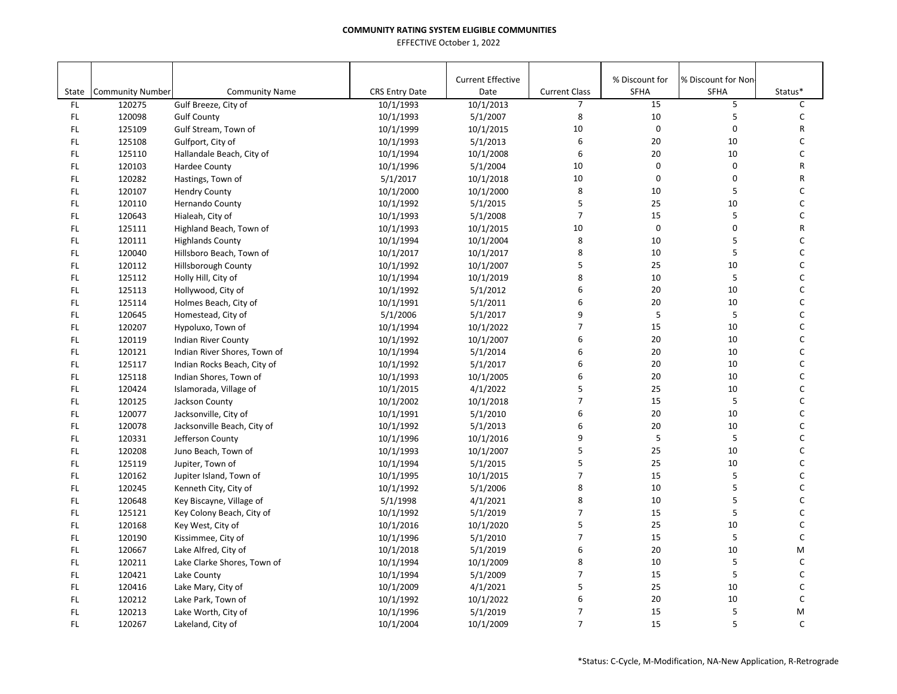|       |                         |                              |                       | <b>Current Effective</b> |                      | % Discount for | % Discount for Non |              |
|-------|-------------------------|------------------------------|-----------------------|--------------------------|----------------------|----------------|--------------------|--------------|
| State | <b>Community Number</b> | <b>Community Name</b>        | <b>CRS Entry Date</b> | Date                     | <b>Current Class</b> | SFHA           | <b>SFHA</b>        | Status*      |
| FL.   | 120275                  | Gulf Breeze, City of         | 10/1/1993             | 10/1/2013                | $\overline{7}$       | 15             | 5                  | C            |
| FL.   | 120098                  | <b>Gulf County</b>           | 10/1/1993             | 5/1/2007                 | 8                    | 10             | 5                  | C            |
| FL    | 125109                  | Gulf Stream, Town of         | 10/1/1999             | 10/1/2015                | 10                   | $\pmb{0}$      | 0                  | R            |
| FL    | 125108                  | Gulfport, City of            | 10/1/1993             | 5/1/2013                 | 6                    | 20             | 10                 | C            |
| FL    | 125110                  | Hallandale Beach, City of    | 10/1/1994             | 10/1/2008                | 6                    | 20             | 10                 | C            |
| FL    | 120103                  | Hardee County                | 10/1/1996             | 5/1/2004                 | 10                   | $\mathbf 0$    | 0                  | R            |
| FL    | 120282                  | Hastings, Town of            | 5/1/2017              | 10/1/2018                | 10                   | $\mathbf 0$    | 0                  | R            |
| FL    | 120107                  | <b>Hendry County</b>         | 10/1/2000             | 10/1/2000                | 8                    | 10             | 5                  | $\mathsf C$  |
| FL    | 120110                  | Hernando County              | 10/1/1992             | 5/1/2015                 | 5                    | 25             | 10                 | $\mathsf{C}$ |
| FL    | 120643                  | Hialeah, City of             | 10/1/1993             | 5/1/2008                 | $\overline{7}$       | 15             | 5                  | $\mathsf{C}$ |
| FL    | 125111                  | Highland Beach, Town of      | 10/1/1993             | 10/1/2015                | 10                   | $\pmb{0}$      | 0                  | R            |
| FL    | 120111                  | <b>Highlands County</b>      | 10/1/1994             | 10/1/2004                | 8                    | 10             | 5                  | C            |
| FL    | 120040                  | Hillsboro Beach, Town of     | 10/1/2017             | 10/1/2017                | 8                    | 10             | 5                  | $\mathsf{C}$ |
| FL    | 120112                  | <b>Hillsborough County</b>   | 10/1/1992             | 10/1/2007                | 5                    | 25             | 10                 | C            |
| FL.   | 125112                  | Holly Hill, City of          | 10/1/1994             | 10/1/2019                | 8                    | 10             | 5                  | C            |
| FL    | 125113                  | Hollywood, City of           | 10/1/1992             | 5/1/2012                 | 6                    | 20             | 10                 | C            |
| FL    | 125114                  | Holmes Beach, City of        | 10/1/1991             | 5/1/2011                 | 6                    | 20             | 10                 | $\mathsf C$  |
| FL    | 120645                  | Homestead, City of           | 5/1/2006              | 5/1/2017                 | 9                    | 5              | 5                  | $\mathsf{C}$ |
| FL    | 120207                  | Hypoluxo, Town of            | 10/1/1994             | 10/1/2022                | $\overline{7}$       | 15             | 10                 | $\mathsf C$  |
| FL    | 120119                  | Indian River County          | 10/1/1992             | 10/1/2007                | 6                    | 20             | 10                 | $\mathsf C$  |
| FL    | 120121                  | Indian River Shores, Town of | 10/1/1994             | 5/1/2014                 | 6                    | 20             | 10                 | C            |
| FL    | 125117                  | Indian Rocks Beach, City of  | 10/1/1992             | 5/1/2017                 | 6                    | 20             | 10                 | C            |
| FL    | 125118                  | Indian Shores, Town of       | 10/1/1993             | 10/1/2005                | 6                    | 20             | 10                 | C            |
| FL    | 120424                  | Islamorada, Village of       | 10/1/2015             | 4/1/2022                 | 5                    | 25             | 10                 | C            |
| FL    | 120125                  | Jackson County               | 10/1/2002             | 10/1/2018                | $\overline{7}$       | 15             | 5                  | $\mathsf C$  |
| FL.   | 120077                  | Jacksonville, City of        | 10/1/1991             | 5/1/2010                 | 6                    | 20             | 10                 | C            |
| FL.   | 120078                  | Jacksonville Beach, City of  | 10/1/1992             | 5/1/2013                 | 6                    | 20             | 10                 | $\mathsf C$  |
| FL    | 120331                  | Jefferson County             | 10/1/1996             | 10/1/2016                | 9                    | 5              | 5                  | $\mathsf{C}$ |
| FL    | 120208                  | Juno Beach, Town of          | 10/1/1993             | 10/1/2007                | 5                    | 25             | 10                 | $\mathsf{C}$ |
| FL    | 125119                  | Jupiter, Town of             | 10/1/1994             | 5/1/2015                 | 5                    | 25             | 10                 | $\mathsf C$  |
| FL    | 120162                  | Jupiter Island, Town of      | 10/1/1995             | 10/1/2015                | $\overline{7}$       | 15             | 5                  | C            |
| FL    | 120245                  | Kenneth City, City of        | 10/1/1992             | 5/1/2006                 | 8                    | 10             | 5                  | C            |
| FL    | 120648                  | Key Biscayne, Village of     | 5/1/1998              | 4/1/2021                 | 8                    | 10             | 5                  | C            |
| FL    | 125121                  | Key Colony Beach, City of    | 10/1/1992             | 5/1/2019                 | $\overline{7}$       | 15             | 5                  | C            |
| FL    | 120168                  | Key West, City of            | 10/1/2016             | 10/1/2020                | 5                    | 25             | 10                 | C            |
| FL    | 120190                  | Kissimmee, City of           | 10/1/1996             | 5/1/2010                 | $\overline{7}$       | 15             | 5                  | $\mathsf C$  |
| FL    | 120667                  | Lake Alfred, City of         | 10/1/2018             | 5/1/2019                 | 6                    | 20             | 10                 | M            |
| FL    | 120211                  | Lake Clarke Shores, Town of  | 10/1/1994             | 10/1/2009                | 8                    | 10             | 5                  | $\mathsf C$  |
| FL    | 120421                  | Lake County                  | 10/1/1994             | 5/1/2009                 | $\overline{7}$       | 15             | 5                  | C            |
| FL    | 120416                  | Lake Mary, City of           | 10/1/2009             | 4/1/2021                 | 5                    | 25             | 10                 | $\mathsf C$  |
| FL    | 120212                  | Lake Park, Town of           | 10/1/1992             | 10/1/2022                | 6                    | 20             | 10                 | C            |
| FL.   | 120213                  | Lake Worth, City of          | 10/1/1996             | 5/1/2019                 | 7                    | 15             | 5                  | M            |
| FL    | 120267                  | Lakeland, City of            | 10/1/2004             | 10/1/2009                | $\overline{7}$       | 15             | 5                  | $\mathsf{C}$ |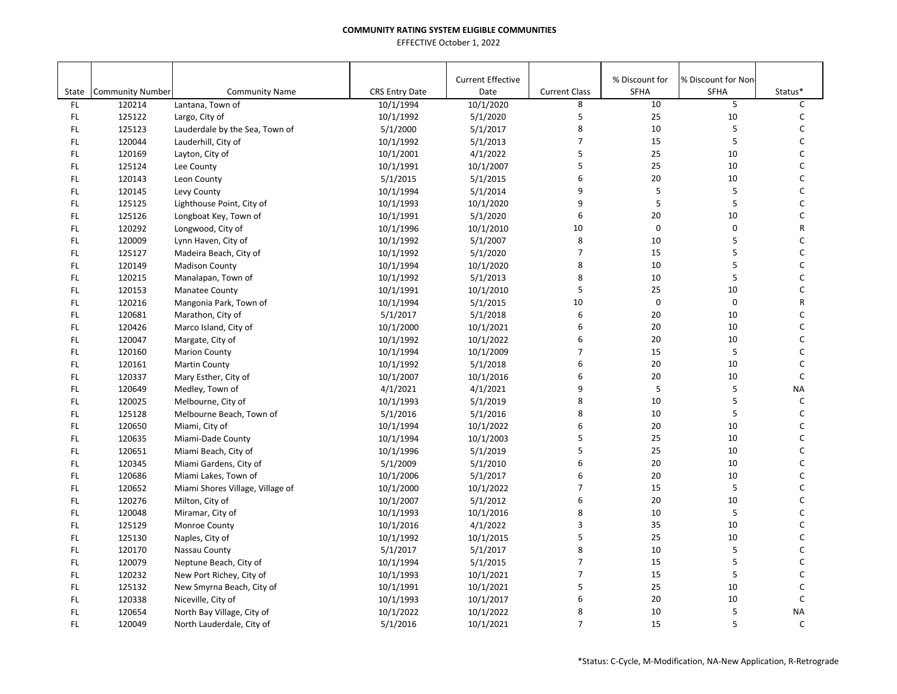|       |                         |                                  |                       | <b>Current Effective</b> |                      | % Discount for | % Discount for Non- |              |
|-------|-------------------------|----------------------------------|-----------------------|--------------------------|----------------------|----------------|---------------------|--------------|
| State | <b>Community Number</b> | <b>Community Name</b>            | <b>CRS Entry Date</b> | Date                     | <b>Current Class</b> | <b>SFHA</b>    | <b>SFHA</b>         | Status*      |
| FL.   | 120214                  | Lantana, Town of                 | 10/1/1994             | 10/1/2020                | 8                    | 10             | 5                   | C            |
| FL.   | 125122                  | Largo, City of                   | 10/1/1992             | 5/1/2020                 | 5                    | 25             | 10                  | C            |
| FL.   | 125123                  | Lauderdale by the Sea, Town of   | 5/1/2000              | 5/1/2017                 | 8                    | 10             | 5                   | С            |
| FL.   | 120044                  | Lauderhill, City of              | 10/1/1992             | 5/1/2013                 | $\overline{7}$<br>5  | 15             | 5                   | C            |
| FL.   | 120169                  | Layton, City of                  | 10/1/2001             | 4/1/2022                 | 5                    | 25<br>25       | 10                  | C<br>C       |
| FL.   | 125124                  | Lee County                       | 10/1/1991             | 10/1/2007                |                      |                | 10                  |              |
| FL.   | 120143                  | Leon County                      | 5/1/2015              | 5/1/2015                 | 6                    | 20             | 10                  | C            |
| FL.   | 120145                  | Levy County                      | 10/1/1994             | 5/1/2014                 | 9                    | 5              | 5                   | C            |
| FL.   | 125125                  | Lighthouse Point, City of        | 10/1/1993             | 10/1/2020                | 9                    | 5              | 5                   | C            |
| FL.   | 125126                  | Longboat Key, Town of            | 10/1/1991             | 5/1/2020                 | 6                    | 20             | 10                  | C            |
| FL.   | 120292                  | Longwood, City of                | 10/1/1996             | 10/1/2010                | 10                   | $\mathbf 0$    | 0                   | R            |
| FL.   | 120009                  | Lynn Haven, City of              | 10/1/1992             | 5/1/2007                 | 8                    | 10             | 5<br>5              | C            |
| FL.   | 125127                  | Madeira Beach, City of           | 10/1/1992             | 5/1/2020                 | $\overline{7}$       | 15             |                     | C            |
| FL.   | 120149                  | <b>Madison County</b>            | 10/1/1994             | 10/1/2020                | 8                    | $10\,$         | 5                   | C            |
| FL.   | 120215                  | Manalapan, Town of               | 10/1/1992             | 5/1/2013                 | 8                    | 10             | 5                   | С            |
| FL    | 120153                  | Manatee County                   | 10/1/1991             | 10/1/2010                | 5                    | 25             | 10                  | C            |
| FL.   | 120216                  | Mangonia Park, Town of           | 10/1/1994             | 5/1/2015                 | 10                   | $\mathbf 0$    | 0                   | R            |
| FL.   | 120681                  | Marathon, City of                | 5/1/2017              | 5/1/2018                 | 6                    | 20             | 10                  | C            |
| FL.   | 120426                  | Marco Island, City of            | 10/1/2000             | 10/1/2021                | 6                    | 20             | 10                  | C            |
| FL.   | 120047                  | Margate, City of                 | 10/1/1992             | 10/1/2022                | 6                    | 20             | 10                  | C            |
| FL.   | 120160                  | <b>Marion County</b>             | 10/1/1994             | 10/1/2009                | $\overline{7}$       | 15             | 5                   | C            |
| FL.   | 120161                  | <b>Martin County</b>             | 10/1/1992             | 5/1/2018                 | 6                    | 20             | 10                  | C            |
| FL.   | 120337                  | Mary Esther, City of             | 10/1/2007             | 10/1/2016                | 6                    | 20             | 10                  | $\mathsf C$  |
| FL.   | 120649                  | Medley, Town of                  | 4/1/2021              | 4/1/2021                 | 9                    | 5              | 5                   | <b>NA</b>    |
| FL.   | 120025                  | Melbourne, City of               | 10/1/1993             | 5/1/2019                 | 8                    | 10             | 5                   | C            |
| FL.   | 125128                  | Melbourne Beach, Town of         | 5/1/2016              | 5/1/2016                 | 8                    | 10             | 5                   | C            |
| FL.   | 120650                  | Miami, City of                   | 10/1/1994             | 10/1/2022                | 6                    | 20             | 10                  | C            |
| FL.   | 120635                  | Miami-Dade County                | 10/1/1994             | 10/1/2003                | 5                    | 25             | 10                  | C            |
| FL.   | 120651                  | Miami Beach, City of             | 10/1/1996             | 5/1/2019                 | 5                    | 25             | 10                  | C            |
| FL.   | 120345                  | Miami Gardens, City of           | 5/1/2009              | 5/1/2010                 | 6                    | 20             | 10                  | C            |
| FL.   | 120686                  | Miami Lakes, Town of             | 10/1/2006             | 5/1/2017                 | 6                    | 20             | 10                  | C            |
| FL.   | 120652                  | Miami Shores Village, Village of | 10/1/2000             | 10/1/2022                | $\overline{7}$       | 15             | 5                   | C            |
| FL.   | 120276                  | Milton, City of                  | 10/1/2007             | 5/1/2012                 | 6                    | 20             | 10                  | C            |
| FL.   | 120048                  | Miramar, City of                 | 10/1/1993             | 10/1/2016                | 8                    | 10             | 5                   | C            |
| FL.   | 125129                  | Monroe County                    | 10/1/2016             | 4/1/2022                 | 3                    | 35             | 10                  | C            |
| FL.   | 125130                  | Naples, City of                  | 10/1/1992             | 10/1/2015                | 5                    | 25             | 10                  | C            |
| FL.   | 120170                  | Nassau County                    | 5/1/2017              | 5/1/2017                 | 8                    | 10             | 5                   | C            |
| FL.   | 120079                  | Neptune Beach, City of           | 10/1/1994             | 5/1/2015                 | $\overline{7}$       | 15             | 5                   | C            |
| FL.   | 120232                  | New Port Richey, City of         | 10/1/1993             | 10/1/2021                | $\overline{7}$       | 15             | 5                   | C            |
| FL.   | 125132                  | New Smyrna Beach, City of        | 10/1/1991             | 10/1/2021                | 5                    | 25             | 10                  | C            |
| FL.   | 120338                  | Niceville, City of               | 10/1/1993             | 10/1/2017                | 6                    | 20             | 10                  | C            |
| FL.   | 120654                  | North Bay Village, City of       | 10/1/2022             | 10/1/2022                | 8                    | 10             | 5                   | <b>NA</b>    |
| FL.   | 120049                  | North Lauderdale, City of        | 5/1/2016              | 10/1/2021                | $\overline{7}$       | 15             | 5                   | $\mathsf{C}$ |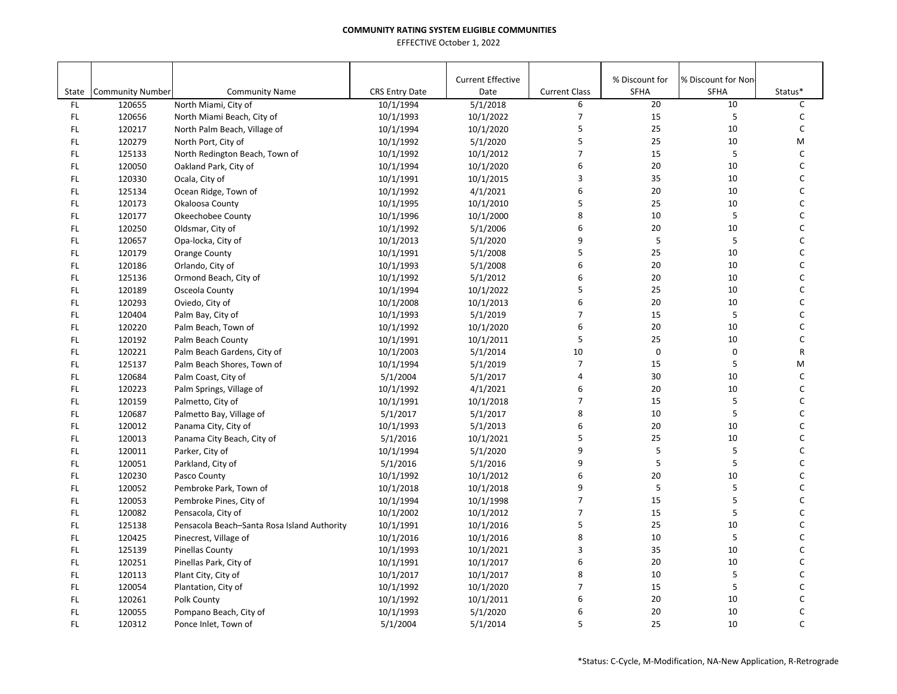| <b>Current Effective</b>                                                                                                                                     |                           | % Discount for    | % Discount for Non- | Status* |
|--------------------------------------------------------------------------------------------------------------------------------------------------------------|---------------------------|-------------------|---------------------|---------|
| State<br><b>Community Number</b><br><b>Community Name</b><br><b>CRS Entry Date</b><br>Date<br>FL.<br>120655<br>North Miami, City of<br>10/1/1994<br>5/1/2018 | <b>Current Class</b><br>6 | <b>SFHA</b><br>20 | <b>SFHA</b><br>10   | C       |
| 10/1/2022<br>FL.<br>120656<br>North Miami Beach, City of<br>10/1/1993                                                                                        | 7                         | 15                | 5                   | C       |
| FL<br>120217<br>10/1/2020<br>North Palm Beach, Village of<br>10/1/1994                                                                                       | 5                         | 25                | 10                  | C       |
| FL<br>120279<br>5/1/2020<br>North Port, City of<br>10/1/1992                                                                                                 | 5                         | 25                | 10                  | M       |
| FL<br>125133<br>10/1/2012<br>North Redington Beach, Town of<br>10/1/1992                                                                                     | $\overline{7}$            | 15                | 5                   | C       |
| FL<br>120050<br>10/1/1994<br>10/1/2020<br>Oakland Park, City of                                                                                              | 6                         | 20                | 10                  | C       |
| FL<br>120330<br>Ocala, City of<br>10/1/1991<br>10/1/2015                                                                                                     | 3                         | 35                | 10                  | C       |
| FL<br>125134<br>10/1/1992<br>4/1/2021<br>Ocean Ridge, Town of                                                                                                | 6                         | 20                | 10                  | C       |
| FL<br>120173<br>Okaloosa County<br>10/1/1995<br>10/1/2010                                                                                                    | 5                         | 25                | 10                  | C       |
| FL<br>120177<br>Okeechobee County<br>10/1/1996<br>10/1/2000                                                                                                  | 8                         | 10                | 5                   | C       |
| FL<br>120250<br>Oldsmar, City of<br>10/1/1992<br>5/1/2006                                                                                                    | 6                         | 20                | 10                  | С       |
| FL<br>120657<br>Opa-locka, City of<br>10/1/2013<br>5/1/2020                                                                                                  | 9                         | 5                 | 5                   | C       |
| 120179<br>5/1/2008<br>FL<br><b>Orange County</b><br>10/1/1991                                                                                                | 5                         | 25                | 10                  | C       |
| FL<br>120186<br>5/1/2008<br>Orlando, City of<br>10/1/1993                                                                                                    | 6                         | 20                | 10                  | C       |
| FL.<br>125136<br>5/1/2012<br>Ormond Beach, City of<br>10/1/1992                                                                                              | 6                         | 20                | 10                  | C       |
| FL<br>120189<br>10/1/2022<br>Osceola County<br>10/1/1994                                                                                                     | 5                         | 25                | 10                  | C       |
| FL.<br>120293<br>Oviedo, City of<br>10/1/2008<br>10/1/2013                                                                                                   | 6                         | 20                | 10                  | C       |
| FL<br>120404<br>10/1/1993<br>5/1/2019<br>Palm Bay, City of                                                                                                   | $\overline{7}$            | 15                | 5                   | C       |
| FL<br>120220<br>Palm Beach, Town of<br>10/1/1992<br>10/1/2020                                                                                                | 6                         | 20                | 10                  | C       |
| FL<br>120192<br>Palm Beach County<br>10/1/1991<br>10/1/2011                                                                                                  | 5                         | 25                | 10                  | C       |
| 120221<br>FL<br>Palm Beach Gardens, City of<br>10/1/2003<br>5/1/2014                                                                                         | 10                        | $\mathsf 0$       | $\pmb{0}$           | R       |
| FL<br>125137<br>Palm Beach Shores, Town of<br>10/1/1994<br>5/1/2019                                                                                          | $\overline{7}$            | 15                | 5                   | M       |
| FL<br>120684<br>5/1/2017<br>Palm Coast, City of<br>5/1/2004                                                                                                  | 4                         | 30                | 10                  | C       |
| FL<br>120223<br>4/1/2021<br>Palm Springs, Village of<br>10/1/1992                                                                                            | 6                         | 20                | 10                  | C       |
| FL<br>120159<br>10/1/1991<br>10/1/2018<br>Palmetto, City of                                                                                                  | $\overline{7}$            | 15                | 5                   | C       |
| FL.<br>120687<br>Palmetto Bay, Village of<br>5/1/2017<br>5/1/2017                                                                                            | 8                         | 10                | 5                   | C       |
| FL.<br>120012<br>Panama City, City of<br>10/1/1993<br>5/1/2013                                                                                               | 6                         | 20                | 10                  | С       |
| FL<br>120013<br>5/1/2016<br>10/1/2021<br>Panama City Beach, City of                                                                                          | 5                         | 25                | 10                  | C       |
| FL<br>120011<br>Parker, City of<br>10/1/1994<br>5/1/2020                                                                                                     | 9                         | 5                 | 5                   | C       |
| FL<br>5/1/2016<br>120051<br>Parkland, City of<br>5/1/2016                                                                                                    | 9                         | 5                 | 5                   | C       |
| FL<br>120230<br>Pasco County<br>10/1/1992<br>10/1/2012                                                                                                       | 6                         | 20                | 10                  | C       |
| FL<br>120052<br>Pembroke Park, Town of<br>10/1/2018<br>10/1/2018                                                                                             | 9                         | 5                 | 5                   | С       |
| FL<br>120053<br>10/1/1994<br>10/1/1998<br>Pembroke Pines, City of                                                                                            | $\overline{7}$            | 15                | 5                   | C       |
| FL<br>120082<br>10/1/2012<br>Pensacola, City of<br>10/1/2002                                                                                                 | $\overline{7}$            | 15                | 5                   | C       |
| FL<br>125138<br>10/1/1991<br>10/1/2016<br>Pensacola Beach-Santa Rosa Island Authority                                                                        | 5                         | 25                | 10                  | С       |
| FL<br>120425<br>10/1/2016<br>Pinecrest, Village of<br>10/1/2016                                                                                              | 8                         | 10                | 5                   | C       |
| FL<br>125139<br>10/1/1993<br>10/1/2021<br><b>Pinellas County</b>                                                                                             | 3                         | 35                | 10                  | C       |
| FL<br>120251<br>10/1/2017<br>Pinellas Park, City of<br>10/1/1991                                                                                             | 6                         | 20                | 10                  | C       |
| FL<br>120113<br>10/1/2017<br>10/1/2017<br>Plant City, City of                                                                                                | 8                         | 10                | 5                   | C       |
| FL<br>120054<br>10/1/2020<br>Plantation, City of<br>10/1/1992                                                                                                | $\overline{7}$            | 15                | 5                   | C       |
| FL<br>120261<br>10/1/1992<br>10/1/2011<br>Polk County                                                                                                        | 6                         | 20                | 10                  | C       |
| FL.<br>5/1/2020<br>120055<br>Pompano Beach, City of<br>10/1/1993                                                                                             | 6                         | 20                | 10                  | C       |
| 120312<br>5/1/2004<br>5/1/2014<br><b>FL</b><br>Ponce Inlet, Town of                                                                                          | 5                         | 25                | 10                  | C       |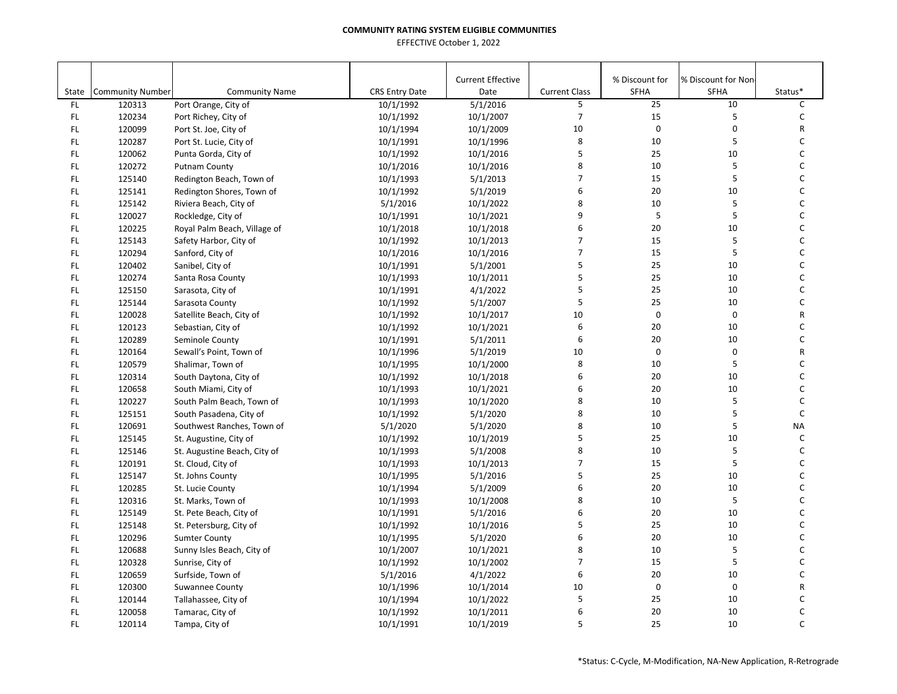| State | <b>Community Number</b> | <b>Community Name</b>        | <b>CRS Entry Date</b> | <b>Current Effective</b><br>Date | <b>Current Class</b> | % Discount for<br>SFHA | % Discount for Non<br><b>SFHA</b> | Status*      |
|-------|-------------------------|------------------------------|-----------------------|----------------------------------|----------------------|------------------------|-----------------------------------|--------------|
| FL.   | 120313                  | Port Orange, City of         | 10/1/1992             | 5/1/2016                         | 5                    | 25                     | 10                                | $\mathsf{C}$ |
| FL.   | 120234                  | Port Richey, City of         | 10/1/1992             | 10/1/2007                        | $\overline{7}$       | 15                     | 5                                 | $\mathsf{C}$ |
| FL    | 120099                  | Port St. Joe, City of        | 10/1/1994             | 10/1/2009                        | 10                   | $\pmb{0}$              | 0                                 | R            |
| FL    | 120287                  | Port St. Lucie, City of      | 10/1/1991             | 10/1/1996                        | 8                    | 10                     | 5                                 | C            |
| FL    | 120062                  | Punta Gorda, City of         | 10/1/1992             | 10/1/2016                        | 5                    | 25                     | 10                                | C            |
| FL    | 120272                  | <b>Putnam County</b>         | 10/1/2016             | 10/1/2016                        | 8                    | 10                     | 5                                 | C            |
| FL    | 125140                  | Redington Beach, Town of     | 10/1/1993             | 5/1/2013                         | $\overline{7}$       | 15                     | 5                                 | C            |
| FL    | 125141                  | Redington Shores, Town of    | 10/1/1992             | 5/1/2019                         | 6                    | 20                     | 10                                | $\mathsf C$  |
| FL    | 125142                  | Riviera Beach, City of       | 5/1/2016              | 10/1/2022                        | 8                    | 10                     | 5                                 | $\mathsf C$  |
| FL.   | 120027                  | Rockledge, City of           | 10/1/1991             | 10/1/2021                        | 9                    | $\mathsf S$            | 5                                 | C            |
| FL    | 120225                  | Royal Palm Beach, Village of | 10/1/2018             | 10/1/2018                        | 6                    | 20                     | 10                                | C            |
| FL    | 125143                  | Safety Harbor, City of       | 10/1/1992             | 10/1/2013                        | $\overline{7}$       | 15                     | 5                                 | $\mathsf C$  |
| FL    | 120294                  | Sanford, City of             | 10/1/2016             | 10/1/2016                        | $\overline{7}$       | 15                     | 5                                 | C            |
| FL    | 120402                  | Sanibel, City of             | 10/1/1991             | 5/1/2001                         | 5                    | 25                     | 10                                | $\mathsf C$  |
| FL.   | 120274                  | Santa Rosa County            | 10/1/1993             | 10/1/2011                        | 5                    | 25                     | 10                                | C            |
| FL    | 125150                  | Sarasota, City of            | 10/1/1991             | 4/1/2022                         | 5                    | 25                     | 10                                | $\mathsf{C}$ |
| FL    | 125144                  | Sarasota County              | 10/1/1992             | 5/1/2007                         | 5                    | 25                     | 10                                | $\mathsf{C}$ |
| FL.   | 120028                  | Satellite Beach, City of     | 10/1/1992             | 10/1/2017                        | 10                   | $\pmb{0}$              | 0                                 | R            |
| FL    | 120123                  | Sebastian, City of           | 10/1/1992             | 10/1/2021                        | 6                    | 20                     | 10                                | C            |
| FL.   | 120289                  | Seminole County              | 10/1/1991             | 5/1/2011                         | 6                    | 20                     | 10                                | C            |
| FL    | 120164                  | Sewall's Point, Town of      | 10/1/1996             | 5/1/2019                         | 10                   | $\mathbf 0$            | 0                                 | R            |
| FL    | 120579                  | Shalimar, Town of            | 10/1/1995             | 10/1/2000                        | 8                    | 10                     | 5                                 | C            |
| FL    | 120314                  | South Daytona, City of       | 10/1/1992             | 10/1/2018                        | 6                    | 20                     | 10                                | C            |
| FL    | 120658                  | South Miami, City of         | 10/1/1993             | 10/1/2021                        | 6                    | 20                     | 10                                | C            |
| FL    | 120227                  | South Palm Beach, Town of    | 10/1/1993             | 10/1/2020                        | 8                    | 10                     | 5                                 | C            |
| FL.   | 125151                  | South Pasadena, City of      | 10/1/1992             | 5/1/2020                         | 8                    | 10                     | 5                                 | $\mathsf C$  |
| FL    | 120691                  | Southwest Ranches, Town of   | 5/1/2020              | 5/1/2020                         | 8                    | 10                     | 5                                 | <b>NA</b>    |
| FL    | 125145                  | St. Augustine, City of       | 10/1/1992             | 10/1/2019                        | 5                    | 25                     | 10                                | $\mathsf{C}$ |
| FL    | 125146                  | St. Augustine Beach, City of | 10/1/1993             | 5/1/2008                         | 8                    | 10                     | 5                                 | C            |
| FL    | 120191                  | St. Cloud, City of           | 10/1/1993             | 10/1/2013                        | $\overline{7}$       | 15                     | 5                                 | $\mathsf{C}$ |
| FL    | 125147                  | St. Johns County             | 10/1/1995             | 5/1/2016                         | 5                    | 25                     | 10                                | C            |
| FL    | 120285                  | St. Lucie County             | 10/1/1994             | 5/1/2009                         | 6                    | 20                     | 10                                | C            |
| FL    | 120316                  | St. Marks, Town of           | 10/1/1993             | 10/1/2008                        | 8                    | 10                     | 5                                 | $\mathsf C$  |
| FL.   | 125149                  | St. Pete Beach, City of      | 10/1/1991             | 5/1/2016                         | 6                    | 20                     | 10                                | C            |
| FL    | 125148                  | St. Petersburg, City of      | 10/1/1992             | 10/1/2016                        | 5                    | 25                     | 10                                | C            |
| FL    | 120296                  | <b>Sumter County</b>         | 10/1/1995             | 5/1/2020                         | 6                    | 20                     | 10                                | C            |
| FL    | 120688                  | Sunny Isles Beach, City of   | 10/1/2007             | 10/1/2021                        | 8                    | 10                     | 5                                 | C            |
| FL    | 120328                  | Sunrise, City of             | 10/1/1992             | 10/1/2002                        | $\overline{7}$       | 15                     | 5                                 | C            |
| FL    | 120659                  | Surfside, Town of            | 5/1/2016              | 4/1/2022                         | 6                    | 20                     | 10                                | C            |
| FL    | 120300                  | Suwannee County              | 10/1/1996             | 10/1/2014                        | 10                   | $\pmb{0}$              | 0                                 | R            |
| FL    | 120144                  | Tallahassee, City of         | 10/1/1994             | 10/1/2022                        | 5                    | 25                     | 10                                | C            |
| FL    | 120058                  | Tamarac, City of             | 10/1/1992             | 10/1/2011                        | 6                    | 20                     | 10                                | C            |
| FL.   | 120114                  | Tampa, City of               | 10/1/1991             | 10/1/2019                        | 5                    | 25                     | 10                                | $\mathsf{C}$ |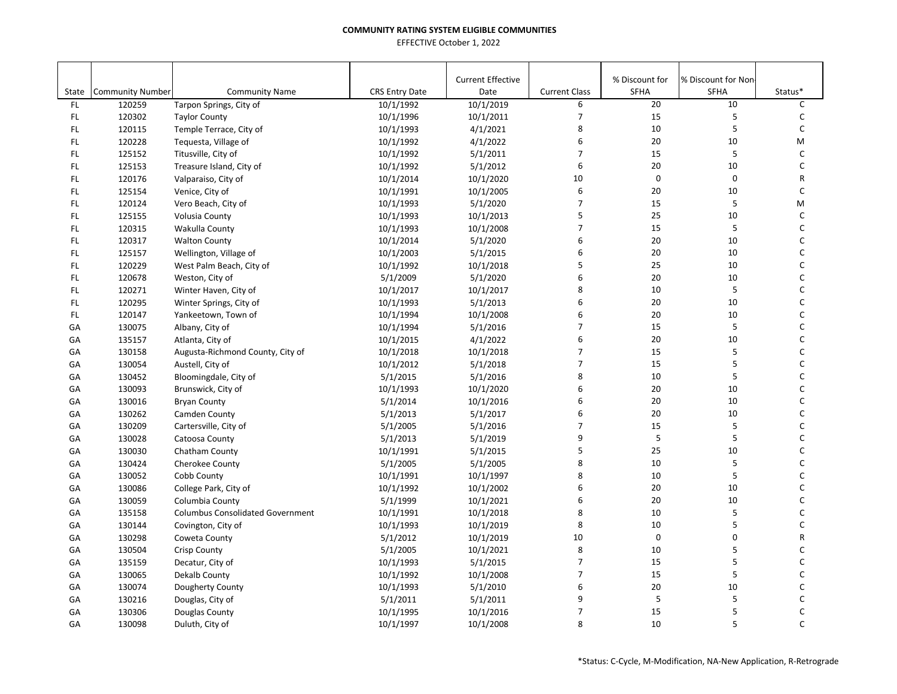| State | <b>Community Number</b> | <b>Community Name</b>                   | <b>CRS Entry Date</b> | <b>Current Effective</b><br>Date | <b>Current Class</b> | % Discount for<br>SFHA | % Discount for Non-<br><b>SFHA</b> | Status* |
|-------|-------------------------|-----------------------------------------|-----------------------|----------------------------------|----------------------|------------------------|------------------------------------|---------|
| FL.   | 120259                  | Tarpon Springs, City of                 | 10/1/1992             | 10/1/2019                        | 6                    | 20                     | 10                                 | C       |
| FL.   | 120302                  | <b>Taylor County</b>                    | 10/1/1996             | 10/1/2011                        | 7                    | 15                     | 5                                  | C       |
| FL    | 120115                  | Temple Terrace, City of                 | 10/1/1993             | 4/1/2021                         | 8                    | 10                     | 5                                  | С       |
| FL.   | 120228                  | Tequesta, Village of                    | 10/1/1992             | 4/1/2022                         | 6                    | 20                     | 10                                 | M       |
| FL.   | 125152                  | Titusville, City of                     | 10/1/1992             | 5/1/2011                         | $\overline{7}$       | 15                     | 5                                  | C       |
| FL.   | 125153                  | Treasure Island, City of                | 10/1/1992             | 5/1/2012                         | 6                    | 20                     | 10                                 | C       |
| FL.   | 120176                  | Valparaiso, City of                     | 10/1/2014             | 10/1/2020                        | 10                   | $\mathbf 0$            | $\pmb{0}$                          | R       |
| FL    | 125154                  | Venice, City of                         | 10/1/1991             | 10/1/2005                        | 6                    | 20                     | 10                                 | C       |
| FL.   | 120124                  | Vero Beach, City of                     | 10/1/1993             | 5/1/2020                         | $\overline{7}$       | 15                     | 5                                  | M       |
| FL.   | 125155                  | Volusia County                          | 10/1/1993             | 10/1/2013                        | 5                    | 25                     | 10                                 | C       |
| FL.   | 120315                  | Wakulla County                          | 10/1/1993             | 10/1/2008                        | $\overline{7}$       | 15                     | 5                                  | C       |
| FL.   | 120317                  | <b>Walton County</b>                    | 10/1/2014             | 5/1/2020                         | 6                    | 20                     | 10                                 | C       |
| FL    | 125157                  | Wellington, Village of                  | 10/1/2003             | 5/1/2015                         | 6                    | 20                     | 10                                 | C       |
| FL.   | 120229                  | West Palm Beach, City of                | 10/1/1992             | 10/1/2018                        | 5                    | 25                     | 10                                 | C       |
| FL.   | 120678                  | Weston, City of                         | 5/1/2009              | 5/1/2020                         | 6                    | 20                     | 10                                 | C       |
| FL    | 120271                  | Winter Haven, City of                   | 10/1/2017             | 10/1/2017                        | 8                    | 10                     | 5                                  | С       |
| FL    | 120295                  | Winter Springs, City of                 | 10/1/1993             | 5/1/2013                         | 6                    | 20                     | 10                                 | C       |
| FL    | 120147                  | Yankeetown, Town of                     | 10/1/1994             | 10/1/2008                        | 6                    | 20                     | 10                                 | C       |
| GA    | 130075                  | Albany, City of                         | 10/1/1994             | 5/1/2016                         | $\overline{7}$       | 15                     | 5                                  | С       |
| GA    | 135157                  | Atlanta, City of                        | 10/1/2015             | 4/1/2022                         | 6                    | 20                     | 10                                 | C       |
| GA    | 130158                  | Augusta-Richmond County, City of        | 10/1/2018             | 10/1/2018                        | $\overline{7}$       | 15                     | 5                                  | C       |
| GA    | 130054                  | Austell, City of                        | 10/1/2012             | 5/1/2018                         | $\overline{7}$       | 15                     | 5                                  | C       |
| GA    | 130452                  | Bloomingdale, City of                   | 5/1/2015              | 5/1/2016                         | 8                    | 10                     | 5                                  | C       |
| GA    | 130093                  | Brunswick, City of                      | 10/1/1993             | 10/1/2020                        | 6                    | 20                     | 10                                 | C       |
| GA    | 130016                  | <b>Bryan County</b>                     | 5/1/2014              | 10/1/2016                        | 6                    | 20                     | 10                                 | C       |
| GA    | 130262                  | Camden County                           | 5/1/2013              | 5/1/2017                         | 6                    | 20                     | 10                                 | C       |
| GA    | 130209                  | Cartersville, City of                   | 5/1/2005              | 5/1/2016                         | $\overline{7}$       | 15                     | 5                                  | С       |
| GA    | 130028                  | Catoosa County                          | 5/1/2013              | 5/1/2019                         | 9                    | $\mathsf S$            | 5                                  | C       |
| GA    | 130030                  | Chatham County                          | 10/1/1991             | 5/1/2015                         | 5                    | 25                     | 10                                 | C       |
| GA    | 130424                  | Cherokee County                         | 5/1/2005              | 5/1/2005                         | 8                    | 10                     | 5                                  | C       |
| GA    | 130052                  | Cobb County                             | 10/1/1991             | 10/1/1997                        | 8                    | 10                     | 5                                  | С       |
| GA    | 130086                  | College Park, City of                   | 10/1/1992             | 10/1/2002                        | 6                    | 20                     | 10                                 | C       |
| GA    | 130059                  | Columbia County                         | 5/1/1999              | 10/1/2021                        | 6                    | 20                     | 10                                 | C       |
| GA    | 135158                  | <b>Columbus Consolidated Government</b> | 10/1/1991             | 10/1/2018                        | 8                    | 10                     | 5                                  | C       |
| GA    | 130144                  | Covington, City of                      | 10/1/1993             | 10/1/2019                        | 8                    | 10                     | 5                                  | C       |
| GA    | 130298                  | Coweta County                           | 5/1/2012              | 10/1/2019                        | 10                   | $\mathbf 0$            | $\mathbf 0$                        | R       |
| GA    | 130504                  | <b>Crisp County</b>                     | 5/1/2005              | 10/1/2021                        | 8                    | 10                     | 5                                  | C       |
| GA    | 135159                  | Decatur, City of                        | 10/1/1993             | 5/1/2015                         | $\overline{7}$       | 15                     | 5                                  | C       |
| GA    | 130065                  | Dekalb County                           | 10/1/1992             | 10/1/2008                        | $\overline{7}$       | 15                     | 5                                  | C       |
| GA    | 130074                  | Dougherty County                        | 10/1/1993             | 5/1/2010                         | 6                    | 20                     | 10                                 | С       |
| GA    | 130216                  | Douglas, City of                        | 5/1/2011              | 5/1/2011                         | 9                    | 5                      | 5                                  | C       |
| GA    | 130306                  | Douglas County                          | 10/1/1995             | 10/1/2016                        | $\overline{7}$       | 15                     | 5                                  | C       |
| GA    | 130098                  | Duluth, City of                         | 10/1/1997             | 10/1/2008                        | 8                    | 10                     | 5                                  | C       |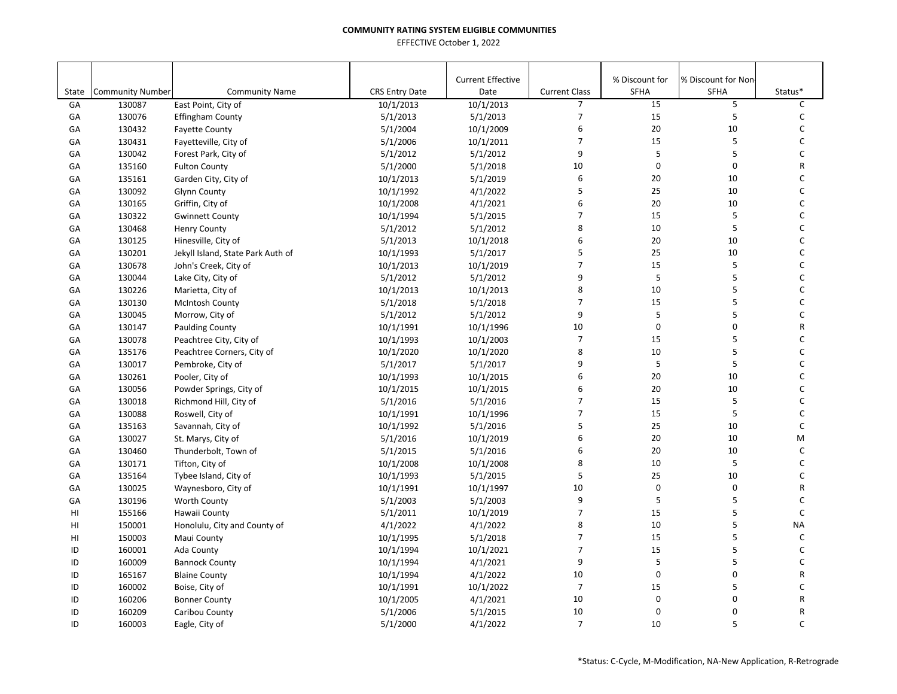| <b>Current Effective</b><br>% Discount for<br>% Discount for Non-<br><b>Community Number</b><br><b>CRS Entry Date</b><br><b>Current Class</b><br><b>SFHA</b><br><b>SFHA</b><br>Status*<br>State<br><b>Community Name</b><br>Date<br>$\overline{7}$<br>15<br>5<br>C<br>GA<br>East Point, City of<br>10/1/2013<br>10/1/2013<br>130087<br>$\overline{7}$<br>15<br>5<br>5/1/2013<br>$\mathsf{C}$<br>130076<br>5/1/2013<br>GA<br><b>Effingham County</b><br>6<br>20<br>10<br>C<br>GA<br>130432<br>5/1/2004<br>10/1/2009<br><b>Fayette County</b><br>$\overline{7}$<br>5<br>15<br>C<br>10/1/2011<br>GA<br>130431<br>5/1/2006<br>Fayetteville, City of<br>5<br>9<br>5<br>$\mathsf{C}$<br>5/1/2012<br>GA<br>130042<br>Forest Park, City of<br>5/1/2012<br>10<br>$\mathbf 0$<br>$\mathsf 0$<br>5/1/2000<br>5/1/2018<br>R<br>GA<br>135160<br><b>Fulton County</b><br>6<br>135161<br>10/1/2013<br>5/1/2019<br>20<br>10<br>$\mathsf{C}$<br>GA<br>Garden City, City of<br>5<br>25<br>10<br>$\mathsf{C}$<br>GA<br>130092<br>10/1/1992<br>4/1/2022<br><b>Glynn County</b><br>6<br>20<br>$\mathsf C$<br>10<br>GA<br>130165<br>Griffin, City of<br>10/1/2008<br>4/1/2021<br>$\overline{7}$<br>15<br>5<br>130322<br>5/1/2015<br>C<br>GA<br><b>Gwinnett County</b><br>10/1/1994<br>8<br>$\sf 5$<br>10<br>$\mathsf{C}$<br>5/1/2012<br>GA<br>130468<br>5/1/2012<br><b>Henry County</b><br>6<br>20<br>C<br>130125<br>5/1/2013<br>10/1/2018<br>10<br>GA<br>Hinesville, City of<br>5<br>25<br>10<br>$\mathsf{C}$<br>130201<br>10/1/1993<br>5/1/2017<br>GA<br>Jekyll Island, State Park Auth of<br>$\overline{7}$<br>15<br>5<br>$\mathsf C$<br>130678<br>10/1/2013<br>10/1/2019<br>GA<br>John's Creek, City of<br>9<br>5<br>5<br>$\mathsf{C}$<br>130044<br>5/1/2012<br>5/1/2012<br>GA<br>Lake City, City of<br>5<br>8<br>10<br>$\mathsf{C}$<br>10/1/2013<br>GA<br>130226<br>Marietta, City of<br>10/1/2013<br>$\overline{7}$<br>5<br>15<br>C<br>5/1/2018<br>GA<br>130130<br><b>McIntosh County</b><br>5/1/2018<br>9<br>$\sf 5$<br>5<br>$\mathsf{C}$<br>130045<br>5/1/2012<br>5/1/2012<br>GA<br>Morrow, City of<br>10<br>$\mathbf 0$<br>$\mathsf 0$<br>R<br>10/1/1996<br>GA<br>130147<br><b>Paulding County</b><br>10/1/1991<br>$\overline{7}$<br>5<br>15<br>C<br>130078<br>10/1/1993<br>10/1/2003<br>GA<br>Peachtree City, City of<br>8<br>5<br>10<br>$\mathsf{C}$<br>GA<br>135176<br>10/1/2020<br>10/1/2020<br>Peachtree Corners, City of<br>5<br>5<br>9<br>$\mathsf C$<br>GA<br>130017<br>Pembroke, City of<br>5/1/2017<br>5/1/2017<br>6<br>20<br>10<br>10/1/2015<br>C<br>GA<br>130261<br>10/1/1993<br>Pooler, City of<br>6<br>20<br>10<br>$\mathsf{C}$<br>130056<br>10/1/2015<br>GA<br>Powder Springs, City of<br>10/1/2015<br>$\overline{7}$<br>15<br>5<br>C<br>130018<br>5/1/2016<br>5/1/2016<br>GA<br>Richmond Hill, City of<br>5<br>7<br>15<br>$\mathsf{C}$<br>130088<br>Roswell, City of<br>10/1/1991<br>10/1/1996<br>GA<br>5<br>25<br>10<br>$\mathsf{C}$<br>135163<br>10/1/1992<br>5/1/2016<br>GA<br>Savannah, City of<br>6<br>20<br>10<br>M<br>130027<br>5/1/2016<br>10/1/2019<br>GА<br>St. Marys, City of<br>6<br>5/1/2016<br>20<br>10<br>C<br>GA<br>130460<br>Thunderbolt, Town of<br>5/1/2015<br>$\sf 5$<br>8<br>10<br>C<br>10/1/2008<br>GA<br>130171<br>Tifton, City of<br>10/1/2008<br>5<br>25<br>10<br>135164<br>5/1/2015<br>C<br>GA<br>Tybee Island, City of<br>10/1/1993<br>$\mathbf 0$<br>$\pmb{0}$<br>10/1/1997<br>10<br>GA<br>130025<br>Waynesboro, City of<br>10/1/1991<br>R<br>9<br>5<br>5<br>$\mathsf{C}$<br>130196<br>Worth County<br>5/1/2003<br>5/1/2003<br>GA<br>5<br>$\overline{7}$<br>15<br>$\mathsf{C}$<br>HI<br>155166<br>Hawaii County<br>5/1/2011<br>10/1/2019<br>8<br>10<br>5<br><b>NA</b><br>HI<br>150001<br>Honolulu, City and County of<br>4/1/2022<br>4/1/2022 |    |        |             |           |          |                  |    |   |             |
|------------------------------------------------------------------------------------------------------------------------------------------------------------------------------------------------------------------------------------------------------------------------------------------------------------------------------------------------------------------------------------------------------------------------------------------------------------------------------------------------------------------------------------------------------------------------------------------------------------------------------------------------------------------------------------------------------------------------------------------------------------------------------------------------------------------------------------------------------------------------------------------------------------------------------------------------------------------------------------------------------------------------------------------------------------------------------------------------------------------------------------------------------------------------------------------------------------------------------------------------------------------------------------------------------------------------------------------------------------------------------------------------------------------------------------------------------------------------------------------------------------------------------------------------------------------------------------------------------------------------------------------------------------------------------------------------------------------------------------------------------------------------------------------------------------------------------------------------------------------------------------------------------------------------------------------------------------------------------------------------------------------------------------------------------------------------------------------------------------------------------------------------------------------------------------------------------------------------------------------------------------------------------------------------------------------------------------------------------------------------------------------------------------------------------------------------------------------------------------------------------------------------------------------------------------------------------------------------------------------------------------------------------------------------------------------------------------------------------------------------------------------------------------------------------------------------------------------------------------------------------------------------------------------------------------------------------------------------------------------------------------------------------------------------------------------------------------------------------------------------------------------------------------------------------------------------------------------------------------------------------------------------------------------------------------------------------------------------------------------------------------------------------------------------------------------------------------------------------------------------------------------------------------------------------------------------------------------------------------------------------------------------------------------------------------------------------------------------------------------------------------------------------|----|--------|-------------|-----------|----------|------------------|----|---|-------------|
|                                                                                                                                                                                                                                                                                                                                                                                                                                                                                                                                                                                                                                                                                                                                                                                                                                                                                                                                                                                                                                                                                                                                                                                                                                                                                                                                                                                                                                                                                                                                                                                                                                                                                                                                                                                                                                                                                                                                                                                                                                                                                                                                                                                                                                                                                                                                                                                                                                                                                                                                                                                                                                                                                                                                                                                                                                                                                                                                                                                                                                                                                                                                                                                                                                                                                                                                                                                                                                                                                                                                                                                                                                                                                                                                                                              |    |        |             |           |          |                  |    |   |             |
|                                                                                                                                                                                                                                                                                                                                                                                                                                                                                                                                                                                                                                                                                                                                                                                                                                                                                                                                                                                                                                                                                                                                                                                                                                                                                                                                                                                                                                                                                                                                                                                                                                                                                                                                                                                                                                                                                                                                                                                                                                                                                                                                                                                                                                                                                                                                                                                                                                                                                                                                                                                                                                                                                                                                                                                                                                                                                                                                                                                                                                                                                                                                                                                                                                                                                                                                                                                                                                                                                                                                                                                                                                                                                                                                                                              |    |        |             |           |          |                  |    |   |             |
|                                                                                                                                                                                                                                                                                                                                                                                                                                                                                                                                                                                                                                                                                                                                                                                                                                                                                                                                                                                                                                                                                                                                                                                                                                                                                                                                                                                                                                                                                                                                                                                                                                                                                                                                                                                                                                                                                                                                                                                                                                                                                                                                                                                                                                                                                                                                                                                                                                                                                                                                                                                                                                                                                                                                                                                                                                                                                                                                                                                                                                                                                                                                                                                                                                                                                                                                                                                                                                                                                                                                                                                                                                                                                                                                                                              |    |        |             |           |          |                  |    |   |             |
|                                                                                                                                                                                                                                                                                                                                                                                                                                                                                                                                                                                                                                                                                                                                                                                                                                                                                                                                                                                                                                                                                                                                                                                                                                                                                                                                                                                                                                                                                                                                                                                                                                                                                                                                                                                                                                                                                                                                                                                                                                                                                                                                                                                                                                                                                                                                                                                                                                                                                                                                                                                                                                                                                                                                                                                                                                                                                                                                                                                                                                                                                                                                                                                                                                                                                                                                                                                                                                                                                                                                                                                                                                                                                                                                                                              |    |        |             |           |          |                  |    |   |             |
|                                                                                                                                                                                                                                                                                                                                                                                                                                                                                                                                                                                                                                                                                                                                                                                                                                                                                                                                                                                                                                                                                                                                                                                                                                                                                                                                                                                                                                                                                                                                                                                                                                                                                                                                                                                                                                                                                                                                                                                                                                                                                                                                                                                                                                                                                                                                                                                                                                                                                                                                                                                                                                                                                                                                                                                                                                                                                                                                                                                                                                                                                                                                                                                                                                                                                                                                                                                                                                                                                                                                                                                                                                                                                                                                                                              |    |        |             |           |          |                  |    |   |             |
|                                                                                                                                                                                                                                                                                                                                                                                                                                                                                                                                                                                                                                                                                                                                                                                                                                                                                                                                                                                                                                                                                                                                                                                                                                                                                                                                                                                                                                                                                                                                                                                                                                                                                                                                                                                                                                                                                                                                                                                                                                                                                                                                                                                                                                                                                                                                                                                                                                                                                                                                                                                                                                                                                                                                                                                                                                                                                                                                                                                                                                                                                                                                                                                                                                                                                                                                                                                                                                                                                                                                                                                                                                                                                                                                                                              |    |        |             |           |          |                  |    |   |             |
|                                                                                                                                                                                                                                                                                                                                                                                                                                                                                                                                                                                                                                                                                                                                                                                                                                                                                                                                                                                                                                                                                                                                                                                                                                                                                                                                                                                                                                                                                                                                                                                                                                                                                                                                                                                                                                                                                                                                                                                                                                                                                                                                                                                                                                                                                                                                                                                                                                                                                                                                                                                                                                                                                                                                                                                                                                                                                                                                                                                                                                                                                                                                                                                                                                                                                                                                                                                                                                                                                                                                                                                                                                                                                                                                                                              |    |        |             |           |          |                  |    |   |             |
|                                                                                                                                                                                                                                                                                                                                                                                                                                                                                                                                                                                                                                                                                                                                                                                                                                                                                                                                                                                                                                                                                                                                                                                                                                                                                                                                                                                                                                                                                                                                                                                                                                                                                                                                                                                                                                                                                                                                                                                                                                                                                                                                                                                                                                                                                                                                                                                                                                                                                                                                                                                                                                                                                                                                                                                                                                                                                                                                                                                                                                                                                                                                                                                                                                                                                                                                                                                                                                                                                                                                                                                                                                                                                                                                                                              |    |        |             |           |          |                  |    |   |             |
|                                                                                                                                                                                                                                                                                                                                                                                                                                                                                                                                                                                                                                                                                                                                                                                                                                                                                                                                                                                                                                                                                                                                                                                                                                                                                                                                                                                                                                                                                                                                                                                                                                                                                                                                                                                                                                                                                                                                                                                                                                                                                                                                                                                                                                                                                                                                                                                                                                                                                                                                                                                                                                                                                                                                                                                                                                                                                                                                                                                                                                                                                                                                                                                                                                                                                                                                                                                                                                                                                                                                                                                                                                                                                                                                                                              |    |        |             |           |          |                  |    |   |             |
|                                                                                                                                                                                                                                                                                                                                                                                                                                                                                                                                                                                                                                                                                                                                                                                                                                                                                                                                                                                                                                                                                                                                                                                                                                                                                                                                                                                                                                                                                                                                                                                                                                                                                                                                                                                                                                                                                                                                                                                                                                                                                                                                                                                                                                                                                                                                                                                                                                                                                                                                                                                                                                                                                                                                                                                                                                                                                                                                                                                                                                                                                                                                                                                                                                                                                                                                                                                                                                                                                                                                                                                                                                                                                                                                                                              |    |        |             |           |          |                  |    |   |             |
|                                                                                                                                                                                                                                                                                                                                                                                                                                                                                                                                                                                                                                                                                                                                                                                                                                                                                                                                                                                                                                                                                                                                                                                                                                                                                                                                                                                                                                                                                                                                                                                                                                                                                                                                                                                                                                                                                                                                                                                                                                                                                                                                                                                                                                                                                                                                                                                                                                                                                                                                                                                                                                                                                                                                                                                                                                                                                                                                                                                                                                                                                                                                                                                                                                                                                                                                                                                                                                                                                                                                                                                                                                                                                                                                                                              |    |        |             |           |          |                  |    |   |             |
|                                                                                                                                                                                                                                                                                                                                                                                                                                                                                                                                                                                                                                                                                                                                                                                                                                                                                                                                                                                                                                                                                                                                                                                                                                                                                                                                                                                                                                                                                                                                                                                                                                                                                                                                                                                                                                                                                                                                                                                                                                                                                                                                                                                                                                                                                                                                                                                                                                                                                                                                                                                                                                                                                                                                                                                                                                                                                                                                                                                                                                                                                                                                                                                                                                                                                                                                                                                                                                                                                                                                                                                                                                                                                                                                                                              |    |        |             |           |          |                  |    |   |             |
|                                                                                                                                                                                                                                                                                                                                                                                                                                                                                                                                                                                                                                                                                                                                                                                                                                                                                                                                                                                                                                                                                                                                                                                                                                                                                                                                                                                                                                                                                                                                                                                                                                                                                                                                                                                                                                                                                                                                                                                                                                                                                                                                                                                                                                                                                                                                                                                                                                                                                                                                                                                                                                                                                                                                                                                                                                                                                                                                                                                                                                                                                                                                                                                                                                                                                                                                                                                                                                                                                                                                                                                                                                                                                                                                                                              |    |        |             |           |          |                  |    |   |             |
|                                                                                                                                                                                                                                                                                                                                                                                                                                                                                                                                                                                                                                                                                                                                                                                                                                                                                                                                                                                                                                                                                                                                                                                                                                                                                                                                                                                                                                                                                                                                                                                                                                                                                                                                                                                                                                                                                                                                                                                                                                                                                                                                                                                                                                                                                                                                                                                                                                                                                                                                                                                                                                                                                                                                                                                                                                                                                                                                                                                                                                                                                                                                                                                                                                                                                                                                                                                                                                                                                                                                                                                                                                                                                                                                                                              |    |        |             |           |          |                  |    |   |             |
|                                                                                                                                                                                                                                                                                                                                                                                                                                                                                                                                                                                                                                                                                                                                                                                                                                                                                                                                                                                                                                                                                                                                                                                                                                                                                                                                                                                                                                                                                                                                                                                                                                                                                                                                                                                                                                                                                                                                                                                                                                                                                                                                                                                                                                                                                                                                                                                                                                                                                                                                                                                                                                                                                                                                                                                                                                                                                                                                                                                                                                                                                                                                                                                                                                                                                                                                                                                                                                                                                                                                                                                                                                                                                                                                                                              |    |        |             |           |          |                  |    |   |             |
|                                                                                                                                                                                                                                                                                                                                                                                                                                                                                                                                                                                                                                                                                                                                                                                                                                                                                                                                                                                                                                                                                                                                                                                                                                                                                                                                                                                                                                                                                                                                                                                                                                                                                                                                                                                                                                                                                                                                                                                                                                                                                                                                                                                                                                                                                                                                                                                                                                                                                                                                                                                                                                                                                                                                                                                                                                                                                                                                                                                                                                                                                                                                                                                                                                                                                                                                                                                                                                                                                                                                                                                                                                                                                                                                                                              |    |        |             |           |          |                  |    |   |             |
|                                                                                                                                                                                                                                                                                                                                                                                                                                                                                                                                                                                                                                                                                                                                                                                                                                                                                                                                                                                                                                                                                                                                                                                                                                                                                                                                                                                                                                                                                                                                                                                                                                                                                                                                                                                                                                                                                                                                                                                                                                                                                                                                                                                                                                                                                                                                                                                                                                                                                                                                                                                                                                                                                                                                                                                                                                                                                                                                                                                                                                                                                                                                                                                                                                                                                                                                                                                                                                                                                                                                                                                                                                                                                                                                                                              |    |        |             |           |          |                  |    |   |             |
|                                                                                                                                                                                                                                                                                                                                                                                                                                                                                                                                                                                                                                                                                                                                                                                                                                                                                                                                                                                                                                                                                                                                                                                                                                                                                                                                                                                                                                                                                                                                                                                                                                                                                                                                                                                                                                                                                                                                                                                                                                                                                                                                                                                                                                                                                                                                                                                                                                                                                                                                                                                                                                                                                                                                                                                                                                                                                                                                                                                                                                                                                                                                                                                                                                                                                                                                                                                                                                                                                                                                                                                                                                                                                                                                                                              |    |        |             |           |          |                  |    |   |             |
|                                                                                                                                                                                                                                                                                                                                                                                                                                                                                                                                                                                                                                                                                                                                                                                                                                                                                                                                                                                                                                                                                                                                                                                                                                                                                                                                                                                                                                                                                                                                                                                                                                                                                                                                                                                                                                                                                                                                                                                                                                                                                                                                                                                                                                                                                                                                                                                                                                                                                                                                                                                                                                                                                                                                                                                                                                                                                                                                                                                                                                                                                                                                                                                                                                                                                                                                                                                                                                                                                                                                                                                                                                                                                                                                                                              |    |        |             |           |          |                  |    |   |             |
|                                                                                                                                                                                                                                                                                                                                                                                                                                                                                                                                                                                                                                                                                                                                                                                                                                                                                                                                                                                                                                                                                                                                                                                                                                                                                                                                                                                                                                                                                                                                                                                                                                                                                                                                                                                                                                                                                                                                                                                                                                                                                                                                                                                                                                                                                                                                                                                                                                                                                                                                                                                                                                                                                                                                                                                                                                                                                                                                                                                                                                                                                                                                                                                                                                                                                                                                                                                                                                                                                                                                                                                                                                                                                                                                                                              |    |        |             |           |          |                  |    |   |             |
|                                                                                                                                                                                                                                                                                                                                                                                                                                                                                                                                                                                                                                                                                                                                                                                                                                                                                                                                                                                                                                                                                                                                                                                                                                                                                                                                                                                                                                                                                                                                                                                                                                                                                                                                                                                                                                                                                                                                                                                                                                                                                                                                                                                                                                                                                                                                                                                                                                                                                                                                                                                                                                                                                                                                                                                                                                                                                                                                                                                                                                                                                                                                                                                                                                                                                                                                                                                                                                                                                                                                                                                                                                                                                                                                                                              |    |        |             |           |          |                  |    |   |             |
|                                                                                                                                                                                                                                                                                                                                                                                                                                                                                                                                                                                                                                                                                                                                                                                                                                                                                                                                                                                                                                                                                                                                                                                                                                                                                                                                                                                                                                                                                                                                                                                                                                                                                                                                                                                                                                                                                                                                                                                                                                                                                                                                                                                                                                                                                                                                                                                                                                                                                                                                                                                                                                                                                                                                                                                                                                                                                                                                                                                                                                                                                                                                                                                                                                                                                                                                                                                                                                                                                                                                                                                                                                                                                                                                                                              |    |        |             |           |          |                  |    |   |             |
|                                                                                                                                                                                                                                                                                                                                                                                                                                                                                                                                                                                                                                                                                                                                                                                                                                                                                                                                                                                                                                                                                                                                                                                                                                                                                                                                                                                                                                                                                                                                                                                                                                                                                                                                                                                                                                                                                                                                                                                                                                                                                                                                                                                                                                                                                                                                                                                                                                                                                                                                                                                                                                                                                                                                                                                                                                                                                                                                                                                                                                                                                                                                                                                                                                                                                                                                                                                                                                                                                                                                                                                                                                                                                                                                                                              |    |        |             |           |          |                  |    |   |             |
|                                                                                                                                                                                                                                                                                                                                                                                                                                                                                                                                                                                                                                                                                                                                                                                                                                                                                                                                                                                                                                                                                                                                                                                                                                                                                                                                                                                                                                                                                                                                                                                                                                                                                                                                                                                                                                                                                                                                                                                                                                                                                                                                                                                                                                                                                                                                                                                                                                                                                                                                                                                                                                                                                                                                                                                                                                                                                                                                                                                                                                                                                                                                                                                                                                                                                                                                                                                                                                                                                                                                                                                                                                                                                                                                                                              |    |        |             |           |          |                  |    |   |             |
|                                                                                                                                                                                                                                                                                                                                                                                                                                                                                                                                                                                                                                                                                                                                                                                                                                                                                                                                                                                                                                                                                                                                                                                                                                                                                                                                                                                                                                                                                                                                                                                                                                                                                                                                                                                                                                                                                                                                                                                                                                                                                                                                                                                                                                                                                                                                                                                                                                                                                                                                                                                                                                                                                                                                                                                                                                                                                                                                                                                                                                                                                                                                                                                                                                                                                                                                                                                                                                                                                                                                                                                                                                                                                                                                                                              |    |        |             |           |          |                  |    |   |             |
|                                                                                                                                                                                                                                                                                                                                                                                                                                                                                                                                                                                                                                                                                                                                                                                                                                                                                                                                                                                                                                                                                                                                                                                                                                                                                                                                                                                                                                                                                                                                                                                                                                                                                                                                                                                                                                                                                                                                                                                                                                                                                                                                                                                                                                                                                                                                                                                                                                                                                                                                                                                                                                                                                                                                                                                                                                                                                                                                                                                                                                                                                                                                                                                                                                                                                                                                                                                                                                                                                                                                                                                                                                                                                                                                                                              |    |        |             |           |          |                  |    |   |             |
|                                                                                                                                                                                                                                                                                                                                                                                                                                                                                                                                                                                                                                                                                                                                                                                                                                                                                                                                                                                                                                                                                                                                                                                                                                                                                                                                                                                                                                                                                                                                                                                                                                                                                                                                                                                                                                                                                                                                                                                                                                                                                                                                                                                                                                                                                                                                                                                                                                                                                                                                                                                                                                                                                                                                                                                                                                                                                                                                                                                                                                                                                                                                                                                                                                                                                                                                                                                                                                                                                                                                                                                                                                                                                                                                                                              |    |        |             |           |          |                  |    |   |             |
|                                                                                                                                                                                                                                                                                                                                                                                                                                                                                                                                                                                                                                                                                                                                                                                                                                                                                                                                                                                                                                                                                                                                                                                                                                                                                                                                                                                                                                                                                                                                                                                                                                                                                                                                                                                                                                                                                                                                                                                                                                                                                                                                                                                                                                                                                                                                                                                                                                                                                                                                                                                                                                                                                                                                                                                                                                                                                                                                                                                                                                                                                                                                                                                                                                                                                                                                                                                                                                                                                                                                                                                                                                                                                                                                                                              |    |        |             |           |          |                  |    |   |             |
|                                                                                                                                                                                                                                                                                                                                                                                                                                                                                                                                                                                                                                                                                                                                                                                                                                                                                                                                                                                                                                                                                                                                                                                                                                                                                                                                                                                                                                                                                                                                                                                                                                                                                                                                                                                                                                                                                                                                                                                                                                                                                                                                                                                                                                                                                                                                                                                                                                                                                                                                                                                                                                                                                                                                                                                                                                                                                                                                                                                                                                                                                                                                                                                                                                                                                                                                                                                                                                                                                                                                                                                                                                                                                                                                                                              |    |        |             |           |          |                  |    |   |             |
|                                                                                                                                                                                                                                                                                                                                                                                                                                                                                                                                                                                                                                                                                                                                                                                                                                                                                                                                                                                                                                                                                                                                                                                                                                                                                                                                                                                                                                                                                                                                                                                                                                                                                                                                                                                                                                                                                                                                                                                                                                                                                                                                                                                                                                                                                                                                                                                                                                                                                                                                                                                                                                                                                                                                                                                                                                                                                                                                                                                                                                                                                                                                                                                                                                                                                                                                                                                                                                                                                                                                                                                                                                                                                                                                                                              |    |        |             |           |          |                  |    |   |             |
|                                                                                                                                                                                                                                                                                                                                                                                                                                                                                                                                                                                                                                                                                                                                                                                                                                                                                                                                                                                                                                                                                                                                                                                                                                                                                                                                                                                                                                                                                                                                                                                                                                                                                                                                                                                                                                                                                                                                                                                                                                                                                                                                                                                                                                                                                                                                                                                                                                                                                                                                                                                                                                                                                                                                                                                                                                                                                                                                                                                                                                                                                                                                                                                                                                                                                                                                                                                                                                                                                                                                                                                                                                                                                                                                                                              |    |        |             |           |          |                  |    |   |             |
|                                                                                                                                                                                                                                                                                                                                                                                                                                                                                                                                                                                                                                                                                                                                                                                                                                                                                                                                                                                                                                                                                                                                                                                                                                                                                                                                                                                                                                                                                                                                                                                                                                                                                                                                                                                                                                                                                                                                                                                                                                                                                                                                                                                                                                                                                                                                                                                                                                                                                                                                                                                                                                                                                                                                                                                                                                                                                                                                                                                                                                                                                                                                                                                                                                                                                                                                                                                                                                                                                                                                                                                                                                                                                                                                                                              |    |        |             |           |          |                  |    |   |             |
|                                                                                                                                                                                                                                                                                                                                                                                                                                                                                                                                                                                                                                                                                                                                                                                                                                                                                                                                                                                                                                                                                                                                                                                                                                                                                                                                                                                                                                                                                                                                                                                                                                                                                                                                                                                                                                                                                                                                                                                                                                                                                                                                                                                                                                                                                                                                                                                                                                                                                                                                                                                                                                                                                                                                                                                                                                                                                                                                                                                                                                                                                                                                                                                                                                                                                                                                                                                                                                                                                                                                                                                                                                                                                                                                                                              |    |        |             |           |          |                  |    |   |             |
|                                                                                                                                                                                                                                                                                                                                                                                                                                                                                                                                                                                                                                                                                                                                                                                                                                                                                                                                                                                                                                                                                                                                                                                                                                                                                                                                                                                                                                                                                                                                                                                                                                                                                                                                                                                                                                                                                                                                                                                                                                                                                                                                                                                                                                                                                                                                                                                                                                                                                                                                                                                                                                                                                                                                                                                                                                                                                                                                                                                                                                                                                                                                                                                                                                                                                                                                                                                                                                                                                                                                                                                                                                                                                                                                                                              |    |        |             |           |          |                  |    |   |             |
|                                                                                                                                                                                                                                                                                                                                                                                                                                                                                                                                                                                                                                                                                                                                                                                                                                                                                                                                                                                                                                                                                                                                                                                                                                                                                                                                                                                                                                                                                                                                                                                                                                                                                                                                                                                                                                                                                                                                                                                                                                                                                                                                                                                                                                                                                                                                                                                                                                                                                                                                                                                                                                                                                                                                                                                                                                                                                                                                                                                                                                                                                                                                                                                                                                                                                                                                                                                                                                                                                                                                                                                                                                                                                                                                                                              |    |        |             |           |          |                  |    |   |             |
|                                                                                                                                                                                                                                                                                                                                                                                                                                                                                                                                                                                                                                                                                                                                                                                                                                                                                                                                                                                                                                                                                                                                                                                                                                                                                                                                                                                                                                                                                                                                                                                                                                                                                                                                                                                                                                                                                                                                                                                                                                                                                                                                                                                                                                                                                                                                                                                                                                                                                                                                                                                                                                                                                                                                                                                                                                                                                                                                                                                                                                                                                                                                                                                                                                                                                                                                                                                                                                                                                                                                                                                                                                                                                                                                                                              |    |        |             |           |          |                  |    |   |             |
|                                                                                                                                                                                                                                                                                                                                                                                                                                                                                                                                                                                                                                                                                                                                                                                                                                                                                                                                                                                                                                                                                                                                                                                                                                                                                                                                                                                                                                                                                                                                                                                                                                                                                                                                                                                                                                                                                                                                                                                                                                                                                                                                                                                                                                                                                                                                                                                                                                                                                                                                                                                                                                                                                                                                                                                                                                                                                                                                                                                                                                                                                                                                                                                                                                                                                                                                                                                                                                                                                                                                                                                                                                                                                                                                                                              |    |        |             |           |          |                  |    |   |             |
|                                                                                                                                                                                                                                                                                                                                                                                                                                                                                                                                                                                                                                                                                                                                                                                                                                                                                                                                                                                                                                                                                                                                                                                                                                                                                                                                                                                                                                                                                                                                                                                                                                                                                                                                                                                                                                                                                                                                                                                                                                                                                                                                                                                                                                                                                                                                                                                                                                                                                                                                                                                                                                                                                                                                                                                                                                                                                                                                                                                                                                                                                                                                                                                                                                                                                                                                                                                                                                                                                                                                                                                                                                                                                                                                                                              | HI | 150003 | Maui County | 10/1/1995 | 5/1/2018 | $\boldsymbol{7}$ | 15 | 5 | $\mathsf C$ |
| 5<br>$\overline{7}$<br>15<br>ID<br>10/1/2021<br>C<br>160001<br>Ada County<br>10/1/1994                                                                                                                                                                                                                                                                                                                                                                                                                                                                                                                                                                                                                                                                                                                                                                                                                                                                                                                                                                                                                                                                                                                                                                                                                                                                                                                                                                                                                                                                                                                                                                                                                                                                                                                                                                                                                                                                                                                                                                                                                                                                                                                                                                                                                                                                                                                                                                                                                                                                                                                                                                                                                                                                                                                                                                                                                                                                                                                                                                                                                                                                                                                                                                                                                                                                                                                                                                                                                                                                                                                                                                                                                                                                                       |    |        |             |           |          |                  |    |   |             |
| 9<br>5<br>5<br>C<br>ID<br>160009<br>4/1/2021<br><b>Bannock County</b><br>10/1/1994                                                                                                                                                                                                                                                                                                                                                                                                                                                                                                                                                                                                                                                                                                                                                                                                                                                                                                                                                                                                                                                                                                                                                                                                                                                                                                                                                                                                                                                                                                                                                                                                                                                                                                                                                                                                                                                                                                                                                                                                                                                                                                                                                                                                                                                                                                                                                                                                                                                                                                                                                                                                                                                                                                                                                                                                                                                                                                                                                                                                                                                                                                                                                                                                                                                                                                                                                                                                                                                                                                                                                                                                                                                                                           |    |        |             |           |          |                  |    |   |             |
| 10<br>$\mathbf 0$<br>$\mathbf 0$<br>ID<br>165167<br>10/1/1994<br>4/1/2022<br>R<br><b>Blaine County</b>                                                                                                                                                                                                                                                                                                                                                                                                                                                                                                                                                                                                                                                                                                                                                                                                                                                                                                                                                                                                                                                                                                                                                                                                                                                                                                                                                                                                                                                                                                                                                                                                                                                                                                                                                                                                                                                                                                                                                                                                                                                                                                                                                                                                                                                                                                                                                                                                                                                                                                                                                                                                                                                                                                                                                                                                                                                                                                                                                                                                                                                                                                                                                                                                                                                                                                                                                                                                                                                                                                                                                                                                                                                                       |    |        |             |           |          |                  |    |   |             |
| $\overline{7}$<br>5<br>15<br>$\mathsf{C}$<br>ID<br>160002<br>10/1/2022<br>Boise, City of<br>10/1/1991                                                                                                                                                                                                                                                                                                                                                                                                                                                                                                                                                                                                                                                                                                                                                                                                                                                                                                                                                                                                                                                                                                                                                                                                                                                                                                                                                                                                                                                                                                                                                                                                                                                                                                                                                                                                                                                                                                                                                                                                                                                                                                                                                                                                                                                                                                                                                                                                                                                                                                                                                                                                                                                                                                                                                                                                                                                                                                                                                                                                                                                                                                                                                                                                                                                                                                                                                                                                                                                                                                                                                                                                                                                                        |    |        |             |           |          |                  |    |   |             |
| $\pmb{0}$<br>$\pmb{0}$<br>ID<br>160206<br>4/1/2021<br>10<br>R<br>10/1/2005<br><b>Bonner County</b>                                                                                                                                                                                                                                                                                                                                                                                                                                                                                                                                                                                                                                                                                                                                                                                                                                                                                                                                                                                                                                                                                                                                                                                                                                                                                                                                                                                                                                                                                                                                                                                                                                                                                                                                                                                                                                                                                                                                                                                                                                                                                                                                                                                                                                                                                                                                                                                                                                                                                                                                                                                                                                                                                                                                                                                                                                                                                                                                                                                                                                                                                                                                                                                                                                                                                                                                                                                                                                                                                                                                                                                                                                                                           |    |        |             |           |          |                  |    |   |             |
| $\Omega$<br>$\mathsf 0$<br>ID<br>160209<br>5/1/2015<br>10<br>Caribou County<br>5/1/2006<br>R                                                                                                                                                                                                                                                                                                                                                                                                                                                                                                                                                                                                                                                                                                                                                                                                                                                                                                                                                                                                                                                                                                                                                                                                                                                                                                                                                                                                                                                                                                                                                                                                                                                                                                                                                                                                                                                                                                                                                                                                                                                                                                                                                                                                                                                                                                                                                                                                                                                                                                                                                                                                                                                                                                                                                                                                                                                                                                                                                                                                                                                                                                                                                                                                                                                                                                                                                                                                                                                                                                                                                                                                                                                                                 |    |        |             |           |          |                  |    |   |             |
| $\overline{7}$<br>10<br>5<br>$\mathsf{C}$<br>160003<br>5/1/2000<br>4/1/2022<br>ID<br>Eagle, City of                                                                                                                                                                                                                                                                                                                                                                                                                                                                                                                                                                                                                                                                                                                                                                                                                                                                                                                                                                                                                                                                                                                                                                                                                                                                                                                                                                                                                                                                                                                                                                                                                                                                                                                                                                                                                                                                                                                                                                                                                                                                                                                                                                                                                                                                                                                                                                                                                                                                                                                                                                                                                                                                                                                                                                                                                                                                                                                                                                                                                                                                                                                                                                                                                                                                                                                                                                                                                                                                                                                                                                                                                                                                          |    |        |             |           |          |                  |    |   |             |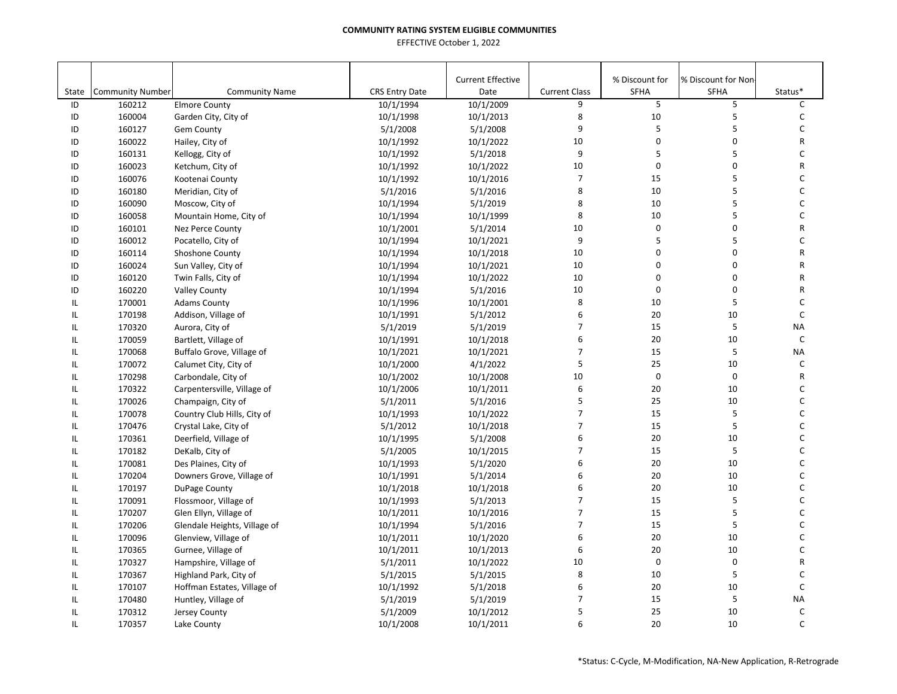|               |                         |                              |                        | <b>Current Effective</b> |                           | % Discount for | % Discount for Non |              |
|---------------|-------------------------|------------------------------|------------------------|--------------------------|---------------------------|----------------|--------------------|--------------|
| State         | <b>Community Number</b> | <b>Community Name</b>        | <b>CRS Entry Date</b>  | Date                     | <b>Current Class</b><br>9 | SFHA<br>5      | <b>SFHA</b>        | Status*<br>C |
| ID            | 160212                  | <b>Elmore County</b>         | 10/1/1994              | 10/1/2009                | 8                         | 10             | 5<br>5             | C            |
| ID            | 160004                  | Garden City, City of         | 10/1/1998              | 10/1/2013                | 9                         | $\sf 5$        | 5                  | $\mathsf C$  |
| ID            | 160127                  | <b>Gem County</b>            | 5/1/2008               | 5/1/2008                 | 10                        | $\mathbf 0$    | 0                  | R            |
| ID<br>ID      | 160022                  | Hailey, City of              | 10/1/1992              | 10/1/2022                | 9                         | 5              | 5                  | C            |
| ID            | 160131<br>160023        | Kellogg, City of             | 10/1/1992              | 5/1/2018<br>10/1/2022    | 10                        | $\mathbf 0$    | 0                  | ${\sf R}$    |
| ID            | 160076                  | Ketchum, City of             | 10/1/1992<br>10/1/1992 | 10/1/2016                | $\overline{7}$            | 15             | 5                  | C            |
|               |                         | Kootenai County              |                        |                          | 8                         | 10             | 5                  | $\mathsf C$  |
| ID            | 160180                  | Meridian, City of            | 5/1/2016               | 5/1/2016<br>5/1/2019     | 8                         | 10             | 5                  | $\mathsf{C}$ |
| ID<br>ID      | 160090                  | Moscow, City of              | 10/1/1994              |                          | 8                         | 10             | 5                  | $\mathsf{C}$ |
|               | 160058                  | Mountain Home, City of       | 10/1/1994              | 10/1/1999                | 10                        | $\pmb{0}$      | 0                  | R            |
| ID<br>ID      | 160101                  | Nez Perce County             | 10/1/2001              | 5/1/2014                 | 9                         | 5              | 5                  | C            |
|               | 160012                  | Pocatello, City of           | 10/1/1994              | 10/1/2021                |                           | 0              | 0                  | R            |
| ID            | 160114                  | Shoshone County              | 10/1/1994              | 10/1/2018                | 10                        | 0              | $\mathbf 0$        | R            |
| ID            | 160024                  | Sun Valley, City of          | 10/1/1994              | 10/1/2021                | 10<br>10                  | 0              | 0                  | R            |
| ID            | 160120                  | Twin Falls, City of          | 10/1/1994              | 10/1/2022                |                           |                |                    |              |
| ID            | 160220                  | <b>Valley County</b>         | 10/1/1994              | 5/1/2016                 | 10                        | $\mathbf 0$    | 0                  | R            |
| IL            | 170001                  | <b>Adams County</b>          | 10/1/1996              | 10/1/2001                | 8                         | 10             | 5                  | C            |
| $\mathsf{IL}$ | 170198                  | Addison, Village of          | 10/1/1991              | 5/1/2012                 | 6                         | 20             | 10                 | $\mathsf C$  |
| IL            | 170320                  | Aurora, City of              | 5/1/2019               | 5/1/2019                 | $\overline{7}$            | 15             | 5                  | <b>NA</b>    |
| IL            | 170059                  | Bartlett, Village of         | 10/1/1991              | 10/1/2018                | 6                         | 20             | 10                 | $\mathsf C$  |
| IL            | 170068                  | Buffalo Grove, Village of    | 10/1/2021              | 10/1/2021                | $\overline{7}$            | 15             | 5                  | <b>NA</b>    |
| IL            | 170072                  | Calumet City, City of        | 10/1/2000              | 4/1/2022                 | 5                         | 25             | 10                 | C            |
| IL            | 170298                  | Carbondale, City of          | 10/1/2002              | 10/1/2008                | 10                        | $\mathbf 0$    | 0                  | R            |
| IL            | 170322                  | Carpentersville, Village of  | 10/1/2006              | 10/1/2011                | 6                         | 20             | 10                 | C            |
| IL            | 170026                  | Champaign, City of           | 5/1/2011               | 5/1/2016                 | 5                         | 25             | 10                 | $\mathsf C$  |
| IL            | 170078                  | Country Club Hills, City of  | 10/1/1993              | 10/1/2022                | $\overline{7}$            | 15             | 5                  | C            |
| IL            | 170476                  | Crystal Lake, City of        | 5/1/2012               | 10/1/2018                | $\overline{7}$            | 15             | 5                  | C            |
| IL            | 170361                  | Deerfield, Village of        | 10/1/1995              | 5/1/2008                 | 6                         | 20             | 10                 | $\mathsf C$  |
| IL            | 170182                  | DeKalb, City of              | 5/1/2005               | 10/1/2015                | $\overline{7}$            | 15             | 5                  | $\mathsf{C}$ |
| IL            | 170081                  | Des Plaines, City of         | 10/1/1993              | 5/1/2020                 | 6                         | 20             | 10                 | $\mathsf C$  |
| IL            | 170204                  | Downers Grove, Village of    | 10/1/1991              | 5/1/2014                 | 6                         | 20             | 10                 | C            |
| IL            | 170197                  | DuPage County                | 10/1/2018              | 10/1/2018                | 6                         | 20             | 10                 | C            |
| $\mathsf{IL}$ | 170091                  | Flossmoor, Village of        | 10/1/1993              | 5/1/2013                 | $\overline{7}$            | 15             | 5                  | C            |
| $\mathsf{IL}$ | 170207                  | Glen Ellyn, Village of       | 10/1/2011              | 10/1/2016                | $\overline{7}$            | 15             | 5                  | C            |
| IL            | 170206                  | Glendale Heights, Village of | 10/1/1994              | 5/1/2016                 | $\overline{7}$            | 15             | 5                  | C            |
| $\mathsf{IL}$ | 170096                  | Glenview, Village of         | 10/1/2011              | 10/1/2020                | 6                         | 20             | 10                 | $\mathsf C$  |
| IL            | 170365                  | Gurnee, Village of           | 10/1/2011              | 10/1/2013                | 6                         | 20             | 10                 | C            |
| IL            | 170327                  | Hampshire, Village of        | 5/1/2011               | 10/1/2022                | 10                        | $\mathbf 0$    | $\mathbf 0$        | R            |
| IL            | 170367                  | Highland Park, City of       | 5/1/2015               | 5/1/2015                 | 8                         | 10             | 5                  | C            |
| IL            | 170107                  | Hoffman Estates, Village of  | 10/1/1992              | 5/1/2018                 | 6                         | 20             | 10                 | $\mathsf C$  |
| IL            | 170480                  | Huntley, Village of          | 5/1/2019               | 5/1/2019                 | 7                         | 15             | 5                  | <b>NA</b>    |
| IL            | 170312                  | Jersey County                | 5/1/2009               | 10/1/2012                | 5                         | 25             | 10                 | C            |
| IL            | 170357                  | Lake County                  | 10/1/2008              | 10/1/2011                | 6                         | 20             | 10                 | C            |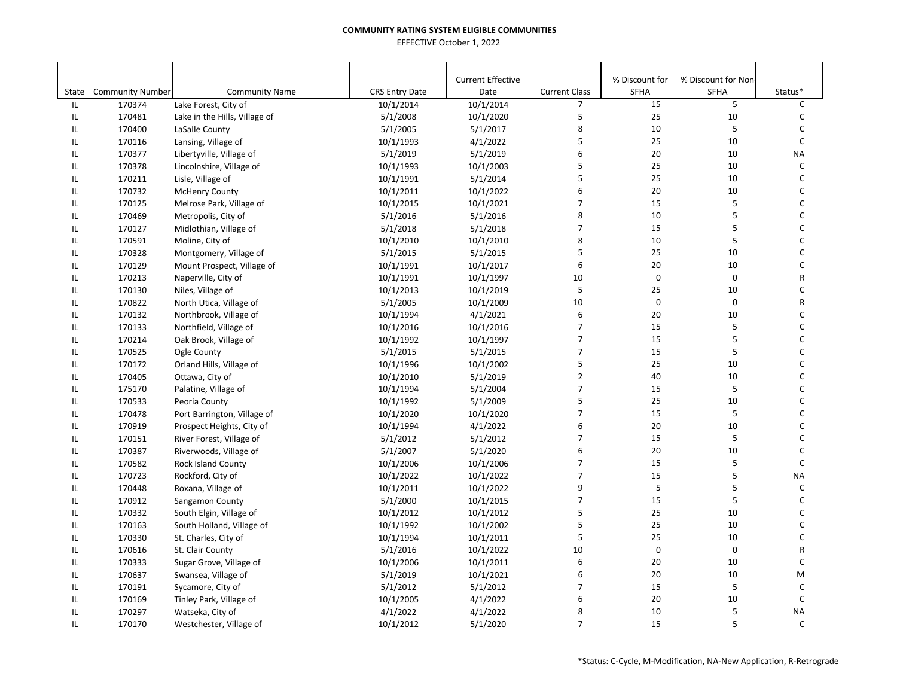|               |                                   |                                               |                                    | <b>Current Effective</b> |                                        | % Discount for | % Discount for Non |                         |
|---------------|-----------------------------------|-----------------------------------------------|------------------------------------|--------------------------|----------------------------------------|----------------|--------------------|-------------------------|
| State<br>IL   | <b>Community Number</b><br>170374 | <b>Community Name</b>                         | <b>CRS Entry Date</b><br>10/1/2014 | Date<br>10/1/2014        | <b>Current Class</b><br>$\overline{7}$ | SFHA<br>15     | <b>SFHA</b><br>5   | Status*<br>$\mathsf{C}$ |
|               |                                   | Lake Forest, City of                          |                                    | 10/1/2020                | 5                                      | 25             | 10                 | С                       |
| IL            | 170481                            | Lake in the Hills, Village of                 | 5/1/2008                           |                          | 8                                      | 10             | 5                  | C                       |
| IL<br>IL      | 170400                            | LaSalle County                                | 5/1/2005                           | 5/1/2017<br>4/1/2022     | 5                                      | 25             | 10                 | $\mathsf{C}$            |
| IL            | 170116<br>170377                  | Lansing, Village of                           | 10/1/1993                          | 5/1/2019                 | 6                                      | 20             | 10                 | <b>NA</b>               |
| IL            | 170378                            | Libertyville, Village of                      | 5/1/2019                           | 10/1/2003                | 5                                      | 25             | 10                 | $\mathsf C$             |
| IL            | 170211                            | Lincolnshire, Village of<br>Lisle, Village of | 10/1/1993<br>10/1/1991             | 5/1/2014                 | 5                                      | 25             | 10                 | $\mathsf C$             |
| IL            | 170732                            | <b>McHenry County</b>                         | 10/1/2011                          | 10/1/2022                | 6                                      | 20             | 10                 | C                       |
| IL            | 170125                            | Melrose Park, Village of                      | 10/1/2015                          | 10/1/2021                | $\overline{7}$                         | 15             | 5                  | C                       |
| IL            | 170469                            | Metropolis, City of                           | 5/1/2016                           | 5/1/2016                 | 8                                      | 10             | 5                  | C                       |
| IL            | 170127                            |                                               | 5/1/2018                           | 5/1/2018                 | $\overline{7}$                         | 15             | 5                  | $\mathsf C$             |
| IL            | 170591                            | Midlothian, Village of                        | 10/1/2010                          | 10/1/2010                | 8                                      | 10             | 5                  | C                       |
| IL            |                                   | Moline, City of                               |                                    |                          | 5                                      | 25             | 10                 | C                       |
|               | 170328                            | Montgomery, Village of                        | 5/1/2015                           | 5/1/2015                 | 6                                      | 20             | 10                 | C                       |
| IL            | 170129<br>170213                  | Mount Prospect, Village of                    | 10/1/1991                          | 10/1/2017                | 10                                     | $\mathbf 0$    | $\pmb{0}$          | R                       |
| IL            |                                   | Naperville, City of                           | 10/1/1991                          | 10/1/1997                | 5                                      |                |                    | C                       |
| IL            | 170130                            | Niles, Village of                             | 10/1/2013                          | 10/1/2019                |                                        | 25             | 10                 |                         |
| IL            | 170822                            | North Utica, Village of                       | 5/1/2005                           | 10/1/2009                | 10                                     | $\mathbf 0$    | 0                  | R                       |
| IL            | 170132                            | Northbrook, Village of                        | 10/1/1994                          | 4/1/2021                 | 6                                      | 20             | 10                 | C                       |
| IL            | 170133                            | Northfield, Village of                        | 10/1/2016                          | 10/1/2016                | $\overline{7}$                         | 15             | 5                  | C                       |
| IL            | 170214                            | Oak Brook, Village of                         | 10/1/1992                          | 10/1/1997                | $\overline{7}$                         | 15             | 5                  | C                       |
| IL            | 170525                            | Ogle County                                   | 5/1/2015                           | 5/1/2015                 | $\overline{7}$                         | 15             | 5                  | C                       |
| IL            | 170172                            | Orland Hills, Village of                      | 10/1/1996                          | 10/1/2002                | 5                                      | 25             | 10                 | C                       |
| IL            | 170405                            | Ottawa, City of                               | 10/1/2010                          | 5/1/2019                 | $\overline{2}$                         | 40             | 10                 | $\mathsf C$             |
| IL            | 175170                            | Palatine, Village of                          | 10/1/1994                          | 5/1/2004                 | $\overline{7}$                         | 15             | 5                  | C                       |
| IL            | 170533                            | Peoria County                                 | 10/1/1992                          | 5/1/2009                 | 5                                      | 25             | 10                 | C                       |
| IL            | 170478                            | Port Barrington, Village of                   | 10/1/2020                          | 10/1/2020                | $\overline{7}$                         | 15             | 5                  | C                       |
| IL            | 170919                            | Prospect Heights, City of                     | 10/1/1994                          | 4/1/2022                 | 6                                      | 20             | 10                 | $\mathsf C$             |
| IL            | 170151                            | River Forest, Village of                      | 5/1/2012                           | 5/1/2012                 | $\overline{7}$                         | 15             | 5                  | $\mathsf{C}$            |
| IL            | 170387                            | Riverwoods, Village of                        | 5/1/2007                           | 5/1/2020                 | 6                                      | 20             | 10                 | $\mathsf{C}$            |
| IL            | 170582                            | Rock Island County                            | 10/1/2006                          | 10/1/2006                | $\overline{7}$                         | 15             | 5                  | $\mathsf{C}$            |
| $\mathsf{IL}$ | 170723                            | Rockford, City of                             | 10/1/2022                          | 10/1/2022                | $\overline{7}$                         | 15             | 5                  | <b>NA</b>               |
| $\mathsf{IL}$ | 170448                            | Roxana, Village of                            | 10/1/2011                          | 10/1/2022                | 9                                      | 5              | 5                  | C                       |
| IL            | 170912                            | Sangamon County                               | 5/1/2000                           | 10/1/2015                | $\overline{7}$                         | 15             | 5                  | $\mathsf{C}$            |
| IL            | 170332                            | South Elgin, Village of                       | 10/1/2012                          | 10/1/2012                | 5                                      | 25             | 10                 | С                       |
| IL            | 170163                            | South Holland, Village of                     | 10/1/1992                          | 10/1/2002                | 5                                      | 25             | 10                 | $\mathsf C$             |
| IL            | 170330                            | St. Charles, City of                          | 10/1/1994                          | 10/1/2011                | 5                                      | 25             | 10                 | C                       |
| IL            | 170616                            | St. Clair County                              | 5/1/2016                           | 10/1/2022                | 10                                     | $\pmb{0}$      | 0                  | R                       |
| IL            | 170333                            | Sugar Grove, Village of                       | 10/1/2006                          | 10/1/2011                | 6                                      | 20             | 10                 | $\mathsf C$             |
| IL            | 170637                            | Swansea, Village of                           | 5/1/2019                           | 10/1/2021                | 6                                      | 20             | 10                 | M                       |
| IL            | 170191                            | Sycamore, City of                             | 5/1/2012                           | 5/1/2012                 | $\overline{7}$                         | 15             | 5                  | $\mathsf{C}$            |
| IL            | 170169                            | Tinley Park, Village of                       | 10/1/2005                          | 4/1/2022                 | 6                                      | 20             | 10                 | $\mathsf C$             |
| IL            | 170297                            | Watseka, City of                              | 4/1/2022                           | 4/1/2022                 | 8                                      | 10             | 5                  | <b>NA</b>               |
| IL            | 170170                            | Westchester, Village of                       | 10/1/2012                          | 5/1/2020                 | $\overline{7}$                         | 15             | 5                  | $\mathsf{C}$            |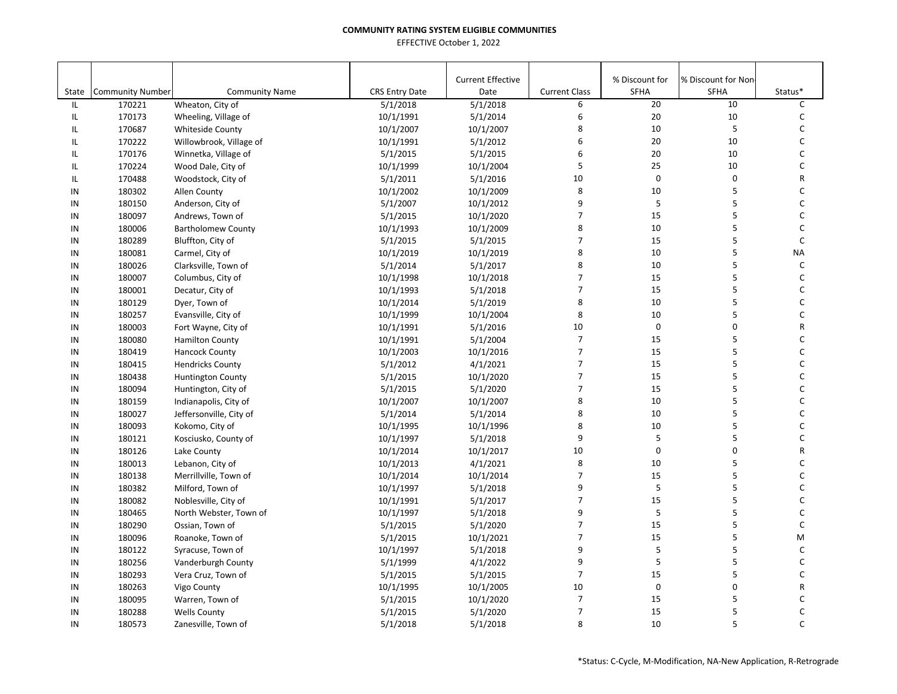|          |                         |                           |                       | <b>Current Effective</b> |                                  | % Discount for          | % Discount for Non- |              |
|----------|-------------------------|---------------------------|-----------------------|--------------------------|----------------------------------|-------------------------|---------------------|--------------|
| State    | <b>Community Number</b> | <b>Community Name</b>     | <b>CRS Entry Date</b> | Date                     | <b>Current Class</b>             | SFHA                    | <b>SFHA</b>         | Status*      |
| IL       | 170221                  | Wheaton, City of          | 5/1/2018              | 5/1/2018                 | 6                                | 20                      | 10                  | C            |
| IL       | 170173                  | Wheeling, Village of      | 10/1/1991             | 5/1/2014                 | 6                                | 20                      | 10                  | $\mathsf{C}$ |
| IL       | 170687                  | <b>Whiteside County</b>   | 10/1/2007             | 10/1/2007                | 8<br>6                           | 10                      | 5                   | C<br>C       |
| IL       | 170222                  | Willowbrook, Village of   | 10/1/1991             | 5/1/2012                 | 6                                | 20<br>20                | 10<br>10            | C            |
| IL       | 170176                  | Winnetka, Village of      | 5/1/2015              | 5/1/2015                 | 5                                | 25                      | 10                  | C            |
| IL       | 170224                  | Wood Dale, City of        | 10/1/1999             | 10/1/2004                |                                  | $\mathbf 0$             |                     |              |
| IL       | 170488                  | Woodstock, City of        | 5/1/2011              | 5/1/2016                 | 10                               |                         | 0                   | R            |
| IN       | 180302                  | Allen County              | 10/1/2002             | 10/1/2009                | 8<br>9                           | 10                      | 5                   | $\mathsf C$  |
| IN       | 180150                  | Anderson, City of         | 5/1/2007              | 10/1/2012                | 7                                | 5<br>15                 | 5<br>5              | C<br>C       |
| IN<br>IN | 180097                  | Andrews, Town of          | 5/1/2015              | 10/1/2020                | 8                                | 10                      | 5                   | $\mathsf C$  |
| IN       | 180006<br>180289        | <b>Bartholomew County</b> | 10/1/1993             | 10/1/2009                | $\overline{7}$                   | 15                      | 5                   | $\mathsf{C}$ |
| IN       | 180081                  | Bluffton, City of         | 5/1/2015              | 5/1/2015                 | 8                                | 10                      | 5                   | <b>NA</b>    |
|          |                         | Carmel, City of           | 10/1/2019             | 10/1/2019                | 8                                | 10                      | 5                   | $\mathsf{C}$ |
| IN       | 180026                  | Clarksville, Town of      | 5/1/2014              | 5/1/2017                 | $\overline{7}$                   | 15                      | 5                   | C            |
| IN       | 180007                  | Columbus, City of         | 10/1/1998             | 10/1/2018                | $\overline{7}$                   |                         |                     |              |
| IN       | 180001                  | Decatur, City of          | 10/1/1993             | 5/1/2018                 | 8                                | 15                      | 5                   | $\mathsf C$  |
| IN       | 180129                  | Dyer, Town of             | 10/1/2014             | 5/1/2019                 |                                  | 10                      | 5<br>5              | C            |
| IN       | 180257                  | Evansville, City of       | 10/1/1999             | 10/1/2004                | 8                                | 10                      |                     | C            |
| IN       | 180003                  | Fort Wayne, City of       | 10/1/1991             | 5/1/2016                 | 10                               | $\mathsf 0$             | 0                   | R            |
| IN       | 180080                  | <b>Hamilton County</b>    | 10/1/1991             | 5/1/2004                 | $\overline{7}$<br>$\overline{7}$ | 15                      | 5                   | C            |
| IN       | 180419                  | <b>Hancock County</b>     | 10/1/2003             | 10/1/2016                |                                  | 15                      | 5                   | C            |
| IN       | 180415                  | <b>Hendricks County</b>   | 5/1/2012              | 4/1/2021                 | $\overline{7}$                   | 15                      | 5                   | C            |
| IN       | 180438                  | <b>Huntington County</b>  | 5/1/2015              | 10/1/2020                | $\overline{7}$                   | 15                      | 5                   | C            |
| IN       | 180094                  | Huntington, City of       | 5/1/2015              | 5/1/2020                 | $\overline{7}$                   | 15                      | 5                   | C            |
| IN       | 180159                  | Indianapolis, City of     | 10/1/2007             | 10/1/2007                | 8                                | 10                      | 5                   | C            |
| IN       | 180027                  | Jeffersonville, City of   | 5/1/2014              | 5/1/2014                 | 8                                | 10                      | 5                   | C            |
| IN       | 180093                  | Kokomo, City of           | 10/1/1995             | 10/1/1996                | 8                                | 10                      | 5                   | $\mathsf C$  |
| IN       | 180121                  | Kosciusko, County of      | 10/1/1997             | 5/1/2018                 | 9                                | 5                       | 5                   | $\mathsf{C}$ |
| IN       | 180126                  | Lake County               | 10/1/2014             | 10/1/2017                | 10                               | $\mathbf 0$             | 0                   | R            |
| IN       | 180013                  | Lebanon, City of          | 10/1/2013             | 4/1/2021                 | 8                                | 10                      | 5                   | C            |
| IN       | 180138                  | Merrillville, Town of     | 10/1/2014             | 10/1/2014                | $\overline{7}$                   | 15                      | 5                   | C            |
| IN       | 180382                  | Milford, Town of          | 10/1/1997             | 5/1/2018                 | 9                                | $\overline{\mathbf{5}}$ | 5                   | C            |
| IN       | 180082                  | Noblesville, City of      | 10/1/1991             | 5/1/2017                 | $\overline{7}$                   | 15                      | 5                   | C            |
| IN       | 180465                  | North Webster, Town of    | 10/1/1997             | 5/1/2018                 | 9                                | 5                       | 5                   | $\mathsf{C}$ |
| IN       | 180290                  | Ossian, Town of           | 5/1/2015              | 5/1/2020                 | $\overline{7}$                   | 15                      | 5                   | $\mathsf C$  |
| IN       | 180096                  | Roanoke, Town of          | 5/1/2015              | 10/1/2021                | $\overline{7}$                   | 15                      | 5                   | M            |
| IN       | 180122                  | Syracuse, Town of         | 10/1/1997             | 5/1/2018                 | 9                                | 5                       | 5                   | $\mathsf{C}$ |
| IN       | 180256                  | Vanderburgh County        | 5/1/1999              | 4/1/2022                 | 9                                | 5                       | 5                   | C            |
| IN       | 180293                  | Vera Cruz, Town of        | 5/1/2015              | 5/1/2015                 | $\overline{7}$                   | 15                      | 5                   | C            |
| IN       | 180263                  | Vigo County               | 10/1/1995             | 10/1/2005                | 10                               | $\pmb{0}$               | 0                   | R            |
| IN       | 180095                  | Warren, Town of           | 5/1/2015              | 10/1/2020                | $\overline{7}$                   | 15                      | 5                   | С            |
| IN       | 180288                  | <b>Wells County</b>       | 5/1/2015              | 5/1/2020                 | $\overline{7}$                   | 15                      | 5                   | C            |
| IN       | 180573                  | Zanesville, Town of       | 5/1/2018              | 5/1/2018                 | 8                                | 10                      | 5                   | $\mathsf{C}$ |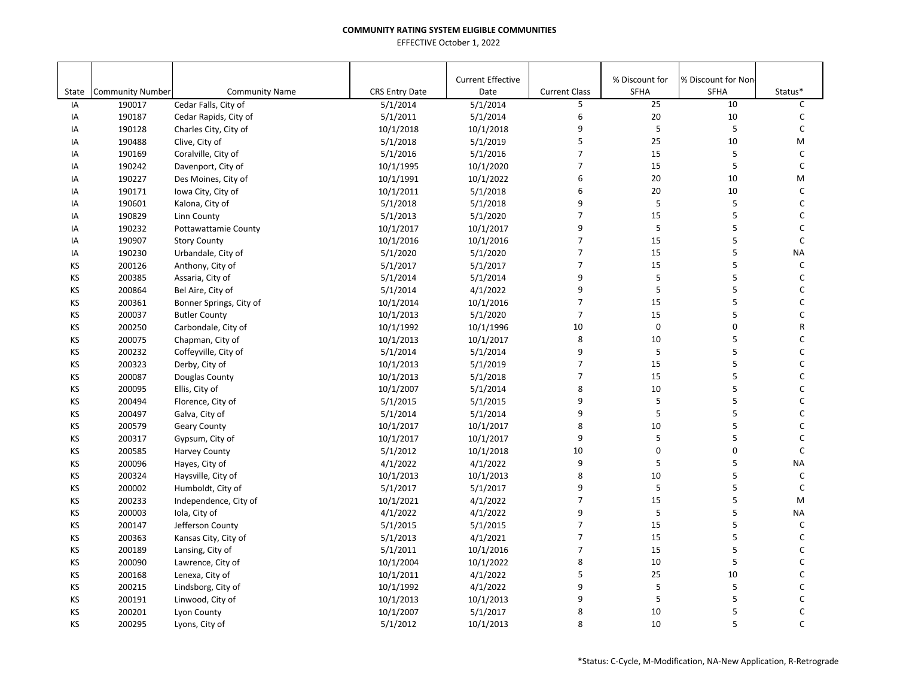|       |                         |                             |                       | <b>Current Effective</b> |                      | % Discount for | % Discount for Non |              |
|-------|-------------------------|-----------------------------|-----------------------|--------------------------|----------------------|----------------|--------------------|--------------|
| State | <b>Community Number</b> | <b>Community Name</b>       | <b>CRS Entry Date</b> | Date                     | <b>Current Class</b> | SFHA           | <b>SFHA</b>        | Status*      |
| IA    | 190017                  | Cedar Falls, City of        | 5/1/2014              | 5/1/2014                 | 5                    | 25             | 10                 | C            |
| IA    | 190187                  | Cedar Rapids, City of       | 5/1/2011              | 5/1/2014                 | 6                    | 20             | 10                 | $\mathsf C$  |
| IA    | 190128                  | Charles City, City of       | 10/1/2018             | 10/1/2018                | 9                    | 5              | 5                  | $\mathsf{C}$ |
| IA    | 190488                  | Clive, City of              | 5/1/2018              | 5/1/2019                 | 5                    | 25             | 10                 | M            |
| IA    | 190169                  | Coralville, City of         | 5/1/2016              | 5/1/2016                 | $\overline{7}$       | 15             | 5                  | $\mathsf{C}$ |
| IA    | 190242                  | Davenport, City of          | 10/1/1995             | 10/1/2020                | $\overline{7}$       | 15             | 5                  | $\mathsf{C}$ |
| IA    | 190227                  | Des Moines, City of         | 10/1/1991             | 10/1/2022                | 6                    | 20             | 10                 | M            |
| IA    | 190171                  | Iowa City, City of          | 10/1/2011             | 5/1/2018                 | 6                    | 20             | 10                 | $\mathsf{C}$ |
| IA    | 190601                  | Kalona, City of             | 5/1/2018              | 5/1/2018                 | 9                    | 5              | 5                  | $\mathsf C$  |
| IA    | 190829                  | Linn County                 | 5/1/2013              | 5/1/2020                 | $\overline{7}$       | 15             | 5                  | C            |
| IA    | 190232                  | <b>Pottawattamie County</b> | 10/1/2017             | 10/1/2017                | 9                    | 5              | 5                  | $\mathsf C$  |
| IA    | 190907                  | <b>Story County</b>         | 10/1/2016             | 10/1/2016                | $\overline{7}$       | 15             | 5                  | $\mathsf{C}$ |
| IA    | 190230                  | Urbandale, City of          | 5/1/2020              | 5/1/2020                 | $\overline{7}$       | 15             | 5                  | <b>NA</b>    |
| KS    | 200126                  | Anthony, City of            | 5/1/2017              | 5/1/2017                 | $\overline{7}$       | 15             | 5                  | $\mathsf C$  |
| KS    | 200385                  | Assaria, City of            | 5/1/2014              | 5/1/2014                 | 9                    | 5              | 5                  | $\mathsf{C}$ |
| KS    | 200864                  | Bel Aire, City of           | 5/1/2014              | 4/1/2022                 | 9                    | 5              | 5                  | $\mathsf{C}$ |
| KS    | 200361                  | Bonner Springs, City of     | 10/1/2014             | 10/1/2016                | $\overline{7}$       | 15             | 5                  | $\mathsf C$  |
| KS    | 200037                  | <b>Butler County</b>        | 10/1/2013             | 5/1/2020                 | $\overline{7}$       | 15             | 5                  | C            |
| KS    | 200250                  | Carbondale, City of         | 10/1/1992             | 10/1/1996                | 10                   | 0              | 0                  | R            |
| KS    | 200075                  | Chapman, City of            | 10/1/2013             | 10/1/2017                | 8                    | 10             | 5                  | C            |
| KS    | 200232                  | Coffeyville, City of        | 5/1/2014              | 5/1/2014                 | 9                    | 5              | 5                  | C            |
| KS    | 200323                  | Derby, City of              | 10/1/2013             | 5/1/2019                 | $\overline{7}$       | 15             | 5                  | C            |
| KS    | 200087                  | Douglas County              | 10/1/2013             | 5/1/2018                 | $\overline{7}$       | 15             | 5                  | $\mathsf{C}$ |
| KS    | 200095                  | Ellis, City of              | 10/1/2007             | 5/1/2014                 | 8                    | 10             | 5                  | $\mathsf{C}$ |
| KS    | 200494                  | Florence, City of           | 5/1/2015              | 5/1/2015                 | 9                    | $\sf 5$        | 5                  | C            |
| KS    | 200497                  | Galva, City of              | 5/1/2014              | 5/1/2014                 | 9                    | 5              | 5                  | $\mathsf{C}$ |
| KS    | 200579                  | <b>Geary County</b>         | 10/1/2017             | 10/1/2017                | 8                    | 10             | 5                  | $\mathsf C$  |
| KS    | 200317                  | Gypsum, City of             | 10/1/2017             | 10/1/2017                | 9                    | 5              | 5                  | $\mathsf{C}$ |
| KS    | 200585                  | <b>Harvey County</b>        | 5/1/2012              | 10/1/2018                | 10                   | 0              | 0                  | $\mathsf{C}$ |
| KS    | 200096                  | Hayes, City of              | 4/1/2022              | 4/1/2022                 | 9                    | 5              | 5                  | <b>NA</b>    |
| KS    | 200324                  | Haysville, City of          | 10/1/2013             | 10/1/2013                | 8                    | 10             | 5                  | C            |
| KS    | 200002                  | Humboldt, City of           | 5/1/2017              | 5/1/2017                 | 9                    | 5              | 5                  | $\mathsf{C}$ |
| KS    | 200233                  | Independence, City of       | 10/1/2021             | 4/1/2022                 | $\overline{7}$       | 15             | 5                  | M            |
| KS    | 200003                  | Iola, City of               | 4/1/2022              | 4/1/2022                 | 9                    | 5              | 5                  | <b>NA</b>    |
| KS    | 200147                  | Jefferson County            | 5/1/2015              | 5/1/2015                 | $\overline{7}$       | 15             | 5                  | $\mathsf C$  |
| KS    | 200363                  | Kansas City, City of        | 5/1/2013              | 4/1/2021                 | $\overline{7}$       | 15             | 5                  | $\mathsf{C}$ |
| KS    | 200189                  | Lansing, City of            | 5/1/2011              | 10/1/2016                | $\overline{7}$       | 15             | 5                  | $\mathsf{C}$ |
| KS    | 200090                  | Lawrence, City of           | 10/1/2004             | 10/1/2022                | 8                    | 10             | 5                  | C            |
| KS    | 200168                  |                             |                       |                          | 5                    | 25             | 10                 | C            |
| KS    | 200215                  | Lenexa, City of             | 10/1/2011             | 4/1/2022                 | 9                    | 5              | 5                  | $\mathsf C$  |
|       |                         | Lindsborg, City of          | 10/1/1992             | 4/1/2022                 | 9                    |                |                    |              |
| KS    | 200191                  | Linwood, City of            | 10/1/2013             | 10/1/2013                |                      | $\sf 5$        | 5                  | C            |
| KS    | 200201                  | Lyon County                 | 10/1/2007             | 5/1/2017                 | 8                    | 10             | 5                  | C            |
| KS    | 200295                  | Lyons, City of              | 5/1/2012              | 10/1/2013                | 8                    | 10             | 5                  | $\mathsf{C}$ |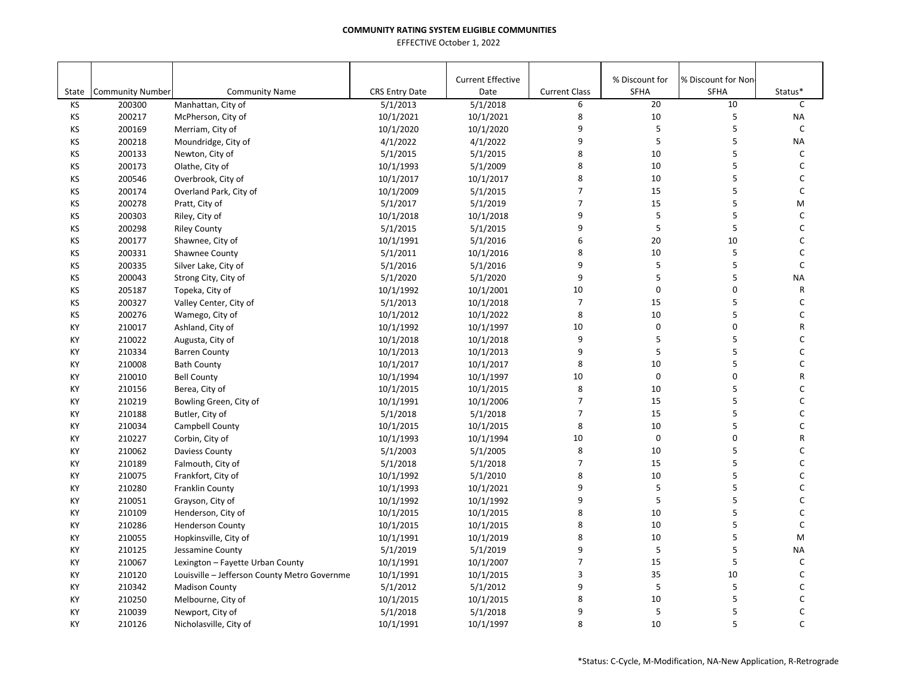| <b>Current Effective</b><br>% Discount for<br>% Discount for Non<br><b>Current Class</b><br>SFHA<br><b>SFHA</b><br>State<br><b>Community Number</b><br><b>Community Name</b><br><b>CRS Entry Date</b><br>Date<br>Status*<br>20<br>10<br>KS<br>200300<br>Manhattan, City of<br>5/1/2013<br>5/1/2018<br>6<br>8<br>10<br>5<br>KS<br>200217<br>10/1/2021<br>10/1/2021<br>McPherson, City of<br>5<br>9<br>5<br>KS<br>200169<br>10/1/2020<br>10/1/2020<br>Merriam, City of<br>5<br>5<br>9<br>KS<br>200218<br>4/1/2022<br>4/1/2022<br>Moundridge, City of<br>5<br>8<br>10<br>KS<br>200133<br>5/1/2015<br>5/1/2015<br>Newton, City of<br>8<br>5<br>KS<br>10<br>200173<br>10/1/1993<br>5/1/2009<br>Olathe, City of<br>KS<br>5<br>200546<br>10/1/2017<br>10/1/2017<br>8<br>10<br>Overbrook, City of<br>5<br>$\overline{7}$<br>15<br>ΚS<br>200174<br>Overland Park, City of<br>10/1/2009<br>5/1/2015<br>$\overline{7}$<br>15<br>5<br>KS<br>200278<br>5/1/2019<br>Pratt, City of<br>5/1/2017<br>$\sf 5$<br>5<br>9<br>KS<br>200303<br>Riley, City of<br>10/1/2018<br>10/1/2018<br>9<br>5<br>5<br>KS<br>200298<br>5/1/2015<br><b>Riley County</b><br>5/1/2015<br>6<br>20<br>10<br>KS<br>5/1/2016<br>200177<br>Shawnee, City of<br>10/1/1991<br>8<br>10<br>5<br>KS<br>200331<br>10/1/2016<br>Shawnee County<br>5/1/2011<br>$\sf 5$<br>5<br>KS<br>9<br>200335<br>5/1/2016<br>5/1/2016<br>Silver Lake, City of<br>KS<br>9<br>5<br>5<br>200043<br>5/1/2020<br>5/1/2020<br>Strong City, City of<br>0<br>0<br>10<br>KS<br>205187<br>10/1/1992<br>10/1/2001<br>Topeka, City of<br>5<br>KS<br>$\overline{7}$<br>15<br>200327<br>Valley Center, City of<br>5/1/2013<br>10/1/2018 |              |
|-----------------------------------------------------------------------------------------------------------------------------------------------------------------------------------------------------------------------------------------------------------------------------------------------------------------------------------------------------------------------------------------------------------------------------------------------------------------------------------------------------------------------------------------------------------------------------------------------------------------------------------------------------------------------------------------------------------------------------------------------------------------------------------------------------------------------------------------------------------------------------------------------------------------------------------------------------------------------------------------------------------------------------------------------------------------------------------------------------------------------------------------------------------------------------------------------------------------------------------------------------------------------------------------------------------------------------------------------------------------------------------------------------------------------------------------------------------------------------------------------------------------------------------------------------------------------------------------------------------------------------------------------------------|--------------|
|                                                                                                                                                                                                                                                                                                                                                                                                                                                                                                                                                                                                                                                                                                                                                                                                                                                                                                                                                                                                                                                                                                                                                                                                                                                                                                                                                                                                                                                                                                                                                                                                                                                           |              |
|                                                                                                                                                                                                                                                                                                                                                                                                                                                                                                                                                                                                                                                                                                                                                                                                                                                                                                                                                                                                                                                                                                                                                                                                                                                                                                                                                                                                                                                                                                                                                                                                                                                           |              |
|                                                                                                                                                                                                                                                                                                                                                                                                                                                                                                                                                                                                                                                                                                                                                                                                                                                                                                                                                                                                                                                                                                                                                                                                                                                                                                                                                                                                                                                                                                                                                                                                                                                           | C            |
|                                                                                                                                                                                                                                                                                                                                                                                                                                                                                                                                                                                                                                                                                                                                                                                                                                                                                                                                                                                                                                                                                                                                                                                                                                                                                                                                                                                                                                                                                                                                                                                                                                                           | <b>NA</b>    |
|                                                                                                                                                                                                                                                                                                                                                                                                                                                                                                                                                                                                                                                                                                                                                                                                                                                                                                                                                                                                                                                                                                                                                                                                                                                                                                                                                                                                                                                                                                                                                                                                                                                           | $\mathsf{C}$ |
|                                                                                                                                                                                                                                                                                                                                                                                                                                                                                                                                                                                                                                                                                                                                                                                                                                                                                                                                                                                                                                                                                                                                                                                                                                                                                                                                                                                                                                                                                                                                                                                                                                                           | <b>NA</b>    |
|                                                                                                                                                                                                                                                                                                                                                                                                                                                                                                                                                                                                                                                                                                                                                                                                                                                                                                                                                                                                                                                                                                                                                                                                                                                                                                                                                                                                                                                                                                                                                                                                                                                           | $\mathsf{C}$ |
|                                                                                                                                                                                                                                                                                                                                                                                                                                                                                                                                                                                                                                                                                                                                                                                                                                                                                                                                                                                                                                                                                                                                                                                                                                                                                                                                                                                                                                                                                                                                                                                                                                                           | $\mathsf{C}$ |
|                                                                                                                                                                                                                                                                                                                                                                                                                                                                                                                                                                                                                                                                                                                                                                                                                                                                                                                                                                                                                                                                                                                                                                                                                                                                                                                                                                                                                                                                                                                                                                                                                                                           | $\mathsf{C}$ |
|                                                                                                                                                                                                                                                                                                                                                                                                                                                                                                                                                                                                                                                                                                                                                                                                                                                                                                                                                                                                                                                                                                                                                                                                                                                                                                                                                                                                                                                                                                                                                                                                                                                           | $\mathsf{C}$ |
|                                                                                                                                                                                                                                                                                                                                                                                                                                                                                                                                                                                                                                                                                                                                                                                                                                                                                                                                                                                                                                                                                                                                                                                                                                                                                                                                                                                                                                                                                                                                                                                                                                                           | M            |
|                                                                                                                                                                                                                                                                                                                                                                                                                                                                                                                                                                                                                                                                                                                                                                                                                                                                                                                                                                                                                                                                                                                                                                                                                                                                                                                                                                                                                                                                                                                                                                                                                                                           | $\mathsf{C}$ |
|                                                                                                                                                                                                                                                                                                                                                                                                                                                                                                                                                                                                                                                                                                                                                                                                                                                                                                                                                                                                                                                                                                                                                                                                                                                                                                                                                                                                                                                                                                                                                                                                                                                           | C            |
|                                                                                                                                                                                                                                                                                                                                                                                                                                                                                                                                                                                                                                                                                                                                                                                                                                                                                                                                                                                                                                                                                                                                                                                                                                                                                                                                                                                                                                                                                                                                                                                                                                                           | $\mathsf C$  |
|                                                                                                                                                                                                                                                                                                                                                                                                                                                                                                                                                                                                                                                                                                                                                                                                                                                                                                                                                                                                                                                                                                                                                                                                                                                                                                                                                                                                                                                                                                                                                                                                                                                           | $\mathsf{C}$ |
|                                                                                                                                                                                                                                                                                                                                                                                                                                                                                                                                                                                                                                                                                                                                                                                                                                                                                                                                                                                                                                                                                                                                                                                                                                                                                                                                                                                                                                                                                                                                                                                                                                                           | $\mathsf{C}$ |
|                                                                                                                                                                                                                                                                                                                                                                                                                                                                                                                                                                                                                                                                                                                                                                                                                                                                                                                                                                                                                                                                                                                                                                                                                                                                                                                                                                                                                                                                                                                                                                                                                                                           | <b>NA</b>    |
|                                                                                                                                                                                                                                                                                                                                                                                                                                                                                                                                                                                                                                                                                                                                                                                                                                                                                                                                                                                                                                                                                                                                                                                                                                                                                                                                                                                                                                                                                                                                                                                                                                                           | ${\sf R}$    |
|                                                                                                                                                                                                                                                                                                                                                                                                                                                                                                                                                                                                                                                                                                                                                                                                                                                                                                                                                                                                                                                                                                                                                                                                                                                                                                                                                                                                                                                                                                                                                                                                                                                           | $\mathsf{C}$ |
| 5<br>8<br>KS<br>10<br>200276<br>Wamego, City of<br>10/1/2012<br>10/1/2022                                                                                                                                                                                                                                                                                                                                                                                                                                                                                                                                                                                                                                                                                                                                                                                                                                                                                                                                                                                                                                                                                                                                                                                                                                                                                                                                                                                                                                                                                                                                                                                 | C            |
| $\pmb{0}$<br>0<br>210017<br>10<br>KY<br>Ashland, City of<br>10/1/1992<br>10/1/1997                                                                                                                                                                                                                                                                                                                                                                                                                                                                                                                                                                                                                                                                                                                                                                                                                                                                                                                                                                                                                                                                                                                                                                                                                                                                                                                                                                                                                                                                                                                                                                        | R            |
| 5<br>5<br>9<br>KY<br>210022<br>Augusta, City of<br>10/1/2018<br>10/1/2018                                                                                                                                                                                                                                                                                                                                                                                                                                                                                                                                                                                                                                                                                                                                                                                                                                                                                                                                                                                                                                                                                                                                                                                                                                                                                                                                                                                                                                                                                                                                                                                 | C            |
| 9<br>5<br>5<br>210334<br>10/1/2013<br>KY<br><b>Barren County</b><br>10/1/2013                                                                                                                                                                                                                                                                                                                                                                                                                                                                                                                                                                                                                                                                                                                                                                                                                                                                                                                                                                                                                                                                                                                                                                                                                                                                                                                                                                                                                                                                                                                                                                             | C            |
| 5<br>8<br>10<br>KY<br>210008<br><b>Bath County</b><br>10/1/2017<br>10/1/2017                                                                                                                                                                                                                                                                                                                                                                                                                                                                                                                                                                                                                                                                                                                                                                                                                                                                                                                                                                                                                                                                                                                                                                                                                                                                                                                                                                                                                                                                                                                                                                              | C            |
| 10<br>$\mathbf 0$<br>0<br>KY<br>210010<br>10/1/1997<br><b>Bell County</b><br>10/1/1994                                                                                                                                                                                                                                                                                                                                                                                                                                                                                                                                                                                                                                                                                                                                                                                                                                                                                                                                                                                                                                                                                                                                                                                                                                                                                                                                                                                                                                                                                                                                                                    | R            |
| 8<br>5<br>KY<br>210156<br>10/1/2015<br>10/1/2015<br>10<br>Berea, City of                                                                                                                                                                                                                                                                                                                                                                                                                                                                                                                                                                                                                                                                                                                                                                                                                                                                                                                                                                                                                                                                                                                                                                                                                                                                                                                                                                                                                                                                                                                                                                                  | C            |
| 5<br>$\overline{7}$<br>15<br>KY<br>210219<br>10/1/1991<br>10/1/2006<br>Bowling Green, City of                                                                                                                                                                                                                                                                                                                                                                                                                                                                                                                                                                                                                                                                                                                                                                                                                                                                                                                                                                                                                                                                                                                                                                                                                                                                                                                                                                                                                                                                                                                                                             | C            |
| 5<br>$\overline{7}$<br>15<br>KY<br>210188<br>Butler, City of<br>5/1/2018<br>5/1/2018                                                                                                                                                                                                                                                                                                                                                                                                                                                                                                                                                                                                                                                                                                                                                                                                                                                                                                                                                                                                                                                                                                                                                                                                                                                                                                                                                                                                                                                                                                                                                                      | C            |
| 5<br>8<br>10<br>KY<br>210034<br>10/1/2015<br>10/1/2015<br>Campbell County                                                                                                                                                                                                                                                                                                                                                                                                                                                                                                                                                                                                                                                                                                                                                                                                                                                                                                                                                                                                                                                                                                                                                                                                                                                                                                                                                                                                                                                                                                                                                                                 | $\mathsf{C}$ |
| $\mathbf 0$<br>0<br>10<br>KY<br>210227<br>Corbin, City of<br>10/1/1993<br>10/1/1994                                                                                                                                                                                                                                                                                                                                                                                                                                                                                                                                                                                                                                                                                                                                                                                                                                                                                                                                                                                                                                                                                                                                                                                                                                                                                                                                                                                                                                                                                                                                                                       | R            |
| 5<br>8<br>10<br>KY<br>210062<br>Daviess County<br>5/1/2003<br>5/1/2005                                                                                                                                                                                                                                                                                                                                                                                                                                                                                                                                                                                                                                                                                                                                                                                                                                                                                                                                                                                                                                                                                                                                                                                                                                                                                                                                                                                                                                                                                                                                                                                    | C            |
| 5<br>7<br>15<br>KY<br>210189<br>Falmouth, City of<br>5/1/2018<br>5/1/2018                                                                                                                                                                                                                                                                                                                                                                                                                                                                                                                                                                                                                                                                                                                                                                                                                                                                                                                                                                                                                                                                                                                                                                                                                                                                                                                                                                                                                                                                                                                                                                                 | C            |
| 8<br>10<br>5<br>KY<br>210075<br>5/1/2010<br>Frankfort, City of<br>10/1/1992                                                                                                                                                                                                                                                                                                                                                                                                                                                                                                                                                                                                                                                                                                                                                                                                                                                                                                                                                                                                                                                                                                                                                                                                                                                                                                                                                                                                                                                                                                                                                                               | $\mathsf{C}$ |
| 5<br>9<br>5<br>KY<br>210280<br>Franklin County<br>10/1/1993<br>10/1/2021                                                                                                                                                                                                                                                                                                                                                                                                                                                                                                                                                                                                                                                                                                                                                                                                                                                                                                                                                                                                                                                                                                                                                                                                                                                                                                                                                                                                                                                                                                                                                                                  | $\mathsf{C}$ |
| 5<br>5<br>9<br>KY<br>210051<br>10/1/1992<br>10/1/1992<br>Grayson, City of                                                                                                                                                                                                                                                                                                                                                                                                                                                                                                                                                                                                                                                                                                                                                                                                                                                                                                                                                                                                                                                                                                                                                                                                                                                                                                                                                                                                                                                                                                                                                                                 | $\mathsf C$  |
| 5<br>8<br>KY<br>210109<br>10/1/2015<br>10/1/2015<br>10<br>Henderson, City of                                                                                                                                                                                                                                                                                                                                                                                                                                                                                                                                                                                                                                                                                                                                                                                                                                                                                                                                                                                                                                                                                                                                                                                                                                                                                                                                                                                                                                                                                                                                                                              | $\mathsf{C}$ |
| 5<br>8<br>10<br>KY<br>210286<br>10/1/2015<br><b>Henderson County</b><br>10/1/2015                                                                                                                                                                                                                                                                                                                                                                                                                                                                                                                                                                                                                                                                                                                                                                                                                                                                                                                                                                                                                                                                                                                                                                                                                                                                                                                                                                                                                                                                                                                                                                         | $\mathsf{C}$ |
| 8<br>5<br>10<br>KY<br>210055<br>10/1/1991<br>10/1/2019<br>Hopkinsville, City of                                                                                                                                                                                                                                                                                                                                                                                                                                                                                                                                                                                                                                                                                                                                                                                                                                                                                                                                                                                                                                                                                                                                                                                                                                                                                                                                                                                                                                                                                                                                                                           | M            |
| 5<br>5<br>9<br>KY<br>210125<br>5/1/2019<br>5/1/2019<br>Jessamine County                                                                                                                                                                                                                                                                                                                                                                                                                                                                                                                                                                                                                                                                                                                                                                                                                                                                                                                                                                                                                                                                                                                                                                                                                                                                                                                                                                                                                                                                                                                                                                                   | NA           |
| 5<br>$\overline{7}$<br>15<br>KY<br>210067<br>10/1/1991<br>10/1/2007<br>Lexington - Fayette Urban County                                                                                                                                                                                                                                                                                                                                                                                                                                                                                                                                                                                                                                                                                                                                                                                                                                                                                                                                                                                                                                                                                                                                                                                                                                                                                                                                                                                                                                                                                                                                                   | $\mathsf{C}$ |
| 35<br>10<br>3<br>KY<br>210120<br>Louisville - Jefferson County Metro Governme<br>10/1/1991<br>10/1/2015                                                                                                                                                                                                                                                                                                                                                                                                                                                                                                                                                                                                                                                                                                                                                                                                                                                                                                                                                                                                                                                                                                                                                                                                                                                                                                                                                                                                                                                                                                                                                   | C            |
| 5<br>9<br>5<br>KY<br>210342<br>5/1/2012<br>5/1/2012<br><b>Madison County</b>                                                                                                                                                                                                                                                                                                                                                                                                                                                                                                                                                                                                                                                                                                                                                                                                                                                                                                                                                                                                                                                                                                                                                                                                                                                                                                                                                                                                                                                                                                                                                                              | $\mathsf C$  |
| 8<br>10<br>5<br>KY<br>210250<br>10/1/2015<br>10/1/2015<br>Melbourne, City of                                                                                                                                                                                                                                                                                                                                                                                                                                                                                                                                                                                                                                                                                                                                                                                                                                                                                                                                                                                                                                                                                                                                                                                                                                                                                                                                                                                                                                                                                                                                                                              | C            |
| 5<br>5<br>KY<br>210039<br>5/1/2018<br>5/1/2018<br>9<br>Newport, City of                                                                                                                                                                                                                                                                                                                                                                                                                                                                                                                                                                                                                                                                                                                                                                                                                                                                                                                                                                                                                                                                                                                                                                                                                                                                                                                                                                                                                                                                                                                                                                                   | C            |
| 8<br>10<br>5<br>210126<br>10/1/1991<br>10/1/1997<br>KY<br>Nicholasville, City of                                                                                                                                                                                                                                                                                                                                                                                                                                                                                                                                                                                                                                                                                                                                                                                                                                                                                                                                                                                                                                                                                                                                                                                                                                                                                                                                                                                                                                                                                                                                                                          | $\mathsf{C}$ |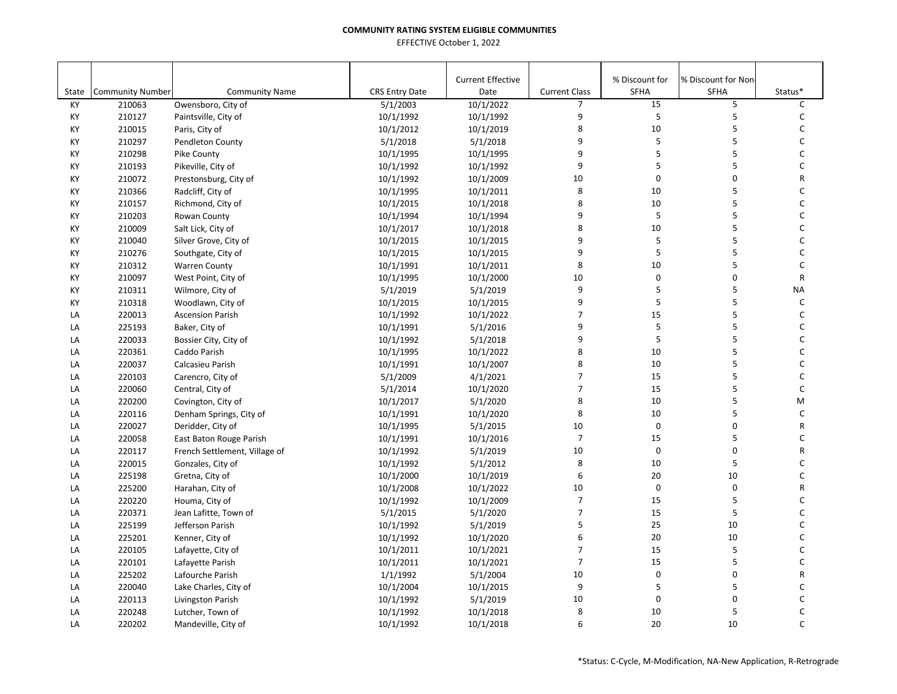|       |                         |                               |                       | <b>Current Effective</b> |                      | % Discount for | % Discount for Non |              |
|-------|-------------------------|-------------------------------|-----------------------|--------------------------|----------------------|----------------|--------------------|--------------|
| State | <b>Community Number</b> | <b>Community Name</b>         | <b>CRS Entry Date</b> | Date                     | <b>Current Class</b> | SFHA           | <b>SFHA</b>        | Status*      |
| KY    | 210063                  | Owensboro, City of            | 5/1/2003              | 10/1/2022                | $\overline{7}$       | 15             | 5                  | C            |
| KY    | 210127                  | Paintsville, City of          | 10/1/1992             | 10/1/1992                | 9                    | 5              | 5                  | C            |
| KY    | 210015                  | Paris, City of                | 10/1/2012             | 10/1/2019                | 8                    | 10             | 5                  | C            |
| KY    | 210297                  | Pendleton County              | 5/1/2018              | 5/1/2018                 | 9                    | 5              | 5                  | $\mathsf C$  |
| KY    | 210298                  | Pike County                   | 10/1/1995             | 10/1/1995                | 9                    | 5              | 5                  | C            |
| KY    | 210193                  | Pikeville, City of            | 10/1/1992             | 10/1/1992                | 9                    | 5              | 5                  | $\mathsf C$  |
| KY    | 210072                  | Prestonsburg, City of         | 10/1/1992             | 10/1/2009                | 10                   | $\mathbf 0$    | 0                  | R            |
| KY    | 210366                  | Radcliff, City of             | 10/1/1995             | 10/1/2011                | 8                    | 10             | 5                  | $\mathsf C$  |
| KY    | 210157                  | Richmond, City of             | 10/1/2015             | 10/1/2018                | 8                    | 10             | 5                  | $\mathsf C$  |
| KY    | 210203                  | Rowan County                  | 10/1/1994             | 10/1/1994                | 9                    | 5              | 5                  | $\mathsf{C}$ |
| KY    | 210009                  | Salt Lick, City of            | 10/1/2017             | 10/1/2018                | 8                    | 10             | 5                  | C            |
| KY    | 210040                  | Silver Grove, City of         | 10/1/2015             | 10/1/2015                | 9                    | 5              | 5                  | C            |
| KY    | 210276                  | Southgate, City of            | 10/1/2015             | 10/1/2015                | 9                    | 5              | 5                  | C            |
| KY    | 210312                  | <b>Warren County</b>          | 10/1/1991             | 10/1/2011                | 8                    | 10             | 5                  | C            |
| KY    | 210097                  | West Point, City of           | 10/1/1995             | 10/1/2000                | 10                   | 0              | 0                  | R            |
| KY    | 210311                  | Wilmore, City of              | 5/1/2019              | 5/1/2019                 | 9                    | 5              | 5                  | <b>NA</b>    |
| KY    | 210318                  | Woodlawn, City of             | 10/1/2015             | 10/1/2015                | 9                    | 5              | 5                  | C            |
| LA    | 220013                  | <b>Ascension Parish</b>       | 10/1/1992             | 10/1/2022                | $\overline{7}$       | 15             | 5                  | $\mathsf C$  |
| LA    | 225193                  | Baker, City of                | 10/1/1991             | 5/1/2016                 | 9                    | 5              | 5                  | C            |
| LA    | 220033                  | Bossier City, City of         | 10/1/1992             | 5/1/2018                 | 9                    | 5              | 5                  | $\mathsf{C}$ |
| LA    | 220361                  | Caddo Parish                  | 10/1/1995             | 10/1/2022                | 8                    | 10             | 5                  | $\mathsf{C}$ |
| LA    | 220037                  | Calcasieu Parish              | 10/1/1991             | 10/1/2007                | 8                    | 10             | 5                  | $\mathsf C$  |
| LA    | 220103                  | Carencro, City of             | 5/1/2009              | 4/1/2021                 | $\overline{7}$       | 15             | 5                  | C            |
| LA    | 220060                  | Central, City of              | 5/1/2014              | 10/1/2020                | $\overline{7}$       | 15             | 5                  | C            |
| LA    | 220200                  | Covington, City of            | 10/1/2017             | 5/1/2020                 | 8                    | 10             | 5                  | M            |
| LA    | 220116                  | Denham Springs, City of       | 10/1/1991             | 10/1/2020                | 8                    | 10             | 5                  | C            |
| LA    | 220027                  | Deridder, City of             | 10/1/1995             | 5/1/2015                 | 10                   | $\pmb{0}$      | 0                  | R            |
| LA    | 220058                  | East Baton Rouge Parish       | 10/1/1991             | 10/1/2016                | $\overline{7}$       | 15             | 5                  | C            |
| LA    | 220117                  | French Settlement, Village of | 10/1/1992             | 5/1/2019                 | 10                   | $\mathbf 0$    | 0                  | R            |
| LA    | 220015                  | Gonzales, City of             | 10/1/1992             | 5/1/2012                 | 8                    | 10             | 5                  | C            |
| LA    | 225198                  | Gretna, City of               | 10/1/2000             | 10/1/2019                | 6                    | 20             | 10                 | C            |
| LA    | 225200                  | Harahan, City of              | 10/1/2008             | 10/1/2022                | 10                   | $\mathbf 0$    | 0                  | R            |
| LA    | 220220                  | Houma, City of                | 10/1/1992             | 10/1/2009                | $\overline{7}$       | 15             | 5                  | C            |
| LA    | 220371                  | Jean Lafitte, Town of         | 5/1/2015              | 5/1/2020                 | $\overline{7}$       | 15             | 5                  | C            |
| LA    | 225199                  | Jefferson Parish              | 10/1/1992             | 5/1/2019                 | 5                    | 25             | 10                 | $\mathsf C$  |
| LA    | 225201                  | Kenner, City of               | 10/1/1992             | 10/1/2020                | 6                    | 20             | 10                 | $\mathsf{C}$ |
| LA    | 220105                  | Lafayette, City of            | 10/1/2011             | 10/1/2021                | $\overline{7}$       | 15             | 5                  | C            |
| LA    | 220101                  | Lafayette Parish              | 10/1/2011             | 10/1/2021                | $\overline{7}$       | 15             | 5                  | C            |
| LA    | 225202                  | Lafourche Parish              | 1/1/1992              | 5/1/2004                 | 10                   | $\pmb{0}$      | 0                  | R            |
| LA    | 220040                  | Lake Charles, City of         | 10/1/2004             | 10/1/2015                | 9                    | 5              | 5                  | C            |
| LA    | 220113                  | Livingston Parish             | 10/1/1992             | 5/1/2019                 | 10                   | $\mathsf 0$    | $\mathbf 0$        | C            |
| LA    | 220248                  | Lutcher, Town of              | 10/1/1992             | 10/1/2018                | 8                    | 10             | 5                  | C            |
| LA    | 220202                  | Mandeville, City of           | 10/1/1992             | 10/1/2018                | 6                    | 20             | 10                 | $\mathsf{C}$ |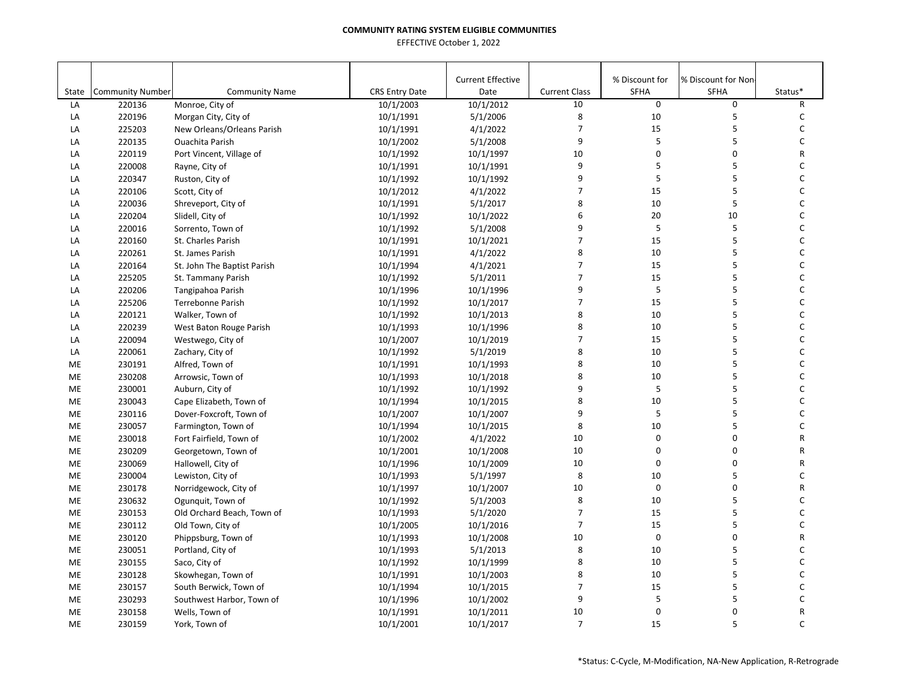|       |                         |                             |                       | <b>Current Effective</b> |                      | % Discount for | % Discount for Non |              |
|-------|-------------------------|-----------------------------|-----------------------|--------------------------|----------------------|----------------|--------------------|--------------|
| State | <b>Community Number</b> | <b>Community Name</b>       | <b>CRS Entry Date</b> | Date                     | <b>Current Class</b> | SFHA           | <b>SFHA</b>        | Status*      |
| LA    | 220136                  | Monroe, City of             | 10/1/2003             | 10/1/2012                | 10                   | $\mathbf 0$    | 0                  | R            |
| LA    | 220196                  | Morgan City, City of        | 10/1/1991             | 5/1/2006                 | 8                    | 10             | 5                  | C            |
| LA    | 225203                  | New Orleans/Orleans Parish  | 10/1/1991             | 4/1/2022                 | $\overline{7}$       | 15             | 5                  | C            |
| LA    | 220135                  | <b>Ouachita Parish</b>      | 10/1/2002             | 5/1/2008                 | 9                    | 5              | 5                  | $\mathsf C$  |
| LA    | 220119                  | Port Vincent, Village of    | 10/1/1992             | 10/1/1997                | 10                   | 0              | 0                  | R            |
| LA    | 220008                  | Rayne, City of              | 10/1/1991             | 10/1/1991                | 9                    | 5              | 5                  | C            |
| LA    | 220347                  | Ruston, City of             | 10/1/1992             | 10/1/1992                | 9                    | 5              | 5                  | C            |
| LA    | 220106                  | Scott, City of              | 10/1/2012             | 4/1/2022                 | $\overline{7}$       | 15             | 5                  | $\mathsf{C}$ |
| LA    | 220036                  | Shreveport, City of         | 10/1/1991             | 5/1/2017                 | 8                    | 10             | 5                  | $\mathsf{C}$ |
| LA    | 220204                  | Slidell, City of            | 10/1/1992             | 10/1/2022                | 6                    | 20             | 10                 | $\mathsf{C}$ |
| LA    | 220016                  | Sorrento, Town of           | 10/1/1992             | 5/1/2008                 | 9                    | 5              | 5                  | C            |
| LA    | 220160                  | St. Charles Parish          | 10/1/1991             | 10/1/2021                | $\overline{7}$       | 15             | 5                  | C            |
| LA    | 220261                  | St. James Parish            | 10/1/1991             | 4/1/2022                 | 8                    | 10             | 5                  | $\mathsf{C}$ |
| LA    | 220164                  | St. John The Baptist Parish | 10/1/1994             | 4/1/2021                 | $\overline{7}$       | 15             | 5                  | C            |
| LA    | 225205                  | St. Tammany Parish          | 10/1/1992             | 5/1/2011                 | $\overline{7}$       | 15             | 5                  | C            |
| LA    | 220206                  | Tangipahoa Parish           | 10/1/1996             | 10/1/1996                | 9                    | 5              | 5                  | C            |
| LA    | 225206                  | Terrebonne Parish           | 10/1/1992             | 10/1/2017                | $\overline{7}$       | 15             | 5                  | C            |
| LA    | 220121                  | Walker, Town of             | 10/1/1992             | 10/1/2013                | 8                    | 10             | 5                  | $\mathsf C$  |
| LA    | 220239                  | West Baton Rouge Parish     | 10/1/1993             | 10/1/1996                | 8                    | 10             | 5                  | C            |
| LA    | 220094                  | Westwego, City of           | 10/1/2007             | 10/1/2019                | $\overline{7}$       | 15             | 5                  | $\mathsf{C}$ |
| LA    | 220061                  | Zachary, City of            | 10/1/1992             | 5/1/2019                 | 8                    | 10             | 5                  | $\mathsf{C}$ |
| ME    | 230191                  | Alfred, Town of             | 10/1/1991             | 10/1/1993                | 8                    | 10             | 5                  | $\mathsf C$  |
| ME    | 230208                  | Arrowsic, Town of           | 10/1/1993             | 10/1/2018                | 8                    | 10             | 5                  | $\mathsf{C}$ |
| ME    | 230001                  | Auburn, City of             | 10/1/1992             | 10/1/1992                | 9                    | 5              | 5                  | $\mathsf{C}$ |
| ME    | 230043                  | Cape Elizabeth, Town of     | 10/1/1994             | 10/1/2015                | 8                    | 10             | 5                  | C            |
| ME    | 230116                  | Dover-Foxcroft, Town of     | 10/1/2007             | 10/1/2007                | 9                    | 5              | 5                  | C            |
| ME    | 230057                  | Farmington, Town of         | 10/1/1994             | 10/1/2015                | 8                    | 10             | 5                  | C            |
| ME    | 230018                  | Fort Fairfield, Town of     | 10/1/2002             | 4/1/2022                 | 10                   | 0              | 0                  | ${\sf R}$    |
| ME    | 230209                  | Georgetown, Town of         | 10/1/2001             | 10/1/2008                | 10                   | $\Omega$       | 0                  | $\mathsf{R}$ |
| ME    | 230069                  | Hallowell, City of          | 10/1/1996             | 10/1/2009                | 10                   | 0              | 0                  | R            |
| ME    | 230004                  | Lewiston, City of           | 10/1/1993             | 5/1/1997                 | 8                    | 10             | 5                  | C            |
| ME    | 230178                  | Norridgewock, City of       | 10/1/1997             | 10/1/2007                | 10                   | $\mathbf 0$    | $\mathbf 0$        | ${\sf R}$    |
| ME    | 230632                  | Ogunquit, Town of           | 10/1/1992             | 5/1/2003                 | 8                    | 10             | 5                  | $\mathsf C$  |
| ME    | 230153                  | Old Orchard Beach, Town of  | 10/1/1993             | 5/1/2020                 | $\overline{7}$       | 15             | 5                  | C            |
| ME    | 230112                  | Old Town, City of           | 10/1/2005             | 10/1/2016                | $\overline{7}$       | 15             | 5                  | $\mathsf C$  |
| ME    | 230120                  | Phippsburg, Town of         | 10/1/1993             | 10/1/2008                | 10                   | $\mathbf 0$    | 0                  | R            |
| ME    | 230051                  | Portland, City of           | 10/1/1993             | 5/1/2013                 | 8                    | 10             | 5                  | $\mathsf{C}$ |
| ME    | 230155                  | Saco, City of               | 10/1/1992             | 10/1/1999                | 8                    | 10             | 5                  | C            |
| ME    | 230128                  | Skowhegan, Town of          | 10/1/1991             | 10/1/2003                | 8                    | 10             | 5                  | C            |
| ME    | 230157                  | South Berwick, Town of      | 10/1/1994             | 10/1/2015                | $\overline{7}$       | 15             | 5                  | C            |
| ME    | 230293                  | Southwest Harbor, Town of   | 10/1/1996             | 10/1/2002                | 9                    | 5              | 5                  | C            |
| ME    | 230158                  | Wells, Town of              | 10/1/1991             | 10/1/2011                | 10                   | 0              | 0                  | R            |
| ME    | 230159                  | York, Town of               | 10/1/2001             | 10/1/2017                | $\overline{7}$       | 15             | 5                  | $\mathsf{C}$ |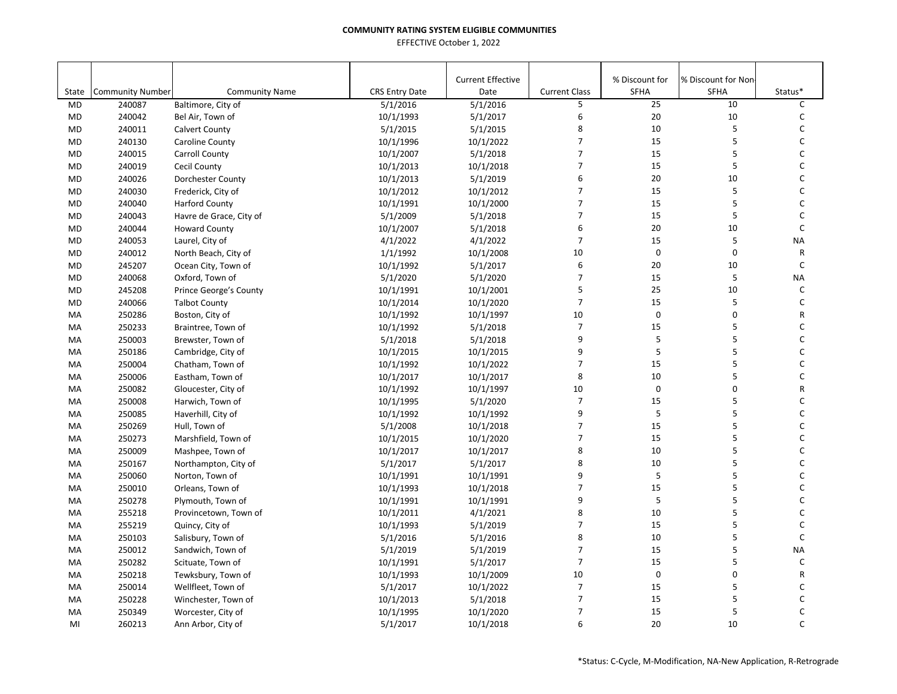|           |                         |                          |                       | <b>Current Effective</b> |                      | % Discount for | % Discount for Non- |              |
|-----------|-------------------------|--------------------------|-----------------------|--------------------------|----------------------|----------------|---------------------|--------------|
| State     | <b>Community Number</b> | <b>Community Name</b>    | <b>CRS Entry Date</b> | Date                     | <b>Current Class</b> | <b>SFHA</b>    | <b>SFHA</b>         | Status*      |
| <b>MD</b> | 240087                  | Baltimore, City of       | 5/1/2016              | 5/1/2016                 | 5                    | 25             | 10                  | C            |
| <b>MD</b> | 240042                  | Bel Air, Town of         | 10/1/1993             | 5/1/2017                 | 6                    | $20\,$         | 10                  | C            |
| <b>MD</b> | 240011                  | <b>Calvert County</b>    | 5/1/2015              | 5/1/2015                 | 8                    | 10             | 5                   | С            |
| <b>MD</b> | 240130                  | Caroline County          | 10/1/1996             | 10/1/2022                | $\overline{7}$       | 15             | 5                   | C            |
| <b>MD</b> | 240015                  | <b>Carroll County</b>    | 10/1/2007             | 5/1/2018                 | $\overline{7}$       | 15             | 5                   | C            |
| <b>MD</b> | 240019                  | Cecil County             | 10/1/2013             | 10/1/2018                | $\overline{7}$       | 15             | 5                   | C            |
| <b>MD</b> | 240026                  | <b>Dorchester County</b> | 10/1/2013             | 5/1/2019                 | 6                    | 20             | 10                  | C            |
| <b>MD</b> | 240030                  | Frederick, City of       | 10/1/2012             | 10/1/2012                | $\overline{7}$       | 15             | 5                   | C            |
| <b>MD</b> | 240040                  | <b>Harford County</b>    | 10/1/1991             | 10/1/2000                | $\overline{7}$       | 15             | 5                   | C            |
| <b>MD</b> | 240043                  | Havre de Grace, City of  | 5/1/2009              | 5/1/2018                 | $\overline{7}$       | 15             | 5                   | C            |
| MD        | 240044                  | <b>Howard County</b>     | 10/1/2007             | 5/1/2018                 | 6                    | 20             | 10                  | $\mathsf{C}$ |
| MD        | 240053                  | Laurel, City of          | 4/1/2022              | 4/1/2022                 | $\overline{7}$       | 15             | 5                   | <b>NA</b>    |
| <b>MD</b> | 240012                  | North Beach, City of     | 1/1/1992              | 10/1/2008                | 10                   | $\mathbf 0$    | $\mathbf 0$         | R            |
| <b>MD</b> | 245207                  | Ocean City, Town of      | 10/1/1992             | 5/1/2017                 | 6                    | 20             | 10                  | C            |
| <b>MD</b> | 240068                  | Oxford, Town of          | 5/1/2020              | 5/1/2020                 | $\overline{7}$       | 15             | 5                   | <b>NA</b>    |
| MD        | 245208                  | Prince George's County   | 10/1/1991             | 10/1/2001                | 5                    | 25             | 10                  | C            |
| <b>MD</b> | 240066                  | <b>Talbot County</b>     | 10/1/2014             | 10/1/2020                | $\overline{7}$       | 15             | 5                   | C            |
| MA        | 250286                  | Boston, City of          | 10/1/1992             | 10/1/1997                | 10                   | $\mathsf 0$    | $\mathbf 0$         | R            |
| MA        | 250233                  | Braintree, Town of       | 10/1/1992             | 5/1/2018                 | $\overline{7}$       | 15             | 5                   | C            |
| MA        | 250003                  | Brewster, Town of        | 5/1/2018              | 5/1/2018                 | 9                    | 5              | 5                   | C            |
| MA        | 250186                  | Cambridge, City of       | 10/1/2015             | 10/1/2015                | 9                    | 5              | 5                   | C            |
| MA        | 250004                  | Chatham, Town of         | 10/1/1992             | 10/1/2022                | $\overline{7}$       | 15             | 5                   | C            |
| MA        | 250006                  | Eastham, Town of         | 10/1/2017             | 10/1/2017                | 8                    | 10             | 5                   | C            |
| MA        | 250082                  | Gloucester, City of      | 10/1/1992             | 10/1/1997                | 10                   | $\pmb{0}$      | $\mathbf 0$         | R            |
| MA        | 250008                  | Harwich, Town of         | 10/1/1995             | 5/1/2020                 | $\overline{7}$       | 15             | 5                   | C            |
| MA        | 250085                  | Haverhill, City of       | 10/1/1992             | 10/1/1992                | 9                    | 5              | 5                   | C            |
| MA        | 250269                  | Hull, Town of            | 5/1/2008              | 10/1/2018                | $\overline{7}$       | 15             | 5                   | C            |
| MA        | 250273                  | Marshfield, Town of      | 10/1/2015             | 10/1/2020                | $\overline{7}$       | 15             | 5                   | C            |
| MA        | 250009                  | Mashpee, Town of         | 10/1/2017             | 10/1/2017                | 8                    | 10             | 5                   | C            |
| MA        | 250167                  | Northampton, City of     | 5/1/2017              | 5/1/2017                 | 8                    | 10             | 5                   | C            |
| MA        | 250060                  | Norton, Town of          | 10/1/1991             | 10/1/1991                | 9                    | 5              | 5                   | C            |
| MA        | 250010                  | Orleans, Town of         | 10/1/1993             | 10/1/2018                | $\overline{7}$       | 15             | 5                   | C            |
| MA        | 250278                  | Plymouth, Town of        | 10/1/1991             | 10/1/1991                | 9                    | 5              | 5                   | C            |
| MA        | 255218                  | Provincetown, Town of    | 10/1/2011             | 4/1/2021                 | 8                    | 10             | 5                   | C            |
| MA        | 255219                  | Quincy, City of          | 10/1/1993             | 5/1/2019                 | $\overline{7}$       | 15             | 5                   | C            |
| MA        | 250103                  | Salisbury, Town of       | 5/1/2016              | 5/1/2016                 | 8                    | 10             | 5                   | C            |
| MA        | 250012                  | Sandwich, Town of        | 5/1/2019              | 5/1/2019                 | $\overline{7}$       | 15             | 5                   | <b>NA</b>    |
| MA        | 250282                  | Scituate, Town of        | 10/1/1991             | 5/1/2017                 | $\overline{7}$       | 15             | 5                   | $\mathsf C$  |
| MA        | 250218                  | Tewksbury, Town of       | 10/1/1993             | 10/1/2009                | 10                   | $\pmb{0}$      | $\pmb{0}$           | R            |
| MA        | 250014                  | Wellfleet, Town of       | 5/1/2017              | 10/1/2022                | $\overline{7}$       | 15             | 5                   | C            |
| MA        | 250228                  | Winchester, Town of      | 10/1/2013             | 5/1/2018                 | $\overline{7}$       | 15             | 5                   | C            |
| MA        | 250349                  | Worcester, City of       | 10/1/1995             | 10/1/2020                | $\overline{7}$       | 15             | 5                   | C            |
| MI        | 260213                  | Ann Arbor, City of       | 5/1/2017              | 10/1/2018                | 6                    | 20             | 10                  | C            |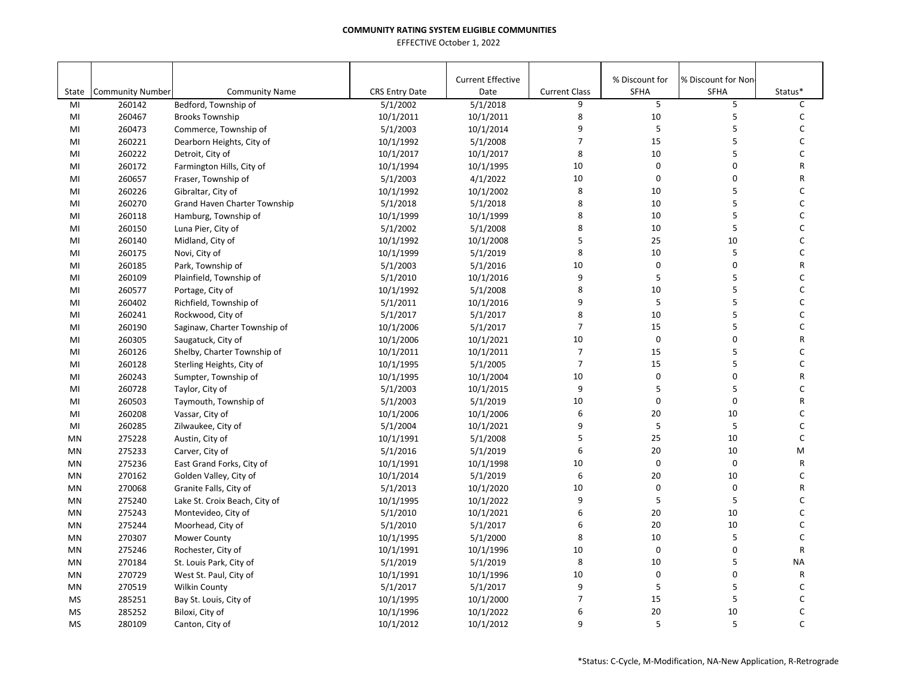|             |                                   |                                               |                                   | <b>Current Effective</b> |                           | % Discount for | % Discount for Non |              |
|-------------|-----------------------------------|-----------------------------------------------|-----------------------------------|--------------------------|---------------------------|----------------|--------------------|--------------|
| State<br>MI | <b>Community Number</b><br>260142 | <b>Community Name</b><br>Bedford, Township of | <b>CRS Entry Date</b><br>5/1/2002 | Date<br>5/1/2018         | <b>Current Class</b><br>9 | SFHA<br>5      | <b>SFHA</b><br>5   | Status*<br>C |
| MI          | 260467                            | <b>Brooks Township</b>                        | 10/1/2011                         | 10/1/2011                | 8                         | 10             | 5                  | $\mathsf C$  |
| MI          | 260473                            | Commerce, Township of                         | 5/1/2003                          | 10/1/2014                | 9                         | 5              | 5                  | C            |
| MI          | 260221                            | Dearborn Heights, City of                     | 10/1/1992                         | 5/1/2008                 | $\overline{7}$            | 15             | 5                  | $\mathsf{C}$ |
| MI          | 260222                            | Detroit, City of                              | 10/1/2017                         | 10/1/2017                | 8                         | 10             | 5                  | C            |
| MI          | 260172                            | Farmington Hills, City of                     | 10/1/1994                         | 10/1/1995                | 10                        | $\mathbf 0$    | 0                  | R            |
| MI          | 260657                            | Fraser, Township of                           | 5/1/2003                          | 4/1/2022                 | 10                        | $\mathbf 0$    | 0                  | R            |
| MI          | 260226                            | Gibraltar, City of                            | 10/1/1992                         | 10/1/2002                | 8                         | 10             | 5                  | C            |
| MI          | 260270                            | Grand Haven Charter Township                  | 5/1/2018                          | 5/1/2018                 | 8                         | 10             | 5                  | C            |
| MI          | 260118                            | Hamburg, Township of                          | 10/1/1999                         | 10/1/1999                | 8                         | 10             | 5                  | C            |
| MI          | 260150                            | Luna Pier, City of                            | 5/1/2002                          | 5/1/2008                 | 8                         | 10             | 5                  | C            |
| MI          | 260140                            | Midland, City of                              | 10/1/1992                         | 10/1/2008                | 5                         | 25             | 10                 | $\mathsf C$  |
| MI          | 260175                            | Novi, City of                                 | 10/1/1999                         | 5/1/2019                 | 8                         | 10             | 5                  | $\mathsf C$  |
| MI          | 260185                            | Park, Township of                             | 5/1/2003                          | 5/1/2016                 | 10                        | $\mathbf 0$    | 0                  | R            |
| MI          | 260109                            | Plainfield, Township of                       | 5/1/2010                          | 10/1/2016                | 9                         | 5              | 5                  | C            |
| MI          | 260577                            | Portage, City of                              | 10/1/1992                         | 5/1/2008                 | 8                         | 10             | 5                  | C            |
| MI          | 260402                            | Richfield, Township of                        | 5/1/2011                          | 10/1/2016                | 9                         | 5              | 5                  | C            |
| MI          | 260241                            | Rockwood, City of                             | 5/1/2017                          | 5/1/2017                 | 8                         | 10             | 5                  | C            |
| MI          | 260190                            | Saginaw, Charter Township of                  | 10/1/2006                         | 5/1/2017                 | $\overline{7}$            | 15             | 5                  | C            |
| MI          | 260305                            | Saugatuck, City of                            | 10/1/2006                         | 10/1/2021                | 10                        | $\mathbf 0$    | 0                  | R            |
| MI          | 260126                            | Shelby, Charter Township of                   | 10/1/2011                         | 10/1/2011                | $\overline{7}$            | 15             | 5                  | C            |
| MI          | 260128                            | Sterling Heights, City of                     | 10/1/1995                         | 5/1/2005                 | $\overline{7}$            | 15             | 5                  | $\mathsf C$  |
| MI          | 260243                            | Sumpter, Township of                          | 10/1/1995                         | 10/1/2004                | 10                        | $\mathbf 0$    | 0                  | R            |
| MI          | 260728                            | Taylor, City of                               | 5/1/2003                          | 10/1/2015                | 9                         | 5              | 5                  | C            |
| MI          | 260503                            | Taymouth, Township of                         | 5/1/2003                          | 5/1/2019                 | 10                        | 0              | 0                  | R            |
| MI          | 260208                            | Vassar, City of                               | 10/1/2006                         | 10/1/2006                | 6                         | 20             | 10                 | C            |
| MI          | 260285                            | Zilwaukee, City of                            | 5/1/2004                          | 10/1/2021                | 9                         | 5              | 5                  | C            |
| <b>MN</b>   | 275228                            | Austin, City of                               | 10/1/1991                         | 5/1/2008                 | 5                         | 25             | 10                 | $\mathsf C$  |
| <b>MN</b>   | 275233                            | Carver, City of                               | 5/1/2016                          | 5/1/2019                 | 6                         | 20             | 10                 | M            |
| MN          | 275236                            | East Grand Forks, City of                     | 10/1/1991                         | 10/1/1998                | 10                        | $\mathbf 0$    | 0                  | R            |
| MN          | 270162                            | Golden Valley, City of                        | 10/1/2014                         | 5/1/2019                 | 6                         | 20             | 10                 | C            |
| MN          | 270068                            | Granite Falls, City of                        | 5/1/2013                          | 10/1/2020                | 10                        | $\pmb{0}$      | $\pmb{0}$          | R            |
| <b>MN</b>   | 275240                            | Lake St. Croix Beach, City of                 | 10/1/1995                         | 10/1/2022                | 9                         | 5              | 5                  | C            |
| <b>MN</b>   | 275243                            | Montevideo, City of                           | 5/1/2010                          | 10/1/2021                | 6                         | 20             | 10                 | C            |
| <b>MN</b>   | 275244                            | Moorhead, City of                             | 5/1/2010                          | 5/1/2017                 | 6                         | 20             | 10                 | C            |
| <b>MN</b>   | 270307                            | <b>Mower County</b>                           | 10/1/1995                         | 5/1/2000                 | 8                         | 10             | 5                  | $\mathsf C$  |
| <b>MN</b>   | 275246                            | Rochester, City of                            | 10/1/1991                         | 10/1/1996                | 10                        | $\mathbf 0$    | 0                  | ${\sf R}$    |
| MN          | 270184                            | St. Louis Park, City of                       | 5/1/2019                          | 5/1/2019                 | 8                         | 10             | 5                  | <b>NA</b>    |
| MN          | 270729                            | West St. Paul, City of                        | 10/1/1991                         | 10/1/1996                | 10                        | $\mathbf 0$    | 0                  | R            |
| MN          | 270519                            | Wilkin County                                 | 5/1/2017                          | 5/1/2017                 | 9                         | $\sf 5$        | 5                  | C            |
| <b>MS</b>   | 285251                            | Bay St. Louis, City of                        | 10/1/1995                         | 10/1/2000                | $\overline{7}$            | 15             | 5                  | C            |
| MS          | 285252                            | Biloxi, City of                               | 10/1/1996                         | 10/1/2022                | 6                         | 20             | 10                 | C            |
| MS          | 280109                            | Canton, City of                               | 10/1/2012                         | 10/1/2012                | 9                         | 5              | 5                  | $\mathsf{C}$ |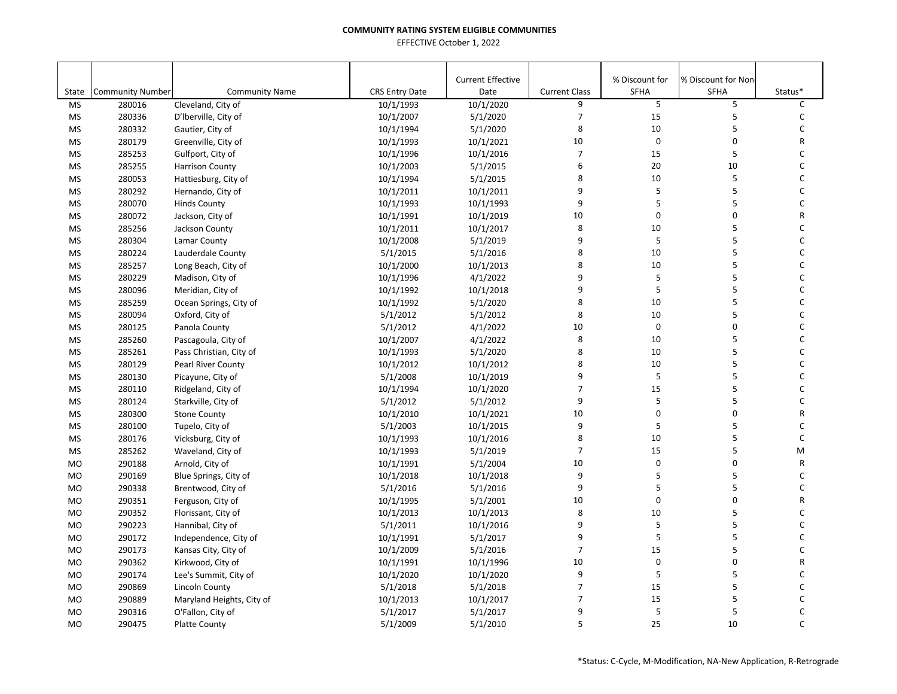|           |                         |                           |                       | <b>Current Effective</b> |                      | % Discount for | % Discount for Non |              |
|-----------|-------------------------|---------------------------|-----------------------|--------------------------|----------------------|----------------|--------------------|--------------|
| State     | <b>Community Number</b> | <b>Community Name</b>     | <b>CRS Entry Date</b> | Date                     | <b>Current Class</b> | <b>SFHA</b>    | <b>SFHA</b>        | Status*      |
| <b>MS</b> | 280016                  | Cleveland, City of        | 10/1/1993             | 10/1/2020                | 9                    | 5              | 5                  | C            |
| MS        | 280336                  | D'Iberville, City of      | 10/1/2007             | 5/1/2020                 | $\overline{7}$       | 15             | 5                  | $\mathsf{C}$ |
| <b>MS</b> | 280332                  | Gautier, City of          | 10/1/1994             | 5/1/2020                 | 8                    | 10             | 5                  | $\mathsf C$  |
| <b>MS</b> | 280179                  | Greenville, City of       | 10/1/1993             | 10/1/2021                | 10                   | $\mathbf 0$    | $\pmb{0}$          | R            |
| <b>MS</b> | 285253                  | Gulfport, City of         | 10/1/1996             | 10/1/2016                | $\overline{7}$       | 15             | 5                  | C            |
| MS        | 285255                  | <b>Harrison County</b>    | 10/1/2003             | 5/1/2015                 | 6                    | 20             | 10                 | C            |
| MS        | 280053                  | Hattiesburg, City of      | 10/1/1994             | 5/1/2015                 | 8                    | 10             | 5                  | C            |
| MS        | 280292                  | Hernando, City of         | 10/1/2011             | 10/1/2011                | 9                    | 5              | 5                  | $\mathsf C$  |
| <b>MS</b> | 280070                  | <b>Hinds County</b>       | 10/1/1993             | 10/1/1993                | 9                    | 5              | 5                  | C            |
| <b>MS</b> | 280072                  | Jackson, City of          | 10/1/1991             | 10/1/2019                | 10                   | 0              | 0                  | R            |
| <b>MS</b> | 285256                  | Jackson County            | 10/1/2011             | 10/1/2017                | 8                    | 10             | 5                  | $\mathsf C$  |
| <b>MS</b> | 280304                  | Lamar County              | 10/1/2008             | 5/1/2019                 | 9                    | 5              | 5                  | $\mathsf{C}$ |
| <b>MS</b> | 280224                  | Lauderdale County         | 5/1/2015              | 5/1/2016                 | 8                    | 10             | 5                  | C            |
| MS        | 285257                  | Long Beach, City of       | 10/1/2000             | 10/1/2013                | 8                    | 10             | 5                  | C            |
| MS        | 280229                  | Madison, City of          | 10/1/1996             | 4/1/2022                 | 9                    | 5              | 5                  | С            |
| MS        | 280096                  | Meridian, City of         | 10/1/1992             | 10/1/2018                | 9                    | $\mathsf S$    | 5                  | $\mathsf C$  |
| <b>MS</b> | 285259                  | Ocean Springs, City of    | 10/1/1992             | 5/1/2020                 | 8                    | 10             | 5                  | C            |
| MS        | 280094                  | Oxford, City of           | 5/1/2012              | 5/1/2012                 | 8                    | 10             | 5                  | C            |
| <b>MS</b> | 280125                  | Panola County             | 5/1/2012              | 4/1/2022                 | 10                   | $\mathbf 0$    | 0                  | $\mathsf C$  |
| <b>MS</b> | 285260                  | Pascagoula, City of       | 10/1/2007             | 4/1/2022                 | 8                    | 10             | 5                  | C            |
| <b>MS</b> | 285261                  | Pass Christian, City of   | 10/1/1993             | 5/1/2020                 | 8                    | 10             | 5                  | C            |
| <b>MS</b> | 280129                  | Pearl River County        | 10/1/2012             | 10/1/2012                | 8                    | 10             | 5                  | C            |
| MS        | 280130                  | Picayune, City of         | 5/1/2008              | 10/1/2019                | 9                    | 5              | 5                  | $\mathsf{C}$ |
| MS        | 280110                  | Ridgeland, City of        | 10/1/1994             | 10/1/2020                | $\overline{7}$       | 15             | 5                  | $\mathsf C$  |
| <b>MS</b> | 280124                  | Starkville, City of       | 5/1/2012              | 5/1/2012                 | 9                    | 5              | 5                  | C            |
| MS        | 280300                  | <b>Stone County</b>       | 10/1/2010             | 10/1/2021                | 10                   | 0              | 0                  | R            |
| <b>MS</b> | 280100                  | Tupelo, City of           | 5/1/2003              | 10/1/2015                | 9                    | 5              | 5                  | $\mathsf C$  |
| MS        | 280176                  | Vicksburg, City of        | 10/1/1993             | 10/1/2016                | 8                    | 10             | 5                  | $\mathsf{C}$ |
| <b>MS</b> | 285262                  | Waveland, City of         | 10/1/1993             | 5/1/2019                 | $\overline{7}$       | 15             | 5                  | M            |
| <b>MO</b> | 290188                  | Arnold, City of           | 10/1/1991             | 5/1/2004                 | 10                   | $\pmb{0}$      | 0                  | R            |
| <b>MO</b> | 290169                  | Blue Springs, City of     | 10/1/2018             | 10/1/2018                | 9                    | 5              | 5                  | $\mathsf{C}$ |
| <b>MO</b> | 290338                  | Brentwood, City of        | 5/1/2016              | 5/1/2016                 | 9                    | 5              | 5                  | C            |
| <b>MO</b> | 290351                  | Ferguson, City of         | 10/1/1995             | 5/1/2001                 | 10                   | 0              | 0                  | R            |
| <b>MO</b> | 290352                  | Florissant, City of       | 10/1/2013             | 10/1/2013                | 8                    | 10             | 5                  | C            |
| <b>MO</b> | 290223                  | Hannibal, City of         | 5/1/2011              | 10/1/2016                | 9                    | 5              | 5                  | $\mathsf C$  |
| <b>MO</b> | 290172                  | Independence, City of     | 10/1/1991             | 5/1/2017                 | 9                    | 5              | 5                  | C            |
| <b>MO</b> | 290173                  | Kansas City, City of      | 10/1/2009             | 5/1/2016                 | $\overline{7}$       | 15             | 5                  | C            |
| <b>MO</b> | 290362                  | Kirkwood, City of         | 10/1/1991             | 10/1/1996                | 10                   | $\mathbf 0$    | 0                  | R            |
| <b>MO</b> | 290174                  | Lee's Summit, City of     | 10/1/2020             | 10/1/2020                | 9                    | 5              | 5                  | C            |
| <b>MO</b> | 290869                  | Lincoln County            | 5/1/2018              | 5/1/2018                 | $\overline{7}$       | 15             | 5                  | С            |
| <b>MO</b> | 290889                  | Maryland Heights, City of | 10/1/2013             | 10/1/2017                | $\overline{7}$       | 15             | 5                  | С            |
| <b>MO</b> | 290316                  | O'Fallon, City of         | 5/1/2017              | 5/1/2017                 | 9                    | 5              | 5                  | C            |
| <b>MO</b> | 290475                  | <b>Platte County</b>      | 5/1/2009              | 5/1/2010                 | 5                    | 25             | 10                 | $\mathsf{C}$ |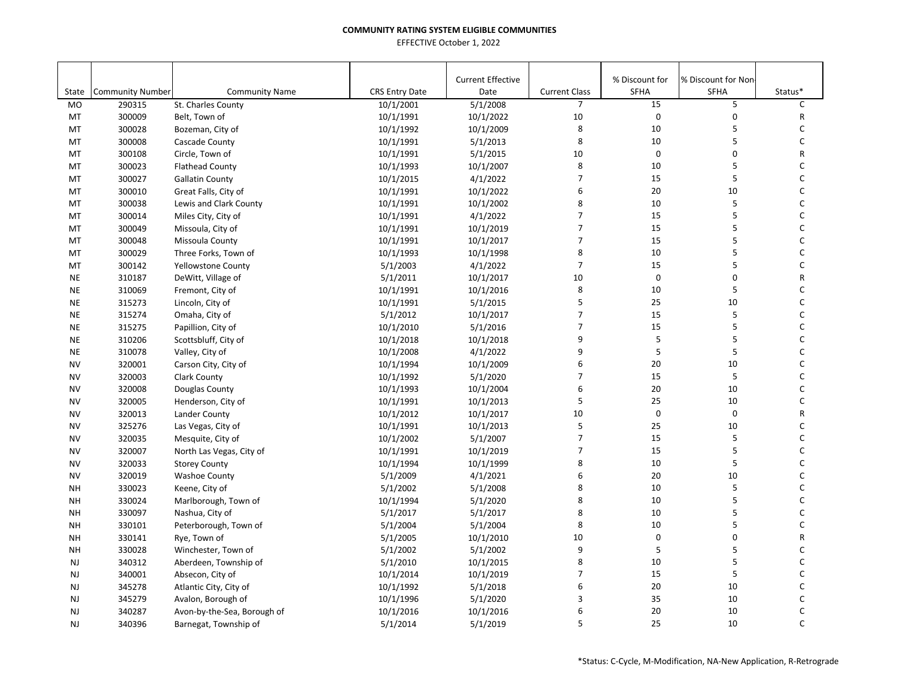| State                  | <b>Community Number</b> | <b>Community Name</b>       | <b>CRS Entry Date</b>  | <b>Current Effective</b><br>Date | <b>Current Class</b> | % Discount for<br>SFHA | % Discount for Non<br><b>SFHA</b> | Status*      |
|------------------------|-------------------------|-----------------------------|------------------------|----------------------------------|----------------------|------------------------|-----------------------------------|--------------|
| M <sub>O</sub>         | 290315                  | St. Charles County          | 10/1/2001              | 5/1/2008                         | $\overline{7}$       | 15                     | 5                                 | C            |
| MT                     | 300009                  | Belt, Town of               | 10/1/1991              | 10/1/2022                        | 10                   | $\mathbf 0$            | $\mathbf 0$                       | $\mathsf{R}$ |
| MT                     | 300028                  | Bozeman, City of            | 10/1/1992              | 10/1/2009                        | 8                    | 10                     | 5                                 | C            |
| MT                     | 300008                  | Cascade County              | 10/1/1991              | 5/1/2013                         | 8                    | 10                     | 5                                 | C            |
| MT                     | 300108                  | Circle, Town of             | 10/1/1991              | 5/1/2015                         | 10                   | $\pmb{0}$              | 0                                 | R            |
| MT                     | 300023                  | <b>Flathead County</b>      | 10/1/1993              | 10/1/2007                        | 8                    | 10                     | 5                                 | C            |
| MT                     | 300027                  | <b>Gallatin County</b>      | 10/1/2015              | 4/1/2022                         | $\overline{7}$       | 15                     | 5                                 | C            |
| MT                     | 300010                  | Great Falls, City of        | 10/1/1991              | 10/1/2022                        | 6                    | 20                     | 10                                | $\mathsf C$  |
| MT                     | 300038                  | Lewis and Clark County      | 10/1/1991              | 10/1/2002                        | 8                    | 10                     | 5                                 | $\mathsf C$  |
| MT                     | 300014                  | Miles City, City of         | 10/1/1991              | 4/1/2022                         | 7                    | 15                     | 5                                 | C            |
| MT                     | 300049                  | Missoula, City of           | 10/1/1991              | 10/1/2019                        | $\overline{7}$       | 15                     | 5                                 | C            |
| MT                     | 300048                  | Missoula County             | 10/1/1991              | 10/1/2017                        | $\overline{7}$       | 15                     | 5                                 | $\mathsf C$  |
| MT                     | 300029                  | Three Forks, Town of        | 10/1/1993              | 10/1/1998                        | 8                    | 10                     | 5                                 | C            |
| MT                     | 300142                  | <b>Yellowstone County</b>   | 5/1/2003               | 4/1/2022                         | $\overline{7}$       | 15                     | 5                                 | $\mathsf C$  |
| <b>NE</b>              | 310187                  | DeWitt, Village of          | 5/1/2011               | 10/1/2017                        | 10                   | $\mathbf 0$            | 0                                 | R            |
| <b>NE</b>              | 310069                  | Fremont, City of            | 10/1/1991              | 10/1/2016                        | 8                    | 10                     | 5                                 | $\mathsf C$  |
| <b>NE</b>              | 315273                  | Lincoln, City of            | 10/1/1991              | 5/1/2015                         | 5                    | 25                     | 10                                | $\mathsf C$  |
| <b>NE</b>              | 315274                  | Omaha, City of              | 5/1/2012               | 10/1/2017                        | $\overline{7}$       | 15                     | 5                                 | $\mathsf{C}$ |
| <b>NE</b>              | 315275                  | Papillion, City of          | 10/1/2010              | 5/1/2016                         | $\overline{7}$       | 15                     | 5                                 | C            |
| <b>NE</b>              | 310206                  | Scottsbluff, City of        | 10/1/2018              | 10/1/2018                        | 9                    | $\sf 5$                | 5                                 | C            |
| <b>NE</b>              | 310078                  | Valley, City of             | 10/1/2008              | 4/1/2022                         | 9                    | 5                      | 5                                 | C            |
| <b>NV</b>              | 320001                  | Carson City, City of        | 10/1/1994              | 10/1/2009                        | 6                    | 20                     | 10                                | $\mathsf C$  |
| <b>NV</b>              | 320003                  | <b>Clark County</b>         | 10/1/1992              | 5/1/2020                         | $\overline{7}$       | 15                     | 5                                 | C            |
| <b>NV</b>              |                         |                             |                        |                                  | 6                    | 20                     | 10                                | C            |
|                        | 320008                  | Douglas County              | 10/1/1993              | 10/1/2004                        | 5                    | 25                     | 10                                | C            |
| <b>NV</b><br><b>NV</b> | 320005<br>320013        | Henderson, City of          | 10/1/1991              | 10/1/2013                        | 10                   | $\mathbf 0$            | 0                                 | R            |
| <b>NV</b>              |                         | Lander County               | 10/1/2012              | 10/1/2017                        | 5                    | 25                     | 10                                | C            |
| <b>NV</b>              | 325276<br>320035        | Las Vegas, City of          | 10/1/1991<br>10/1/2002 | 10/1/2013<br>5/1/2007            | $\overline{7}$       | 15                     | 5                                 | $\mathsf{C}$ |
| <b>NV</b>              | 320007                  | Mesquite, City of           |                        | 10/1/2019                        | $\overline{7}$       | 15                     | 5                                 | C            |
| <b>NV</b>              | 320033                  | North Las Vegas, City of    | 10/1/1991<br>10/1/1994 | 10/1/1999                        | 8                    | 10                     | 5                                 | $\mathsf C$  |
| <b>NV</b>              | 320019                  | <b>Storey County</b>        |                        |                                  | 6                    | 20                     | 10                                | C            |
|                        |                         | <b>Washoe County</b>        | 5/1/2009               | 4/1/2021                         |                      |                        | 5                                 | $\mathsf{C}$ |
| <b>NH</b>              | 330023                  | Keene, City of              | 5/1/2002               | 5/1/2008                         | 8<br>8               | 10                     | 5                                 | $\mathsf C$  |
| <b>NH</b>              | 330024                  | Marlborough, Town of        | 10/1/1994              | 5/1/2020                         |                      | 10                     |                                   |              |
| <b>NH</b>              | 330097                  | Nashua, City of             | 5/1/2017               | 5/1/2017                         | 8                    | 10                     | 5                                 | C            |
| <b>NH</b>              | 330101                  | Peterborough, Town of       | 5/1/2004               | 5/1/2004                         | 8                    | 10                     | 5                                 | C            |
| <b>NH</b>              | 330141                  | Rye, Town of                | 5/1/2005               | 10/1/2010                        | 10                   | $\pmb{0}$              | 0                                 | R            |
| <b>NH</b>              | 330028                  | Winchester, Town of         | 5/1/2002               | 5/1/2002                         | 9                    | 5                      | 5                                 | C            |
| <b>NJ</b>              | 340312                  | Aberdeen, Township of       | 5/1/2010               | 10/1/2015                        | 8                    | 10                     | 5                                 | C            |
| <b>NJ</b>              | 340001                  | Absecon, City of            | 10/1/2014              | 10/1/2019                        | 7                    | 15                     | 5                                 | C            |
| <b>NJ</b>              | 345278                  | Atlantic City, City of      | 10/1/1992              | 5/1/2018                         | 6                    | 20                     | 10                                | C            |
| <b>NJ</b>              | 345279                  | Avalon, Borough of          | 10/1/1996              | 5/1/2020                         | 3                    | 35                     | 10                                | C            |
| <b>NJ</b>              | 340287                  | Avon-by-the-Sea, Borough of | 10/1/2016              | 10/1/2016                        | 6                    | 20                     | 10                                | C            |
| <b>NJ</b>              | 340396                  | Barnegat, Township of       | 5/1/2014               | 5/1/2019                         | 5                    | 25                     | 10                                | $\mathsf{C}$ |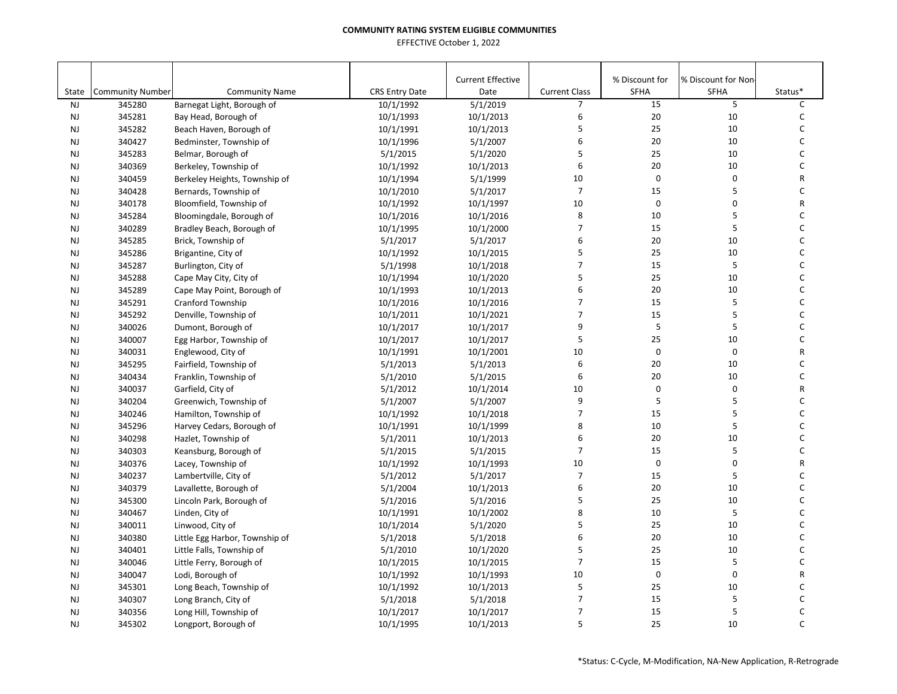| State     | <b>Community Number</b> | <b>Community Name</b>          | <b>CRS Entry Date</b> | <b>Current Effective</b><br>Date | <b>Current Class</b> | % Discount for<br>SFHA | % Discount for Non<br><b>SFHA</b> | Status*      |
|-----------|-------------------------|--------------------------------|-----------------------|----------------------------------|----------------------|------------------------|-----------------------------------|--------------|
| <b>NJ</b> | 345280                  | Barnegat Light, Borough of     | 10/1/1992             | 5/1/2019                         | $\overline{7}$       | 15                     | 5                                 | $\mathsf{C}$ |
| <b>NJ</b> | 345281                  | Bay Head, Borough of           | 10/1/1993             | 10/1/2013                        | 6                    | 20                     | 10                                | C            |
| <b>NJ</b> | 345282                  | Beach Haven, Borough of        | 10/1/1991             | 10/1/2013                        | 5                    | 25                     | 10                                | C            |
| <b>NJ</b> | 340427                  | Bedminster, Township of        | 10/1/1996             | 5/1/2007                         | 6                    | 20                     | 10                                | C            |
| <b>NJ</b> | 345283                  | Belmar, Borough of             | 5/1/2015              | 5/1/2020                         | 5                    | 25                     | 10                                | C            |
| <b>NJ</b> | 340369                  | Berkeley, Township of          | 10/1/1992             | 10/1/2013                        | 6                    | 20                     | 10                                | C            |
| <b>NJ</b> | 340459                  | Berkeley Heights, Township of  | 10/1/1994             | 5/1/1999                         | 10                   | $\mathbf 0$            | 0                                 | R            |
| <b>NJ</b> | 340428                  | Bernards, Township of          | 10/1/2010             | 5/1/2017                         | $\overline{7}$       | 15                     | 5                                 | $\mathsf C$  |
| <b>NJ</b> | 340178                  | Bloomfield, Township of        | 10/1/1992             | 10/1/1997                        | 10                   | $\mathbf 0$            | 0                                 | R            |
| <b>NJ</b> | 345284                  | Bloomingdale, Borough of       | 10/1/2016             | 10/1/2016                        | 8                    | 10                     | 5                                 | C            |
| <b>NJ</b> | 340289                  | Bradley Beach, Borough of      | 10/1/1995             | 10/1/2000                        | $\overline{7}$       | 15                     | 5                                 | C            |
| <b>NJ</b> | 345285                  | Brick, Township of             | 5/1/2017              | 5/1/2017                         | 6                    | 20                     | 10                                | $\mathsf C$  |
| <b>NJ</b> | 345286                  | Brigantine, City of            | 10/1/1992             | 10/1/2015                        | 5                    | 25                     | 10                                | C            |
| <b>NJ</b> | 345287                  | Burlington, City of            | 5/1/1998              | 10/1/2018                        | $\overline{7}$       | 15                     | 5                                 | $\mathsf C$  |
| <b>NJ</b> | 345288                  | Cape May City, City of         | 10/1/1994             | 10/1/2020                        | 5                    | 25                     | 10                                | C            |
| <b>NJ</b> | 345289                  | Cape May Point, Borough of     | 10/1/1993             | 10/1/2013                        | 6                    | 20                     | 10                                | $\mathsf{C}$ |
| <b>NJ</b> | 345291                  | Cranford Township              | 10/1/2016             | 10/1/2016                        | $\overline{7}$       | 15                     | 5                                 | $\mathsf{C}$ |
| <b>NJ</b> | 345292                  | Denville, Township of          | 10/1/2011             | 10/1/2021                        | $\overline{7}$       | 15                     | 5                                 | $\mathsf{C}$ |
| <b>NJ</b> | 340026                  | Dumont, Borough of             | 10/1/2017             | 10/1/2017                        | 9                    | 5                      | 5                                 | C            |
| <b>NJ</b> | 340007                  | Egg Harbor, Township of        | 10/1/2017             | 10/1/2017                        | 5                    | 25                     | 10                                | C            |
| <b>NJ</b> | 340031                  | Englewood, City of             | 10/1/1991             | 10/1/2001                        | 10                   | $\pmb{0}$              | $\pmb{0}$                         | R            |
| <b>NJ</b> | 345295                  | Fairfield, Township of         | 5/1/2013              | 5/1/2013                         | 6                    | 20                     | 10                                | C            |
| <b>NJ</b> | 340434                  | Franklin, Township of          | 5/1/2010              | 5/1/2015                         | 6                    | 20                     | 10                                | C            |
| <b>NJ</b> | 340037                  | Garfield, City of              | 5/1/2012              | 10/1/2014                        | 10                   | $\mathbf 0$            | 0                                 | R            |
| <b>NJ</b> | 340204                  | Greenwich, Township of         | 5/1/2007              | 5/1/2007                         | 9                    | 5                      | 5                                 | C            |
| <b>NJ</b> | 340246                  | Hamilton, Township of          | 10/1/1992             | 10/1/2018                        | $\overline{7}$       | 15                     | 5                                 | C            |
| <b>NJ</b> | 345296                  | Harvey Cedars, Borough of      | 10/1/1991             | 10/1/1999                        | 8                    | 10                     | 5                                 | C            |
| <b>NJ</b> | 340298                  | Hazlet, Township of            | 5/1/2011              | 10/1/2013                        | 6                    | 20                     | 10                                | $\mathsf{C}$ |
| <b>NJ</b> | 340303                  | Keansburg, Borough of          | 5/1/2015              | 5/1/2015                         | $\overline{7}$       | 15                     | 5                                 | $\mathsf{C}$ |
| <b>NJ</b> | 340376                  | Lacey, Township of             | 10/1/1992             | 10/1/1993                        | 10                   | $\pmb{0}$              | 0                                 | R            |
| <b>NJ</b> | 340237                  | Lambertville, City of          | 5/1/2012              | 5/1/2017                         | $\overline{7}$       | 15                     | 5                                 | C            |
| <b>NJ</b> | 340379                  | Lavallette, Borough of         | 5/1/2004              | 10/1/2013                        | 6                    | 20                     | 10                                | C            |
| <b>NJ</b> | 345300                  | Lincoln Park, Borough of       | 5/1/2016              | 5/1/2016                         | 5                    | 25                     | 10                                | $\mathsf C$  |
| <b>NJ</b> | 340467                  | Linden, City of                | 10/1/1991             | 10/1/2002                        | 8                    | 10                     | 5                                 | C            |
| <b>NJ</b> | 340011                  | Linwood, City of               | 10/1/2014             | 5/1/2020                         | 5                    | 25                     | 10                                | C            |
| <b>NJ</b> | 340380                  | Little Egg Harbor, Township of | 5/1/2018              | 5/1/2018                         | 6                    | 20                     | 10                                | C            |
| <b>NJ</b> | 340401                  | Little Falls, Township of      | 5/1/2010              | 10/1/2020                        | 5                    | 25                     | 10                                | C            |
| <b>NJ</b> | 340046                  | Little Ferry, Borough of       | 10/1/2015             | 10/1/2015                        | $\overline{7}$       | 15                     | 5                                 | $\mathsf C$  |
| <b>NJ</b> | 340047                  | Lodi, Borough of               | 10/1/1992             | 10/1/1993                        | 10                   | $\pmb{0}$              | 0                                 | R            |
| <b>NJ</b> | 345301                  | Long Beach, Township of        | 10/1/1992             | 10/1/2013                        | 5                    | 25                     | 10                                | C            |
| <b>NJ</b> | 340307                  | Long Branch, City of           | 5/1/2018              | 5/1/2018                         | $\overline{7}$       | 15                     | 5                                 | C            |
| <b>NJ</b> | 340356                  | Long Hill, Township of         | 10/1/2017             | 10/1/2017                        | $\overline{7}$       | 15                     | 5                                 | C            |
| <b>NJ</b> | 345302                  | Longport, Borough of           | 10/1/1995             | 10/1/2013                        | 5                    | 25                     | 10                                | $\mathsf{C}$ |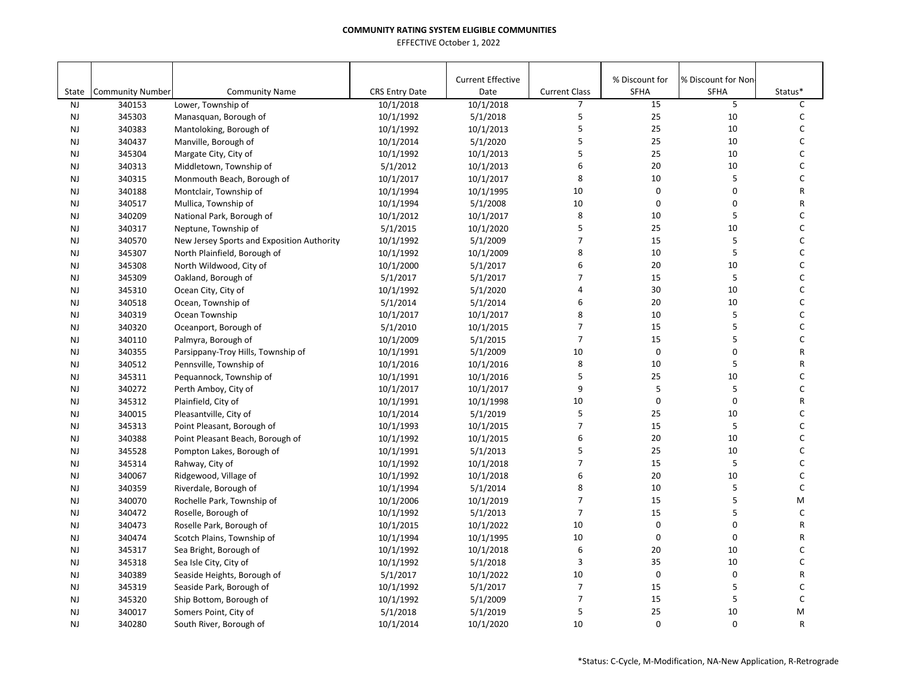|                        |                         |                                                   |                       | <b>Current Effective</b> |                                        | % Discount for | % Discount for Non |                   |
|------------------------|-------------------------|---------------------------------------------------|-----------------------|--------------------------|----------------------------------------|----------------|--------------------|-------------------|
| State                  | <b>Community Number</b> | <b>Community Name</b>                             | <b>CRS Entry Date</b> | Date                     | <b>Current Class</b><br>$\overline{7}$ | SFHA<br>15     | <b>SFHA</b><br>5   | Status*           |
| <b>NJ</b>              | 340153                  | Lower, Township of                                | 10/1/2018             | 10/1/2018                | 5                                      | 25             | 10                 | C<br>$\mathsf C$  |
| <b>NJ</b>              | 345303                  | Manasquan, Borough of                             | 10/1/1992             | 5/1/2018                 | 5                                      | 25             |                    | C                 |
| <b>NJ</b>              | 340383                  | Mantoloking, Borough of                           | 10/1/1992             | 10/1/2013                | 5                                      | 25             | 10                 | $\mathsf C$       |
| <b>NJ</b>              | 340437<br>345304        | Manville, Borough of                              | 10/1/2014             | 5/1/2020                 | 5                                      | 25             | 10<br>10           | C                 |
| <b>NJ</b><br><b>NJ</b> | 340313                  | Margate City, City of                             | 10/1/1992             | 10/1/2013<br>10/1/2013   | 6                                      | 20             | 10                 | $\mathsf C$       |
| <b>NJ</b>              | 340315                  | Middletown, Township of                           | 5/1/2012<br>10/1/2017 | 10/1/2017                | 8                                      | 10             | 5                  | C                 |
| <b>NJ</b>              | 340188                  | Monmouth Beach, Borough of                        |                       | 10/1/1995                | 10                                     | $\mathbf 0$    | 0                  | ${\sf R}$         |
|                        | 340517                  | Montclair, Township of                            | 10/1/1994             |                          | 10                                     | $\mathbf 0$    | 0                  | ${\sf R}$         |
| <b>NJ</b><br><b>NJ</b> | 340209                  | Mullica, Township of<br>National Park, Borough of | 10/1/1994             | 5/1/2008<br>10/1/2017    | 8                                      | 10             | 5                  | $\mathsf{C}$      |
|                        |                         |                                                   | 10/1/2012             |                          | 5                                      | 25             | 10                 | С                 |
| <b>NJ</b>              | 340317                  | Neptune, Township of                              | 5/1/2015              | 10/1/2020                | $\overline{7}$                         | 15             | 5                  | C                 |
| <b>NJ</b>              | 340570                  | New Jersey Sports and Exposition Authority        | 10/1/1992             | 5/1/2009<br>10/1/2009    | 8                                      | 10             | 5                  | $\mathsf{C}$      |
| <b>NJ</b>              | 345307<br>345308        | North Plainfield, Borough of                      | 10/1/1992             |                          | 6                                      | 20             | 10                 | C                 |
| <b>NJ</b><br><b>NJ</b> | 345309                  | North Wildwood, City of                           | 10/1/2000             | 5/1/2017<br>5/1/2017     | 7                                      | 15             | 5                  | C                 |
|                        |                         | Oakland, Borough of                               | 5/1/2017              |                          | 4                                      |                |                    | C                 |
| <b>NJ</b>              | 345310                  | Ocean City, City of                               | 10/1/1992             | 5/1/2020                 | 6                                      | 30             | 10                 |                   |
| <b>NJ</b>              | 340518                  | Ocean, Township of                                | 5/1/2014              | 5/1/2014                 |                                        | 20             | 10                 | C<br>$\mathsf C$  |
| <b>NJ</b>              | 340319                  | Ocean Township                                    | 10/1/2017             | 10/1/2017                | 8<br>$\overline{7}$                    | 10             | 5<br>5             |                   |
| <b>NJ</b>              | 340320                  | Oceanport, Borough of                             | 5/1/2010              | 10/1/2015                | $\overline{7}$                         | 15             | 5                  | C<br>$\mathsf{C}$ |
| <b>NJ</b>              | 340110                  | Palmyra, Borough of                               | 10/1/2009             | 5/1/2015                 |                                        | 15             |                    |                   |
| <b>NJ</b>              | 340355                  | Parsippany-Troy Hills, Township of                | 10/1/1991             | 5/1/2009                 | 10                                     | $\mathbf 0$    | 0                  | $\mathsf{R}$      |
| <b>NJ</b>              | 340512                  | Pennsville, Township of                           | 10/1/2016             | 10/1/2016                | 8                                      | 10             | 5                  | ${\sf R}$         |
| <b>NJ</b>              | 345311                  | Pequannock, Township of                           | 10/1/1991             | 10/1/2016                | 5                                      | 25             | 10                 | C                 |
| <b>NJ</b>              | 340272                  | Perth Amboy, City of                              | 10/1/2017             | 10/1/2017                | 9                                      | 5              | 5                  | C                 |
| <b>NJ</b>              | 345312                  | Plainfield, City of                               | 10/1/1991             | 10/1/1998                | 10                                     | $\pmb{0}$      | 0                  | R                 |
| <b>NJ</b>              | 340015                  | Pleasantville, City of                            | 10/1/2014             | 5/1/2019                 | 5                                      | 25             | 10                 | C                 |
| <b>NJ</b>              | 345313                  | Point Pleasant, Borough of                        | 10/1/1993             | 10/1/2015                | $\overline{7}$                         | 15             | 5                  | C                 |
| <b>NJ</b>              | 340388                  | Point Pleasant Beach, Borough of                  | 10/1/1992             | 10/1/2015                | 6                                      | 20             | 10                 | $\mathsf{C}$      |
| <b>NJ</b>              | 345528                  | Pompton Lakes, Borough of                         | 10/1/1991             | 5/1/2013                 | 5                                      | 25             | 10                 | C                 |
| <b>NJ</b>              | 345314                  | Rahway, City of                                   | 10/1/1992             | 10/1/2018                | $\overline{7}$                         | 15             | 5                  | $\mathsf C$       |
| <b>NJ</b>              | 340067                  | Ridgewood, Village of                             | 10/1/1992             | 10/1/2018                | 6                                      | 20             | 10                 | C                 |
| <b>NJ</b>              | 340359                  | Riverdale, Borough of                             | 10/1/1994             | 5/1/2014                 | 8                                      | 10             | 5                  | C                 |
| <b>NJ</b>              | 340070                  | Rochelle Park, Township of                        | 10/1/2006             | 10/1/2019                | $\overline{7}$                         | 15             | 5                  | M                 |
| <b>NJ</b>              | 340472                  | Roselle, Borough of                               | 10/1/1992             | 5/1/2013                 | $\overline{7}$                         | 15             | 5                  | $\mathsf{C}$      |
| <b>NJ</b>              | 340473                  | Roselle Park, Borough of                          | 10/1/2015             | 10/1/2022                | 10                                     | $\mathbf 0$    | 0                  | R                 |
| <b>NJ</b>              | 340474                  | Scotch Plains, Township of                        | 10/1/1994             | 10/1/1995                | 10                                     | $\mathbf 0$    | 0                  | R                 |
| <b>NJ</b>              | 345317                  | Sea Bright, Borough of                            | 10/1/1992             | 10/1/2018                | 6                                      | 20             | 10                 | $\mathsf{C}$      |
| <b>NJ</b>              | 345318                  | Sea Isle City, City of                            | 10/1/1992             | 5/1/2018                 | 3                                      | 35             | 10                 | C                 |
| <b>NJ</b>              | 340389                  | Seaside Heights, Borough of                       | 5/1/2017              | 10/1/2022                | 10                                     | $\pmb{0}$      | 0                  | R                 |
| <b>NJ</b>              | 345319                  | Seaside Park, Borough of                          | 10/1/1992             | 5/1/2017                 | $\overline{7}$                         | 15             | 5                  | C                 |
| <b>NJ</b>              | 345320                  | Ship Bottom, Borough of                           | 10/1/1992             | 5/1/2009                 | 7                                      | 15             | 5                  | $\mathsf C$       |
| <b>NJ</b>              | 340017                  | Somers Point, City of                             | 5/1/2018              | 5/1/2019                 | 5                                      | 25             | 10                 | M                 |
| <b>NJ</b>              | 340280                  | South River, Borough of                           | 10/1/2014             | 10/1/2020                | 10                                     | $\mathbf 0$    | 0                  | $\mathsf{R}$      |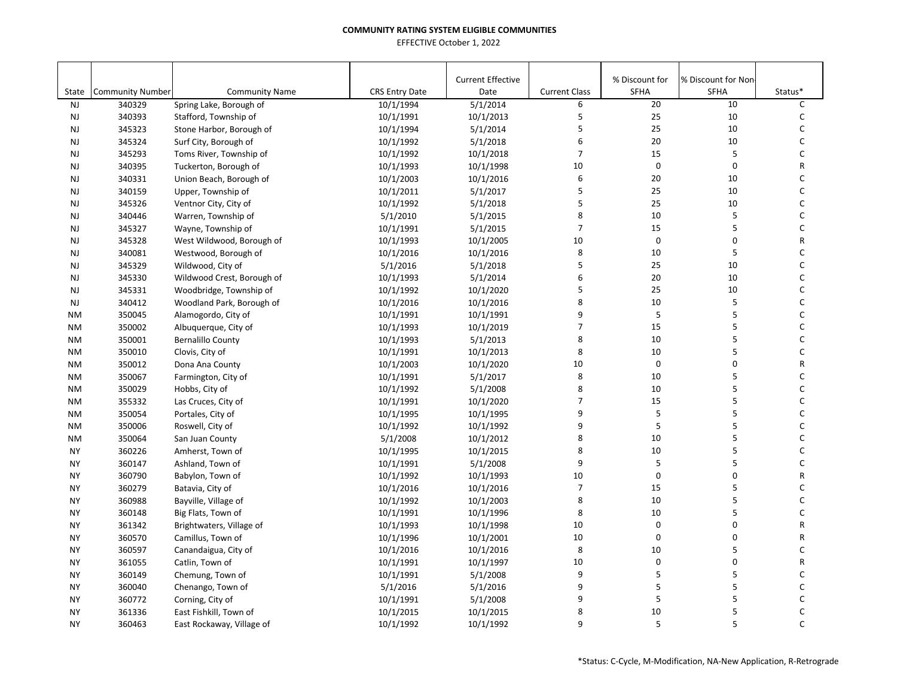|                        |                                   |                                                  |                                    | <b>Current Effective</b> |                           | % Discount for | % Discount for Non- |              |
|------------------------|-----------------------------------|--------------------------------------------------|------------------------------------|--------------------------|---------------------------|----------------|---------------------|--------------|
| State<br><b>NJ</b>     | <b>Community Number</b><br>340329 | <b>Community Name</b><br>Spring Lake, Borough of | <b>CRS Entry Date</b><br>10/1/1994 | Date<br>5/1/2014         | <b>Current Class</b><br>6 | SFHA<br>20     | <b>SFHA</b><br>10   | Status*<br>C |
|                        |                                   |                                                  |                                    | 10/1/2013                | 5                         | 25             | 10                  | C            |
| <b>NJ</b>              | 340393                            | Stafford, Township of                            | 10/1/1991                          | 5/1/2014                 | 5                         | 25             | 10                  | С            |
| <b>NJ</b>              | 345323<br>345324                  | Stone Harbor, Borough of                         | 10/1/1994                          | 5/1/2018                 | 6                         | 20             | 10                  | C            |
| <b>NJ</b><br><b>NJ</b> | 345293                            | Surf City, Borough of<br>Toms River, Township of | 10/1/1992<br>10/1/1992             | 10/1/2018                | $\overline{7}$            | 15             | 5                   | C            |
| <b>NJ</b>              | 340395                            | Tuckerton, Borough of                            | 10/1/1993                          | 10/1/1998                | 10                        | $\pmb{0}$      | $\pmb{0}$           | R            |
| <b>NJ</b>              | 340331                            | Union Beach, Borough of                          | 10/1/2003                          | 10/1/2016                | 6                         | 20             | 10                  | С            |
| <b>NJ</b>              | 340159                            | Upper, Township of                               | 10/1/2011                          | 5/1/2017                 | 5                         | 25             | 10                  | C            |
| <b>NJ</b>              | 345326                            | Ventnor City, City of                            | 10/1/1992                          | 5/1/2018                 | 5                         | 25             | 10                  | C            |
| <b>NJ</b>              | 340446                            | Warren, Township of                              | 5/1/2010                           | 5/1/2015                 | 8                         | 10             | 5                   | C            |
| <b>NJ</b>              | 345327                            | Wayne, Township of                               | 10/1/1991                          | 5/1/2015                 | $\overline{7}$            | 15             | 5                   | С            |
| <b>NJ</b>              | 345328                            | West Wildwood, Borough of                        | 10/1/1993                          | 10/1/2005                | 10                        | $\mathbf 0$    | $\mathbf 0$         | R            |
| <b>NJ</b>              | 340081                            | Westwood, Borough of                             | 10/1/2016                          | 10/1/2016                | 8                         | 10             | 5                   | C            |
| <b>NJ</b>              | 345329                            | Wildwood, City of                                | 5/1/2016                           | 5/1/2018                 | 5                         | 25             | 10                  | C            |
| <b>NJ</b>              | 345330                            | Wildwood Crest, Borough of                       | 10/1/1993                          | 5/1/2014                 | 6                         | 20             | 10                  | C            |
|                        |                                   |                                                  |                                    |                          | 5                         | 25             | 10                  | C            |
| <b>NJ</b>              | 345331                            | Woodbridge, Township of                          | 10/1/1992                          | 10/1/2020                | 8                         | 10             | 5                   | C            |
| <b>NJ</b>              | 340412                            | Woodland Park, Borough of                        | 10/1/2016                          | 10/1/2016                | 9                         |                | 5                   | C            |
| <b>NM</b>              | 350045                            | Alamogordo, City of                              | 10/1/1991                          | 10/1/1991                | $\overline{7}$            | 5              |                     |              |
| <b>NM</b>              | 350002                            | Albuquerque, City of                             | 10/1/1993                          | 10/1/2019                |                           | 15             | 5                   | С            |
| <b>NM</b>              | 350001                            | <b>Bernalillo County</b>                         | 10/1/1993                          | 5/1/2013                 | 8                         | 10             | 5<br>5              | С            |
| <b>NM</b>              | 350010                            | Clovis, City of                                  | 10/1/1991                          | 10/1/2013                | 8                         | 10             | $\pmb{0}$           | C            |
| <b>NM</b>              | 350012                            | Dona Ana County                                  | 10/1/2003                          | 10/1/2020                | 10                        | $\pmb{0}$      | 5                   | R            |
| <b>NM</b>              | 350067                            | Farmington, City of                              | 10/1/1991                          | 5/1/2017                 | 8                         | 10             |                     | С            |
| <b>NM</b>              | 350029                            | Hobbs, City of                                   | 10/1/1992                          | 5/1/2008                 | 8                         | 10             | 5                   | C            |
| <b>NM</b>              | 355332                            | Las Cruces, City of                              | 10/1/1991                          | 10/1/2020                | $\overline{7}$            | 15             | 5                   | C            |
| <b>NM</b>              | 350054                            | Portales, City of                                | 10/1/1995                          | 10/1/1995                | 9                         | 5              | 5                   | C            |
| <b>NM</b>              | 350006                            | Roswell, City of                                 | 10/1/1992                          | 10/1/1992                | 9                         | 5              | 5                   | C            |
| <b>NM</b>              | 350064                            | San Juan County                                  | 5/1/2008                           | 10/1/2012                | 8                         | 10             | 5                   | C            |
| <b>NY</b>              | 360226                            | Amherst, Town of                                 | 10/1/1995                          | 10/1/2015                | 8                         | 10             | 5<br>5              | C            |
| <b>NY</b>              | 360147                            | Ashland, Town of                                 | 10/1/1991                          | 5/1/2008                 | 9                         | 5              |                     | C            |
| <b>NY</b>              | 360790                            | Babylon, Town of                                 | 10/1/1992                          | 10/1/1993                | 10                        | $\mathbf 0$    | $\pmb{0}$           | R            |
| <b>NY</b>              | 360279                            | Batavia, City of                                 | 10/1/2016                          | 10/1/2016                | $\overline{7}$            | 15             | 5                   | C            |
| <b>NY</b>              | 360988                            | Bayville, Village of                             | 10/1/1992                          | 10/1/2003                | 8                         | 10             | 5                   | C            |
| <b>NY</b>              | 360148                            | Big Flats, Town of                               | 10/1/1991                          | 10/1/1996                | 8                         | 10             | 5                   | C            |
| <b>NY</b>              | 361342                            | Brightwaters, Village of                         | 10/1/1993                          | 10/1/1998                | 10                        | $\pmb{0}$      | $\pmb{0}$           | R            |
| <b>NY</b>              | 360570                            | Camillus, Town of                                | 10/1/1996                          | 10/1/2001                | 10                        | $\mathbf 0$    | $\pmb{0}$           | R            |
| <b>NY</b>              | 360597                            | Canandaigua, City of                             | 10/1/2016                          | 10/1/2016                | 8                         | 10             | 5                   | C            |
| <b>NY</b>              | 361055                            | Catlin, Town of                                  | 10/1/1991                          | 10/1/1997                | 10                        | $\pmb{0}$      | $\pmb{0}$           | R            |
| <b>NY</b>              | 360149                            | Chemung, Town of                                 | 10/1/1991                          | 5/1/2008                 | 9                         | 5              | 5                   | C            |
| <b>NY</b>              | 360040                            | Chenango, Town of                                | 5/1/2016                           | 5/1/2016                 | 9                         | 5              | 5                   | C            |
| <b>NY</b>              | 360772                            | Corning, City of                                 | 10/1/1991                          | 5/1/2008                 | 9                         | 5              | 5                   | C            |
| <b>NY</b>              | 361336                            | East Fishkill, Town of                           | 10/1/2015                          | 10/1/2015                | 8                         | 10             | 5                   | C            |
| <b>NY</b>              | 360463                            | East Rockaway, Village of                        | 10/1/1992                          | 10/1/1992                | 9                         | 5              | 5                   | C            |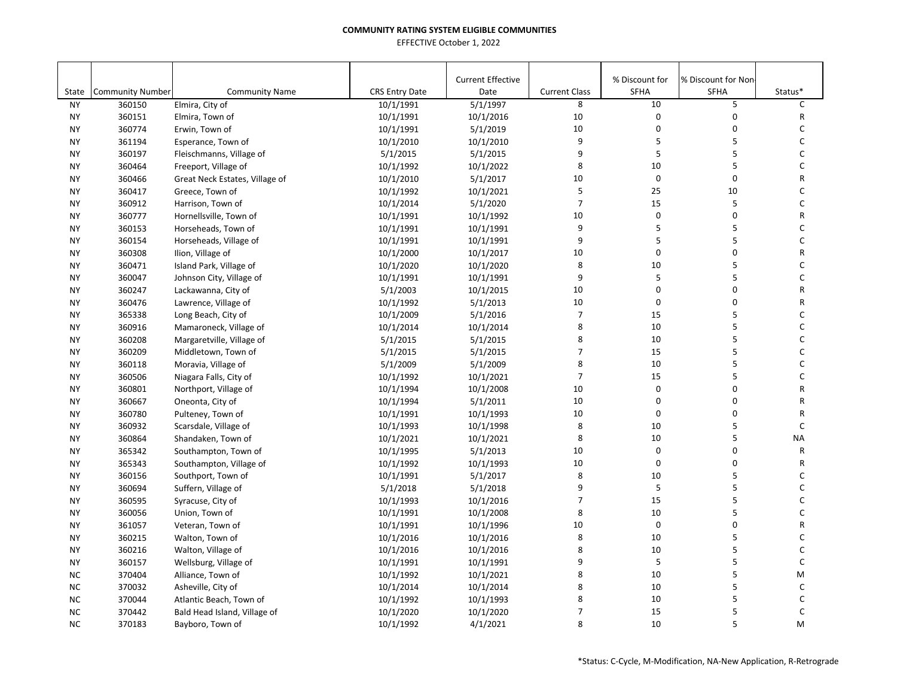|           |                         |                                |                       | <b>Current Effective</b> |                      | % Discount for | % Discount for Non |              |
|-----------|-------------------------|--------------------------------|-----------------------|--------------------------|----------------------|----------------|--------------------|--------------|
| State     | <b>Community Number</b> | <b>Community Name</b>          | <b>CRS Entry Date</b> | Date                     | <b>Current Class</b> | SFHA           | <b>SFHA</b>        | Status*      |
| <b>NY</b> | 360150                  | Elmira, City of                | 10/1/1991             | 5/1/1997                 | 8                    | 10             | 5                  | C            |
| <b>NY</b> | 360151                  | Elmira, Town of                | 10/1/1991             | 10/1/2016                | 10                   | 0              | 0                  | R            |
| <b>NY</b> | 360774                  | Erwin, Town of                 | 10/1/1991             | 5/1/2019                 | 10                   | 0              | 0                  | C            |
| <b>NY</b> | 361194                  | Esperance, Town of             | 10/1/2010             | 10/1/2010                | 9                    | 5              | 5                  | $\mathsf C$  |
| <b>NY</b> | 360197                  | Fleischmanns, Village of       | 5/1/2015              | 5/1/2015                 | 9                    | 5              | 5                  | C            |
| <b>NY</b> | 360464                  | Freeport, Village of           | 10/1/1992             | 10/1/2022                | 8                    | 10             | 5                  | C            |
| <b>NY</b> | 360466                  | Great Neck Estates, Village of | 10/1/2010             | 5/1/2017                 | 10                   | $\mathbf 0$    | 0                  | R            |
| <b>NY</b> | 360417                  | Greece, Town of                | 10/1/1992             | 10/1/2021                | 5                    | 25             | 10                 | $\mathsf{C}$ |
| <b>NY</b> | 360912                  | Harrison, Town of              | 10/1/2014             | 5/1/2020                 | $\overline{7}$       | 15             | 5                  | $\mathsf C$  |
| <b>NY</b> | 360777                  | Hornellsville, Town of         | 10/1/1991             | 10/1/1992                | 10                   | $\mathbf 0$    | 0                  | R            |
| <b>NY</b> | 360153                  | Horseheads, Town of            | 10/1/1991             | 10/1/1991                | 9                    | 5              | 5                  | C            |
| <b>NY</b> | 360154                  | Horseheads, Village of         | 10/1/1991             | 10/1/1991                | 9                    | 5              | 5                  | C            |
| <b>NY</b> | 360308                  | Ilion, Village of              | 10/1/2000             | 10/1/2017                | 10                   | 0              | 0                  | R            |
| <b>NY</b> | 360471                  | Island Park, Village of        | 10/1/2020             | 10/1/2020                | 8                    | 10             | 5                  | C            |
| <b>NY</b> | 360047                  | Johnson City, Village of       | 10/1/1991             | 10/1/1991                | 9                    | 5              | 5                  | C            |
| <b>NY</b> | 360247                  | Lackawanna, City of            | 5/1/2003              | 10/1/2015                | 10                   | 0              | 0                  | R            |
| <b>NY</b> | 360476                  | Lawrence, Village of           | 10/1/1992             | 5/1/2013                 | 10                   | $\mathbf 0$    | 0                  | R            |
| <b>NY</b> | 365338                  | Long Beach, City of            | 10/1/2009             | 5/1/2016                 | $\overline{7}$       | 15             | 5                  | $\mathsf C$  |
| <b>NY</b> | 360916                  | Mamaroneck, Village of         | 10/1/2014             | 10/1/2014                | 8                    | 10             | 5                  | C            |
| <b>NY</b> | 360208                  | Margaretville, Village of      | 5/1/2015              | 5/1/2015                 | 8                    | 10             | 5                  | $\mathsf{C}$ |
| <b>NY</b> | 360209                  | Middletown, Town of            | 5/1/2015              | 5/1/2015                 | $\overline{7}$       | 15             | 5                  | $\mathsf{C}$ |
| <b>NY</b> | 360118                  | Moravia, Village of            | 5/1/2009              | 5/1/2009                 | 8                    | 10             | 5                  | $\mathsf C$  |
| <b>NY</b> | 360506                  | Niagara Falls, City of         | 10/1/1992             | 10/1/2021                | $\overline{7}$       | 15             | 5                  | C            |
| <b>NY</b> | 360801                  | Northport, Village of          | 10/1/1994             | 10/1/2008                | 10                   | $\mathbf 0$    | 0                  | R            |
| <b>NY</b> | 360667                  | Oneonta, City of               | 10/1/1994             | 5/1/2011                 | 10                   | $\Omega$       | $\Omega$           | R            |
| <b>NY</b> | 360780                  | Pulteney, Town of              | 10/1/1991             | 10/1/1993                | 10                   | $\mathbf 0$    | 0                  | R            |
| <b>NY</b> | 360932                  | Scarsdale, Village of          | 10/1/1993             | 10/1/1998                | 8                    | 10             | 5                  | C            |
| <b>NY</b> | 360864                  | Shandaken, Town of             | 10/1/2021             | 10/1/2021                | 8                    | 10             | 5                  | <b>NA</b>    |
| <b>NY</b> | 365342                  | Southampton, Town of           | 10/1/1995             | 5/1/2013                 | 10                   | $\mathbf 0$    | 0                  | $\mathsf{R}$ |
| <b>NY</b> | 365343                  | Southampton, Village of        | 10/1/1992             | 10/1/1993                | 10                   | $\mathbf 0$    | 0                  | R            |
| <b>NY</b> | 360156                  | Southport, Town of             | 10/1/1991             | 5/1/2017                 | 8                    | 10             | 5                  | C            |
| <b>NY</b> | 360694                  | Suffern, Village of            | 5/1/2018              | 5/1/2018                 | 9                    | 5              | 5                  | C            |
| <b>NY</b> | 360595                  | Syracuse, City of              | 10/1/1993             | 10/1/2016                | $\overline{7}$       | 15             | 5                  | $\mathsf C$  |
| <b>NY</b> | 360056                  | Union, Town of                 | 10/1/1991             | 10/1/2008                | 8                    | 10             | 5                  | C            |
| <b>NY</b> | 361057                  | Veteran, Town of               | 10/1/1991             | 10/1/1996                | 10                   | $\mathbf 0$    | 0                  | R            |
| <b>NY</b> | 360215                  | Walton, Town of                | 10/1/2016             | 10/1/2016                | 8                    | 10             | 5                  | $\mathsf{C}$ |
| <b>NY</b> | 360216                  | Walton, Village of             | 10/1/2016             | 10/1/2016                | 8                    | 10             | 5                  | $\mathsf{C}$ |
| <b>NY</b> | 360157                  | Wellsburg, Village of          | 10/1/1991             | 10/1/1991                | 9                    | 5              | 5                  | C            |
| NC        | 370404                  | Alliance, Town of              | 10/1/1992             | 10/1/2021                | 8                    | 10             | 5                  | M            |
| NC        | 370032                  | Asheville, City of             | 10/1/2014             | 10/1/2014                | 8                    | 10             | 5                  | C            |
| <b>NC</b> | 370044                  | Atlantic Beach, Town of        | 10/1/1992             | 10/1/1993                | 8                    | 10             | 5                  | C            |
| <b>NC</b> | 370442                  | Bald Head Island, Village of   | 10/1/2020             | 10/1/2020                | $\overline{7}$       | 15             | 5                  | C            |
| <b>NC</b> | 370183                  | Bayboro, Town of               | 10/1/1992             | 4/1/2021                 | 8                    | 10             | 5                  | M            |
|           |                         |                                |                       |                          |                      |                |                    |              |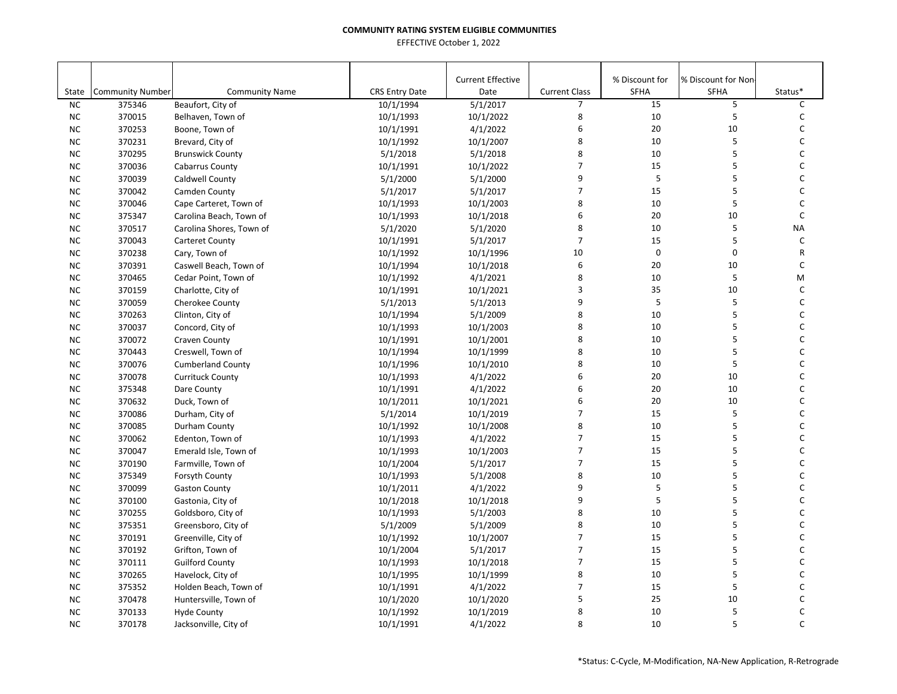| State     | <b>Community Number</b> | <b>Community Name</b>    | <b>CRS Entry Date</b> | <b>Current Effective</b><br>Date | <b>Current Class</b> | % Discount for<br>SFHA | % Discount for Non<br><b>SFHA</b> | Status*      |
|-----------|-------------------------|--------------------------|-----------------------|----------------------------------|----------------------|------------------------|-----------------------------------|--------------|
| <b>NC</b> | 375346                  | Beaufort, City of        | 10/1/1994             | 5/1/2017                         | $\overline{7}$       | 15                     | 5                                 | C            |
| <b>NC</b> | 370015                  | Belhaven, Town of        | 10/1/1993             | 10/1/2022                        | 8                    | 10                     | 5                                 | C            |
| NC        | 370253                  | Boone, Town of           | 10/1/1991             | 4/1/2022                         | 6                    | 20                     | 10                                | C            |
| <b>NC</b> | 370231                  | Brevard, City of         | 10/1/1992             | 10/1/2007                        | 8                    | 10                     | 5                                 | C            |
| <b>NC</b> | 370295                  | <b>Brunswick County</b>  | 5/1/2018              | 5/1/2018                         | 8                    | 10                     | 5                                 | C            |
| <b>NC</b> | 370036                  | Cabarrus County          | 10/1/1991             | 10/1/2022                        | $\overline{7}$       | 15                     | 5                                 | C            |
| <b>NC</b> | 370039                  | Caldwell County          | 5/1/2000              | 5/1/2000                         | 9                    | 5                      | 5                                 | C            |
| <b>NC</b> | 370042                  | Camden County            | 5/1/2017              | 5/1/2017                         | $\overline{7}$       | 15                     | 5                                 | $\mathsf C$  |
| <b>NC</b> | 370046                  | Cape Carteret, Town of   | 10/1/1993             | 10/1/2003                        | 8                    | 10                     | 5                                 | $\mathsf{C}$ |
| NC        | 375347                  | Carolina Beach, Town of  | 10/1/1993             | 10/1/2018                        | 6                    | 20                     | 10                                | $\mathsf{C}$ |
| <b>NC</b> | 370517                  | Carolina Shores, Town of | 5/1/2020              | 5/1/2020                         | 8                    | 10                     | 5                                 | <b>NA</b>    |
| <b>NC</b> | 370043                  | <b>Carteret County</b>   | 10/1/1991             | 5/1/2017                         | $\overline{7}$       | 15                     | 5                                 | $\mathsf{C}$ |
| <b>NC</b> | 370238                  | Cary, Town of            | 10/1/1992             | 10/1/1996                        | 10                   | $\pmb{0}$              | 0                                 | R            |
| <b>NC</b> | 370391                  | Caswell Beach, Town of   | 10/1/1994             | 10/1/2018                        | 6                    | 20                     | 10                                | C            |
| NC        | 370465                  | Cedar Point, Town of     | 10/1/1992             | 4/1/2021                         | 8                    | 10                     | 5                                 | M            |
| <b>NC</b> | 370159                  | Charlotte, City of       | 10/1/1991             | 10/1/2021                        | 3                    | 35                     | 10                                | C            |
| <b>NC</b> | 370059                  | Cherokee County          | 5/1/2013              | 5/1/2013                         | 9                    | 5                      | 5                                 | $\mathsf{C}$ |
| <b>NC</b> | 370263                  | Clinton, City of         | 10/1/1994             | 5/1/2009                         | 8                    | 10                     | 5                                 | $\mathsf{C}$ |
| <b>NC</b> | 370037                  | Concord, City of         | 10/1/1993             | 10/1/2003                        | 8                    | 10                     | 5                                 | $\mathsf{C}$ |
| NC        | 370072                  | Craven County            | 10/1/1991             | 10/1/2001                        | 8                    | 10                     | 5                                 | $\mathsf C$  |
| NC        | 370443                  | Creswell, Town of        | 10/1/1994             | 10/1/1999                        | 8                    | 10                     | 5                                 | C            |
| <b>NC</b> | 370076                  | <b>Cumberland County</b> | 10/1/1996             | 10/1/2010                        | 8                    | 10                     | 5                                 | C            |
| <b>NC</b> | 370078                  | <b>Currituck County</b>  | 10/1/1993             | 4/1/2022                         | 6                    | 20                     | 10                                | C            |
| <b>NC</b> | 375348                  | Dare County              | 10/1/1991             | 4/1/2022                         | 6                    | 20                     | 10                                | C            |
| <b>NC</b> | 370632                  | Duck, Town of            | 10/1/2011             | 10/1/2021                        | 6                    | 20                     | 10                                | $\mathsf C$  |
| <b>NC</b> | 370086                  | Durham, City of          | 5/1/2014              | 10/1/2019                        | $\overline{7}$       | 15                     | 5                                 | $\mathsf{C}$ |
| <b>NC</b> | 370085                  | Durham County            | 10/1/1992             | 10/1/2008                        | 8                    | 10                     | 5                                 | C            |
| <b>NC</b> | 370062                  | Edenton, Town of         | 10/1/1993             | 4/1/2022                         | $\overline{7}$       | 15                     | 5                                 | $\mathsf{C}$ |
| <b>NC</b> | 370047                  | Emerald Isle, Town of    | 10/1/1993             | 10/1/2003                        | $\overline{7}$       | 15                     | 5                                 | $\mathsf{C}$ |
| <b>NC</b> | 370190                  | Farmville, Town of       | 10/1/2004             | 5/1/2017                         | $\overline{7}$       | 15                     | 5                                 | $\mathsf C$  |
| <b>NC</b> | 375349                  | Forsyth County           | 10/1/1993             | 5/1/2008                         | 8                    | 10                     | 5                                 | $\mathsf{C}$ |
| NC        | 370099                  | <b>Gaston County</b>     | 10/1/2011             | 4/1/2022                         | 9                    | 5                      | 5                                 | C            |
| <b>NC</b> | 370100                  | Gastonia, City of        | 10/1/2018             | 10/1/2018                        | 9                    | 5                      | 5                                 | C            |
| <b>NC</b> | 370255                  | Goldsboro, City of       | 10/1/1993             | 5/1/2003                         | 8                    | 10                     | 5                                 | C            |
| <b>NC</b> | 375351                  | Greensboro, City of      | 5/1/2009              | 5/1/2009                         | 8                    | 10                     | 5                                 | C            |
| <b>NC</b> | 370191                  | Greenville, City of      | 10/1/1992             | 10/1/2007                        | $\overline{7}$       | 15                     | 5                                 | $\mathsf C$  |
| <b>NC</b> | 370192                  | Grifton, Town of         | 10/1/2004             | 5/1/2017                         | $\overline{7}$       | 15                     | 5                                 | C            |
| <b>NC</b> | 370111                  | <b>Guilford County</b>   | 10/1/1993             | 10/1/2018                        | $\overline{7}$       | 15                     | 5                                 | $\mathsf C$  |
| <b>NC</b> | 370265                  | Havelock, City of        | 10/1/1995             | 10/1/1999                        | 8                    | 10                     | 5                                 | C            |
| NC        | 375352                  | Holden Beach, Town of    | 10/1/1991             | 4/1/2022                         | $\overline{7}$       | 15                     | 5                                 | $\mathsf C$  |
| <b>NC</b> | 370478                  | Huntersville, Town of    | 10/1/2020             | 10/1/2020                        | 5                    | 25                     | 10                                | C            |
| <b>NC</b> | 370133                  | <b>Hyde County</b>       | 10/1/1992             | 10/1/2019                        | 8                    | 10                     | 5                                 | C            |
| <b>NC</b> | 370178                  | Jacksonville, City of    | 10/1/1991             | 4/1/2022                         | 8                    | 10                     | 5                                 | $\mathsf{C}$ |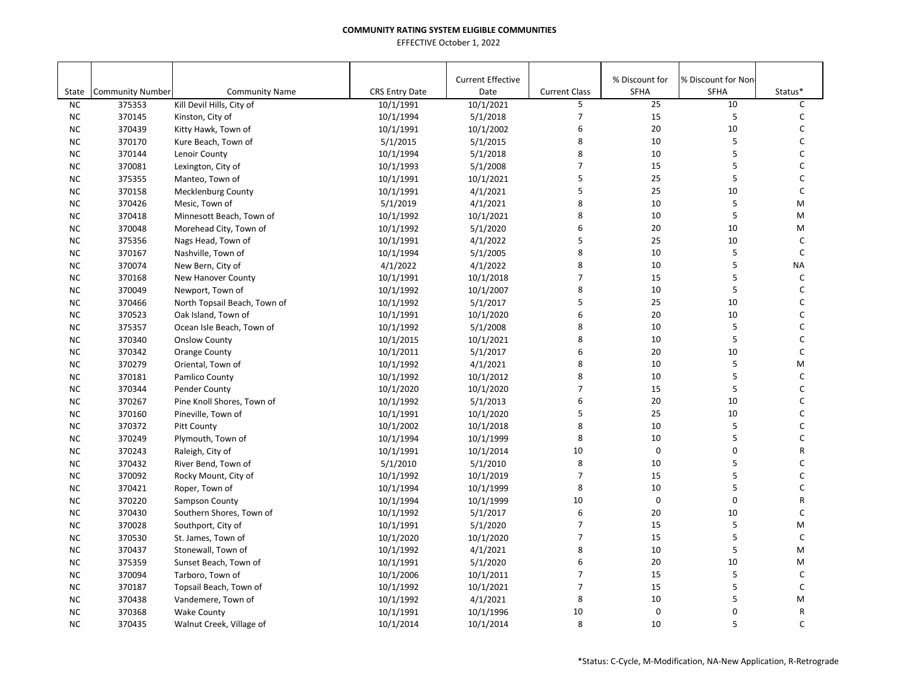|           |                         |                              |                       | <b>Current Effective</b> |                      | % Discount for | % Discount for Non- |              |
|-----------|-------------------------|------------------------------|-----------------------|--------------------------|----------------------|----------------|---------------------|--------------|
| State     | <b>Community Number</b> | <b>Community Name</b>        | <b>CRS Entry Date</b> | Date                     | <b>Current Class</b> | <b>SFHA</b>    | <b>SFHA</b>         | Status*      |
| <b>NC</b> | 375353                  | Kill Devil Hills, City of    | 10/1/1991             | 10/1/2021                | 5                    | 25             | 10                  | C            |
| <b>NC</b> | 370145                  | Kinston, City of             | 10/1/1994             | 5/1/2018                 | 7                    | 15             | 5                   | C            |
| <b>NC</b> | 370439                  | Kitty Hawk, Town of          | 10/1/1991             | 10/1/2002                | 6                    | 20             | 10                  | С            |
| <b>NC</b> | 370170                  | Kure Beach, Town of          | 5/1/2015              | 5/1/2015                 | 8                    | 10             | 5                   | C            |
| <b>NC</b> | 370144                  | Lenoir County                | 10/1/1994             | 5/1/2018                 | 8                    | 10             | 5                   | C            |
| NC        | 370081                  | Lexington, City of           | 10/1/1993             | 5/1/2008                 | $\overline{7}$       | 15             | 5                   | С            |
| <b>NC</b> | 375355                  | Manteo, Town of              | 10/1/1991             | 10/1/2021                | 5                    | 25             | 5                   | C            |
| <b>NC</b> | 370158                  | <b>Mecklenburg County</b>    | 10/1/1991             | 4/1/2021                 | 5                    | 25             | 10                  | $\mathsf C$  |
| NC.       | 370426                  | Mesic, Town of               | 5/1/2019              | 4/1/2021                 | 8                    | 10             | 5                   | M            |
| <b>NC</b> | 370418                  | Minnesott Beach, Town of     | 10/1/1992             | 10/1/2021                | 8                    | 10             | 5                   | M            |
| <b>NC</b> | 370048                  | Morehead City, Town of       | 10/1/1992             | 5/1/2020                 | 6                    | 20             | 10                  | M            |
| NC        | 375356                  | Nags Head, Town of           | 10/1/1991             | 4/1/2022                 | 5                    | 25             | 10                  | C            |
| <b>NC</b> | 370167                  | Nashville, Town of           | 10/1/1994             | 5/1/2005                 | 8                    | 10             | 5                   | $\mathsf{C}$ |
| <b>NC</b> | 370074                  | New Bern, City of            | 4/1/2022              | 4/1/2022                 | 8                    | 10             | 5                   | <b>NA</b>    |
| <b>NC</b> | 370168                  | New Hanover County           | 10/1/1991             | 10/1/2018                | $\overline{7}$       | 15             | 5                   | C            |
| <b>NC</b> | 370049                  | Newport, Town of             | 10/1/1992             | 10/1/2007                | 8                    | 10             | 5                   | C            |
| <b>NC</b> | 370466                  | North Topsail Beach, Town of | 10/1/1992             | 5/1/2017                 | 5                    | 25             | 10                  | C            |
| <b>NC</b> | 370523                  | Oak Island, Town of          | 10/1/1991             | 10/1/2020                | 6                    | 20             | 10                  | C            |
| <b>NC</b> | 375357                  | Ocean Isle Beach, Town of    | 10/1/1992             | 5/1/2008                 | 8                    | 10             | 5                   | C            |
| <b>NC</b> | 370340                  | <b>Onslow County</b>         | 10/1/2015             | 10/1/2021                | 8                    | 10             | 5                   | C            |
| <b>NC</b> | 370342                  | <b>Orange County</b>         | 10/1/2011             | 5/1/2017                 | 6                    | 20             | 10                  | $\mathsf{C}$ |
| <b>NC</b> | 370279                  | Oriental, Town of            | 10/1/1992             | 4/1/2021                 | 8                    | 10             | 5                   | M            |
| NC.       | 370181                  | Pamlico County               | 10/1/1992             | 10/1/2012                | 8                    | 10             | 5                   | $\mathsf C$  |
| <b>NC</b> | 370344                  | Pender County                | 10/1/2020             | 10/1/2020                | $\overline{7}$       | 15             | 5                   | C            |
| <b>NC</b> | 370267                  | Pine Knoll Shores, Town of   | 10/1/1992             | 5/1/2013                 | 6                    | 20             | 10                  | C            |
| <b>NC</b> | 370160                  | Pineville, Town of           | 10/1/1991             | 10/1/2020                | 5                    | 25             | 10                  | C            |
| <b>NC</b> | 370372                  | <b>Pitt County</b>           | 10/1/2002             | 10/1/2018                | 8                    | 10             | 5                   | C            |
| <b>NC</b> | 370249                  | Plymouth, Town of            | 10/1/1994             | 10/1/1999                | 8                    | 10             | 5                   | C            |
| <b>NC</b> | 370243                  | Raleigh, City of             | 10/1/1991             | 10/1/2014                | 10                   | $\mathbf 0$    | $\mathbf 0$         | R            |
| <b>NC</b> | 370432                  | River Bend, Town of          | 5/1/2010              | 5/1/2010                 | 8                    | 10             | 5                   | C            |
| <b>NC</b> | 370092                  | Rocky Mount, City of         | 10/1/1992             | 10/1/2019                | $\overline{7}$       | 15             | 5                   | C            |
| <b>NC</b> | 370421                  | Roper, Town of               | 10/1/1994             | 10/1/1999                | 8                    | 10             | 5                   | C            |
| <b>NC</b> | 370220                  | Sampson County               | 10/1/1994             | 10/1/1999                | 10                   | $\mathbf 0$    | $\pmb{0}$           | R            |
| <b>NC</b> | 370430                  | Southern Shores, Town of     | 10/1/1992             | 5/1/2017                 | 6                    | 20             | 10                  | C            |
| NC        | 370028                  | Southport, City of           | 10/1/1991             | 5/1/2020                 | $\overline{7}$       | 15             | 5                   | M            |
| NC        | 370530                  | St. James, Town of           | 10/1/2020             | 10/1/2020                | $\overline{7}$       | 15             | 5                   | $\mathsf C$  |
| <b>NC</b> | 370437                  | Stonewall, Town of           | 10/1/1992             | 4/1/2021                 | 8                    | 10             | 5                   | M            |
| <b>NC</b> | 375359                  | Sunset Beach, Town of        | 10/1/1991             | 5/1/2020                 | 6                    | 20             | 10                  | M            |
| <b>NC</b> | 370094                  | Tarboro, Town of             | 10/1/2006             | 10/1/2011                | $\overline{7}$       | 15             | 5                   | $\mathsf{C}$ |
| <b>NC</b> | 370187                  | Topsail Beach, Town of       | 10/1/1992             | 10/1/2021                | $\overline{7}$       | 15             | 5                   | $\mathsf{C}$ |
| NC        | 370438                  | Vandemere, Town of           | 10/1/1992             | 4/1/2021                 | 8                    | $10\,$         | 5                   | M            |
| <b>NC</b> | 370368                  | <b>Wake County</b>           | 10/1/1991             | 10/1/1996                | 10                   | $\mathsf 0$    | $\pmb{0}$           | R            |
| <b>NC</b> | 370435                  | Walnut Creek, Village of     | 10/1/2014             | 10/1/2014                | 8                    | 10             | 5                   | C            |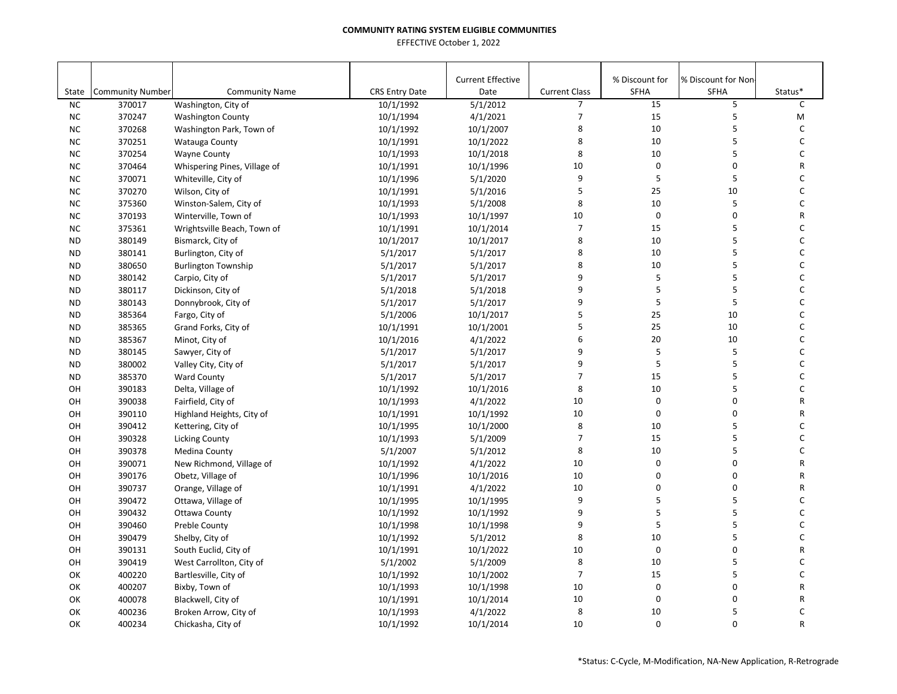| <b>Current Effective</b><br>% Discount for<br>% Discount for Non-<br><b>Current Class</b><br><b>SFHA</b><br>State<br><b>Community Number</b><br><b>Community Name</b><br><b>CRS Entry Date</b><br>Date<br><b>SFHA</b><br>Status*<br>15<br>5<br>C<br><b>NC</b><br>370017<br>10/1/1992<br>5/1/2012<br>$\overline{7}$<br>Washington, City of<br>7<br>15<br>5<br>4/1/2021<br><b>NC</b><br>370247<br>10/1/1994<br>M<br><b>Washington County</b><br>5<br>8<br>10<br><b>NC</b><br>370268<br>10/1/2007<br>С<br>Washington Park, Town of<br>10/1/1992<br>8<br>10<br>5<br>C<br><b>NC</b><br>370251<br>10/1/2022<br>Watauga County<br>10/1/1991<br>5<br>8<br><b>NC</b><br>370254<br>10<br>C<br><b>Wayne County</b><br>10/1/1993<br>10/1/2018<br>10<br>$\pmb{0}$<br>$\mathbf 0$<br><b>NC</b><br>10/1/1996<br>R<br>370464<br>Whispering Pines, Village of<br>10/1/1991<br><b>NC</b><br>370071<br>5/1/2020<br>9<br>5<br>5<br>C<br>Whiteville, City of<br>10/1/1996<br>5<br>C<br>25<br>10<br><b>NC</b><br>370270<br>5/1/2016<br>Wilson, City of<br>10/1/1991<br>8<br>10<br>5<br>C<br><b>NC</b><br>375360<br>10/1/1993<br>5/1/2008<br>Winston-Salem, City of<br>$\mathbf 0$<br>10<br>$\mathbf 0$<br>R<br>NC<br>370193<br>Winterville, Town of<br>10/1/1997<br>10/1/1993<br>$\overline{7}$<br>15<br>5<br>C<br><b>NC</b><br>375361<br>Wrightsville Beach, Town of<br>10/1/2014<br>10/1/1991<br>8<br>5<br>C<br>10<br><b>ND</b><br>380149<br>10/1/2017<br>Bismarck, City of<br>10/1/2017<br>5<br>8<br>10<br>C<br><b>ND</b><br>380141<br>5/1/2017<br>5/1/2017<br>Burlington, City of<br>8<br>5<br>C<br>10<br><b>ND</b><br>380650<br>5/1/2017<br>5/1/2017<br><b>Burlington Township</b><br>5<br>9<br>5<br>C<br><b>ND</b><br>380142<br>Carpio, City of<br>5/1/2017<br>5/1/2017<br>5<br>9<br>5<br>C<br><b>ND</b><br>380117<br>Dickinson, City of<br>5/1/2018<br>5/1/2018<br>9<br>5<br>5<br>C<br>380143<br>5/1/2017<br><b>ND</b><br>Donnybrook, City of<br>5/1/2017<br>5<br>25<br>C<br>10/1/2017<br>10<br><b>ND</b><br>385364<br>Fargo, City of<br>5/1/2006<br>5<br>25<br>385365<br>10<br>С<br><b>ND</b><br>Grand Forks, City of<br>10/1/1991<br>10/1/2001<br>6<br>$20\,$<br>С<br>4/1/2022<br>10<br><b>ND</b><br>385367<br>Minot, City of<br>10/1/2016<br>9<br>5<br>5<br>380145<br>5/1/2017<br>5/1/2017<br>C<br><b>ND</b><br>Sawyer, City of<br>5<br>5<br>9<br>C<br>380002<br><b>ND</b><br>Valley City, City of<br>5/1/2017<br>5/1/2017<br>5<br>C<br>385370<br>5/1/2017<br>5/1/2017<br>$\overline{7}$<br>15<br><b>ND</b><br><b>Ward County</b><br>5<br>8<br>10<br>C<br>OH<br>390183<br>10/1/1992<br>10/1/2016<br>Delta, Village of<br>$\pmb{0}$<br>10<br>0<br>R<br>OH<br>390038<br>Fairfield, City of<br>10/1/1993<br>4/1/2022<br>$\mathbf 0$<br>$\mathbf 0$<br>10<br>OH<br>390110<br>10/1/1991<br>10/1/1992<br>R<br>Highland Heights, City of<br>8<br>10<br>5<br>C<br>OH<br>390412<br>10/1/2000<br>Kettering, City of<br>10/1/1995<br>$\overline{7}$<br>5<br>C<br>15<br>390328<br>10/1/1993<br>5/1/2009<br>OH<br><b>Licking County</b><br>5<br>8<br>10<br>C<br>OH<br>390378<br>5/1/2007<br>5/1/2012<br>Medina County<br>0<br>$\pmb{0}$<br>10<br>$\mathsf R$<br>OH<br>390071<br>New Richmond, Village of<br>10/1/1992<br>4/1/2022<br>$\mathbf 0$<br>10<br>0<br>R<br>OH<br>390176<br>Obetz, Village of<br>10/1/1996<br>10/1/2016<br>$\mathbf 0$<br>$\mathbf 0$<br>OH<br>390737<br>Orange, Village of<br>4/1/2022<br>10<br>R<br>10/1/1991 |
|----------------------------------------------------------------------------------------------------------------------------------------------------------------------------------------------------------------------------------------------------------------------------------------------------------------------------------------------------------------------------------------------------------------------------------------------------------------------------------------------------------------------------------------------------------------------------------------------------------------------------------------------------------------------------------------------------------------------------------------------------------------------------------------------------------------------------------------------------------------------------------------------------------------------------------------------------------------------------------------------------------------------------------------------------------------------------------------------------------------------------------------------------------------------------------------------------------------------------------------------------------------------------------------------------------------------------------------------------------------------------------------------------------------------------------------------------------------------------------------------------------------------------------------------------------------------------------------------------------------------------------------------------------------------------------------------------------------------------------------------------------------------------------------------------------------------------------------------------------------------------------------------------------------------------------------------------------------------------------------------------------------------------------------------------------------------------------------------------------------------------------------------------------------------------------------------------------------------------------------------------------------------------------------------------------------------------------------------------------------------------------------------------------------------------------------------------------------------------------------------------------------------------------------------------------------------------------------------------------------------------------------------------------------------------------------------------------------------------------------------------------------------------------------------------------------------------------------------------------------------------------------------------------------------------------------------------------------------------------------------------------------------------------------------------------------------------------------------------------------------------------------------------------------------------------------------------------------------------------------------------------------------------------------------------------------------------------------------------------------------------------------------------------------|
|                                                                                                                                                                                                                                                                                                                                                                                                                                                                                                                                                                                                                                                                                                                                                                                                                                                                                                                                                                                                                                                                                                                                                                                                                                                                                                                                                                                                                                                                                                                                                                                                                                                                                                                                                                                                                                                                                                                                                                                                                                                                                                                                                                                                                                                                                                                                                                                                                                                                                                                                                                                                                                                                                                                                                                                                                                                                                                                                                                                                                                                                                                                                                                                                                                                                                                                                                                                                                |
|                                                                                                                                                                                                                                                                                                                                                                                                                                                                                                                                                                                                                                                                                                                                                                                                                                                                                                                                                                                                                                                                                                                                                                                                                                                                                                                                                                                                                                                                                                                                                                                                                                                                                                                                                                                                                                                                                                                                                                                                                                                                                                                                                                                                                                                                                                                                                                                                                                                                                                                                                                                                                                                                                                                                                                                                                                                                                                                                                                                                                                                                                                                                                                                                                                                                                                                                                                                                                |
|                                                                                                                                                                                                                                                                                                                                                                                                                                                                                                                                                                                                                                                                                                                                                                                                                                                                                                                                                                                                                                                                                                                                                                                                                                                                                                                                                                                                                                                                                                                                                                                                                                                                                                                                                                                                                                                                                                                                                                                                                                                                                                                                                                                                                                                                                                                                                                                                                                                                                                                                                                                                                                                                                                                                                                                                                                                                                                                                                                                                                                                                                                                                                                                                                                                                                                                                                                                                                |
|                                                                                                                                                                                                                                                                                                                                                                                                                                                                                                                                                                                                                                                                                                                                                                                                                                                                                                                                                                                                                                                                                                                                                                                                                                                                                                                                                                                                                                                                                                                                                                                                                                                                                                                                                                                                                                                                                                                                                                                                                                                                                                                                                                                                                                                                                                                                                                                                                                                                                                                                                                                                                                                                                                                                                                                                                                                                                                                                                                                                                                                                                                                                                                                                                                                                                                                                                                                                                |
|                                                                                                                                                                                                                                                                                                                                                                                                                                                                                                                                                                                                                                                                                                                                                                                                                                                                                                                                                                                                                                                                                                                                                                                                                                                                                                                                                                                                                                                                                                                                                                                                                                                                                                                                                                                                                                                                                                                                                                                                                                                                                                                                                                                                                                                                                                                                                                                                                                                                                                                                                                                                                                                                                                                                                                                                                                                                                                                                                                                                                                                                                                                                                                                                                                                                                                                                                                                                                |
|                                                                                                                                                                                                                                                                                                                                                                                                                                                                                                                                                                                                                                                                                                                                                                                                                                                                                                                                                                                                                                                                                                                                                                                                                                                                                                                                                                                                                                                                                                                                                                                                                                                                                                                                                                                                                                                                                                                                                                                                                                                                                                                                                                                                                                                                                                                                                                                                                                                                                                                                                                                                                                                                                                                                                                                                                                                                                                                                                                                                                                                                                                                                                                                                                                                                                                                                                                                                                |
|                                                                                                                                                                                                                                                                                                                                                                                                                                                                                                                                                                                                                                                                                                                                                                                                                                                                                                                                                                                                                                                                                                                                                                                                                                                                                                                                                                                                                                                                                                                                                                                                                                                                                                                                                                                                                                                                                                                                                                                                                                                                                                                                                                                                                                                                                                                                                                                                                                                                                                                                                                                                                                                                                                                                                                                                                                                                                                                                                                                                                                                                                                                                                                                                                                                                                                                                                                                                                |
|                                                                                                                                                                                                                                                                                                                                                                                                                                                                                                                                                                                                                                                                                                                                                                                                                                                                                                                                                                                                                                                                                                                                                                                                                                                                                                                                                                                                                                                                                                                                                                                                                                                                                                                                                                                                                                                                                                                                                                                                                                                                                                                                                                                                                                                                                                                                                                                                                                                                                                                                                                                                                                                                                                                                                                                                                                                                                                                                                                                                                                                                                                                                                                                                                                                                                                                                                                                                                |
|                                                                                                                                                                                                                                                                                                                                                                                                                                                                                                                                                                                                                                                                                                                                                                                                                                                                                                                                                                                                                                                                                                                                                                                                                                                                                                                                                                                                                                                                                                                                                                                                                                                                                                                                                                                                                                                                                                                                                                                                                                                                                                                                                                                                                                                                                                                                                                                                                                                                                                                                                                                                                                                                                                                                                                                                                                                                                                                                                                                                                                                                                                                                                                                                                                                                                                                                                                                                                |
|                                                                                                                                                                                                                                                                                                                                                                                                                                                                                                                                                                                                                                                                                                                                                                                                                                                                                                                                                                                                                                                                                                                                                                                                                                                                                                                                                                                                                                                                                                                                                                                                                                                                                                                                                                                                                                                                                                                                                                                                                                                                                                                                                                                                                                                                                                                                                                                                                                                                                                                                                                                                                                                                                                                                                                                                                                                                                                                                                                                                                                                                                                                                                                                                                                                                                                                                                                                                                |
|                                                                                                                                                                                                                                                                                                                                                                                                                                                                                                                                                                                                                                                                                                                                                                                                                                                                                                                                                                                                                                                                                                                                                                                                                                                                                                                                                                                                                                                                                                                                                                                                                                                                                                                                                                                                                                                                                                                                                                                                                                                                                                                                                                                                                                                                                                                                                                                                                                                                                                                                                                                                                                                                                                                                                                                                                                                                                                                                                                                                                                                                                                                                                                                                                                                                                                                                                                                                                |
|                                                                                                                                                                                                                                                                                                                                                                                                                                                                                                                                                                                                                                                                                                                                                                                                                                                                                                                                                                                                                                                                                                                                                                                                                                                                                                                                                                                                                                                                                                                                                                                                                                                                                                                                                                                                                                                                                                                                                                                                                                                                                                                                                                                                                                                                                                                                                                                                                                                                                                                                                                                                                                                                                                                                                                                                                                                                                                                                                                                                                                                                                                                                                                                                                                                                                                                                                                                                                |
|                                                                                                                                                                                                                                                                                                                                                                                                                                                                                                                                                                                                                                                                                                                                                                                                                                                                                                                                                                                                                                                                                                                                                                                                                                                                                                                                                                                                                                                                                                                                                                                                                                                                                                                                                                                                                                                                                                                                                                                                                                                                                                                                                                                                                                                                                                                                                                                                                                                                                                                                                                                                                                                                                                                                                                                                                                                                                                                                                                                                                                                                                                                                                                                                                                                                                                                                                                                                                |
|                                                                                                                                                                                                                                                                                                                                                                                                                                                                                                                                                                                                                                                                                                                                                                                                                                                                                                                                                                                                                                                                                                                                                                                                                                                                                                                                                                                                                                                                                                                                                                                                                                                                                                                                                                                                                                                                                                                                                                                                                                                                                                                                                                                                                                                                                                                                                                                                                                                                                                                                                                                                                                                                                                                                                                                                                                                                                                                                                                                                                                                                                                                                                                                                                                                                                                                                                                                                                |
|                                                                                                                                                                                                                                                                                                                                                                                                                                                                                                                                                                                                                                                                                                                                                                                                                                                                                                                                                                                                                                                                                                                                                                                                                                                                                                                                                                                                                                                                                                                                                                                                                                                                                                                                                                                                                                                                                                                                                                                                                                                                                                                                                                                                                                                                                                                                                                                                                                                                                                                                                                                                                                                                                                                                                                                                                                                                                                                                                                                                                                                                                                                                                                                                                                                                                                                                                                                                                |
|                                                                                                                                                                                                                                                                                                                                                                                                                                                                                                                                                                                                                                                                                                                                                                                                                                                                                                                                                                                                                                                                                                                                                                                                                                                                                                                                                                                                                                                                                                                                                                                                                                                                                                                                                                                                                                                                                                                                                                                                                                                                                                                                                                                                                                                                                                                                                                                                                                                                                                                                                                                                                                                                                                                                                                                                                                                                                                                                                                                                                                                                                                                                                                                                                                                                                                                                                                                                                |
|                                                                                                                                                                                                                                                                                                                                                                                                                                                                                                                                                                                                                                                                                                                                                                                                                                                                                                                                                                                                                                                                                                                                                                                                                                                                                                                                                                                                                                                                                                                                                                                                                                                                                                                                                                                                                                                                                                                                                                                                                                                                                                                                                                                                                                                                                                                                                                                                                                                                                                                                                                                                                                                                                                                                                                                                                                                                                                                                                                                                                                                                                                                                                                                                                                                                                                                                                                                                                |
|                                                                                                                                                                                                                                                                                                                                                                                                                                                                                                                                                                                                                                                                                                                                                                                                                                                                                                                                                                                                                                                                                                                                                                                                                                                                                                                                                                                                                                                                                                                                                                                                                                                                                                                                                                                                                                                                                                                                                                                                                                                                                                                                                                                                                                                                                                                                                                                                                                                                                                                                                                                                                                                                                                                                                                                                                                                                                                                                                                                                                                                                                                                                                                                                                                                                                                                                                                                                                |
|                                                                                                                                                                                                                                                                                                                                                                                                                                                                                                                                                                                                                                                                                                                                                                                                                                                                                                                                                                                                                                                                                                                                                                                                                                                                                                                                                                                                                                                                                                                                                                                                                                                                                                                                                                                                                                                                                                                                                                                                                                                                                                                                                                                                                                                                                                                                                                                                                                                                                                                                                                                                                                                                                                                                                                                                                                                                                                                                                                                                                                                                                                                                                                                                                                                                                                                                                                                                                |
|                                                                                                                                                                                                                                                                                                                                                                                                                                                                                                                                                                                                                                                                                                                                                                                                                                                                                                                                                                                                                                                                                                                                                                                                                                                                                                                                                                                                                                                                                                                                                                                                                                                                                                                                                                                                                                                                                                                                                                                                                                                                                                                                                                                                                                                                                                                                                                                                                                                                                                                                                                                                                                                                                                                                                                                                                                                                                                                                                                                                                                                                                                                                                                                                                                                                                                                                                                                                                |
|                                                                                                                                                                                                                                                                                                                                                                                                                                                                                                                                                                                                                                                                                                                                                                                                                                                                                                                                                                                                                                                                                                                                                                                                                                                                                                                                                                                                                                                                                                                                                                                                                                                                                                                                                                                                                                                                                                                                                                                                                                                                                                                                                                                                                                                                                                                                                                                                                                                                                                                                                                                                                                                                                                                                                                                                                                                                                                                                                                                                                                                                                                                                                                                                                                                                                                                                                                                                                |
|                                                                                                                                                                                                                                                                                                                                                                                                                                                                                                                                                                                                                                                                                                                                                                                                                                                                                                                                                                                                                                                                                                                                                                                                                                                                                                                                                                                                                                                                                                                                                                                                                                                                                                                                                                                                                                                                                                                                                                                                                                                                                                                                                                                                                                                                                                                                                                                                                                                                                                                                                                                                                                                                                                                                                                                                                                                                                                                                                                                                                                                                                                                                                                                                                                                                                                                                                                                                                |
|                                                                                                                                                                                                                                                                                                                                                                                                                                                                                                                                                                                                                                                                                                                                                                                                                                                                                                                                                                                                                                                                                                                                                                                                                                                                                                                                                                                                                                                                                                                                                                                                                                                                                                                                                                                                                                                                                                                                                                                                                                                                                                                                                                                                                                                                                                                                                                                                                                                                                                                                                                                                                                                                                                                                                                                                                                                                                                                                                                                                                                                                                                                                                                                                                                                                                                                                                                                                                |
|                                                                                                                                                                                                                                                                                                                                                                                                                                                                                                                                                                                                                                                                                                                                                                                                                                                                                                                                                                                                                                                                                                                                                                                                                                                                                                                                                                                                                                                                                                                                                                                                                                                                                                                                                                                                                                                                                                                                                                                                                                                                                                                                                                                                                                                                                                                                                                                                                                                                                                                                                                                                                                                                                                                                                                                                                                                                                                                                                                                                                                                                                                                                                                                                                                                                                                                                                                                                                |
|                                                                                                                                                                                                                                                                                                                                                                                                                                                                                                                                                                                                                                                                                                                                                                                                                                                                                                                                                                                                                                                                                                                                                                                                                                                                                                                                                                                                                                                                                                                                                                                                                                                                                                                                                                                                                                                                                                                                                                                                                                                                                                                                                                                                                                                                                                                                                                                                                                                                                                                                                                                                                                                                                                                                                                                                                                                                                                                                                                                                                                                                                                                                                                                                                                                                                                                                                                                                                |
|                                                                                                                                                                                                                                                                                                                                                                                                                                                                                                                                                                                                                                                                                                                                                                                                                                                                                                                                                                                                                                                                                                                                                                                                                                                                                                                                                                                                                                                                                                                                                                                                                                                                                                                                                                                                                                                                                                                                                                                                                                                                                                                                                                                                                                                                                                                                                                                                                                                                                                                                                                                                                                                                                                                                                                                                                                                                                                                                                                                                                                                                                                                                                                                                                                                                                                                                                                                                                |
|                                                                                                                                                                                                                                                                                                                                                                                                                                                                                                                                                                                                                                                                                                                                                                                                                                                                                                                                                                                                                                                                                                                                                                                                                                                                                                                                                                                                                                                                                                                                                                                                                                                                                                                                                                                                                                                                                                                                                                                                                                                                                                                                                                                                                                                                                                                                                                                                                                                                                                                                                                                                                                                                                                                                                                                                                                                                                                                                                                                                                                                                                                                                                                                                                                                                                                                                                                                                                |
|                                                                                                                                                                                                                                                                                                                                                                                                                                                                                                                                                                                                                                                                                                                                                                                                                                                                                                                                                                                                                                                                                                                                                                                                                                                                                                                                                                                                                                                                                                                                                                                                                                                                                                                                                                                                                                                                                                                                                                                                                                                                                                                                                                                                                                                                                                                                                                                                                                                                                                                                                                                                                                                                                                                                                                                                                                                                                                                                                                                                                                                                                                                                                                                                                                                                                                                                                                                                                |
|                                                                                                                                                                                                                                                                                                                                                                                                                                                                                                                                                                                                                                                                                                                                                                                                                                                                                                                                                                                                                                                                                                                                                                                                                                                                                                                                                                                                                                                                                                                                                                                                                                                                                                                                                                                                                                                                                                                                                                                                                                                                                                                                                                                                                                                                                                                                                                                                                                                                                                                                                                                                                                                                                                                                                                                                                                                                                                                                                                                                                                                                                                                                                                                                                                                                                                                                                                                                                |
|                                                                                                                                                                                                                                                                                                                                                                                                                                                                                                                                                                                                                                                                                                                                                                                                                                                                                                                                                                                                                                                                                                                                                                                                                                                                                                                                                                                                                                                                                                                                                                                                                                                                                                                                                                                                                                                                                                                                                                                                                                                                                                                                                                                                                                                                                                                                                                                                                                                                                                                                                                                                                                                                                                                                                                                                                                                                                                                                                                                                                                                                                                                                                                                                                                                                                                                                                                                                                |
|                                                                                                                                                                                                                                                                                                                                                                                                                                                                                                                                                                                                                                                                                                                                                                                                                                                                                                                                                                                                                                                                                                                                                                                                                                                                                                                                                                                                                                                                                                                                                                                                                                                                                                                                                                                                                                                                                                                                                                                                                                                                                                                                                                                                                                                                                                                                                                                                                                                                                                                                                                                                                                                                                                                                                                                                                                                                                                                                                                                                                                                                                                                                                                                                                                                                                                                                                                                                                |
|                                                                                                                                                                                                                                                                                                                                                                                                                                                                                                                                                                                                                                                                                                                                                                                                                                                                                                                                                                                                                                                                                                                                                                                                                                                                                                                                                                                                                                                                                                                                                                                                                                                                                                                                                                                                                                                                                                                                                                                                                                                                                                                                                                                                                                                                                                                                                                                                                                                                                                                                                                                                                                                                                                                                                                                                                                                                                                                                                                                                                                                                                                                                                                                                                                                                                                                                                                                                                |
|                                                                                                                                                                                                                                                                                                                                                                                                                                                                                                                                                                                                                                                                                                                                                                                                                                                                                                                                                                                                                                                                                                                                                                                                                                                                                                                                                                                                                                                                                                                                                                                                                                                                                                                                                                                                                                                                                                                                                                                                                                                                                                                                                                                                                                                                                                                                                                                                                                                                                                                                                                                                                                                                                                                                                                                                                                                                                                                                                                                                                                                                                                                                                                                                                                                                                                                                                                                                                |
|                                                                                                                                                                                                                                                                                                                                                                                                                                                                                                                                                                                                                                                                                                                                                                                                                                                                                                                                                                                                                                                                                                                                                                                                                                                                                                                                                                                                                                                                                                                                                                                                                                                                                                                                                                                                                                                                                                                                                                                                                                                                                                                                                                                                                                                                                                                                                                                                                                                                                                                                                                                                                                                                                                                                                                                                                                                                                                                                                                                                                                                                                                                                                                                                                                                                                                                                                                                                                |
| 9<br>5<br>5<br>C<br>OH<br>390472<br>Ottawa, Village of<br>10/1/1995<br>10/1/1995                                                                                                                                                                                                                                                                                                                                                                                                                                                                                                                                                                                                                                                                                                                                                                                                                                                                                                                                                                                                                                                                                                                                                                                                                                                                                                                                                                                                                                                                                                                                                                                                                                                                                                                                                                                                                                                                                                                                                                                                                                                                                                                                                                                                                                                                                                                                                                                                                                                                                                                                                                                                                                                                                                                                                                                                                                                                                                                                                                                                                                                                                                                                                                                                                                                                                                                               |
| 5<br>5<br>390432<br>9<br>C<br>OH<br>Ottawa County<br>10/1/1992<br>10/1/1992                                                                                                                                                                                                                                                                                                                                                                                                                                                                                                                                                                                                                                                                                                                                                                                                                                                                                                                                                                                                                                                                                                                                                                                                                                                                                                                                                                                                                                                                                                                                                                                                                                                                                                                                                                                                                                                                                                                                                                                                                                                                                                                                                                                                                                                                                                                                                                                                                                                                                                                                                                                                                                                                                                                                                                                                                                                                                                                                                                                                                                                                                                                                                                                                                                                                                                                                    |
| 9<br>5<br>5<br>C<br>OH<br>390460<br>Preble County<br>10/1/1998<br>10/1/1998                                                                                                                                                                                                                                                                                                                                                                                                                                                                                                                                                                                                                                                                                                                                                                                                                                                                                                                                                                                                                                                                                                                                                                                                                                                                                                                                                                                                                                                                                                                                                                                                                                                                                                                                                                                                                                                                                                                                                                                                                                                                                                                                                                                                                                                                                                                                                                                                                                                                                                                                                                                                                                                                                                                                                                                                                                                                                                                                                                                                                                                                                                                                                                                                                                                                                                                                    |
| 5<br>8<br>C<br>390479<br>5/1/2012<br>10<br>OH<br>Shelby, City of<br>10/1/1992                                                                                                                                                                                                                                                                                                                                                                                                                                                                                                                                                                                                                                                                                                                                                                                                                                                                                                                                                                                                                                                                                                                                                                                                                                                                                                                                                                                                                                                                                                                                                                                                                                                                                                                                                                                                                                                                                                                                                                                                                                                                                                                                                                                                                                                                                                                                                                                                                                                                                                                                                                                                                                                                                                                                                                                                                                                                                                                                                                                                                                                                                                                                                                                                                                                                                                                                  |
| $\pmb{0}$<br>$\mathbf 0$<br>10/1/2022<br>10<br>R<br>OH<br>390131<br>South Euclid, City of<br>10/1/1991                                                                                                                                                                                                                                                                                                                                                                                                                                                                                                                                                                                                                                                                                                                                                                                                                                                                                                                                                                                                                                                                                                                                                                                                                                                                                                                                                                                                                                                                                                                                                                                                                                                                                                                                                                                                                                                                                                                                                                                                                                                                                                                                                                                                                                                                                                                                                                                                                                                                                                                                                                                                                                                                                                                                                                                                                                                                                                                                                                                                                                                                                                                                                                                                                                                                                                         |
| 8<br>5<br>C<br>390419<br>5/1/2009<br>10<br>OH<br>West Carrollton, City of<br>5/1/2002                                                                                                                                                                                                                                                                                                                                                                                                                                                                                                                                                                                                                                                                                                                                                                                                                                                                                                                                                                                                                                                                                                                                                                                                                                                                                                                                                                                                                                                                                                                                                                                                                                                                                                                                                                                                                                                                                                                                                                                                                                                                                                                                                                                                                                                                                                                                                                                                                                                                                                                                                                                                                                                                                                                                                                                                                                                                                                                                                                                                                                                                                                                                                                                                                                                                                                                          |
| $\overline{7}$<br>15<br>5<br>C<br>400220<br>10/1/2002<br>OK<br>Bartlesville, City of<br>10/1/1992                                                                                                                                                                                                                                                                                                                                                                                                                                                                                                                                                                                                                                                                                                                                                                                                                                                                                                                                                                                                                                                                                                                                                                                                                                                                                                                                                                                                                                                                                                                                                                                                                                                                                                                                                                                                                                                                                                                                                                                                                                                                                                                                                                                                                                                                                                                                                                                                                                                                                                                                                                                                                                                                                                                                                                                                                                                                                                                                                                                                                                                                                                                                                                                                                                                                                                              |
| $\pmb{0}$<br>$\pmb{0}$<br>400207<br>10<br>R<br>OK<br>Bixby, Town of<br>10/1/1993<br>10/1/1998                                                                                                                                                                                                                                                                                                                                                                                                                                                                                                                                                                                                                                                                                                                                                                                                                                                                                                                                                                                                                                                                                                                                                                                                                                                                                                                                                                                                                                                                                                                                                                                                                                                                                                                                                                                                                                                                                                                                                                                                                                                                                                                                                                                                                                                                                                                                                                                                                                                                                                                                                                                                                                                                                                                                                                                                                                                                                                                                                                                                                                                                                                                                                                                                                                                                                                                  |
| 0<br>$\pmb{0}$<br>OK<br>400078<br>10/1/2014<br>10<br>R<br>Blackwell, City of<br>10/1/1991                                                                                                                                                                                                                                                                                                                                                                                                                                                                                                                                                                                                                                                                                                                                                                                                                                                                                                                                                                                                                                                                                                                                                                                                                                                                                                                                                                                                                                                                                                                                                                                                                                                                                                                                                                                                                                                                                                                                                                                                                                                                                                                                                                                                                                                                                                                                                                                                                                                                                                                                                                                                                                                                                                                                                                                                                                                                                                                                                                                                                                                                                                                                                                                                                                                                                                                      |
| 8<br>10<br>5<br>C<br>OK<br>400236<br>10/1/1993<br>4/1/2022<br>Broken Arrow, City of                                                                                                                                                                                                                                                                                                                                                                                                                                                                                                                                                                                                                                                                                                                                                                                                                                                                                                                                                                                                                                                                                                                                                                                                                                                                                                                                                                                                                                                                                                                                                                                                                                                                                                                                                                                                                                                                                                                                                                                                                                                                                                                                                                                                                                                                                                                                                                                                                                                                                                                                                                                                                                                                                                                                                                                                                                                                                                                                                                                                                                                                                                                                                                                                                                                                                                                            |
| 0<br>$\Omega$<br>10<br>R<br>400234<br>10/1/1992<br>10/1/2014<br>OK<br>Chickasha, City of                                                                                                                                                                                                                                                                                                                                                                                                                                                                                                                                                                                                                                                                                                                                                                                                                                                                                                                                                                                                                                                                                                                                                                                                                                                                                                                                                                                                                                                                                                                                                                                                                                                                                                                                                                                                                                                                                                                                                                                                                                                                                                                                                                                                                                                                                                                                                                                                                                                                                                                                                                                                                                                                                                                                                                                                                                                                                                                                                                                                                                                                                                                                                                                                                                                                                                                       |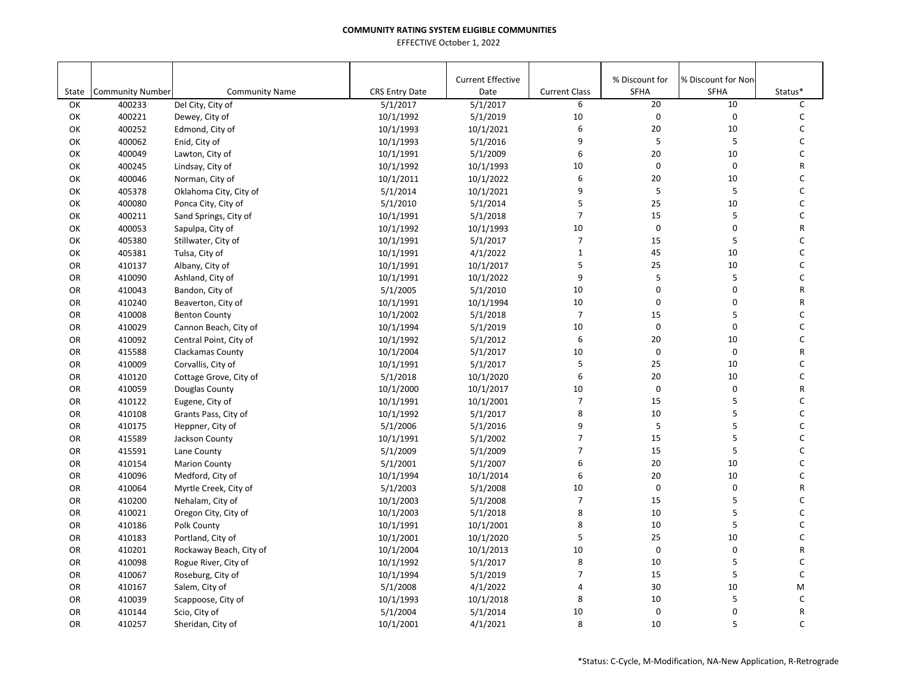|           |                         |                         |                       | <b>Current Effective</b> |                      | % Discount for | % Discount for Non- |         |
|-----------|-------------------------|-------------------------|-----------------------|--------------------------|----------------------|----------------|---------------------|---------|
| State     | <b>Community Number</b> | <b>Community Name</b>   | <b>CRS Entry Date</b> | Date                     | <b>Current Class</b> | <b>SFHA</b>    | SFHA                | Status* |
| OK        | 400233                  | Del City, City of       | 5/1/2017              | 5/1/2017                 | 6                    | 20             | 10                  | C       |
| ОΚ        | 400221                  | Dewey, City of          | 10/1/1992             | 5/1/2019                 | 10                   | $\pmb{0}$      | 0                   | C       |
| OK        | 400252                  | Edmond, City of         | 10/1/1993             | 10/1/2021                | $\boldsymbol{6}$     | 20             | 10                  | С       |
| OK        | 400062                  | Enid, City of           | 10/1/1993             | 5/1/2016                 | 9                    | 5              | 5                   | C       |
| ОК        | 400049                  | Lawton, City of         | 10/1/1991             | 5/1/2009                 | 6                    | 20             | 10                  | C       |
| ОΚ        | 400245                  | Lindsay, City of        | 10/1/1992             | 10/1/1993                | 10                   | $\mathbf 0$    | 0                   | R       |
| OK        | 400046                  | Norman, City of         | 10/1/2011             | 10/1/2022                | 6                    | 20             | 10                  | С       |
| OK        | 405378                  | Oklahoma City, City of  | 5/1/2014              | 10/1/2021                | 9                    | 5              | 5                   | C       |
| ОK        | 400080                  | Ponca City, City of     | 5/1/2010              | 5/1/2014                 | 5                    | 25             | 10                  | C       |
| ОK        | 400211                  | Sand Springs, City of   | 10/1/1991             | 5/1/2018                 | $\overline{7}$       | 15             | 5                   | C       |
| OK        | 400053                  | Sapulpa, City of        | 10/1/1992             | 10/1/1993                | 10                   | $\mathsf 0$    | 0                   | R       |
| ОK        | 405380                  | Stillwater, City of     | 10/1/1991             | 5/1/2017                 | $\overline{7}$       | 15             | 5                   | C       |
| OK        | 405381                  | Tulsa, City of          | 10/1/1991             | 4/1/2022                 | $\mathbf{1}$         | 45             | 10                  | C       |
| OR        | 410137                  | Albany, City of         | 10/1/1991             | 10/1/2017                | 5                    | 25             | 10                  | C       |
| OR        | 410090                  | Ashland, City of        | 10/1/1991             | 10/1/2022                | 9                    | 5              | 5                   | C       |
| OR        | 410043                  | Bandon, City of         | 5/1/2005              | 5/1/2010                 | 10                   | $\mathbf 0$    | $\mathbf 0$         | R       |
| <b>OR</b> | 410240                  | Beaverton, City of      | 10/1/1991             | 10/1/1994                | 10                   | $\mathbf 0$    | $\mathbf 0$         | R       |
| OR        | 410008                  | <b>Benton County</b>    | 10/1/2002             | 5/1/2018                 | $\overline{7}$       | 15             | 5                   | C       |
| OR        | 410029                  | Cannon Beach, City of   | 10/1/1994             | 5/1/2019                 | 10                   | $\mathsf 0$    | 0                   | С       |
| OR        | 410092                  | Central Point, City of  | 10/1/1992             | 5/1/2012                 | 6                    | 20             | 10                  | С       |
| OR        | 415588                  | Clackamas County        | 10/1/2004             | 5/1/2017                 | 10                   | $\pmb{0}$      | $\mathbf 0$         | R       |
| OR        | 410009                  | Corvallis, City of      | 10/1/1991             | 5/1/2017                 | 5                    | 25             | 10                  | С       |
| OR        | 410120                  | Cottage Grove, City of  | 5/1/2018              | 10/1/2020                | 6                    | 20             | 10                  | C       |
| OR        | 410059                  | Douglas County          | 10/1/2000             | 10/1/2017                | 10                   | $\mathbf 0$    | 0                   | R       |
| OR        | 410122                  | Eugene, City of         | 10/1/1991             | 10/1/2001                | $\overline{7}$       | 15             | 5                   | C       |
| OR        | 410108                  | Grants Pass, City of    | 10/1/1992             | 5/1/2017                 | 8                    | 10             | 5                   | C       |
| OR        | 410175                  | Heppner, City of        | 5/1/2006              | 5/1/2016                 | 9                    | 5              | 5                   | C       |
| OR        | 415589                  | Jackson County          | 10/1/1991             | 5/1/2002                 | $\overline{7}$       | 15             | 5                   | C       |
| OR        | 415591                  | Lane County             | 5/1/2009              | 5/1/2009                 | $\overline{7}$       | 15             | 5                   | C       |
| OR        | 410154                  | <b>Marion County</b>    | 5/1/2001              | 5/1/2007                 | 6                    | 20             | 10                  | C       |
| OR        | 410096                  | Medford, City of        | 10/1/1994             | 10/1/2014                | 6                    | 20             | 10                  | C       |
| OR        | 410064                  | Myrtle Creek, City of   | 5/1/2003              | 5/1/2008                 | 10                   | $\mathsf 0$    | $\mathbf 0$         | R       |
| OR        | 410200                  | Nehalam, City of        | 10/1/2003             | 5/1/2008                 | $\overline{7}$       | 15             | 5                   | C       |
| OR        | 410021                  | Oregon City, City of    | 10/1/2003             | 5/1/2018                 | 8                    | 10             | 5                   | С       |
| OR        | 410186                  | Polk County             | 10/1/1991             | 10/1/2001                | 8                    | 10             | 5                   | C       |
| OR        | 410183                  | Portland, City of       | 10/1/2001             | 10/1/2020                | 5                    | 25             | 10                  | C       |
| OR        | 410201                  | Rockaway Beach, City of | 10/1/2004             | 10/1/2013                | 10                   | $\mathbf 0$    | 0                   | R       |
| OR        | 410098                  | Rogue River, City of    | 10/1/1992             | 5/1/2017                 | 8                    | 10             | 5                   | C       |
| OR        | 410067                  | Roseburg, City of       | 10/1/1994             | 5/1/2019                 | $\overline{7}$       | 15             | 5                   | C       |
| OR        | 410167                  | Salem, City of          | 5/1/2008              | 4/1/2022                 | 4                    | 30             | 10                  | M       |
| OR        | 410039                  | Scappoose, City of      | 10/1/1993             | 10/1/2018                | 8                    | $10\,$         | 5                   | C       |
| OR        | 410144                  | Scio, City of           | 5/1/2004              | 5/1/2014                 | 10                   | $\mathsf 0$    | 0                   | R       |
| <b>OR</b> | 410257                  | Sheridan, City of       | 10/1/2001             | 4/1/2021                 | 8                    | 10             | 5                   | C       |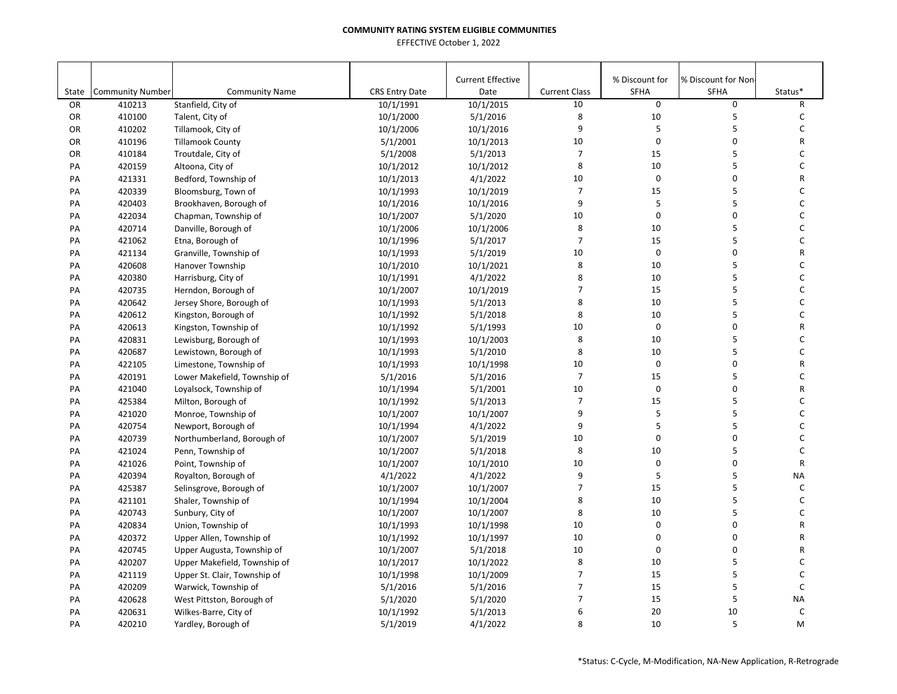|       |                         |                              |                       | <b>Current Effective</b> |                      | % Discount for | % Discount for Non- |              |
|-------|-------------------------|------------------------------|-----------------------|--------------------------|----------------------|----------------|---------------------|--------------|
| State | <b>Community Number</b> | <b>Community Name</b>        | <b>CRS Entry Date</b> | Date                     | <b>Current Class</b> | <b>SFHA</b>    | SFHA                | Status*      |
| OR    | 410213                  | Stanfield, City of           | 10/1/1991             | 10/1/2015                | 10                   | $\mathsf 0$    | 0                   | R            |
| OR    | 410100                  | Talent, City of              | 10/1/2000             | 5/1/2016                 | 8                    | 10             | 5                   | C            |
| OR    | 410202                  | Tillamook, City of           | 10/1/2006             | 10/1/2016                | 9                    | 5              | 5                   | С            |
| OR    | 410196                  | <b>Tillamook County</b>      | 5/1/2001              | 10/1/2013                | 10                   | $\mathbf 0$    | $\mathbf 0$         | R            |
| OR    | 410184                  | Troutdale, City of           | 5/1/2008              | 5/1/2013                 | $\overline{7}$       | 15             | 5                   | C            |
| PA    | 420159                  | Altoona, City of             | 10/1/2012             | 10/1/2012                | 8                    | 10             | 5                   | C            |
| PA    | 421331                  | Bedford, Township of         | 10/1/2013             | 4/1/2022                 | 10                   | $\mathbf 0$    | 0                   | R            |
| PA    | 420339                  | Bloomsburg, Town of          | 10/1/1993             | 10/1/2019                | $\overline{7}$       | 15             | 5                   | C            |
| PA    | 420403                  | Brookhaven, Borough of       | 10/1/2016             | 10/1/2016                | 9                    | 5              | 5                   | C            |
| PA    | 422034                  | Chapman, Township of         | 10/1/2007             | 5/1/2020                 | 10                   | $\mathbf 0$    | $\mathbf 0$         | C            |
| PA    | 420714                  | Danville, Borough of         | 10/1/2006             | 10/1/2006                | 8                    | 10             | 5                   | С            |
| PA    | 421062                  | Etna, Borough of             | 10/1/1996             | 5/1/2017                 | $\overline{7}$       | 15             | 5                   | С            |
| PA    | 421134                  | Granville, Township of       | 10/1/1993             | 5/1/2019                 | 10                   | $\pmb{0}$      | $\mathbf 0$         | R            |
| PA    | 420608                  | Hanover Township             | 10/1/2010             | 10/1/2021                | 8                    | 10             | 5                   | С            |
| PA    | 420380                  | Harrisburg, City of          | 10/1/1991             | 4/1/2022                 | 8                    | 10             | 5                   | С            |
| PA    | 420735                  | Herndon, Borough of          | 10/1/2007             | 10/1/2019                | $\overline{7}$       | 15             | 5                   | C            |
| PA    | 420642                  | Jersey Shore, Borough of     | 10/1/1993             | 5/1/2013                 | 8                    | 10             | 5                   | C            |
| PA    | 420612                  | Kingston, Borough of         | 10/1/1992             | 5/1/2018                 | 8                    | 10             | 5                   | C            |
| PA    | 420613                  | Kingston, Township of        | 10/1/1992             | 5/1/1993                 | 10                   | $\mathbf 0$    | 0                   | R            |
| PA    | 420831                  | Lewisburg, Borough of        | 10/1/1993             | 10/1/2003                | 8                    | 10             | 5                   | C            |
| PA    | 420687                  | Lewistown, Borough of        | 10/1/1993             | 5/1/2010                 | 8                    | 10             | 5                   | C            |
| PA    | 422105                  | Limestone, Township of       | 10/1/1993             | 10/1/1998                | 10                   | $\mathbf 0$    | $\mathbf 0$         | $\mathsf R$  |
| PA    | 420191                  | Lower Makefield, Township of | 5/1/2016              | 5/1/2016                 | $\overline{7}$       | 15             | 5                   | C            |
| PA    | 421040                  | Loyalsock, Township of       | 10/1/1994             | 5/1/2001                 | 10                   | $\pmb{0}$      | $\mathbf 0$         | R            |
| PA    | 425384                  | Milton, Borough of           | 10/1/1992             | 5/1/2013                 | $\overline{7}$       | 15             | 5                   | C            |
| PA    | 421020                  | Monroe, Township of          | 10/1/2007             | 10/1/2007                | 9                    | 5              | 5                   | C            |
| PA    | 420754                  | Newport, Borough of          | 10/1/1994             | 4/1/2022                 | 9                    | 5              | 5                   | C            |
| PA    | 420739                  | Northumberland, Borough of   | 10/1/2007             | 5/1/2019                 | 10                   | $\mathbf 0$    | $\mathbf 0$         | C            |
| PA    | 421024                  | Penn, Township of            | 10/1/2007             | 5/1/2018                 | 8                    | 10             | 5                   | C            |
| PA    | 421026                  | Point, Township of           | 10/1/2007             | 10/1/2010                | 10                   | $\pmb{0}$      | 0                   | $\mathsf{R}$ |
| PA    | 420394                  | Royalton, Borough of         | 4/1/2022              | 4/1/2022                 | 9                    | 5              | 5                   | <b>NA</b>    |
| PA    | 425387                  | Selinsgrove, Borough of      | 10/1/2007             | 10/1/2007                | $\overline{7}$       | 15             | 5                   | C            |
| PA    | 421101                  | Shaler, Township of          | 10/1/1994             | 10/1/2004                | 8                    | 10             | 5                   | C            |
| PA    | 420743                  | Sunbury, City of             | 10/1/2007             | 10/1/2007                | 8                    | 10             | 5                   | C            |
| PA    | 420834                  | Union, Township of           | 10/1/1993             | 10/1/1998                | 10                   | $\mathbf 0$    | 0                   | R            |
| PA    | 420372                  | Upper Allen, Township of     | 10/1/1992             | 10/1/1997                | 10                   | 0              | 0                   | R            |
| PA    | 420745                  | Upper Augusta, Township of   | 10/1/2007             | 5/1/2018                 | 10                   | $\mathbf 0$    | $\mathbf 0$         | R            |
| PA    | 420207                  | Upper Makefield, Township of | 10/1/2017             | 10/1/2022                | 8                    | 10             | 5                   | C            |
| PA    | 421119                  | Upper St. Clair, Township of | 10/1/1998             | 10/1/2009                | $\overline{7}$       | 15             | 5                   | C            |
| PA    | 420209                  | Warwick, Township of         | 5/1/2016              | 5/1/2016                 | $\overline{7}$       | 15             | 5                   | C            |
| PA    | 420628                  | West Pittston, Borough of    | 5/1/2020              | 5/1/2020                 | $\overline{7}$       | 15             | 5                   | <b>NA</b>    |
| PA    | 420631                  | Wilkes-Barre, City of        | 10/1/1992             | 5/1/2013                 | 6                    | 20             | 10                  | $\mathsf C$  |
| PA    | 420210                  | Yardley, Borough of          | 5/1/2019              | 4/1/2022                 | 8                    | 10             | 5                   | M            |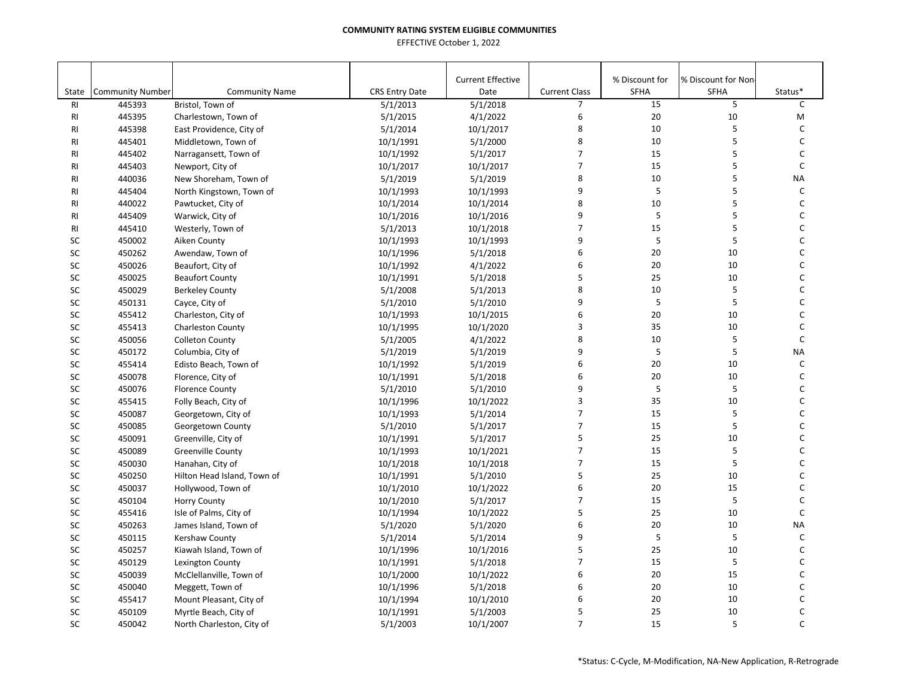|                |                         |                             |                       | <b>Current Effective</b> |                          | % Discount for | % Discount for Non |              |
|----------------|-------------------------|-----------------------------|-----------------------|--------------------------|--------------------------|----------------|--------------------|--------------|
| State          | <b>Community Number</b> | <b>Community Name</b>       | <b>CRS Entry Date</b> | Date                     | <b>Current Class</b>     | SFHA           | <b>SFHA</b>        | Status*      |
| R <sub>l</sub> | 445393                  | Bristol, Town of            | 5/1/2013              | 5/1/2018                 | $\overline{7}$           | 15             | 5                  | C            |
| RI             | 445395                  | Charlestown, Town of        | 5/1/2015              | 4/1/2022                 | 6                        | 20             | 10                 | M            |
| RI             | 445398                  | East Providence, City of    | 5/1/2014              | 10/1/2017                | 8                        | 10             | 5                  | C            |
| <b>RI</b>      | 445401                  | Middletown, Town of         | 10/1/1991             | 5/1/2000                 | 8                        | 10             | 5                  | $\mathsf C$  |
| <b>RI</b>      | 445402                  | Narragansett, Town of       | 10/1/1992             | 5/1/2017                 | $\overline{7}$           | 15             | 5                  | $\mathsf{C}$ |
| RI             | 445403                  | Newport, City of            | 10/1/2017             | 10/1/2017                | $\overline{7}$           | 15             | 5                  | $\mathsf{C}$ |
| <b>RI</b>      | 440036                  | New Shoreham, Town of       | 5/1/2019              | 5/1/2019                 | 8                        | 10             | 5                  | <b>NA</b>    |
| RI             | 445404                  | North Kingstown, Town of    | 10/1/1993             | 10/1/1993                | 9                        | 5              | 5                  | $\mathsf{C}$ |
| RI             | 440022                  | Pawtucket, City of          | 10/1/2014             | 10/1/2014                | 8                        | 10             | 5                  | $\mathsf C$  |
| RI             | 445409                  | Warwick, City of            | 10/1/2016             | 10/1/2016                | 9                        | 5              | 5                  | C            |
| <b>RI</b>      | 445410                  | Westerly, Town of           | 5/1/2013              | 10/1/2018                | $\overline{7}$           | 15             | 5                  | $\mathsf C$  |
| SC             | 450002                  | Aiken County                | 10/1/1993             | 10/1/1993                | 9                        | $\sf 5$        | 5                  | C            |
| SC             | 450262                  | Awendaw, Town of            | 10/1/1996             | 5/1/2018                 | 6                        | 20             | 10                 | C            |
| SC             | 450026                  | Beaufort, City of           | 10/1/1992             | 4/1/2022                 | 6                        | 20             | 10                 | C            |
| SC             | 450025                  | <b>Beaufort County</b>      | 10/1/1991             | 5/1/2018                 | 5                        | 25             | 10                 | C            |
| SC             | 450029                  | <b>Berkeley County</b>      | 5/1/2008              | 5/1/2013                 | 8                        | 10             | 5                  | C            |
| SC             | 450131                  | Cayce, City of              | 5/1/2010              | 5/1/2010                 | 9                        | 5              | 5                  | C            |
| SC             | 455412                  | Charleston, City of         | 10/1/1993             | 10/1/2015                | 6                        | 20             | 10                 | $\mathsf{C}$ |
| SC             | 455413                  | <b>Charleston County</b>    | 10/1/1995             | 10/1/2020                | 3                        | 35             | 10                 | C            |
| SC             | 450056                  | <b>Colleton County</b>      | 5/1/2005              | 4/1/2022                 | 8                        | 10             | 5                  | $\mathsf C$  |
| SC             | 450172                  | Columbia, City of           | 5/1/2019              | 5/1/2019                 | 9                        | 5              | 5                  | <b>NA</b>    |
| SC             | 455414                  | Edisto Beach, Town of       | 10/1/1992             | 5/1/2019                 | 6                        | 20             | 10                 | $\mathsf C$  |
| SC             | 450078                  | Florence, City of           | 10/1/1991             | 5/1/2018                 | 6                        | 20             | 10                 | $\mathsf{C}$ |
| SC             | 450076                  | <b>Florence County</b>      | 5/1/2010              | 5/1/2010                 | 9                        | $\sqrt{5}$     | 5                  | $\mathsf{C}$ |
| SC             | 455415                  | Folly Beach, City of        | 10/1/1996             | 10/1/2022                | 3                        | 35             | 10                 | C            |
| SC             | 450087                  | Georgetown, City of         | 10/1/1993             | 5/1/2014                 | $\overline{7}$           | 15             | 5                  | C            |
| SC             | 450085                  | Georgetown County           | 5/1/2010              | 5/1/2017                 | $\overline{7}$           | 15             | 5                  | $\mathsf C$  |
| SC             | 450091                  | Greenville, City of         | 10/1/1991             | 5/1/2017                 | 5                        | 25             | 10                 | C            |
| SC             | 450089                  | <b>Greenville County</b>    | 10/1/1993             | 10/1/2021                | $\overline{7}$           | 15             | 5                  | C            |
| SC             | 450030                  | Hanahan, City of            | 10/1/2018             | 10/1/2018                | $\overline{\phantom{a}}$ | 15             | 5                  | C            |
| SC             | 450250                  | Hilton Head Island, Town of | 10/1/1991             | 5/1/2010                 | 5                        | 25             | 10                 | $\mathsf C$  |
| SC             | 450037                  | Hollywood, Town of          | 10/1/2010             | 10/1/2022                | 6                        | 20             | 15                 | $\mathsf{C}$ |
| SC             | 450104                  | <b>Horry County</b>         | 10/1/2010             | 5/1/2017                 | $\overline{7}$           | 15             | 5                  | $\mathsf C$  |
| SC             | 455416                  | Isle of Palms, City of      | 10/1/1994             | 10/1/2022                | 5                        | 25             | 10                 | $\mathsf{C}$ |
| SC             | 450263                  | James Island, Town of       | 5/1/2020              | 5/1/2020                 | 6                        | 20             | 10                 | <b>NA</b>    |
| SC             | 450115                  | Kershaw County              | 5/1/2014              | 5/1/2014                 | 9                        | 5              | 5                  | $\mathsf{C}$ |
| SC             | 450257                  | Kiawah Island, Town of      | 10/1/1996             | 10/1/2016                | 5                        | 25             | 10                 | C            |
| SC             | 450129                  | Lexington County            | 10/1/1991             | 5/1/2018                 | $\overline{7}$           | 15             | 5                  | $\mathsf{C}$ |
| SC             | 450039                  | McClellanville, Town of     | 10/1/2000             | 10/1/2022                | 6                        | 20             | 15                 | C            |
| SC             | 450040                  | Meggett, Town of            | 10/1/1996             | 5/1/2018                 | 6                        | 20             | 10                 | C            |
| SC             | 455417                  | Mount Pleasant, City of     | 10/1/1994             | 10/1/2010                | 6                        | 20             | 10                 | C            |
| SC             | 450109                  | Myrtle Beach, City of       | 10/1/1991             | 5/1/2003                 | 5                        | 25             | 10                 | C            |
| <b>SC</b>      | 450042                  | North Charleston, City of   | 5/1/2003              | 10/1/2007                | $\overline{7}$           | 15             | 5                  | $\mathsf{C}$ |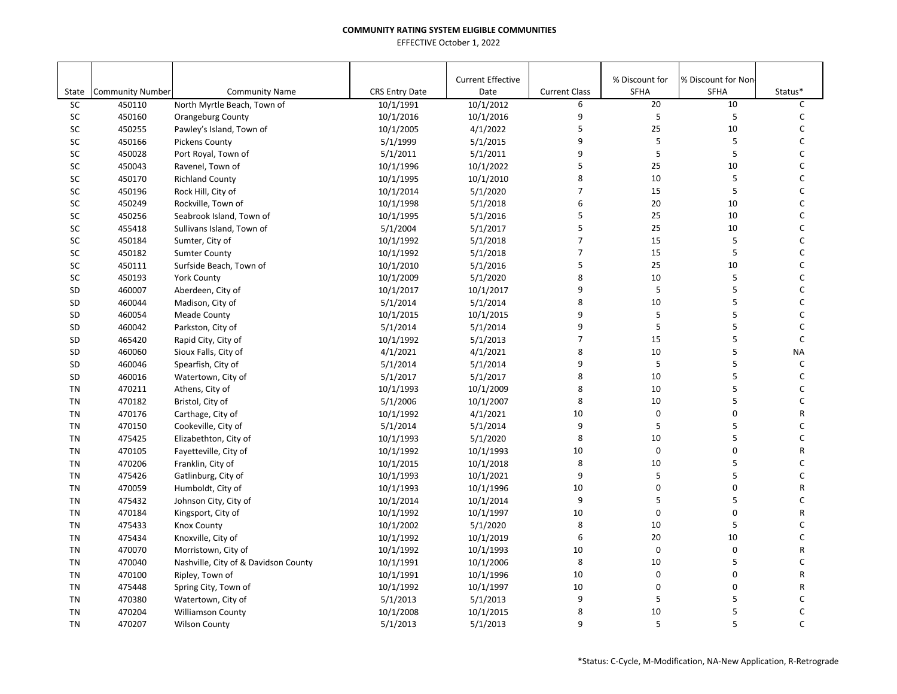| <b>Current Class</b><br><b>SFHA</b><br>Status*<br>State<br><b>Community Number</b><br><b>Community Name</b><br><b>CRS Entry Date</b><br>Date<br><b>SFHA</b><br>$\overline{20}$<br>10<br>C<br><b>SC</b><br>450110<br>North Myrtle Beach, Town of<br>10/1/1991<br>10/1/2012<br>6<br>9<br>5<br>10/1/2016<br>5<br>C<br>SC<br>450160<br><b>Orangeburg County</b><br>10/1/2016<br>5<br>25<br>10<br>SC<br>450255<br>4/1/2022<br>С<br>Pawley's Island, Town of<br>10/1/2005<br>9<br>5<br>C<br>SC<br>5/1/2015<br>5<br>450166<br>Pickens County<br>5/1/1999<br>5<br>5<br>9<br>SC<br>450028<br>5/1/2011<br>C<br>Port Royal, Town of<br>5/1/2011<br>5<br>25<br>10<br>C<br><b>SC</b><br>10/1/2022<br>450043<br>Ravenel, Town of<br>10/1/1996<br>SC<br>450170<br>10/1/2010<br>8<br>10<br><b>Richland County</b><br>10/1/1995<br>5<br>C<br>$\overline{7}$<br>5<br>C<br>15<br>SC<br>5/1/2020<br>450196<br>Rock Hill, City of<br>10/1/2014<br>SC<br>6<br>20<br>10<br>C<br>450249<br>Rockville, Town of<br>10/1/1998<br>5/1/2018<br>SC<br>5<br>25<br>10<br>C<br>450256<br>5/1/2016<br>Seabrook Island, Town of<br>10/1/1995<br>5<br>25<br>10<br>С<br>SC<br>455418<br>5/1/2004<br>5/1/2017<br>Sullivans Island, Town of<br>$\overline{7}$<br>C<br>SC<br>15<br>5<br>450184<br>5/1/2018<br>Sumter, City of<br>10/1/1992<br>$\overline{7}$<br>5<br>15<br>C<br>SC<br>450182<br>10/1/1992<br>5/1/2018<br><b>Sumter County</b><br>5<br>25<br>C<br>SC<br>10<br>450111<br>10/1/2010<br>5/1/2016<br>Surfside Beach, Town of<br>8<br>10<br>5<br>C<br>SC<br>450193<br><b>York County</b><br>10/1/2009<br>5/1/2020<br>5<br>9<br>5<br>C<br>SD<br>460007<br>Aberdeen, City of<br>10/1/2017<br>10/1/2017<br>8<br>10<br>5<br>460044<br>5/1/2014<br>C<br><b>SD</b><br>5/1/2014<br>Madison, City of<br>5<br>9<br>5<br>C<br>10/1/2015<br>SD<br>460054<br><b>Meade County</b><br>10/1/2015<br>9<br>5<br>5<br>SD<br>460042<br>5/1/2014<br>С<br>Parkston, City of<br>5/1/2014<br>$\overline{7}$<br>5<br>$\mathsf C$<br>15<br>5/1/2013<br>SD<br>465420<br>Rapid City, City of<br>10/1/1992<br>5<br>8<br>$10\,$<br>460060<br>4/1/2021<br>4/1/2021<br><b>NA</b><br>SD<br>Sioux Falls, City of<br>5<br>5<br>9<br>$\mathsf C$<br>SD<br>460046<br>Spearfish, City of<br>5/1/2014<br>5/1/2014<br>8<br>10<br>5<br>C<br>SD<br>460016<br>5/1/2017<br>5/1/2017<br>Watertown, City of<br>8<br>5<br>10<br>C<br><b>TN</b><br>470211<br>10/1/1993<br>10/1/2009<br>Athens, City of<br>8<br>5<br>10<br>C<br><b>TN</b><br>470182<br>Bristol, City of<br>5/1/2006<br>10/1/2007<br>0<br>$\mathbf 0$<br>10<br><b>TN</b><br>470176<br>10/1/1992<br>4/1/2021<br>R<br>Carthage, City of<br>9<br>5<br>5<br>C<br><b>TN</b><br>470150<br>5/1/2014<br>5/1/2014<br>Cookeville, City of<br>8<br>5<br>C<br>10<br><b>TN</b><br>475425<br>10/1/1993<br>5/1/2020<br>Elizabethton, City of<br>$\mathbf 0$<br>10<br>$\mathbf 0$<br>R<br><b>TN</b><br>470105<br>10/1/1992<br>10/1/1993<br>Fayetteville, City of<br>8<br>5<br>C<br>10<br><b>TN</b><br>470206<br>Franklin, City of<br>10/1/2015<br>10/1/2018<br>5<br>9<br>5<br>C<br><b>TN</b><br>475426<br>10/1/1993<br>10/1/2021<br>Gatlinburg, City of<br>$\mathbf 0$<br>$\mathbf 0$<br><b>TN</b><br>470059<br>10/1/1993<br>10/1/1996<br>10<br>Humboldt, City of<br>R<br>9<br>5<br>5<br>C<br>TN<br>475432<br>Johnson City, City of<br>10/1/2014<br>10/1/2014<br>0<br>$\mathbf 0$<br>470184<br>10/1/1997<br>10<br>R<br>TN<br>Kingsport, City of<br>10/1/1992<br>8<br>10<br>5<br>C<br>TN<br>475433<br>10/1/2002<br>5/1/2020<br><b>Knox County</b><br>6<br>20<br>C<br>10/1/2019<br>10<br><b>TN</b><br>475434<br>Knoxville, City of<br>10/1/1992<br>$\mathbf 0$<br>$\mathbf 0$<br>470070<br>10<br>R<br><b>TN</b><br>Morristown, City of<br>10/1/1992<br>10/1/1993<br>8<br>5<br>C<br>470040<br>10<br><b>TN</b><br>Nashville, City of & Davidson County<br>10/1/1991<br>10/1/2006<br>0<br>$\pmb{0}$<br>10<br>R<br><b>TN</b><br>470100<br>Ripley, Town of<br>10/1/1991<br>10/1/1996<br>$\pmb{0}$<br>10<br>0<br>10/1/1997<br>R<br><b>TN</b><br>475448<br>Spring City, Town of<br>10/1/1992<br>5<br>5<br>9<br>C<br><b>TN</b><br>470380<br>5/1/2013<br>5/1/2013<br>Watertown, City of<br>8<br>10<br>5<br>C<br><b>TN</b><br>470204<br>10/1/2008<br>10/1/2015<br><b>Williamson County</b> |           |        |                      |          |                          |   |                |                     |   |
|-------------------------------------------------------------------------------------------------------------------------------------------------------------------------------------------------------------------------------------------------------------------------------------------------------------------------------------------------------------------------------------------------------------------------------------------------------------------------------------------------------------------------------------------------------------------------------------------------------------------------------------------------------------------------------------------------------------------------------------------------------------------------------------------------------------------------------------------------------------------------------------------------------------------------------------------------------------------------------------------------------------------------------------------------------------------------------------------------------------------------------------------------------------------------------------------------------------------------------------------------------------------------------------------------------------------------------------------------------------------------------------------------------------------------------------------------------------------------------------------------------------------------------------------------------------------------------------------------------------------------------------------------------------------------------------------------------------------------------------------------------------------------------------------------------------------------------------------------------------------------------------------------------------------------------------------------------------------------------------------------------------------------------------------------------------------------------------------------------------------------------------------------------------------------------------------------------------------------------------------------------------------------------------------------------------------------------------------------------------------------------------------------------------------------------------------------------------------------------------------------------------------------------------------------------------------------------------------------------------------------------------------------------------------------------------------------------------------------------------------------------------------------------------------------------------------------------------------------------------------------------------------------------------------------------------------------------------------------------------------------------------------------------------------------------------------------------------------------------------------------------------------------------------------------------------------------------------------------------------------------------------------------------------------------------------------------------------------------------------------------------------------------------------------------------------------------------------------------------------------------------------------------------------------------------------------------------------------------------------------------------------------------------------------------------------------------------------------------------------------------------------------------------------------------------------------------------------------------------------------------------------------------------------------------------------------------------------------------------------------------------------------------------------------------------------------------------------------------------------------------------------------------------------------------------------------------------------------------------------------------|-----------|--------|----------------------|----------|--------------------------|---|----------------|---------------------|---|
|                                                                                                                                                                                                                                                                                                                                                                                                                                                                                                                                                                                                                                                                                                                                                                                                                                                                                                                                                                                                                                                                                                                                                                                                                                                                                                                                                                                                                                                                                                                                                                                                                                                                                                                                                                                                                                                                                                                                                                                                                                                                                                                                                                                                                                                                                                                                                                                                                                                                                                                                                                                                                                                                                                                                                                                                                                                                                                                                                                                                                                                                                                                                                                                                                                                                                                                                                                                                                                                                                                                                                                                                                                                                                                                                                                                                                                                                                                                                                                                                                                                                                                                                                                                                                                                 |           |        |                      |          | <b>Current Effective</b> |   | % Discount for | % Discount for Non- |   |
|                                                                                                                                                                                                                                                                                                                                                                                                                                                                                                                                                                                                                                                                                                                                                                                                                                                                                                                                                                                                                                                                                                                                                                                                                                                                                                                                                                                                                                                                                                                                                                                                                                                                                                                                                                                                                                                                                                                                                                                                                                                                                                                                                                                                                                                                                                                                                                                                                                                                                                                                                                                                                                                                                                                                                                                                                                                                                                                                                                                                                                                                                                                                                                                                                                                                                                                                                                                                                                                                                                                                                                                                                                                                                                                                                                                                                                                                                                                                                                                                                                                                                                                                                                                                                                                 |           |        |                      |          |                          |   |                |                     |   |
|                                                                                                                                                                                                                                                                                                                                                                                                                                                                                                                                                                                                                                                                                                                                                                                                                                                                                                                                                                                                                                                                                                                                                                                                                                                                                                                                                                                                                                                                                                                                                                                                                                                                                                                                                                                                                                                                                                                                                                                                                                                                                                                                                                                                                                                                                                                                                                                                                                                                                                                                                                                                                                                                                                                                                                                                                                                                                                                                                                                                                                                                                                                                                                                                                                                                                                                                                                                                                                                                                                                                                                                                                                                                                                                                                                                                                                                                                                                                                                                                                                                                                                                                                                                                                                                 |           |        |                      |          |                          |   |                |                     |   |
|                                                                                                                                                                                                                                                                                                                                                                                                                                                                                                                                                                                                                                                                                                                                                                                                                                                                                                                                                                                                                                                                                                                                                                                                                                                                                                                                                                                                                                                                                                                                                                                                                                                                                                                                                                                                                                                                                                                                                                                                                                                                                                                                                                                                                                                                                                                                                                                                                                                                                                                                                                                                                                                                                                                                                                                                                                                                                                                                                                                                                                                                                                                                                                                                                                                                                                                                                                                                                                                                                                                                                                                                                                                                                                                                                                                                                                                                                                                                                                                                                                                                                                                                                                                                                                                 |           |        |                      |          |                          |   |                |                     |   |
|                                                                                                                                                                                                                                                                                                                                                                                                                                                                                                                                                                                                                                                                                                                                                                                                                                                                                                                                                                                                                                                                                                                                                                                                                                                                                                                                                                                                                                                                                                                                                                                                                                                                                                                                                                                                                                                                                                                                                                                                                                                                                                                                                                                                                                                                                                                                                                                                                                                                                                                                                                                                                                                                                                                                                                                                                                                                                                                                                                                                                                                                                                                                                                                                                                                                                                                                                                                                                                                                                                                                                                                                                                                                                                                                                                                                                                                                                                                                                                                                                                                                                                                                                                                                                                                 |           |        |                      |          |                          |   |                |                     |   |
|                                                                                                                                                                                                                                                                                                                                                                                                                                                                                                                                                                                                                                                                                                                                                                                                                                                                                                                                                                                                                                                                                                                                                                                                                                                                                                                                                                                                                                                                                                                                                                                                                                                                                                                                                                                                                                                                                                                                                                                                                                                                                                                                                                                                                                                                                                                                                                                                                                                                                                                                                                                                                                                                                                                                                                                                                                                                                                                                                                                                                                                                                                                                                                                                                                                                                                                                                                                                                                                                                                                                                                                                                                                                                                                                                                                                                                                                                                                                                                                                                                                                                                                                                                                                                                                 |           |        |                      |          |                          |   |                |                     |   |
|                                                                                                                                                                                                                                                                                                                                                                                                                                                                                                                                                                                                                                                                                                                                                                                                                                                                                                                                                                                                                                                                                                                                                                                                                                                                                                                                                                                                                                                                                                                                                                                                                                                                                                                                                                                                                                                                                                                                                                                                                                                                                                                                                                                                                                                                                                                                                                                                                                                                                                                                                                                                                                                                                                                                                                                                                                                                                                                                                                                                                                                                                                                                                                                                                                                                                                                                                                                                                                                                                                                                                                                                                                                                                                                                                                                                                                                                                                                                                                                                                                                                                                                                                                                                                                                 |           |        |                      |          |                          |   |                |                     |   |
|                                                                                                                                                                                                                                                                                                                                                                                                                                                                                                                                                                                                                                                                                                                                                                                                                                                                                                                                                                                                                                                                                                                                                                                                                                                                                                                                                                                                                                                                                                                                                                                                                                                                                                                                                                                                                                                                                                                                                                                                                                                                                                                                                                                                                                                                                                                                                                                                                                                                                                                                                                                                                                                                                                                                                                                                                                                                                                                                                                                                                                                                                                                                                                                                                                                                                                                                                                                                                                                                                                                                                                                                                                                                                                                                                                                                                                                                                                                                                                                                                                                                                                                                                                                                                                                 |           |        |                      |          |                          |   |                |                     |   |
|                                                                                                                                                                                                                                                                                                                                                                                                                                                                                                                                                                                                                                                                                                                                                                                                                                                                                                                                                                                                                                                                                                                                                                                                                                                                                                                                                                                                                                                                                                                                                                                                                                                                                                                                                                                                                                                                                                                                                                                                                                                                                                                                                                                                                                                                                                                                                                                                                                                                                                                                                                                                                                                                                                                                                                                                                                                                                                                                                                                                                                                                                                                                                                                                                                                                                                                                                                                                                                                                                                                                                                                                                                                                                                                                                                                                                                                                                                                                                                                                                                                                                                                                                                                                                                                 |           |        |                      |          |                          |   |                |                     |   |
|                                                                                                                                                                                                                                                                                                                                                                                                                                                                                                                                                                                                                                                                                                                                                                                                                                                                                                                                                                                                                                                                                                                                                                                                                                                                                                                                                                                                                                                                                                                                                                                                                                                                                                                                                                                                                                                                                                                                                                                                                                                                                                                                                                                                                                                                                                                                                                                                                                                                                                                                                                                                                                                                                                                                                                                                                                                                                                                                                                                                                                                                                                                                                                                                                                                                                                                                                                                                                                                                                                                                                                                                                                                                                                                                                                                                                                                                                                                                                                                                                                                                                                                                                                                                                                                 |           |        |                      |          |                          |   |                |                     |   |
|                                                                                                                                                                                                                                                                                                                                                                                                                                                                                                                                                                                                                                                                                                                                                                                                                                                                                                                                                                                                                                                                                                                                                                                                                                                                                                                                                                                                                                                                                                                                                                                                                                                                                                                                                                                                                                                                                                                                                                                                                                                                                                                                                                                                                                                                                                                                                                                                                                                                                                                                                                                                                                                                                                                                                                                                                                                                                                                                                                                                                                                                                                                                                                                                                                                                                                                                                                                                                                                                                                                                                                                                                                                                                                                                                                                                                                                                                                                                                                                                                                                                                                                                                                                                                                                 |           |        |                      |          |                          |   |                |                     |   |
|                                                                                                                                                                                                                                                                                                                                                                                                                                                                                                                                                                                                                                                                                                                                                                                                                                                                                                                                                                                                                                                                                                                                                                                                                                                                                                                                                                                                                                                                                                                                                                                                                                                                                                                                                                                                                                                                                                                                                                                                                                                                                                                                                                                                                                                                                                                                                                                                                                                                                                                                                                                                                                                                                                                                                                                                                                                                                                                                                                                                                                                                                                                                                                                                                                                                                                                                                                                                                                                                                                                                                                                                                                                                                                                                                                                                                                                                                                                                                                                                                                                                                                                                                                                                                                                 |           |        |                      |          |                          |   |                |                     |   |
|                                                                                                                                                                                                                                                                                                                                                                                                                                                                                                                                                                                                                                                                                                                                                                                                                                                                                                                                                                                                                                                                                                                                                                                                                                                                                                                                                                                                                                                                                                                                                                                                                                                                                                                                                                                                                                                                                                                                                                                                                                                                                                                                                                                                                                                                                                                                                                                                                                                                                                                                                                                                                                                                                                                                                                                                                                                                                                                                                                                                                                                                                                                                                                                                                                                                                                                                                                                                                                                                                                                                                                                                                                                                                                                                                                                                                                                                                                                                                                                                                                                                                                                                                                                                                                                 |           |        |                      |          |                          |   |                |                     |   |
|                                                                                                                                                                                                                                                                                                                                                                                                                                                                                                                                                                                                                                                                                                                                                                                                                                                                                                                                                                                                                                                                                                                                                                                                                                                                                                                                                                                                                                                                                                                                                                                                                                                                                                                                                                                                                                                                                                                                                                                                                                                                                                                                                                                                                                                                                                                                                                                                                                                                                                                                                                                                                                                                                                                                                                                                                                                                                                                                                                                                                                                                                                                                                                                                                                                                                                                                                                                                                                                                                                                                                                                                                                                                                                                                                                                                                                                                                                                                                                                                                                                                                                                                                                                                                                                 |           |        |                      |          |                          |   |                |                     |   |
|                                                                                                                                                                                                                                                                                                                                                                                                                                                                                                                                                                                                                                                                                                                                                                                                                                                                                                                                                                                                                                                                                                                                                                                                                                                                                                                                                                                                                                                                                                                                                                                                                                                                                                                                                                                                                                                                                                                                                                                                                                                                                                                                                                                                                                                                                                                                                                                                                                                                                                                                                                                                                                                                                                                                                                                                                                                                                                                                                                                                                                                                                                                                                                                                                                                                                                                                                                                                                                                                                                                                                                                                                                                                                                                                                                                                                                                                                                                                                                                                                                                                                                                                                                                                                                                 |           |        |                      |          |                          |   |                |                     |   |
|                                                                                                                                                                                                                                                                                                                                                                                                                                                                                                                                                                                                                                                                                                                                                                                                                                                                                                                                                                                                                                                                                                                                                                                                                                                                                                                                                                                                                                                                                                                                                                                                                                                                                                                                                                                                                                                                                                                                                                                                                                                                                                                                                                                                                                                                                                                                                                                                                                                                                                                                                                                                                                                                                                                                                                                                                                                                                                                                                                                                                                                                                                                                                                                                                                                                                                                                                                                                                                                                                                                                                                                                                                                                                                                                                                                                                                                                                                                                                                                                                                                                                                                                                                                                                                                 |           |        |                      |          |                          |   |                |                     |   |
|                                                                                                                                                                                                                                                                                                                                                                                                                                                                                                                                                                                                                                                                                                                                                                                                                                                                                                                                                                                                                                                                                                                                                                                                                                                                                                                                                                                                                                                                                                                                                                                                                                                                                                                                                                                                                                                                                                                                                                                                                                                                                                                                                                                                                                                                                                                                                                                                                                                                                                                                                                                                                                                                                                                                                                                                                                                                                                                                                                                                                                                                                                                                                                                                                                                                                                                                                                                                                                                                                                                                                                                                                                                                                                                                                                                                                                                                                                                                                                                                                                                                                                                                                                                                                                                 |           |        |                      |          |                          |   |                |                     |   |
|                                                                                                                                                                                                                                                                                                                                                                                                                                                                                                                                                                                                                                                                                                                                                                                                                                                                                                                                                                                                                                                                                                                                                                                                                                                                                                                                                                                                                                                                                                                                                                                                                                                                                                                                                                                                                                                                                                                                                                                                                                                                                                                                                                                                                                                                                                                                                                                                                                                                                                                                                                                                                                                                                                                                                                                                                                                                                                                                                                                                                                                                                                                                                                                                                                                                                                                                                                                                                                                                                                                                                                                                                                                                                                                                                                                                                                                                                                                                                                                                                                                                                                                                                                                                                                                 |           |        |                      |          |                          |   |                |                     |   |
|                                                                                                                                                                                                                                                                                                                                                                                                                                                                                                                                                                                                                                                                                                                                                                                                                                                                                                                                                                                                                                                                                                                                                                                                                                                                                                                                                                                                                                                                                                                                                                                                                                                                                                                                                                                                                                                                                                                                                                                                                                                                                                                                                                                                                                                                                                                                                                                                                                                                                                                                                                                                                                                                                                                                                                                                                                                                                                                                                                                                                                                                                                                                                                                                                                                                                                                                                                                                                                                                                                                                                                                                                                                                                                                                                                                                                                                                                                                                                                                                                                                                                                                                                                                                                                                 |           |        |                      |          |                          |   |                |                     |   |
|                                                                                                                                                                                                                                                                                                                                                                                                                                                                                                                                                                                                                                                                                                                                                                                                                                                                                                                                                                                                                                                                                                                                                                                                                                                                                                                                                                                                                                                                                                                                                                                                                                                                                                                                                                                                                                                                                                                                                                                                                                                                                                                                                                                                                                                                                                                                                                                                                                                                                                                                                                                                                                                                                                                                                                                                                                                                                                                                                                                                                                                                                                                                                                                                                                                                                                                                                                                                                                                                                                                                                                                                                                                                                                                                                                                                                                                                                                                                                                                                                                                                                                                                                                                                                                                 |           |        |                      |          |                          |   |                |                     |   |
|                                                                                                                                                                                                                                                                                                                                                                                                                                                                                                                                                                                                                                                                                                                                                                                                                                                                                                                                                                                                                                                                                                                                                                                                                                                                                                                                                                                                                                                                                                                                                                                                                                                                                                                                                                                                                                                                                                                                                                                                                                                                                                                                                                                                                                                                                                                                                                                                                                                                                                                                                                                                                                                                                                                                                                                                                                                                                                                                                                                                                                                                                                                                                                                                                                                                                                                                                                                                                                                                                                                                                                                                                                                                                                                                                                                                                                                                                                                                                                                                                                                                                                                                                                                                                                                 |           |        |                      |          |                          |   |                |                     |   |
|                                                                                                                                                                                                                                                                                                                                                                                                                                                                                                                                                                                                                                                                                                                                                                                                                                                                                                                                                                                                                                                                                                                                                                                                                                                                                                                                                                                                                                                                                                                                                                                                                                                                                                                                                                                                                                                                                                                                                                                                                                                                                                                                                                                                                                                                                                                                                                                                                                                                                                                                                                                                                                                                                                                                                                                                                                                                                                                                                                                                                                                                                                                                                                                                                                                                                                                                                                                                                                                                                                                                                                                                                                                                                                                                                                                                                                                                                                                                                                                                                                                                                                                                                                                                                                                 |           |        |                      |          |                          |   |                |                     |   |
|                                                                                                                                                                                                                                                                                                                                                                                                                                                                                                                                                                                                                                                                                                                                                                                                                                                                                                                                                                                                                                                                                                                                                                                                                                                                                                                                                                                                                                                                                                                                                                                                                                                                                                                                                                                                                                                                                                                                                                                                                                                                                                                                                                                                                                                                                                                                                                                                                                                                                                                                                                                                                                                                                                                                                                                                                                                                                                                                                                                                                                                                                                                                                                                                                                                                                                                                                                                                                                                                                                                                                                                                                                                                                                                                                                                                                                                                                                                                                                                                                                                                                                                                                                                                                                                 |           |        |                      |          |                          |   |                |                     |   |
|                                                                                                                                                                                                                                                                                                                                                                                                                                                                                                                                                                                                                                                                                                                                                                                                                                                                                                                                                                                                                                                                                                                                                                                                                                                                                                                                                                                                                                                                                                                                                                                                                                                                                                                                                                                                                                                                                                                                                                                                                                                                                                                                                                                                                                                                                                                                                                                                                                                                                                                                                                                                                                                                                                                                                                                                                                                                                                                                                                                                                                                                                                                                                                                                                                                                                                                                                                                                                                                                                                                                                                                                                                                                                                                                                                                                                                                                                                                                                                                                                                                                                                                                                                                                                                                 |           |        |                      |          |                          |   |                |                     |   |
|                                                                                                                                                                                                                                                                                                                                                                                                                                                                                                                                                                                                                                                                                                                                                                                                                                                                                                                                                                                                                                                                                                                                                                                                                                                                                                                                                                                                                                                                                                                                                                                                                                                                                                                                                                                                                                                                                                                                                                                                                                                                                                                                                                                                                                                                                                                                                                                                                                                                                                                                                                                                                                                                                                                                                                                                                                                                                                                                                                                                                                                                                                                                                                                                                                                                                                                                                                                                                                                                                                                                                                                                                                                                                                                                                                                                                                                                                                                                                                                                                                                                                                                                                                                                                                                 |           |        |                      |          |                          |   |                |                     |   |
|                                                                                                                                                                                                                                                                                                                                                                                                                                                                                                                                                                                                                                                                                                                                                                                                                                                                                                                                                                                                                                                                                                                                                                                                                                                                                                                                                                                                                                                                                                                                                                                                                                                                                                                                                                                                                                                                                                                                                                                                                                                                                                                                                                                                                                                                                                                                                                                                                                                                                                                                                                                                                                                                                                                                                                                                                                                                                                                                                                                                                                                                                                                                                                                                                                                                                                                                                                                                                                                                                                                                                                                                                                                                                                                                                                                                                                                                                                                                                                                                                                                                                                                                                                                                                                                 |           |        |                      |          |                          |   |                |                     |   |
|                                                                                                                                                                                                                                                                                                                                                                                                                                                                                                                                                                                                                                                                                                                                                                                                                                                                                                                                                                                                                                                                                                                                                                                                                                                                                                                                                                                                                                                                                                                                                                                                                                                                                                                                                                                                                                                                                                                                                                                                                                                                                                                                                                                                                                                                                                                                                                                                                                                                                                                                                                                                                                                                                                                                                                                                                                                                                                                                                                                                                                                                                                                                                                                                                                                                                                                                                                                                                                                                                                                                                                                                                                                                                                                                                                                                                                                                                                                                                                                                                                                                                                                                                                                                                                                 |           |        |                      |          |                          |   |                |                     |   |
|                                                                                                                                                                                                                                                                                                                                                                                                                                                                                                                                                                                                                                                                                                                                                                                                                                                                                                                                                                                                                                                                                                                                                                                                                                                                                                                                                                                                                                                                                                                                                                                                                                                                                                                                                                                                                                                                                                                                                                                                                                                                                                                                                                                                                                                                                                                                                                                                                                                                                                                                                                                                                                                                                                                                                                                                                                                                                                                                                                                                                                                                                                                                                                                                                                                                                                                                                                                                                                                                                                                                                                                                                                                                                                                                                                                                                                                                                                                                                                                                                                                                                                                                                                                                                                                 |           |        |                      |          |                          |   |                |                     |   |
|                                                                                                                                                                                                                                                                                                                                                                                                                                                                                                                                                                                                                                                                                                                                                                                                                                                                                                                                                                                                                                                                                                                                                                                                                                                                                                                                                                                                                                                                                                                                                                                                                                                                                                                                                                                                                                                                                                                                                                                                                                                                                                                                                                                                                                                                                                                                                                                                                                                                                                                                                                                                                                                                                                                                                                                                                                                                                                                                                                                                                                                                                                                                                                                                                                                                                                                                                                                                                                                                                                                                                                                                                                                                                                                                                                                                                                                                                                                                                                                                                                                                                                                                                                                                                                                 |           |        |                      |          |                          |   |                |                     |   |
|                                                                                                                                                                                                                                                                                                                                                                                                                                                                                                                                                                                                                                                                                                                                                                                                                                                                                                                                                                                                                                                                                                                                                                                                                                                                                                                                                                                                                                                                                                                                                                                                                                                                                                                                                                                                                                                                                                                                                                                                                                                                                                                                                                                                                                                                                                                                                                                                                                                                                                                                                                                                                                                                                                                                                                                                                                                                                                                                                                                                                                                                                                                                                                                                                                                                                                                                                                                                                                                                                                                                                                                                                                                                                                                                                                                                                                                                                                                                                                                                                                                                                                                                                                                                                                                 |           |        |                      |          |                          |   |                |                     |   |
|                                                                                                                                                                                                                                                                                                                                                                                                                                                                                                                                                                                                                                                                                                                                                                                                                                                                                                                                                                                                                                                                                                                                                                                                                                                                                                                                                                                                                                                                                                                                                                                                                                                                                                                                                                                                                                                                                                                                                                                                                                                                                                                                                                                                                                                                                                                                                                                                                                                                                                                                                                                                                                                                                                                                                                                                                                                                                                                                                                                                                                                                                                                                                                                                                                                                                                                                                                                                                                                                                                                                                                                                                                                                                                                                                                                                                                                                                                                                                                                                                                                                                                                                                                                                                                                 |           |        |                      |          |                          |   |                |                     |   |
|                                                                                                                                                                                                                                                                                                                                                                                                                                                                                                                                                                                                                                                                                                                                                                                                                                                                                                                                                                                                                                                                                                                                                                                                                                                                                                                                                                                                                                                                                                                                                                                                                                                                                                                                                                                                                                                                                                                                                                                                                                                                                                                                                                                                                                                                                                                                                                                                                                                                                                                                                                                                                                                                                                                                                                                                                                                                                                                                                                                                                                                                                                                                                                                                                                                                                                                                                                                                                                                                                                                                                                                                                                                                                                                                                                                                                                                                                                                                                                                                                                                                                                                                                                                                                                                 |           |        |                      |          |                          |   |                |                     |   |
|                                                                                                                                                                                                                                                                                                                                                                                                                                                                                                                                                                                                                                                                                                                                                                                                                                                                                                                                                                                                                                                                                                                                                                                                                                                                                                                                                                                                                                                                                                                                                                                                                                                                                                                                                                                                                                                                                                                                                                                                                                                                                                                                                                                                                                                                                                                                                                                                                                                                                                                                                                                                                                                                                                                                                                                                                                                                                                                                                                                                                                                                                                                                                                                                                                                                                                                                                                                                                                                                                                                                                                                                                                                                                                                                                                                                                                                                                                                                                                                                                                                                                                                                                                                                                                                 |           |        |                      |          |                          |   |                |                     |   |
|                                                                                                                                                                                                                                                                                                                                                                                                                                                                                                                                                                                                                                                                                                                                                                                                                                                                                                                                                                                                                                                                                                                                                                                                                                                                                                                                                                                                                                                                                                                                                                                                                                                                                                                                                                                                                                                                                                                                                                                                                                                                                                                                                                                                                                                                                                                                                                                                                                                                                                                                                                                                                                                                                                                                                                                                                                                                                                                                                                                                                                                                                                                                                                                                                                                                                                                                                                                                                                                                                                                                                                                                                                                                                                                                                                                                                                                                                                                                                                                                                                                                                                                                                                                                                                                 |           |        |                      |          |                          |   |                |                     |   |
|                                                                                                                                                                                                                                                                                                                                                                                                                                                                                                                                                                                                                                                                                                                                                                                                                                                                                                                                                                                                                                                                                                                                                                                                                                                                                                                                                                                                                                                                                                                                                                                                                                                                                                                                                                                                                                                                                                                                                                                                                                                                                                                                                                                                                                                                                                                                                                                                                                                                                                                                                                                                                                                                                                                                                                                                                                                                                                                                                                                                                                                                                                                                                                                                                                                                                                                                                                                                                                                                                                                                                                                                                                                                                                                                                                                                                                                                                                                                                                                                                                                                                                                                                                                                                                                 |           |        |                      |          |                          |   |                |                     |   |
|                                                                                                                                                                                                                                                                                                                                                                                                                                                                                                                                                                                                                                                                                                                                                                                                                                                                                                                                                                                                                                                                                                                                                                                                                                                                                                                                                                                                                                                                                                                                                                                                                                                                                                                                                                                                                                                                                                                                                                                                                                                                                                                                                                                                                                                                                                                                                                                                                                                                                                                                                                                                                                                                                                                                                                                                                                                                                                                                                                                                                                                                                                                                                                                                                                                                                                                                                                                                                                                                                                                                                                                                                                                                                                                                                                                                                                                                                                                                                                                                                                                                                                                                                                                                                                                 |           |        |                      |          |                          |   |                |                     |   |
|                                                                                                                                                                                                                                                                                                                                                                                                                                                                                                                                                                                                                                                                                                                                                                                                                                                                                                                                                                                                                                                                                                                                                                                                                                                                                                                                                                                                                                                                                                                                                                                                                                                                                                                                                                                                                                                                                                                                                                                                                                                                                                                                                                                                                                                                                                                                                                                                                                                                                                                                                                                                                                                                                                                                                                                                                                                                                                                                                                                                                                                                                                                                                                                                                                                                                                                                                                                                                                                                                                                                                                                                                                                                                                                                                                                                                                                                                                                                                                                                                                                                                                                                                                                                                                                 |           |        |                      |          |                          |   |                |                     |   |
|                                                                                                                                                                                                                                                                                                                                                                                                                                                                                                                                                                                                                                                                                                                                                                                                                                                                                                                                                                                                                                                                                                                                                                                                                                                                                                                                                                                                                                                                                                                                                                                                                                                                                                                                                                                                                                                                                                                                                                                                                                                                                                                                                                                                                                                                                                                                                                                                                                                                                                                                                                                                                                                                                                                                                                                                                                                                                                                                                                                                                                                                                                                                                                                                                                                                                                                                                                                                                                                                                                                                                                                                                                                                                                                                                                                                                                                                                                                                                                                                                                                                                                                                                                                                                                                 |           |        |                      |          |                          |   |                |                     |   |
|                                                                                                                                                                                                                                                                                                                                                                                                                                                                                                                                                                                                                                                                                                                                                                                                                                                                                                                                                                                                                                                                                                                                                                                                                                                                                                                                                                                                                                                                                                                                                                                                                                                                                                                                                                                                                                                                                                                                                                                                                                                                                                                                                                                                                                                                                                                                                                                                                                                                                                                                                                                                                                                                                                                                                                                                                                                                                                                                                                                                                                                                                                                                                                                                                                                                                                                                                                                                                                                                                                                                                                                                                                                                                                                                                                                                                                                                                                                                                                                                                                                                                                                                                                                                                                                 |           |        |                      |          |                          |   |                |                     |   |
|                                                                                                                                                                                                                                                                                                                                                                                                                                                                                                                                                                                                                                                                                                                                                                                                                                                                                                                                                                                                                                                                                                                                                                                                                                                                                                                                                                                                                                                                                                                                                                                                                                                                                                                                                                                                                                                                                                                                                                                                                                                                                                                                                                                                                                                                                                                                                                                                                                                                                                                                                                                                                                                                                                                                                                                                                                                                                                                                                                                                                                                                                                                                                                                                                                                                                                                                                                                                                                                                                                                                                                                                                                                                                                                                                                                                                                                                                                                                                                                                                                                                                                                                                                                                                                                 |           |        |                      |          |                          |   |                |                     |   |
|                                                                                                                                                                                                                                                                                                                                                                                                                                                                                                                                                                                                                                                                                                                                                                                                                                                                                                                                                                                                                                                                                                                                                                                                                                                                                                                                                                                                                                                                                                                                                                                                                                                                                                                                                                                                                                                                                                                                                                                                                                                                                                                                                                                                                                                                                                                                                                                                                                                                                                                                                                                                                                                                                                                                                                                                                                                                                                                                                                                                                                                                                                                                                                                                                                                                                                                                                                                                                                                                                                                                                                                                                                                                                                                                                                                                                                                                                                                                                                                                                                                                                                                                                                                                                                                 |           |        |                      |          |                          |   |                |                     |   |
|                                                                                                                                                                                                                                                                                                                                                                                                                                                                                                                                                                                                                                                                                                                                                                                                                                                                                                                                                                                                                                                                                                                                                                                                                                                                                                                                                                                                                                                                                                                                                                                                                                                                                                                                                                                                                                                                                                                                                                                                                                                                                                                                                                                                                                                                                                                                                                                                                                                                                                                                                                                                                                                                                                                                                                                                                                                                                                                                                                                                                                                                                                                                                                                                                                                                                                                                                                                                                                                                                                                                                                                                                                                                                                                                                                                                                                                                                                                                                                                                                                                                                                                                                                                                                                                 |           |        |                      |          |                          |   |                |                     |   |
|                                                                                                                                                                                                                                                                                                                                                                                                                                                                                                                                                                                                                                                                                                                                                                                                                                                                                                                                                                                                                                                                                                                                                                                                                                                                                                                                                                                                                                                                                                                                                                                                                                                                                                                                                                                                                                                                                                                                                                                                                                                                                                                                                                                                                                                                                                                                                                                                                                                                                                                                                                                                                                                                                                                                                                                                                                                                                                                                                                                                                                                                                                                                                                                                                                                                                                                                                                                                                                                                                                                                                                                                                                                                                                                                                                                                                                                                                                                                                                                                                                                                                                                                                                                                                                                 |           |        |                      |          |                          |   |                |                     |   |
|                                                                                                                                                                                                                                                                                                                                                                                                                                                                                                                                                                                                                                                                                                                                                                                                                                                                                                                                                                                                                                                                                                                                                                                                                                                                                                                                                                                                                                                                                                                                                                                                                                                                                                                                                                                                                                                                                                                                                                                                                                                                                                                                                                                                                                                                                                                                                                                                                                                                                                                                                                                                                                                                                                                                                                                                                                                                                                                                                                                                                                                                                                                                                                                                                                                                                                                                                                                                                                                                                                                                                                                                                                                                                                                                                                                                                                                                                                                                                                                                                                                                                                                                                                                                                                                 |           |        |                      |          |                          |   |                |                     |   |
|                                                                                                                                                                                                                                                                                                                                                                                                                                                                                                                                                                                                                                                                                                                                                                                                                                                                                                                                                                                                                                                                                                                                                                                                                                                                                                                                                                                                                                                                                                                                                                                                                                                                                                                                                                                                                                                                                                                                                                                                                                                                                                                                                                                                                                                                                                                                                                                                                                                                                                                                                                                                                                                                                                                                                                                                                                                                                                                                                                                                                                                                                                                                                                                                                                                                                                                                                                                                                                                                                                                                                                                                                                                                                                                                                                                                                                                                                                                                                                                                                                                                                                                                                                                                                                                 | <b>TN</b> | 470207 | <b>Wilson County</b> | 5/1/2013 | 5/1/2013                 | 9 | 5              | 5                   | C |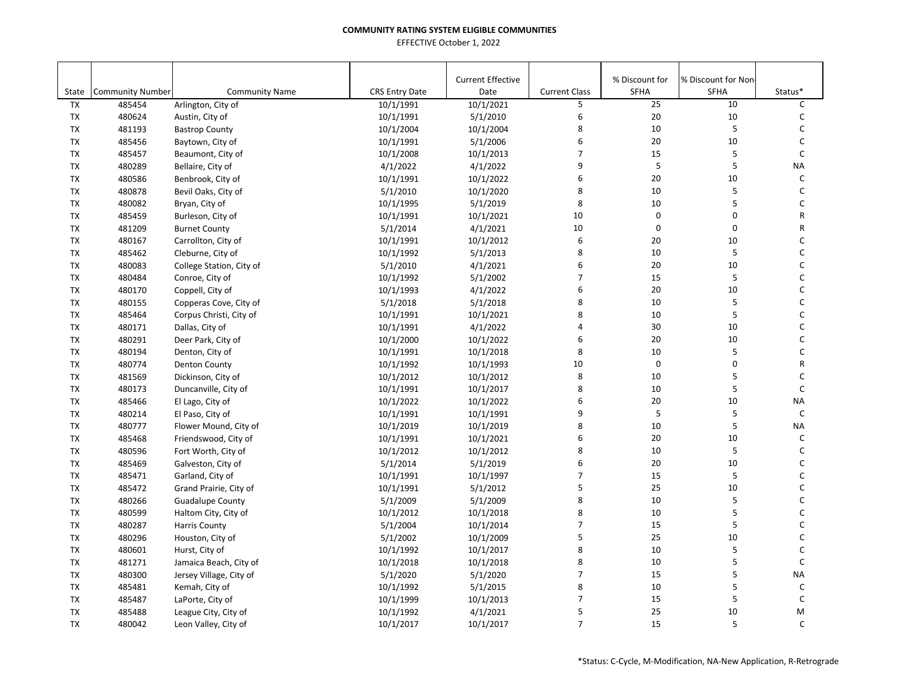| State                  | <b>Community Number</b> | <b>Community Name</b>                     | <b>CRS Entry Date</b>  | <b>Current Effective</b><br>Date | <b>Current Class</b> | % Discount for<br>SFHA | % Discount for Non-<br><b>SFHA</b> | Status*      |
|------------------------|-------------------------|-------------------------------------------|------------------------|----------------------------------|----------------------|------------------------|------------------------------------|--------------|
| <b>TX</b>              | 485454                  | Arlington, City of                        | 10/1/1991              | 10/1/2021                        | 5                    | 25                     | 10                                 | $\mathsf{C}$ |
| TX                     | 480624                  | Austin, City of                           | 10/1/1991              | 5/1/2010                         | 6                    | 20                     | 10                                 | $\mathsf{C}$ |
| TX                     | 481193                  | <b>Bastrop County</b>                     | 10/1/2004              | 10/1/2004                        | 8                    | 10                     | 5                                  | $\mathsf C$  |
| <b>TX</b>              | 485456                  |                                           | 10/1/1991              | 5/1/2006                         | 6                    | 20                     | 10                                 | $\mathsf{C}$ |
| TX                     | 485457                  | Baytown, City of<br>Beaumont, City of     | 10/1/2008              | 10/1/2013                        | $\overline{7}$       | 15                     | 5                                  | C            |
| TX                     | 480289                  | Bellaire, City of                         | 4/1/2022               | 4/1/2022                         | 9                    | 5                      | $\sf 5$                            | <b>NA</b>    |
| TX                     | 480586                  | Benbrook, City of                         | 10/1/1991              | 10/1/2022                        | 6                    | 20                     | 10                                 | C            |
| TX                     | 480878                  | Bevil Oaks, City of                       | 5/1/2010               | 10/1/2020                        | 8                    | 10                     | 5                                  | $\mathsf C$  |
| <b>TX</b>              | 480082                  | Bryan, City of                            | 10/1/1995              | 5/1/2019                         | 8                    | 10                     | 5                                  | $\mathsf{C}$ |
| TX                     | 485459                  | Burleson, City of                         | 10/1/1991              | 10/1/2021                        | 10                   | $\mathbf 0$            | $\mathbf 0$                        | R            |
| <b>TX</b>              | 481209                  | <b>Burnet County</b>                      | 5/1/2014               | 4/1/2021                         | 10                   | $\mathbf 0$            | $\mathbf 0$                        | ${\sf R}$    |
| TX                     | 480167                  | Carrollton, City of                       | 10/1/1991              | 10/1/2012                        | 6                    | 20                     | 10                                 | C            |
| TX                     | 485462                  | Cleburne, City of                         | 10/1/1992              | 5/1/2013                         | 8                    | 10                     | 5                                  | C            |
| TX                     | 480083                  | College Station, City of                  | 5/1/2010               | 4/1/2021                         | 6                    | 20                     | 10                                 | $\mathsf C$  |
| TX                     | 480484                  | Conroe, City of                           | 10/1/1992              | 5/1/2002                         | $\overline{7}$       | 15                     | 5                                  | C            |
| TX                     | 480170                  | Coppell, City of                          | 10/1/1993              | 4/1/2022                         | 6                    | 20                     | 10                                 | $\mathsf{C}$ |
| <b>TX</b>              | 480155                  | Copperas Cove, City of                    | 5/1/2018               | 5/1/2018                         | 8                    | 10                     | 5                                  | $\mathsf{C}$ |
| <b>TX</b>              | 485464                  | Corpus Christi, City of                   | 10/1/1991              | 10/1/2021                        | 8                    | 10                     | 5                                  | $\mathsf{C}$ |
| TX                     | 480171                  | Dallas, City of                           |                        | 4/1/2022                         | 4                    | 30                     | $10\,$                             | $\mathsf{C}$ |
| TX                     | 480291                  | Deer Park, City of                        | 10/1/1991<br>10/1/2000 | 10/1/2022                        | 6                    | 20                     | 10                                 | $\mathsf{C}$ |
| TX                     | 480194                  | Denton, City of                           | 10/1/1991              | 10/1/2018                        | 8                    | 10                     | 5                                  | C            |
| TX                     | 480774                  | <b>Denton County</b>                      | 10/1/1992              | 10/1/1993                        | 10                   | $\mathsf 0$            | $\pmb{0}$                          | ${\sf R}$    |
| TX                     | 481569                  | Dickinson, City of                        | 10/1/2012              | 10/1/2012                        | 8                    | 10                     | 5                                  | C            |
|                        |                         |                                           |                        |                                  | 8                    | 10                     | 5                                  | $\mathsf{C}$ |
| TX<br><b>TX</b>        | 480173                  | Duncanville, City of                      | 10/1/1991              | 10/1/2017<br>10/1/2022           | 6                    | 20                     | 10                                 | <b>NA</b>    |
|                        | 485466                  | El Lago, City of                          | 10/1/2022              | 10/1/1991                        | 9                    | 5                      | 5                                  | $\mathsf{C}$ |
| TX<br>TX               | 480214<br>480777        | El Paso, City of<br>Flower Mound, City of | 10/1/1991              | 10/1/2019                        | 8                    | 10                     | 5                                  | <b>NA</b>    |
| TX                     | 485468                  | Friendswood, City of                      | 10/1/2019<br>10/1/1991 | 10/1/2021                        | 6                    | 20                     | 10                                 | C            |
| <b>TX</b>              | 480596                  | Fort Worth, City of                       |                        | 10/1/2012                        | 8                    | 10                     | 5                                  | C            |
| TX                     | 485469                  | Galveston, City of                        | 10/1/2012<br>5/1/2014  | 5/1/2019                         | 6                    | 20                     | 10                                 | $\mathsf C$  |
| <b>TX</b>              | 485471                  | Garland, City of                          | 10/1/1991              | 10/1/1997                        | $\overline{7}$       | 15                     | 5                                  | $\mathsf{C}$ |
| TX                     | 485472                  | Grand Prairie, City of                    | 10/1/1991              | 5/1/2012                         | 5                    | 25                     | $10\,$                             | $\mathsf{C}$ |
| TX                     | 480266                  |                                           | 5/1/2009               | 5/1/2009                         | 8                    | 10                     | 5                                  | $\mathsf{C}$ |
| TX                     | 480599                  | <b>Guadalupe County</b>                   | 10/1/2012              | 10/1/2018                        | 8                    | 10                     | 5                                  | $\mathsf{C}$ |
| TX                     | 480287                  | Haltom City, City of                      |                        |                                  | $\overline{7}$       | 15                     | 5                                  | $\mathsf C$  |
| TX                     | 480296                  | <b>Harris County</b>                      | 5/1/2004               | 10/1/2014<br>10/1/2009           | 5                    | 25                     | 10                                 | $\mathsf{C}$ |
| <b>TX</b>              | 480601                  | Houston, City of                          | 5/1/2002               | 10/1/2017                        | 8                    | 10                     | 5                                  | C            |
| TX                     | 481271                  | Hurst, City of                            | 10/1/1992              | 10/1/2018                        | 8                    | 10                     | 5                                  | $\mathsf{C}$ |
|                        |                         | Jamaica Beach, City of                    | 10/1/2018              |                                  | $\overline{7}$       | 15                     | 5                                  | <b>NA</b>    |
| <b>TX</b><br><b>TX</b> | 480300                  | Jersey Village, City of                   | 5/1/2020               | 5/1/2020                         | 8                    | 10                     | 5                                  | $\mathsf{C}$ |
|                        | 485481                  | Kemah, City of                            | 10/1/1992              | 5/1/2015                         | $\overline{7}$       |                        |                                    |              |
| TX                     | 485487                  | LaPorte, City of                          | 10/1/1999              | 10/1/2013                        |                      | 15                     | 5                                  | $\mathsf C$  |
| TX                     | 485488                  | League City, City of                      | 10/1/1992              | 4/1/2021                         | 5                    | 25                     | 10                                 | M            |
| <b>TX</b>              | 480042                  | Leon Valley, City of                      | 10/1/2017              | 10/1/2017                        | $\overline{7}$       | 15                     | 5                                  | $\mathsf{C}$ |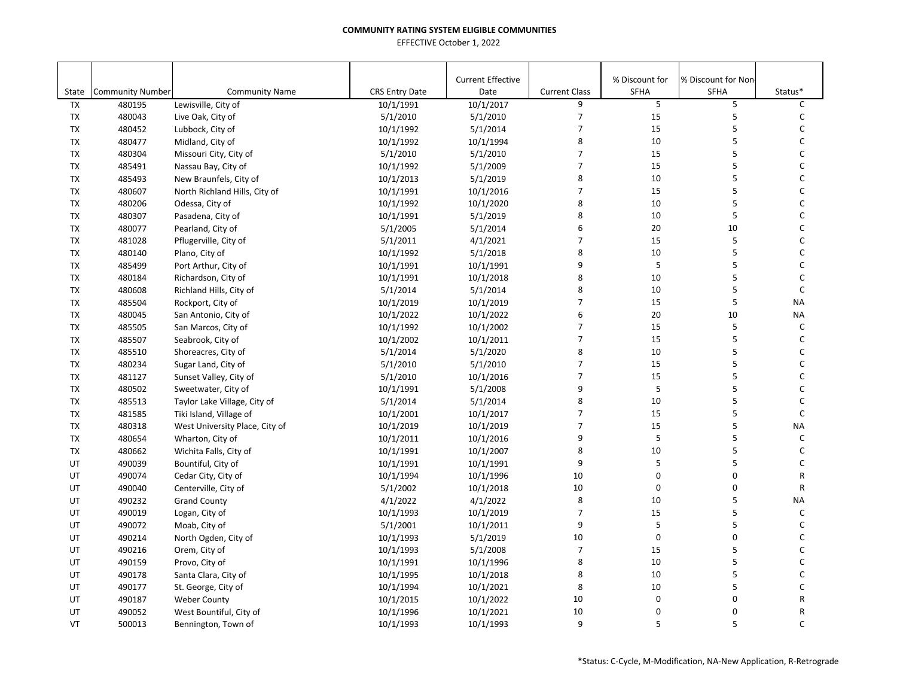| State     | <b>Community Number</b> | <b>Community Name</b>          | <b>CRS Entry Date</b> | <b>Current Effective</b><br>Date | <b>Current Class</b> | % Discount for<br>SFHA | % Discount for Non<br><b>SFHA</b> | Status*      |
|-----------|-------------------------|--------------------------------|-----------------------|----------------------------------|----------------------|------------------------|-----------------------------------|--------------|
| <b>TX</b> | 480195                  | Lewisville, City of            | 10/1/1991             | 10/1/2017                        | 9                    | 5                      | 5                                 | C            |
| TX        | 480043                  | Live Oak, City of              | 5/1/2010              | 5/1/2010                         | 7                    | 15                     | 5                                 | C            |
| TX        | 480452                  | Lubbock, City of               | 10/1/1992             | 5/1/2014                         | $\overline{7}$       | 15                     | 5                                 | C            |
| <b>TX</b> | 480477                  | Midland, City of               | 10/1/1992             | 10/1/1994                        | 8                    | 10                     | 5                                 | C            |
| TX        | 480304                  | Missouri City, City of         | 5/1/2010              | 5/1/2010                         | $\overline{7}$       | 15                     | 5                                 | C            |
| <b>TX</b> | 485491                  | Nassau Bay, City of            | 10/1/1992             | 5/1/2009                         | $\overline{7}$       | 15                     | 5                                 | $\mathsf C$  |
| TX        | 485493                  | New Braunfels, City of         | 10/1/2013             | 5/1/2019                         | 8                    | 10                     | 5                                 | C            |
| <b>TX</b> | 480607                  | North Richland Hills, City of  | 10/1/1991             | 10/1/2016                        | $\overline{7}$       | 15                     | 5                                 | $\mathsf C$  |
| TX        | 480206                  | Odessa, City of                | 10/1/1992             | 10/1/2020                        | 8                    | 10                     | 5                                 | $\mathsf{C}$ |
| TX        | 480307                  | Pasadena, City of              | 10/1/1991             | 5/1/2019                         | 8                    | 10                     | 5                                 | $\mathsf{C}$ |
| TX        | 480077                  | Pearland, City of              | 5/1/2005              | 5/1/2014                         | 6                    | 20                     | 10                                | C            |
| TX        | 481028                  | Pflugerville, City of          | 5/1/2011              | 4/1/2021                         | $\overline{7}$       | 15                     | 5                                 | C            |
| TX        | 480140                  | Plano, City of                 | 10/1/1992             | 5/1/2018                         | 8                    | 10                     | 5                                 | C            |
| <b>TX</b> | 485499                  | Port Arthur, City of           | 10/1/1991             | 10/1/1991                        | 9                    | $\sf 5$                | 5                                 | C            |
| TX        | 480184                  | Richardson, City of            | 10/1/1991             | 10/1/2018                        | 8                    | 10                     | 5                                 | C            |
| <b>TX</b> | 480608                  | Richland Hills, City of        | 5/1/2014              | 5/1/2014                         | 8                    | 10                     | 5                                 | $\mathsf C$  |
| <b>TX</b> | 485504                  | Rockport, City of              | 10/1/2019             | 10/1/2019                        | $\overline{7}$       | 15                     | 5                                 | <b>NA</b>    |
| <b>TX</b> | 480045                  | San Antonio, City of           | 10/1/2022             | 10/1/2022                        | 6                    | 20                     | 10                                | NA           |
| TX        | 485505                  | San Marcos, City of            | 10/1/1992             | 10/1/2002                        | $\overline{7}$       | 15                     | 5                                 | C            |
| TX        | 485507                  | Seabrook, City of              | 10/1/2002             | 10/1/2011                        | $\overline{7}$       | 15                     | 5                                 | $\mathsf C$  |
| TX        | 485510                  | Shoreacres, City of            | 5/1/2014              | 5/1/2020                         | 8                    | 10                     | 5                                 | C            |
| <b>TX</b> | 480234                  | Sugar Land, City of            | 5/1/2010              | 5/1/2010                         | $\overline{7}$       | 15                     | 5                                 | C            |
| <b>TX</b> | 481127                  | Sunset Valley, City of         | 5/1/2010              | 10/1/2016                        | $\overline{7}$       | 15                     | 5                                 | C            |
| <b>TX</b> | 480502                  | Sweetwater, City of            | 10/1/1991             | 5/1/2008                         | 9                    | 5                      | 5                                 | C            |
| <b>TX</b> | 485513                  | Taylor Lake Village, City of   | 5/1/2014              | 5/1/2014                         | 8                    | 10                     | 5                                 | C            |
| <b>TX</b> | 481585                  | Tiki Island, Village of        | 10/1/2001             | 10/1/2017                        | $\overline{7}$       | 15                     | 5                                 | $\mathsf C$  |
| <b>TX</b> | 480318                  | West University Place, City of | 10/1/2019             | 10/1/2019                        | $\overline{7}$       | 15                     | 5                                 | <b>NA</b>    |
| <b>TX</b> | 480654                  | Wharton, City of               | 10/1/2011             | 10/1/2016                        | 9                    | 5                      | 5                                 | $\mathsf{C}$ |
| TX        | 480662                  | Wichita Falls, City of         | 10/1/1991             | 10/1/2007                        | 8                    | 10                     | 5                                 | C            |
| UT        | 490039                  | Bountiful, City of             | 10/1/1991             | 10/1/1991                        | 9                    | 5                      | 5                                 | $\mathsf C$  |
| UT        | 490074                  | Cedar City, City of            | 10/1/1994             | 10/1/1996                        | 10                   | 0                      | 0                                 | R            |
| UT        | 490040                  | Centerville, City of           | 5/1/2002              | 10/1/2018                        | 10                   | $\pmb{0}$              | 0                                 | R            |
| UT        | 490232                  | <b>Grand County</b>            | 4/1/2022              | 4/1/2022                         | 8                    | 10                     | 5                                 | <b>NA</b>    |
| UT        | 490019                  | Logan, City of                 | 10/1/1993             | 10/1/2019                        | 7                    | 15                     | 5                                 | C            |
| UT        | 490072                  | Moab, City of                  | 5/1/2001              | 10/1/2011                        | 9                    | 5                      | 5                                 | C            |
| UT        | 490214                  | North Ogden, City of           | 10/1/1993             | 5/1/2019                         | 10                   | $\mathbf 0$            | 0                                 | C            |
| UT        | 490216                  | Orem, City of                  | 10/1/1993             | 5/1/2008                         | $\overline{7}$       | 15                     | 5                                 | C            |
| UT        | 490159                  | Provo, City of                 | 10/1/1991             | 10/1/1996                        | 8                    | 10                     | 5                                 | $\mathsf C$  |
| UT        | 490178                  | Santa Clara, City of           | 10/1/1995             | 10/1/2018                        | 8                    | 10                     | 5                                 | C            |
| UT        | 490177                  | St. George, City of            | 10/1/1994             | 10/1/2021                        | 8                    | 10                     | 5                                 | $\mathsf C$  |
| UT        | 490187                  | <b>Weber County</b>            | 10/1/2015             | 10/1/2022                        | 10                   | 0                      | 0                                 | R            |
| UT        | 490052                  | West Bountiful, City of        | 10/1/1996             | 10/1/2021                        | 10                   | 0                      | 0                                 | R            |
| VT        | 500013                  | Bennington, Town of            | 10/1/1993             | 10/1/1993                        | 9                    | 5                      | 5                                 | $\mathsf{C}$ |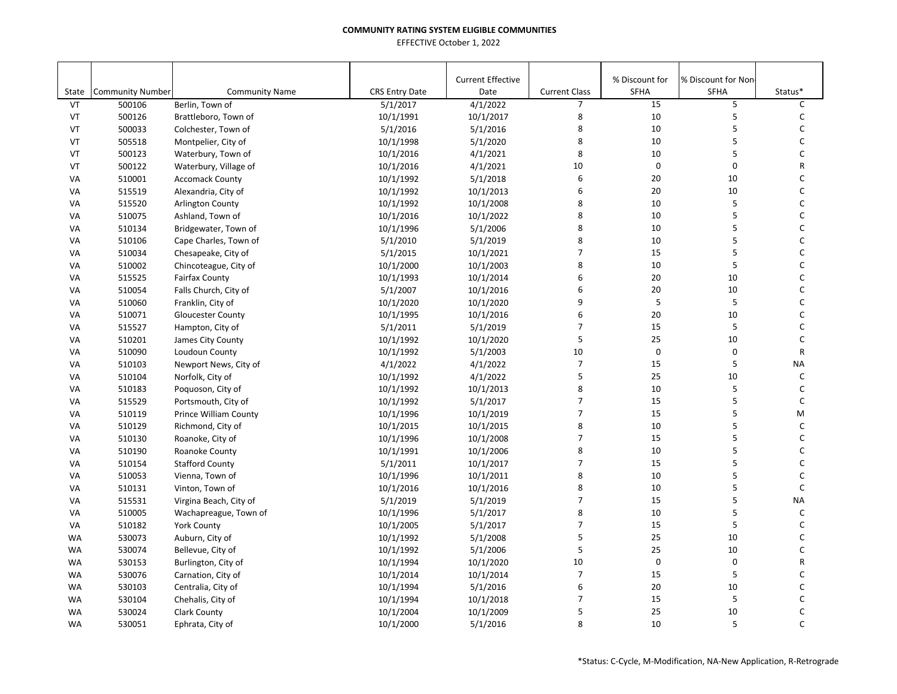|           |                         |                              |                       | <b>Current Effective</b> |                      | % Discount for | % Discount for Non- |              |
|-----------|-------------------------|------------------------------|-----------------------|--------------------------|----------------------|----------------|---------------------|--------------|
| State     | <b>Community Number</b> | <b>Community Name</b>        | <b>CRS Entry Date</b> | Date                     | <b>Current Class</b> | <b>SFHA</b>    | <b>SFHA</b>         | Status*      |
| VT        | 500106                  | Berlin, Town of              | 5/1/2017              | 4/1/2022                 | $\overline{7}$       | 15             | 5                   | C            |
| VT        | 500126                  | Brattleboro, Town of         | 10/1/1991             | 10/1/2017                | 8                    | $10\,$         | 5                   | C            |
| VT        | 500033                  | Colchester, Town of          | 5/1/2016              | 5/1/2016                 | 8                    | 10             | 5                   | С            |
| VT        | 505518                  | Montpelier, City of          | 10/1/1998             | 5/1/2020                 | 8                    | 10             | 5                   | C            |
| VT        | 500123                  | Waterbury, Town of           | 10/1/2016             | 4/1/2021                 | 8                    | 10             | 5                   | C            |
| VT        | 500122                  | Waterbury, Village of        | 10/1/2016             | 4/1/2021                 | 10                   | $\mathbf 0$    | $\pmb{0}$           | R            |
| VA        | 510001                  | <b>Accomack County</b>       | 10/1/1992             | 5/1/2018                 | 6                    | 20             | 10                  | C            |
| VA        | 515519                  | Alexandria, City of          | 10/1/1992             | 10/1/2013                | 6                    | 20             | 10                  | C            |
| VA        | 515520                  | <b>Arlington County</b>      | 10/1/1992             | 10/1/2008                | 8                    | 10             | 5                   | C            |
| VA        | 510075                  | Ashland, Town of             | 10/1/2016             | 10/1/2022                | 8                    | 10             | 5                   | C            |
| VA        | 510134                  | Bridgewater, Town of         | 10/1/1996             | 5/1/2006                 | 8                    | 10             | 5                   | С            |
| VA        | 510106                  | Cape Charles, Town of        | 5/1/2010              | 5/1/2019                 | 8                    | 10             | 5                   | $\mathsf C$  |
| VA        | 510034                  | Chesapeake, City of          | 5/1/2015              | 10/1/2021                | $\overline{7}$       | 15             | 5                   | C            |
| VA        | 510002                  | Chincoteague, City of        | 10/1/2000             | 10/1/2003                | 8                    | 10             | 5                   | С            |
| VA        | 515525                  | <b>Fairfax County</b>        | 10/1/1993             | 10/1/2014                | 6                    | 20             | 10                  | С            |
| VA        | 510054                  | Falls Church, City of        | 5/1/2007              | 10/1/2016                | 6                    | 20             | 10                  | C            |
| VA        | 510060                  | Franklin, City of            | 10/1/2020             | 10/1/2020                | 9                    | 5              | 5                   | C            |
| VA        | 510071                  | <b>Gloucester County</b>     | 10/1/1995             | 10/1/2016                | 6                    | 20             | 10                  | C            |
| VA        | 515527                  | Hampton, City of             | 5/1/2011              | 5/1/2019                 | $\overline{7}$       | 15             | 5                   | C            |
| VA        | 510201                  | James City County            | 10/1/1992             | 10/1/2020                | 5                    | 25             | 10                  | C            |
| VA        | 510090                  | Loudoun County               | 10/1/1992             | 5/1/2003                 | 10                   | $\mathbf 0$    | $\mathbf 0$         | $\mathsf{R}$ |
| VA        | 510103                  | Newport News, City of        | 4/1/2022              | 4/1/2022                 | $\overline{7}$       | 15             | 5                   | <b>NA</b>    |
| VA        | 510104                  | Norfolk, City of             | 10/1/1992             | 4/1/2022                 | 5                    | 25             | 10                  | $\mathsf{C}$ |
| VA        | 510183                  | Poquoson, City of            | 10/1/1992             | 10/1/2013                | 8                    | 10             | 5                   | С            |
| VA        | 515529                  | Portsmouth, City of          | 10/1/1992             | 5/1/2017                 | 7                    | 15             | 5                   | C            |
| VA        | 510119                  | <b>Prince William County</b> | 10/1/1996             | 10/1/2019                | 7                    | 15             | 5                   | M            |
| VA        | 510129                  | Richmond, City of            | 10/1/2015             | 10/1/2015                | 8                    | 10             | 5                   | $\mathsf C$  |
| VA        | 510130                  | Roanoke, City of             | 10/1/1996             | 10/1/2008                | $\overline{7}$       | 15             | 5                   | C            |
| VA        | 510190                  | Roanoke County               | 10/1/1991             | 10/1/2006                | 8                    | 10             | 5                   | C            |
| VA        | 510154                  | <b>Stafford County</b>       | 5/1/2011              | 10/1/2017                | $\overline{7}$       | 15             | 5                   | C            |
| VA        | 510053                  | Vienna, Town of              | 10/1/1996             | 10/1/2011                | 8                    | 10             | 5                   | C            |
| VA        | 510131                  | Vinton, Town of              | 10/1/2016             | 10/1/2016                | 8                    | 10             | 5                   | $\mathsf C$  |
| VA        | 515531                  | Virgina Beach, City of       | 5/1/2019              | 5/1/2019                 | $\overline{7}$       | 15             | 5                   | <b>NA</b>    |
| VA        | 510005                  | Wachapreague, Town of        | 10/1/1996             | 5/1/2017                 | 8                    | 10             | 5                   | $\mathsf{C}$ |
| VA        | 510182                  | <b>York County</b>           | 10/1/2005             | 5/1/2017                 | $\overline{7}$       | 15             | 5                   | C            |
| <b>WA</b> | 530073                  | Auburn, City of              | 10/1/1992             | 5/1/2008                 | 5                    | 25             | 10                  | C            |
| <b>WA</b> | 530074                  | Bellevue, City of            | 10/1/1992             | 5/1/2006                 | 5                    | 25             | 10                  | C            |
| <b>WA</b> | 530153                  | Burlington, City of          | 10/1/1994             | 10/1/2020                | 10                   | $\pmb{0}$      | 0                   | R            |
| <b>WA</b> | 530076                  | Carnation, City of           | 10/1/2014             | 10/1/2014                | $\overline{7}$       | 15             | 5                   | C            |
| <b>WA</b> | 530103                  | Centralia, City of           | 10/1/1994             | 5/1/2016                 | 6                    | 20             | 10                  | C            |
| <b>WA</b> | 530104                  | Chehalis, City of            | 10/1/1994             | 10/1/2018                | $\overline{7}$       | 15             | 5                   | C            |
| <b>WA</b> | 530024                  | <b>Clark County</b>          | 10/1/2004             | 10/1/2009                | 5                    | 25             | 10                  | C            |
| <b>WA</b> | 530051                  |                              | 10/1/2000             | 5/1/2016                 | 8                    | 10             | 5                   | C            |
|           |                         | Ephrata, City of             |                       |                          |                      |                |                     |              |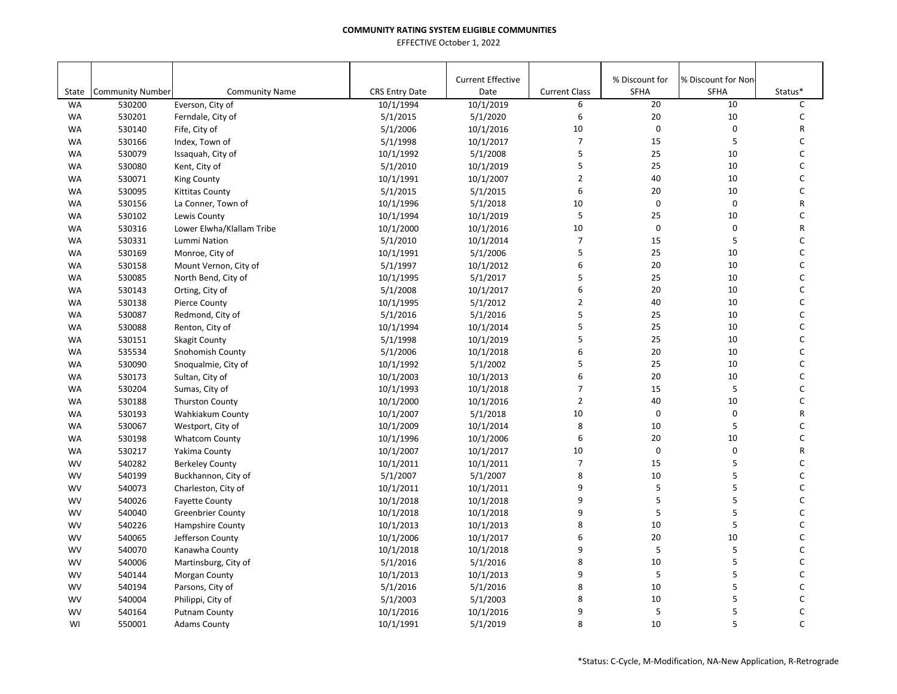|           |                         |                           |                       | <b>Current Effective</b> |                      | % Discount for | % Discount for Non- |         |
|-----------|-------------------------|---------------------------|-----------------------|--------------------------|----------------------|----------------|---------------------|---------|
| State     | <b>Community Number</b> | <b>Community Name</b>     | <b>CRS Entry Date</b> | Date                     | <b>Current Class</b> | <b>SFHA</b>    | SFHA                | Status* |
| <b>WA</b> | 530200                  | Everson, City of          | 10/1/1994             | 10/1/2019                | 6                    | 20             | 10                  | C       |
| <b>WA</b> | 530201                  | Ferndale, City of         | 5/1/2015              | 5/1/2020                 | 6                    | $20\,$         | 10                  | C       |
| <b>WA</b> | 530140                  | Fife, City of             | 5/1/2006              | 10/1/2016                | 10                   | $\mathsf 0$    | $\pmb{0}$           | R       |
| <b>WA</b> | 530166                  | Index, Town of            | 5/1/1998              | 10/1/2017                | $\overline{7}$       | 15             | 5                   | C       |
| <b>WA</b> | 530079                  | Issaquah, City of         | 10/1/1992             | 5/1/2008                 | 5                    | 25             | 10                  | C       |
| <b>WA</b> | 530080                  | Kent, City of             | 5/1/2010              | 10/1/2019                | 5                    | 25             | 10                  | C       |
| <b>WA</b> | 530071                  | <b>King County</b>        | 10/1/1991             | 10/1/2007                | $\overline{2}$       | 40             | 10                  | C       |
| <b>WA</b> | 530095                  | <b>Kittitas County</b>    | 5/1/2015              | 5/1/2015                 | 6                    | 20             | 10                  | C       |
| <b>WA</b> | 530156                  | La Conner, Town of        | 10/1/1996             | 5/1/2018                 | 10                   | $\mathbf 0$    | $\mathbf 0$         | R       |
| <b>WA</b> | 530102                  | Lewis County              | 10/1/1994             | 10/1/2019                | 5                    | 25             | 10                  | C       |
| WA        | 530316                  | Lower Elwha/Klallam Tribe | 10/1/2000             | 10/1/2016                | 10                   | 0              | 0                   | R       |
| <b>WA</b> | 530331                  | Lummi Nation              | 5/1/2010              | 10/1/2014                | $\overline{7}$       | 15             | 5                   | С       |
| <b>WA</b> | 530169                  | Monroe, City of           | 10/1/1991             | 5/1/2006                 | 5                    | 25             | 10                  | C       |
| <b>WA</b> | 530158                  | Mount Vernon, City of     | 5/1/1997              | 10/1/2012                | 6                    | 20             | 10                  | С       |
| <b>WA</b> | 530085                  | North Bend, City of       | 10/1/1995             | 5/1/2017                 | 5                    | 25             | 10                  | С       |
| <b>WA</b> | 530143                  | Orting, City of           | 5/1/2008              | 10/1/2017                | 6                    | 20             | 10                  | C       |
| <b>WA</b> | 530138                  | <b>Pierce County</b>      | 10/1/1995             | 5/1/2012                 | $\overline{2}$       | 40             | 10                  | C       |
| <b>WA</b> | 530087                  | Redmond, City of          | 5/1/2016              | 5/1/2016                 | 5                    | 25             | 10                  | C       |
| <b>WA</b> | 530088                  | Renton, City of           | 10/1/1994             | 10/1/2014                | 5                    | 25             | 10                  | C       |
| <b>WA</b> | 530151                  | <b>Skagit County</b>      | 5/1/1998              | 10/1/2019                | 5                    | 25             | 10                  | C       |
| <b>WA</b> | 535534                  | Snohomish County          | 5/1/2006              | 10/1/2018                | 6                    | 20             | 10                  | C       |
| <b>WA</b> | 530090                  | Snoqualmie, City of       | 10/1/1992             | 5/1/2002                 | 5                    | 25             | 10                  | C       |
| <b>WA</b> | 530173                  | Sultan, City of           | 10/1/2003             | 10/1/2013                | 6                    | 20             | 10                  | C       |
| <b>WA</b> | 530204                  | Sumas, City of            | 10/1/1993             | 10/1/2018                | $\overline{7}$       | 15             | 5                   | C       |
| <b>WA</b> | 530188                  | <b>Thurston County</b>    | 10/1/2000             | 10/1/2016                | $\overline{2}$       | 40             | 10                  | C       |
| <b>WA</b> | 530193                  | Wahkiakum County          | 10/1/2007             | 5/1/2018                 | 10                   | $\mathbf 0$    | 0                   | R       |
| <b>WA</b> | 530067                  | Westport, City of         | 10/1/2009             | 10/1/2014                | 8                    | 10             | 5                   | C       |
| <b>WA</b> | 530198                  | <b>Whatcom County</b>     | 10/1/1996             | 10/1/2006                | 6                    | 20             | 10                  | C       |
| <b>WA</b> | 530217                  | Yakima County             | 10/1/2007             | 10/1/2017                | 10                   | $\mathbf 0$    | 0                   | R       |
| <b>WV</b> | 540282                  | <b>Berkeley County</b>    | 10/1/2011             | 10/1/2011                | $\overline{7}$       | 15             | 5                   | C       |
| <b>WV</b> | 540199                  | Buckhannon, City of       | 5/1/2007              | 5/1/2007                 | 8                    | 10             | 5                   | C       |
| <b>WV</b> | 540073                  | Charleston, City of       | 10/1/2011             | 10/1/2011                | 9                    | 5              | 5                   | C       |
| <b>WV</b> | 540026                  | <b>Fayette County</b>     | 10/1/2018             | 10/1/2018                | 9                    | 5              | 5                   | C       |
| <b>WV</b> | 540040                  | <b>Greenbrier County</b>  | 10/1/2018             | 10/1/2018                | 9                    | 5              | 5                   | C       |
| <b>WV</b> | 540226                  | <b>Hampshire County</b>   | 10/1/2013             | 10/1/2013                | 8                    | 10             | 5                   | C       |
| <b>WV</b> | 540065                  | Jefferson County          | 10/1/2006             | 10/1/2017                | 6                    | 20             | 10                  | C       |
| <b>WV</b> | 540070                  | Kanawha County            | 10/1/2018             | 10/1/2018                | 9                    | 5              | 5                   | C       |
| <b>WV</b> | 540006                  | Martinsburg, City of      | 5/1/2016              | 5/1/2016                 | 8                    | 10             | 5                   | C       |
| <b>WV</b> | 540144                  | Morgan County             | 10/1/2013             | 10/1/2013                | 9                    | 5              | 5                   | C       |
| <b>WV</b> | 540194                  | Parsons, City of          | 5/1/2016              | 5/1/2016                 | 8                    | 10             | 5                   | C       |
| <b>WV</b> | 540004                  | Philippi, City of         | 5/1/2003              | 5/1/2003                 | 8                    | 10             | 5                   | C       |
| <b>WV</b> | 540164                  | <b>Putnam County</b>      | 10/1/2016             | 10/1/2016                | 9                    | 5              | 5                   | C       |
|           |                         |                           |                       |                          |                      |                |                     |         |